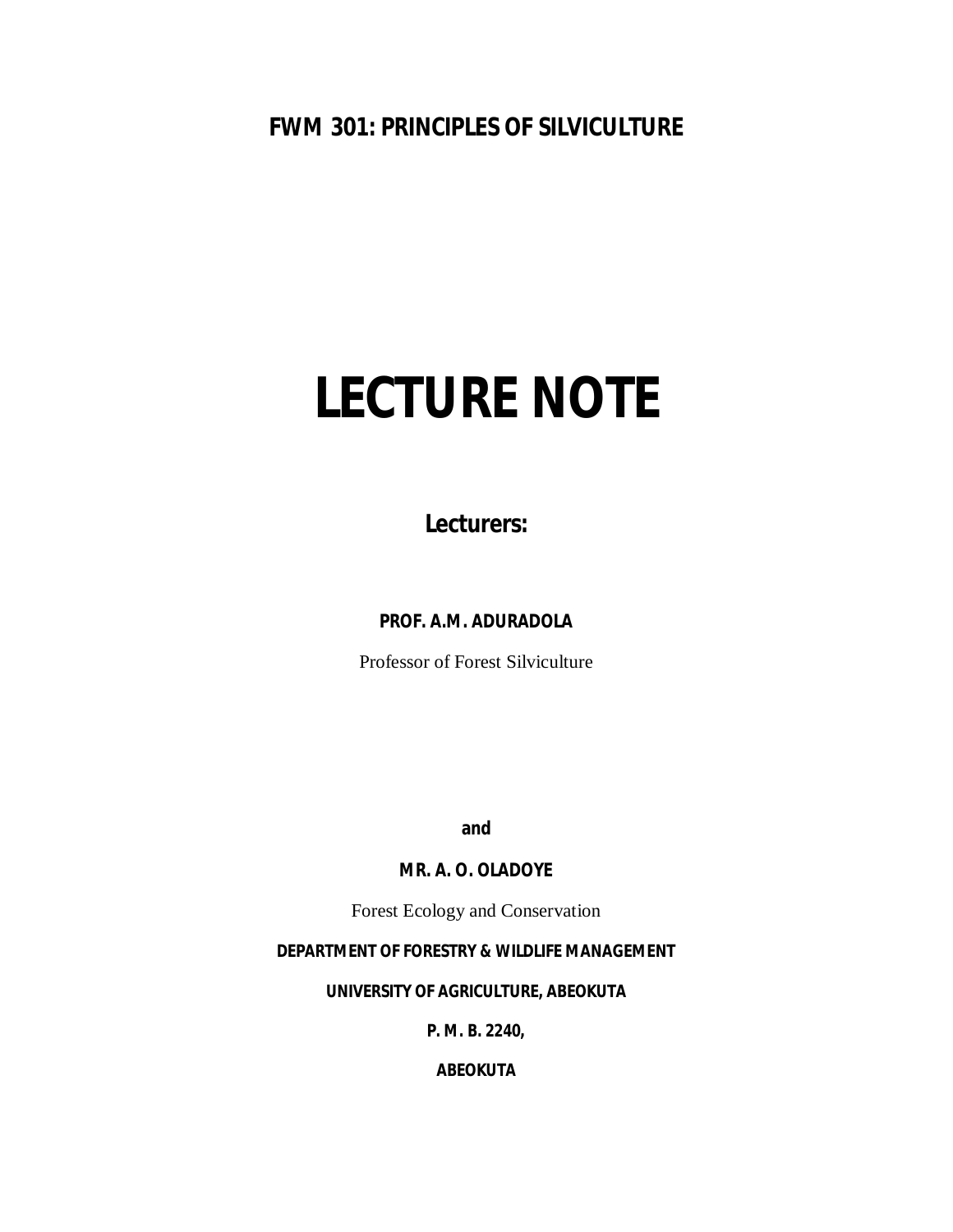# **FWM 301: PRINCIPLES OF SILVICULTURE**

# **LECTURE NOTE**

**Lecturers:**

**PROF. A.M. ADURADOLA**

Professor of Forest Silviculture

**and**

# **MR. A. O. OLADOYE**

Forest Ecology and Conservation

# **DEPARTMENT OF FORESTRY & WILDLIFE MANAGEMENT**

**UNIVERSITY OF AGRICULTURE, ABEOKUTA**

**P. M. B. 2240,**

**ABEOKUTA**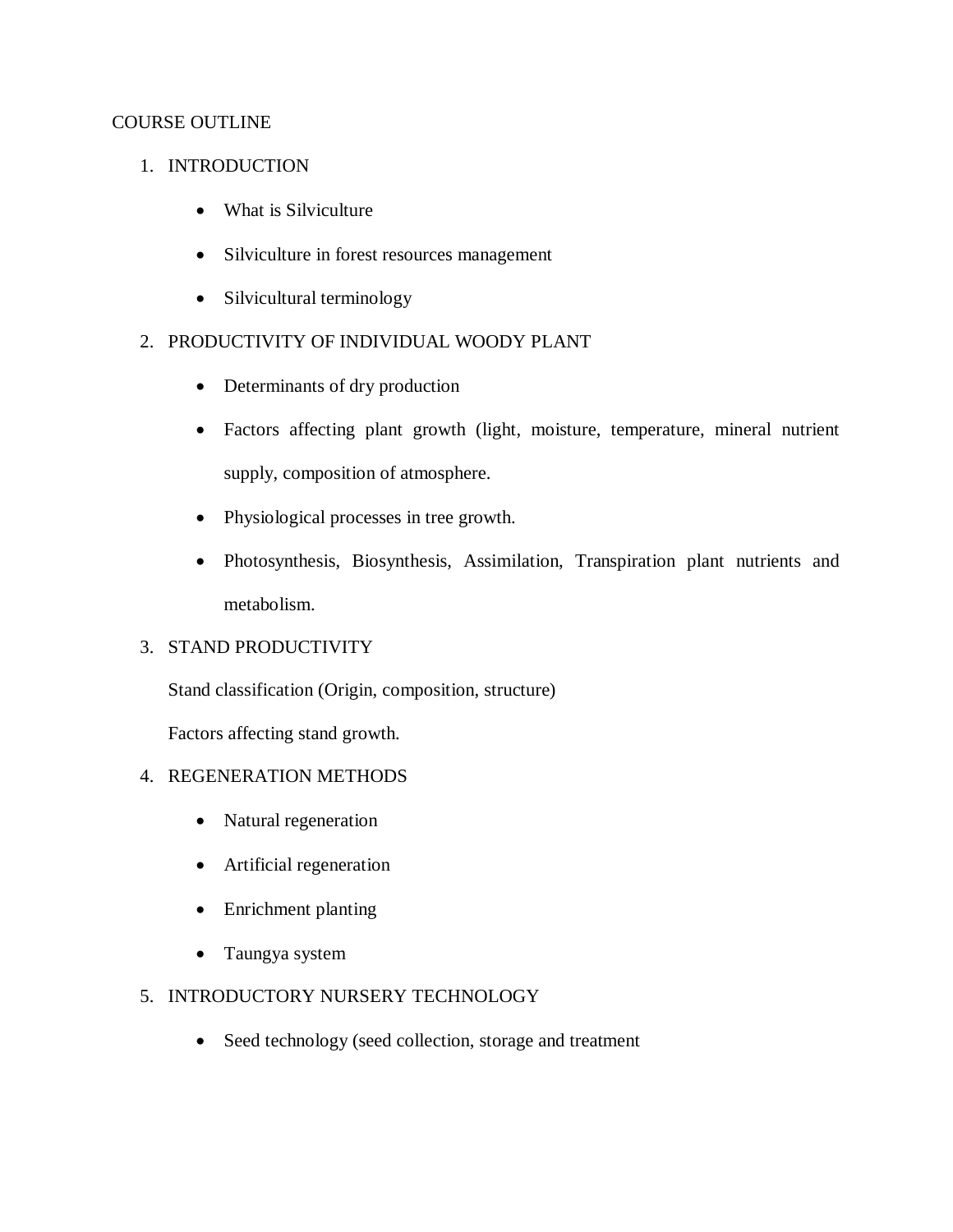# COURSE OUTLINE

# 1. INTRODUCTION

- What is Silviculture
- Silviculture in forest resources management
- Silvicultural terminology

# 2. PRODUCTIVITY OF INDIVIDUAL WOODY PLANT

- Determinants of dry production
- Factors affecting plant growth (light, moisture, temperature, mineral nutrient supply, composition of atmosphere.
- Physiological processes in tree growth.
- Photosynthesis, Biosynthesis, Assimilation, Transpiration plant nutrients and metabolism.

# 3. STAND PRODUCTIVITY

Stand classification (Origin, composition, structure)

Factors affecting stand growth.

# 4. REGENERATION METHODS

- Natural regeneration
- Artificial regeneration
- Enrichment planting
- Taungya system

# 5. INTRODUCTORY NURSERY TECHNOLOGY

• Seed technology (seed collection, storage and treatment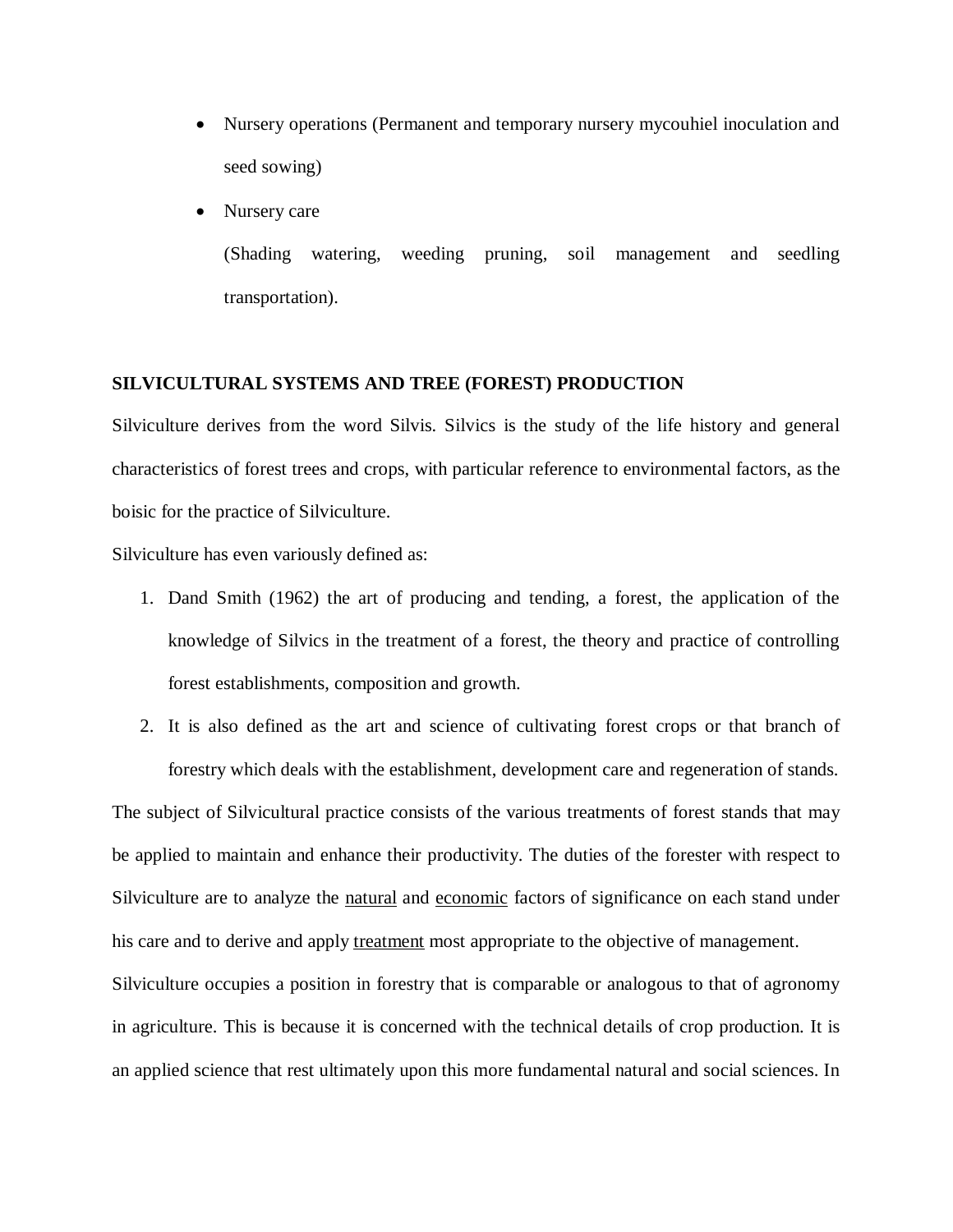- Nursery operations (Permanent and temporary nursery mycouhiel inoculation and seed sowing)
- Nursery care

(Shading watering, weeding pruning, soil management and seedling transportation).

#### **SILVICULTURAL SYSTEMS AND TREE (FOREST) PRODUCTION**

Silviculture derives from the word Silvis. Silvics is the study of the life history and general characteristics of forest trees and crops, with particular reference to environmental factors, as the boisic for the practice of Silviculture.

Silviculture has even variously defined as:

- 1. Dand Smith (1962) the art of producing and tending, a forest, the application of the knowledge of Silvics in the treatment of a forest, the theory and practice of controlling forest establishments, composition and growth.
- 2. It is also defined as the art and science of cultivating forest crops or that branch of forestry which deals with the establishment, development care and regeneration of stands.

The subject of Silvicultural practice consists of the various treatments of forest stands that may be applied to maintain and enhance their productivity. The duties of the forester with respect to Silviculture are to analyze the natural and economic factors of significance on each stand under his care and to derive and apply treatment most appropriate to the objective of management.

Silviculture occupies a position in forestry that is comparable or analogous to that of agronomy in agriculture. This is because it is concerned with the technical details of crop production. It is an applied science that rest ultimately upon this more fundamental natural and social sciences. In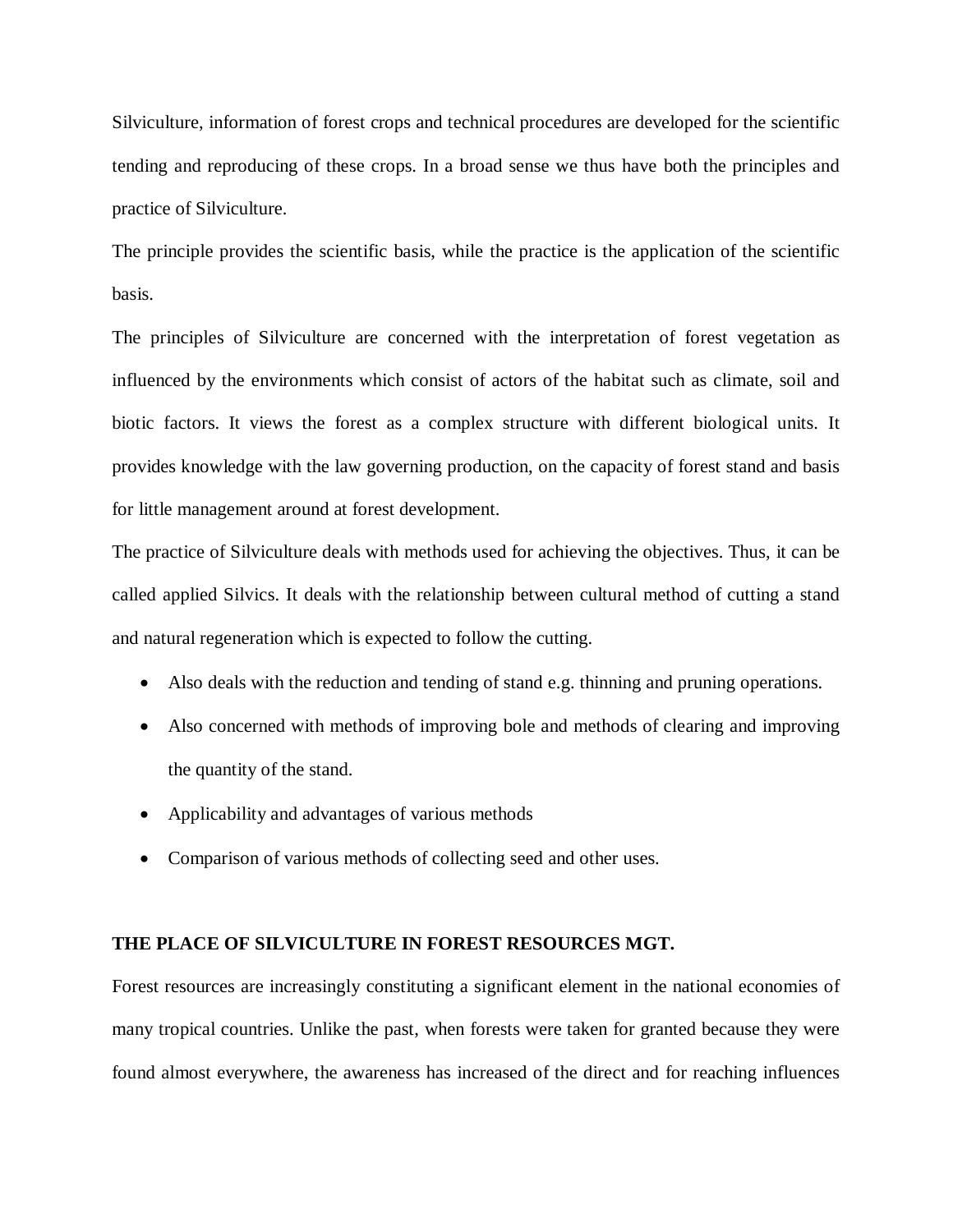Silviculture, information of forest crops and technical procedures are developed for the scientific tending and reproducing of these crops. In a broad sense we thus have both the principles and practice of Silviculture.

The principle provides the scientific basis, while the practice is the application of the scientific basis.

The principles of Silviculture are concerned with the interpretation of forest vegetation as influenced by the environments which consist of actors of the habitat such as climate, soil and biotic factors. It views the forest as a complex structure with different biological units. It provides knowledge with the law governing production, on the capacity of forest stand and basis for little management around at forest development.

The practice of Silviculture deals with methods used for achieving the objectives. Thus, it can be called applied Silvics. It deals with the relationship between cultural method of cutting a stand and natural regeneration which is expected to follow the cutting.

- Also deals with the reduction and tending of stand e.g. thinning and pruning operations.
- Also concerned with methods of improving bole and methods of clearing and improving the quantity of the stand.
- Applicability and advantages of various methods
- Comparison of various methods of collecting seed and other uses.

#### **THE PLACE OF SILVICULTURE IN FOREST RESOURCES MGT.**

Forest resources are increasingly constituting a significant element in the national economies of many tropical countries. Unlike the past, when forests were taken for granted because they were found almost everywhere, the awareness has increased of the direct and for reaching influences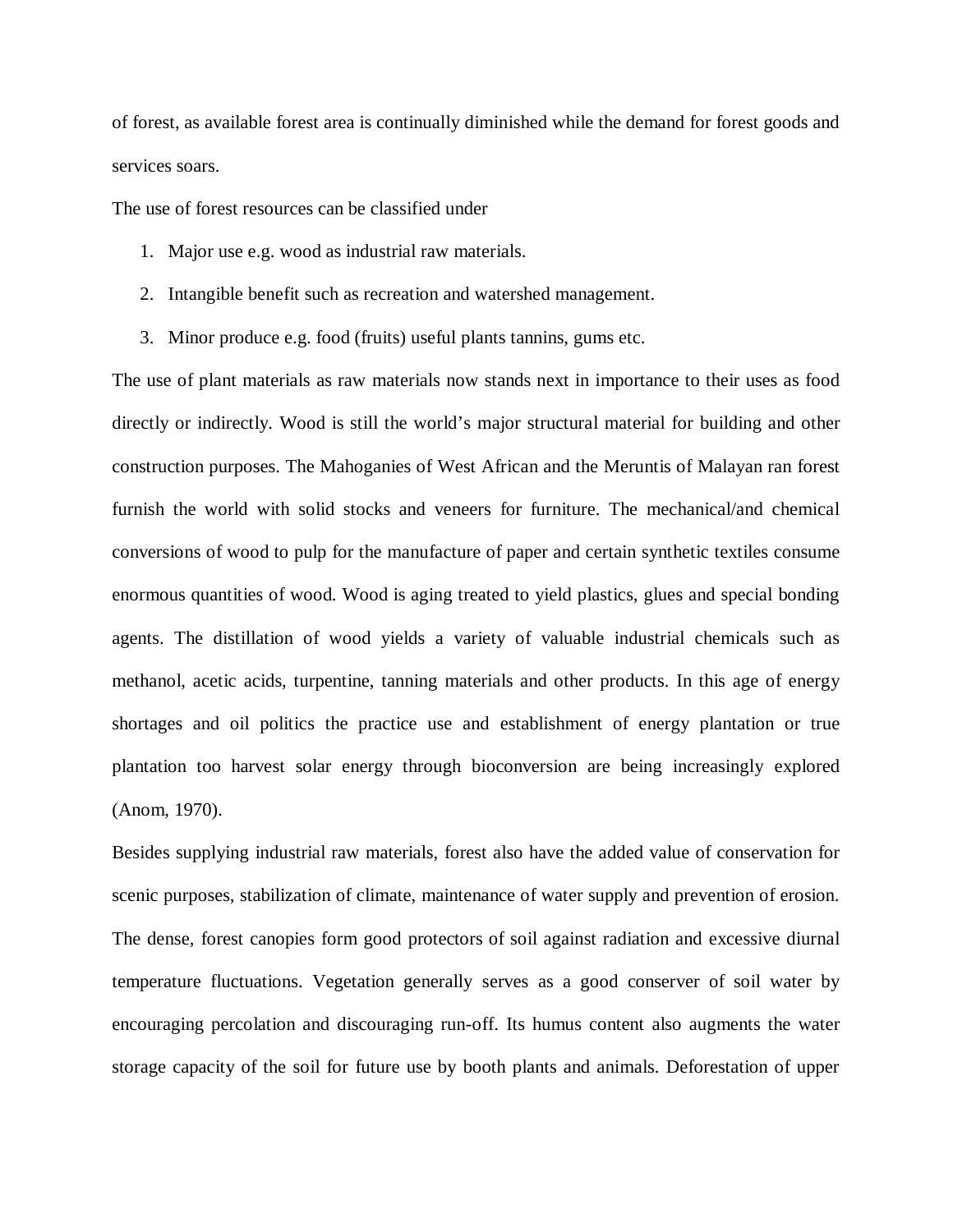of forest, as available forest area is continually diminished while the demand for forest goods and services soars.

The use of forest resources can be classified under

- 1. Major use e.g. wood as industrial raw materials.
- 2. Intangible benefit such as recreation and watershed management.
- 3. Minor produce e.g. food (fruits) useful plants tannins, gums etc.

The use of plant materials as raw materials now stands next in importance to their uses as food directly or indirectly. Wood is still the world's major structural material for building and other construction purposes. The Mahoganies of West African and the Meruntis of Malayan ran forest furnish the world with solid stocks and veneers for furniture. The mechanical/and chemical conversions of wood to pulp for the manufacture of paper and certain synthetic textiles consume enormous quantities of wood. Wood is aging treated to yield plastics, glues and special bonding agents. The distillation of wood yields a variety of valuable industrial chemicals such as methanol, acetic acids, turpentine, tanning materials and other products. In this age of energy shortages and oil politics the practice use and establishment of energy plantation or true plantation too harvest solar energy through bioconversion are being increasingly explored (Anom, 1970).

Besides supplying industrial raw materials, forest also have the added value of conservation for scenic purposes, stabilization of climate, maintenance of water supply and prevention of erosion. The dense, forest canopies form good protectors of soil against radiation and excessive diurnal temperature fluctuations. Vegetation generally serves as a good conserver of soil water by encouraging percolation and discouraging run-off. Its humus content also augments the water storage capacity of the soil for future use by booth plants and animals. Deforestation of upper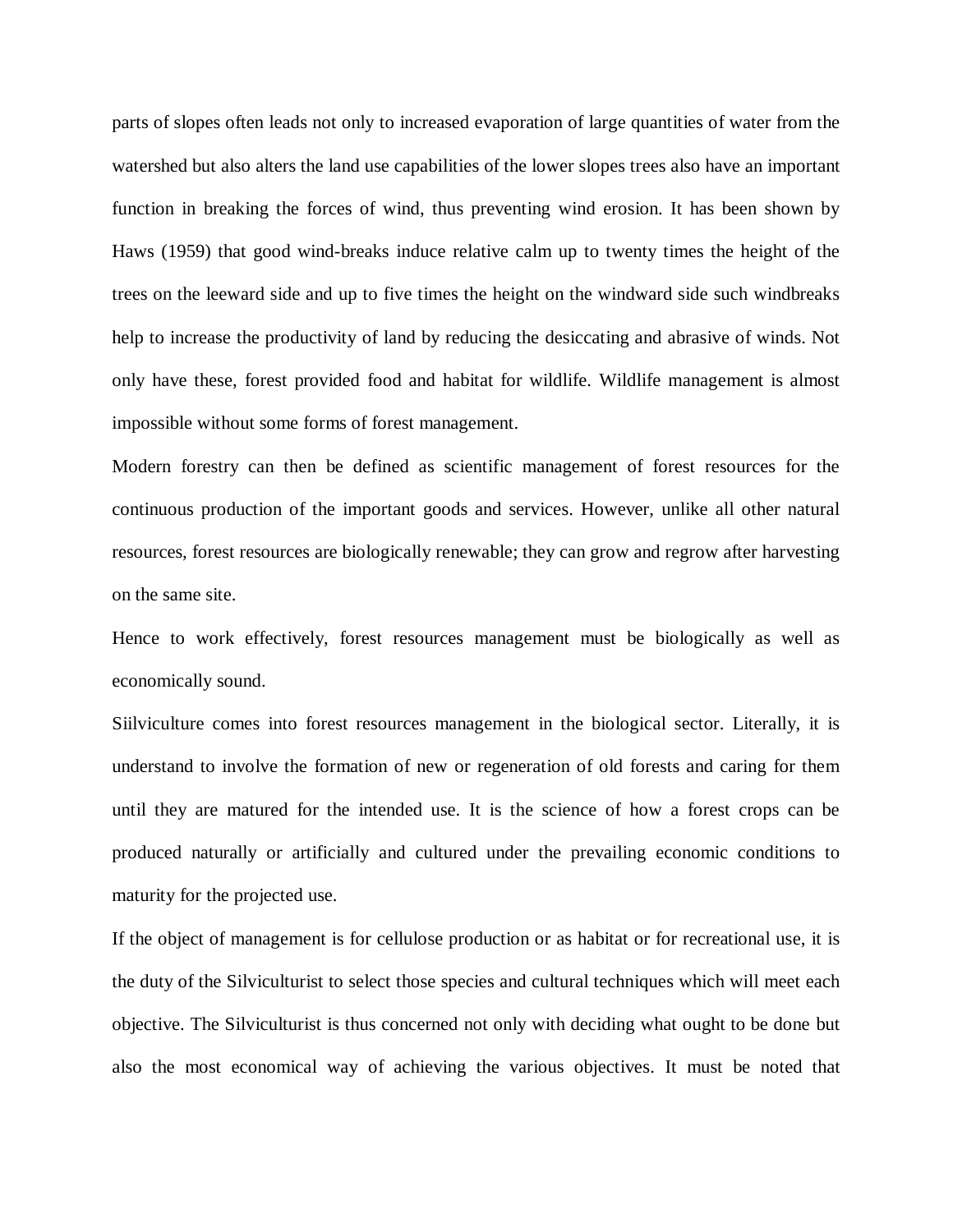parts of slopes often leads not only to increased evaporation of large quantities of water from the watershed but also alters the land use capabilities of the lower slopes trees also have an important function in breaking the forces of wind, thus preventing wind erosion. It has been shown by Haws (1959) that good wind-breaks induce relative calm up to twenty times the height of the trees on the leeward side and up to five times the height on the windward side such windbreaks help to increase the productivity of land by reducing the desiccating and abrasive of winds. Not only have these, forest provided food and habitat for wildlife. Wildlife management is almost impossible without some forms of forest management.

Modern forestry can then be defined as scientific management of forest resources for the continuous production of the important goods and services. However, unlike all other natural resources, forest resources are biologically renewable; they can grow and regrow after harvesting on the same site.

Hence to work effectively, forest resources management must be biologically as well as economically sound.

Siilviculture comes into forest resources management in the biological sector. Literally, it is understand to involve the formation of new or regeneration of old forests and caring for them until they are matured for the intended use. It is the science of how a forest crops can be produced naturally or artificially and cultured under the prevailing economic conditions to maturity for the projected use.

If the object of management is for cellulose production or as habitat or for recreational use, it is the duty of the Silviculturist to select those species and cultural techniques which will meet each objective. The Silviculturist is thus concerned not only with deciding what ought to be done but also the most economical way of achieving the various objectives. It must be noted that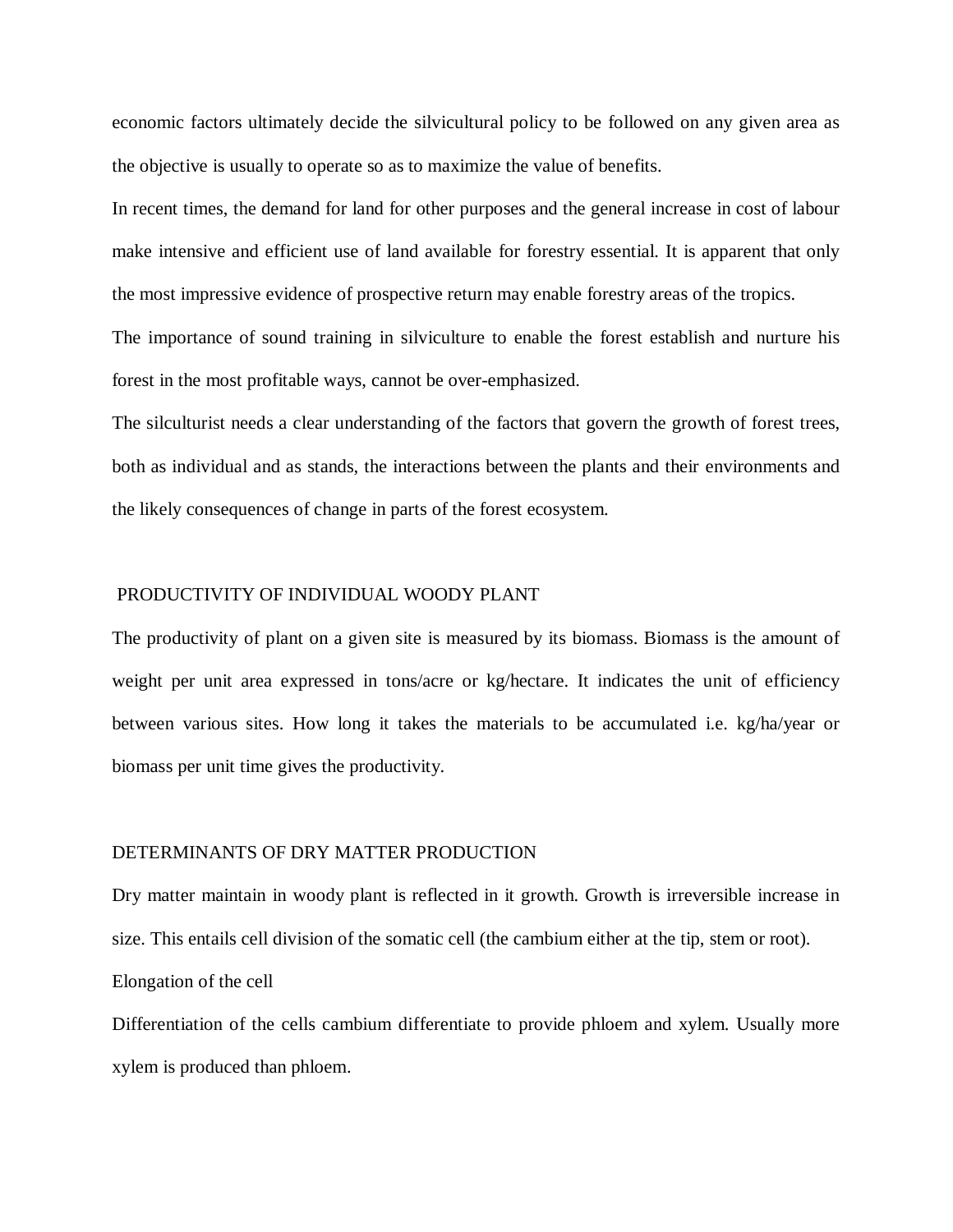economic factors ultimately decide the silvicultural policy to be followed on any given area as the objective is usually to operate so as to maximize the value of benefits.

In recent times, the demand for land for other purposes and the general increase in cost of labour make intensive and efficient use of land available for forestry essential. It is apparent that only the most impressive evidence of prospective return may enable forestry areas of the tropics. The importance of sound training in silviculture to enable the forest establish and nurture his forest in the most profitable ways, cannot be over-emphasized.

The silculturist needs a clear understanding of the factors that govern the growth of forest trees, both as individual and as stands, the interactions between the plants and their environments and the likely consequences of change in parts of the forest ecosystem.

#### PRODUCTIVITY OF INDIVIDUAL WOODY PLANT

The productivity of plant on a given site is measured by its biomass. Biomass is the amount of weight per unit area expressed in tons/acre or kg/hectare. It indicates the unit of efficiency between various sites. How long it takes the materials to be accumulated i.e. kg/ha/year or biomass per unit time gives the productivity.

#### DETERMINANTS OF DRY MATTER PRODUCTION

Dry matter maintain in woody plant is reflected in it growth. Growth is irreversible increase in size. This entails cell division of the somatic cell (the cambium either at the tip, stem or root). Elongation of the cell

Differentiation of the cells cambium differentiate to provide phloem and xylem. Usually more xylem is produced than phloem.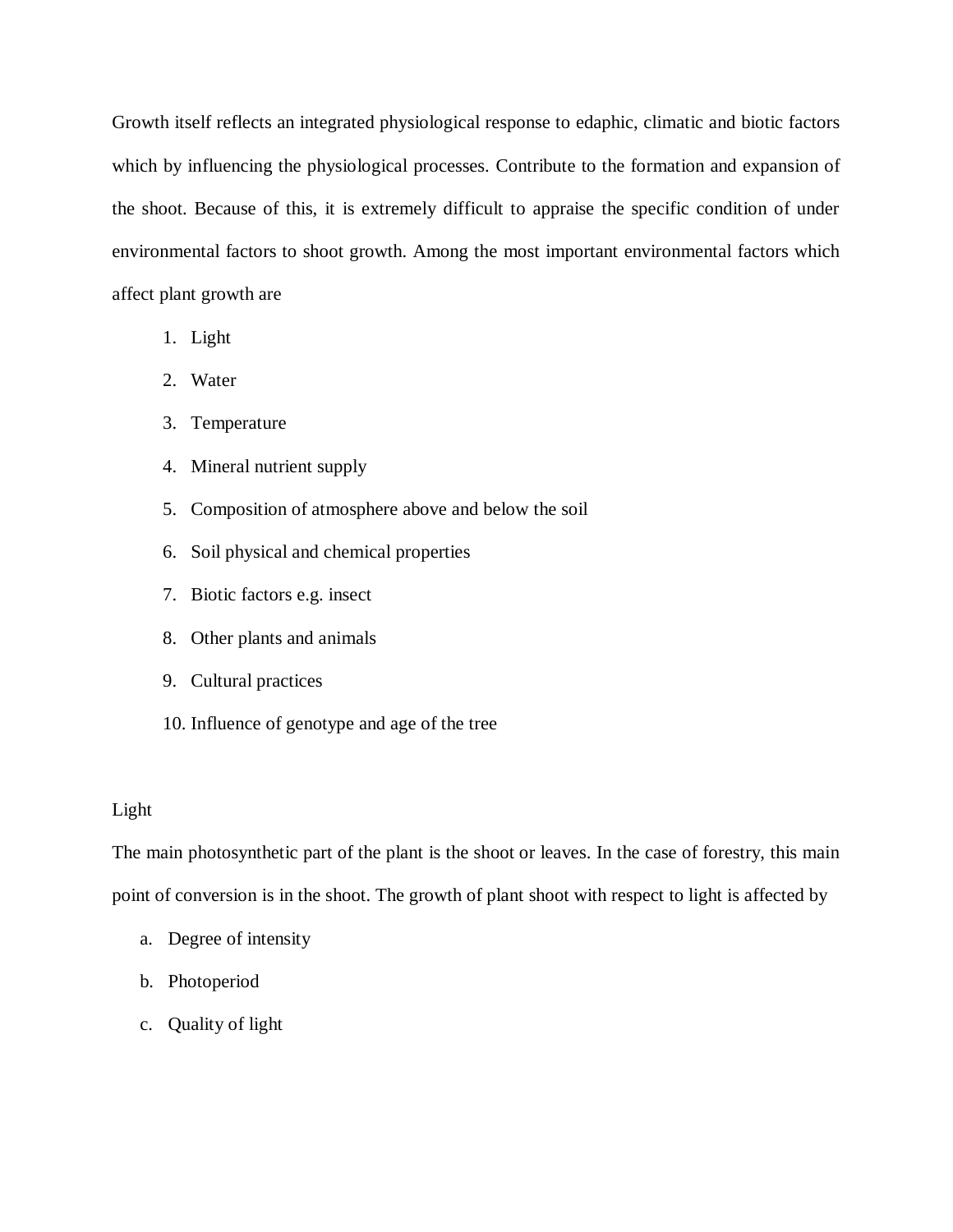Growth itself reflects an integrated physiological response to edaphic, climatic and biotic factors which by influencing the physiological processes. Contribute to the formation and expansion of the shoot. Because of this, it is extremely difficult to appraise the specific condition of under environmental factors to shoot growth. Among the most important environmental factors which affect plant growth are

- 1. Light
- 2. Water
- 3. Temperature
- 4. Mineral nutrient supply
- 5. Composition of atmosphere above and below the soil
- 6. Soil physical and chemical properties
- 7. Biotic factors e.g. insect
- 8. Other plants and animals
- 9. Cultural practices
- 10. Influence of genotype and age of the tree

# Light

The main photosynthetic part of the plant is the shoot or leaves. In the case of forestry, this main point of conversion is in the shoot. The growth of plant shoot with respect to light is affected by

- a. Degree of intensity
- b. Photoperiod
- c. Quality of light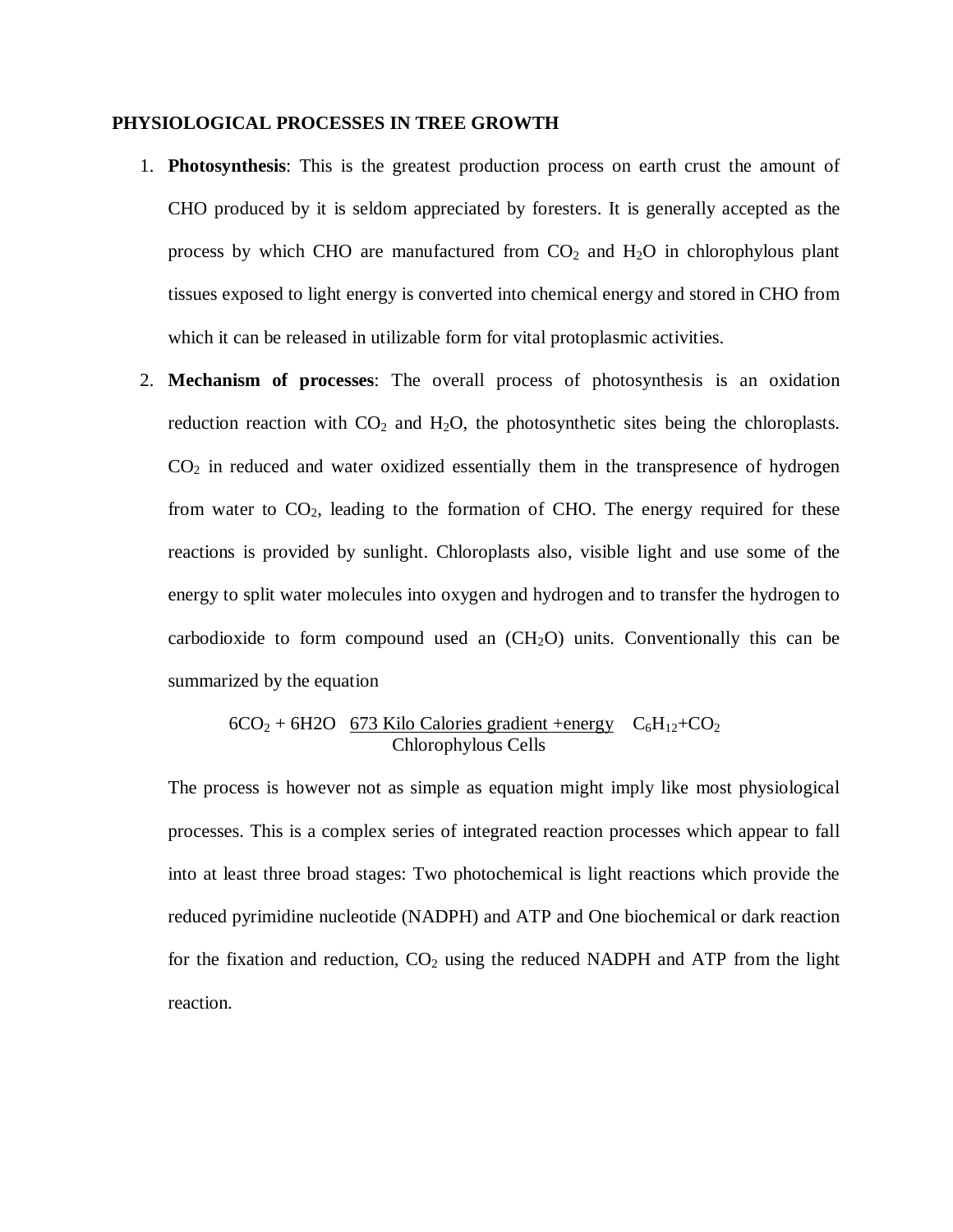#### **PHYSIOLOGICAL PROCESSES IN TREE GROWTH**

- 1. **Photosynthesis**: This is the greatest production process on earth crust the amount of CHO produced by it is seldom appreciated by foresters. It is generally accepted as the process by which CHO are manufactured from  $CO<sub>2</sub>$  and  $H<sub>2</sub>O$  in chlorophylous plant tissues exposed to light energy is converted into chemical energy and stored in CHO from which it can be released in utilizable form for vital protoplasmic activities.
- 2. **Mechanism of processes**: The overall process of photosynthesis is an oxidation reduction reaction with  $CO<sub>2</sub>$  and  $H<sub>2</sub>O$ , the photosynthetic sites being the chloroplasts.  $CO<sub>2</sub>$  in reduced and water oxidized essentially them in the transpresence of hydrogen from water to  $CO<sub>2</sub>$ , leading to the formation of CHO. The energy required for these reactions is provided by sunlight. Chloroplasts also, visible light and use some of the energy to split water molecules into oxygen and hydrogen and to transfer the hydrogen to carbodioxide to form compound used an  $(CH<sub>2</sub>O)$  units. Conventionally this can be summarized by the equation

$$
6CO_2 + 6H2O
$$
 673 Kilo Calories gradient +energy  $C_6H_{12} + CO_2$   
Chlorophylous Cells

The process is however not as simple as equation might imply like most physiological processes. This is a complex series of integrated reaction processes which appear to fall into at least three broad stages: Two photochemical is light reactions which provide the reduced pyrimidine nucleotide (NADPH) and ATP and One biochemical or dark reaction for the fixation and reduction,  $CO<sub>2</sub>$  using the reduced NADPH and ATP from the light reaction.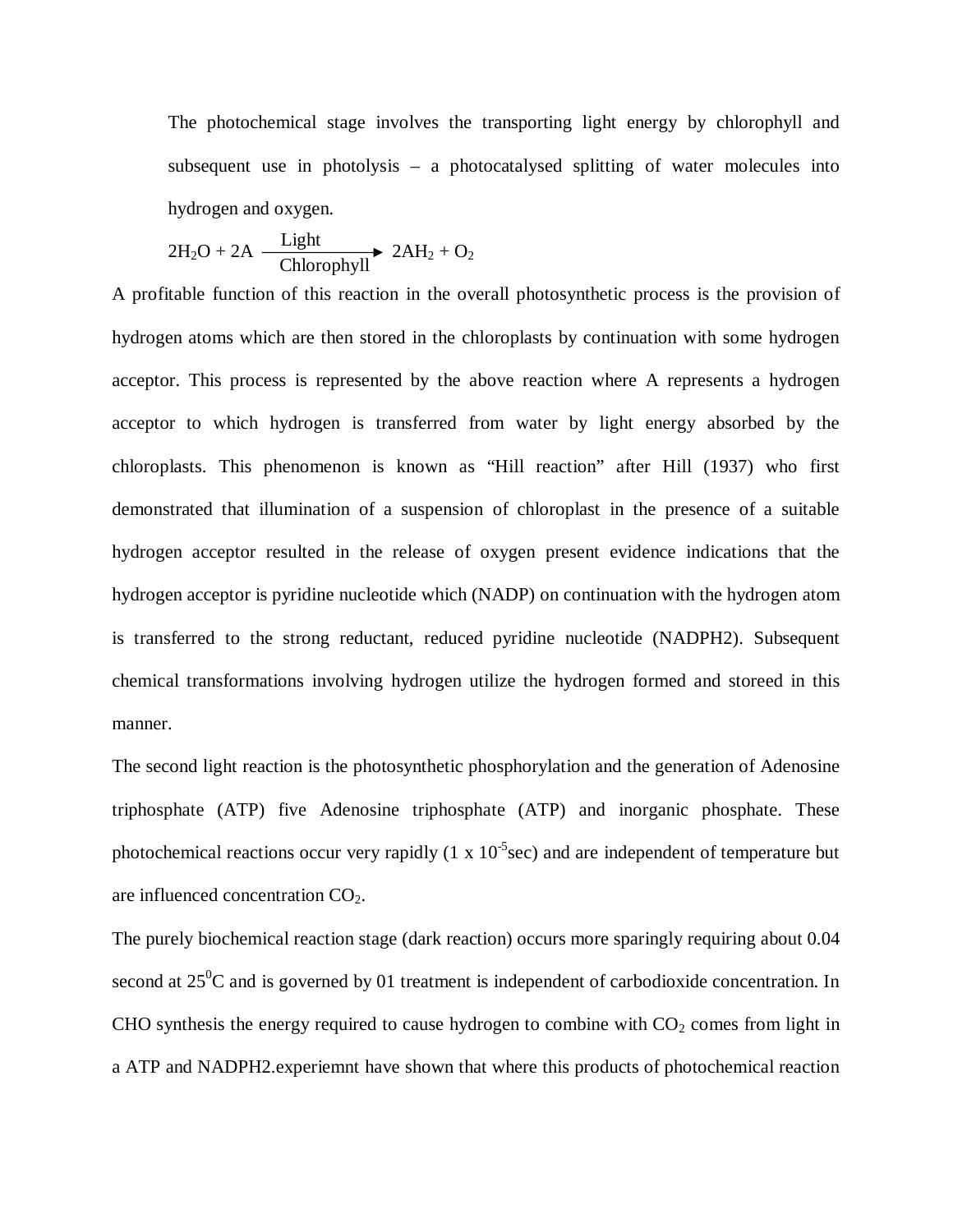The photochemical stage involves the transporting light energy by chlorophyll and subsequent use in photolysis – a photocatalysed splitting of water molecules into hydrogen and oxygen.

$$
2H_2O + 2A \xrightarrow{\text{Light}} 2AH_2 + O_2
$$

A profitable function of this reaction in the overall photosynthetic process is the provision of hydrogen atoms which are then stored in the chloroplasts by continuation with some hydrogen acceptor. This process is represented by the above reaction where A represents a hydrogen acceptor to which hydrogen is transferred from water by light energy absorbed by the chloroplasts. This phenomenon is known as "Hill reaction" after Hill (1937) who first demonstrated that illumination of a suspension of chloroplast in the presence of a suitable hydrogen acceptor resulted in the release of oxygen present evidence indications that the hydrogen acceptor is pyridine nucleotide which (NADP) on continuation with the hydrogen atom is transferred to the strong reductant, reduced pyridine nucleotide (NADPH2). Subsequent chemical transformations involving hydrogen utilize the hydrogen formed and storeed in this manner.

The second light reaction is the photosynthetic phosphorylation and the generation of Adenosine triphosphate (ATP) five Adenosine triphosphate (ATP) and inorganic phosphate. These photochemical reactions occur very rapidly  $(1 \times 10^{-5}$ sec) and are independent of temperature but are influenced concentration CO2.

The purely biochemical reaction stage (dark reaction) occurs more sparingly requiring about 0.04 second at  $25^{\circ}$ C and is governed by 01 treatment is independent of carbodioxide concentration. In CHO synthesis the energy required to cause hydrogen to combine with  $CO<sub>2</sub>$  comes from light in a ATP and NADPH2.experiemnt have shown that where this products of photochemical reaction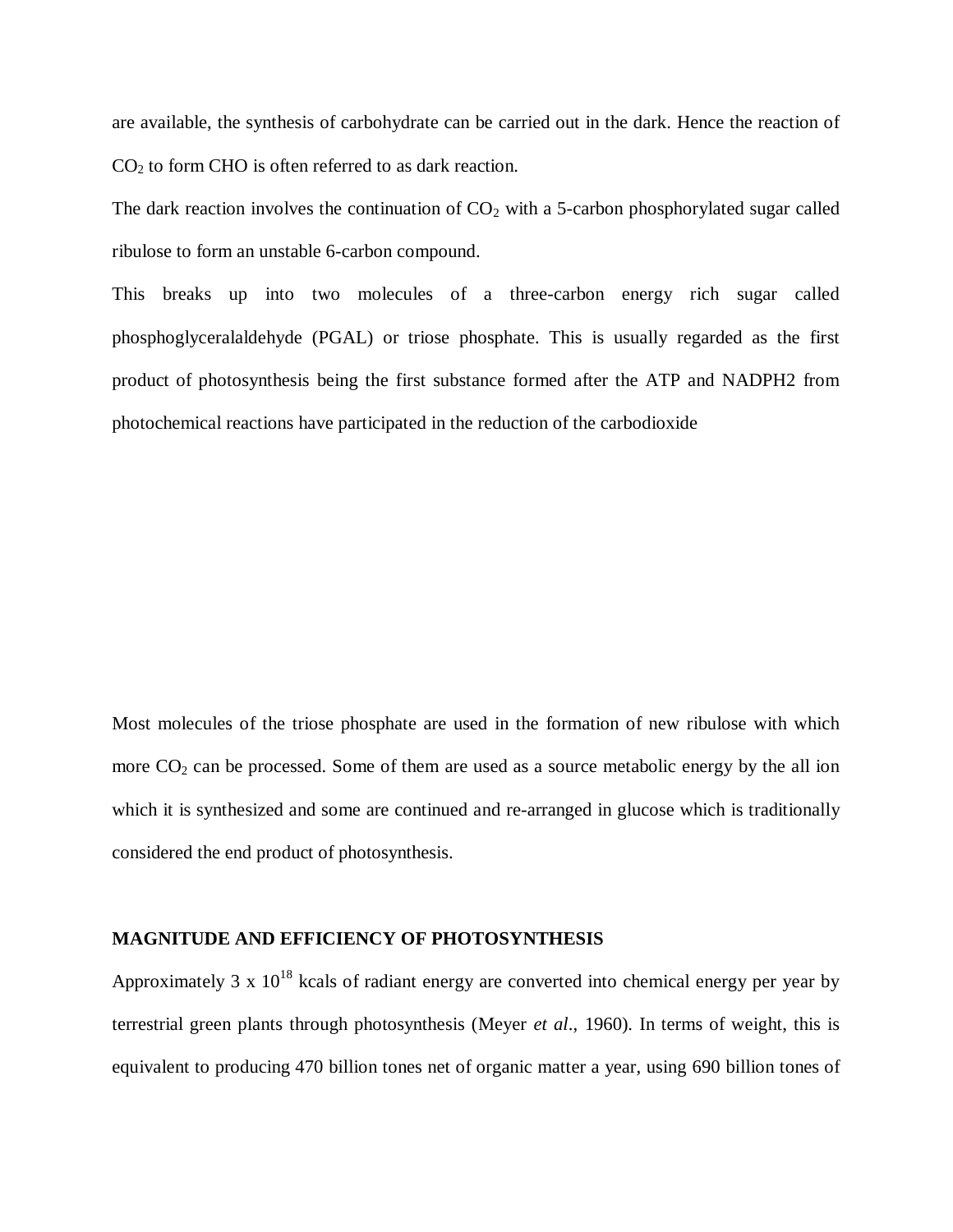are available, the synthesis of carbohydrate can be carried out in the dark. Hence the reaction of  $CO<sub>2</sub>$  to form CHO is often referred to as dark reaction.

The dark reaction involves the continuation of  $CO<sub>2</sub>$  with a 5-carbon phosphorylated sugar called ribulose to form an unstable 6-carbon compound.

This breaks up into two molecules of a three-carbon energy rich sugar called phosphoglyceralaldehyde (PGAL) or triose phosphate. This is usually regarded as the first product of photosynthesis being the first substance formed after the ATP and NADPH2 from photochemical reactions have participated in the reduction of the carbodioxide

Most molecules of the triose phosphate are used in the formation of new ribulose with which more  $CO<sub>2</sub>$  can be processed. Some of them are used as a source metabolic energy by the all ion which it is synthesized and some are continued and re-arranged in glucose which is traditionally considered the end product of photosynthesis.

#### **MAGNITUDE AND EFFICIENCY OF PHOTOSYNTHESIS**

Approximately 3 x  $10^{18}$  kcals of radiant energy are converted into chemical energy per year by terrestrial green plants through photosynthesis (Meyer *et al*., 1960). In terms of weight, this is equivalent to producing 470 billion tones net of organic matter a year, using 690 billion tones of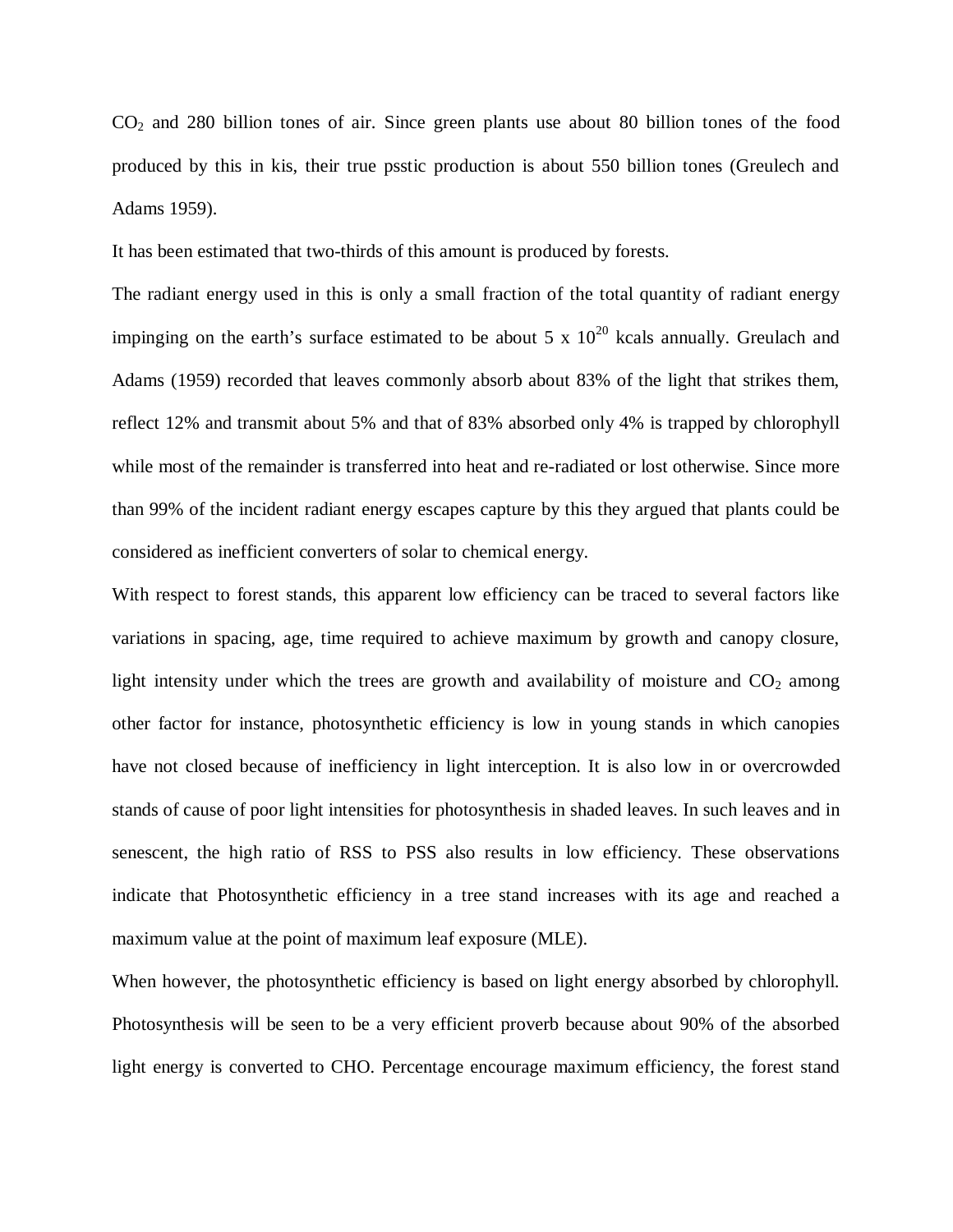$CO<sub>2</sub>$  and 280 billion tones of air. Since green plants use about 80 billion tones of the food produced by this in kis, their true psstic production is about 550 billion tones (Greulech and Adams 1959).

It has been estimated that two-thirds of this amount is produced by forests.

The radiant energy used in this is only a small fraction of the total quantity of radiant energy impinging on the earth's surface estimated to be about 5 x  $10^{20}$  kcals annually. Greulach and Adams (1959) recorded that leaves commonly absorb about 83% of the light that strikes them, reflect 12% and transmit about 5% and that of 83% absorbed only 4% is trapped by chlorophyll while most of the remainder is transferred into heat and re-radiated or lost otherwise. Since more than 99% of the incident radiant energy escapes capture by this they argued that plants could be considered as inefficient converters of solar to chemical energy.

With respect to forest stands, this apparent low efficiency can be traced to several factors like variations in spacing, age, time required to achieve maximum by growth and canopy closure, light intensity under which the trees are growth and availability of moisture and  $CO<sub>2</sub>$  among other factor for instance, photosynthetic efficiency is low in young stands in which canopies have not closed because of inefficiency in light interception. It is also low in or overcrowded stands of cause of poor light intensities for photosynthesis in shaded leaves. In such leaves and in senescent, the high ratio of RSS to PSS also results in low efficiency. These observations indicate that Photosynthetic efficiency in a tree stand increases with its age and reached a maximum value at the point of maximum leaf exposure (MLE).

When however, the photosynthetic efficiency is based on light energy absorbed by chlorophyll. Photosynthesis will be seen to be a very efficient proverb because about 90% of the absorbed light energy is converted to CHO. Percentage encourage maximum efficiency, the forest stand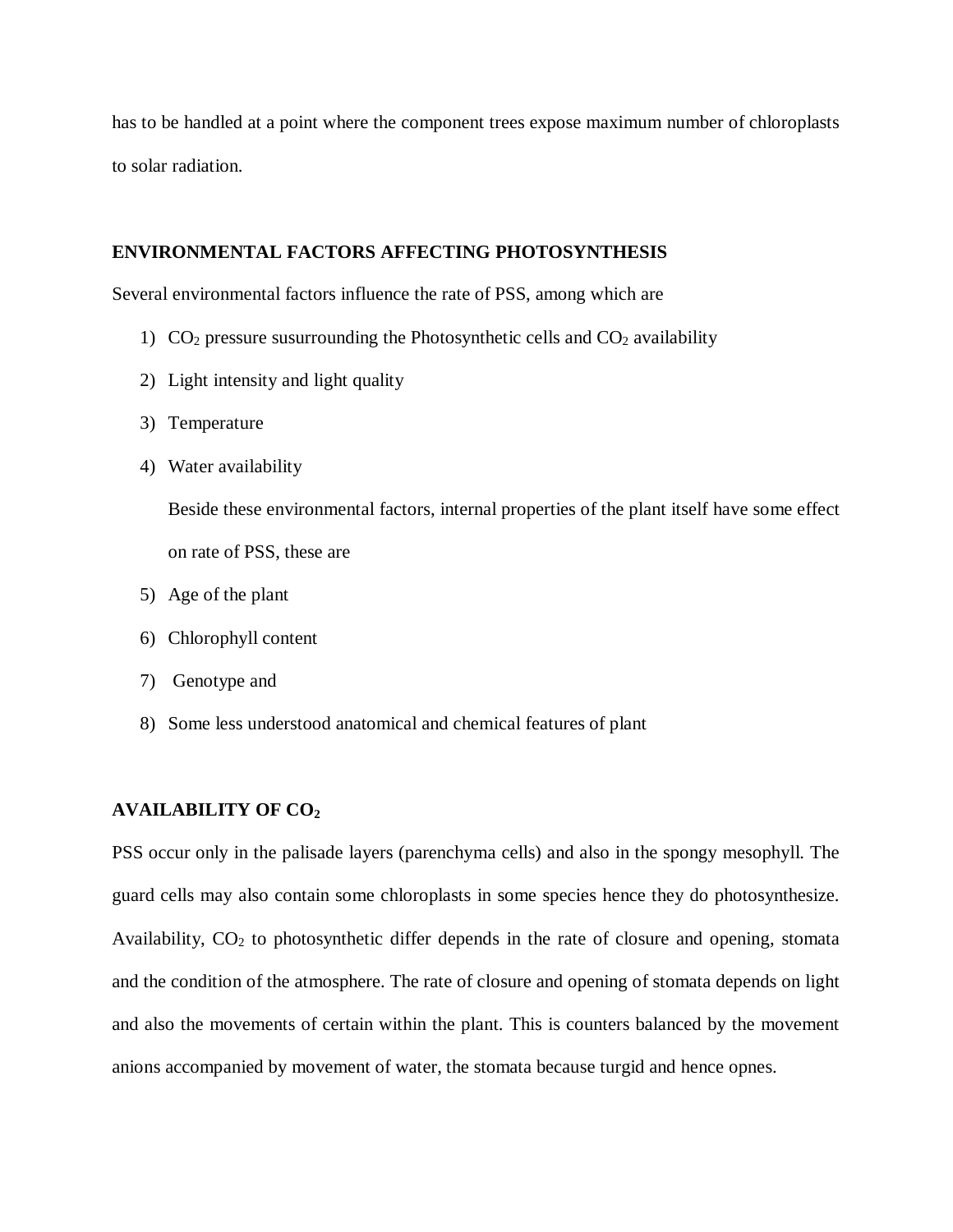has to be handled at a point where the component trees expose maximum number of chloroplasts to solar radiation.

#### **ENVIRONMENTAL FACTORS AFFECTING PHOTOSYNTHESIS**

Several environmental factors influence the rate of PSS, among which are

- 1)  $CO<sub>2</sub> pressure susurrounding the Photosynthetic cells and  $CO<sub>2</sub>$  availability$
- 2) Light intensity and light quality
- 3) Temperature
- 4) Water availability

Beside these environmental factors, internal properties of the plant itself have some effect on rate of PSS, these are

- 5) Age of the plant
- 6) Chlorophyll content
- 7) Genotype and
- 8) Some less understood anatomical and chemical features of plant

#### **AVAILABILITY OF CO<sup>2</sup>**

PSS occur only in the palisade layers (parenchyma cells) and also in the spongy mesophyll. The guard cells may also contain some chloroplasts in some species hence they do photosynthesize. Availability,  $CO<sub>2</sub>$  to photosynthetic differ depends in the rate of closure and opening, stomata and the condition of the atmosphere. The rate of closure and opening of stomata depends on light and also the movements of certain within the plant. This is counters balanced by the movement anions accompanied by movement of water, the stomata because turgid and hence opnes.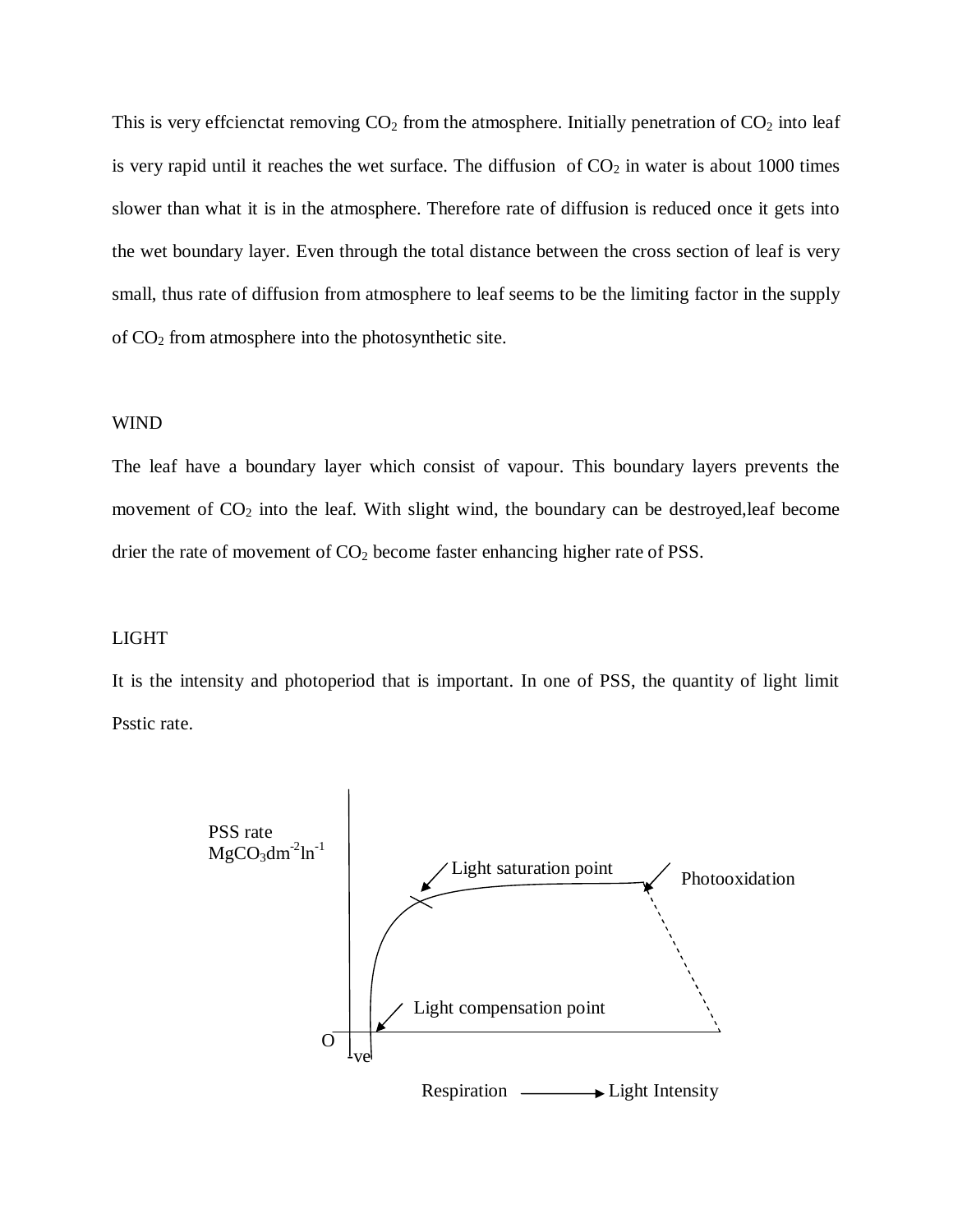This is very effcienctat removing  $CO<sub>2</sub>$  from the atmosphere. Initially penetration of  $CO<sub>2</sub>$  into leaf is very rapid until it reaches the wet surface. The diffusion of  $CO<sub>2</sub>$  in water is about 1000 times slower than what it is in the atmosphere. Therefore rate of diffusion is reduced once it gets into the wet boundary layer. Even through the total distance between the cross section of leaf is very small, thus rate of diffusion from atmosphere to leaf seems to be the limiting factor in the supply of CO<sup>2</sup> from atmosphere into the photosynthetic site.

#### WIND

The leaf have a boundary layer which consist of vapour. This boundary layers prevents the movement of  $CO<sub>2</sub>$  into the leaf. With slight wind, the boundary can be destroyed, leaf become drier the rate of movement of  $CO<sub>2</sub>$  become faster enhancing higher rate of PSS.

#### LIGHT

It is the intensity and photoperiod that is important. In one of PSS, the quantity of light limit Psstic rate.

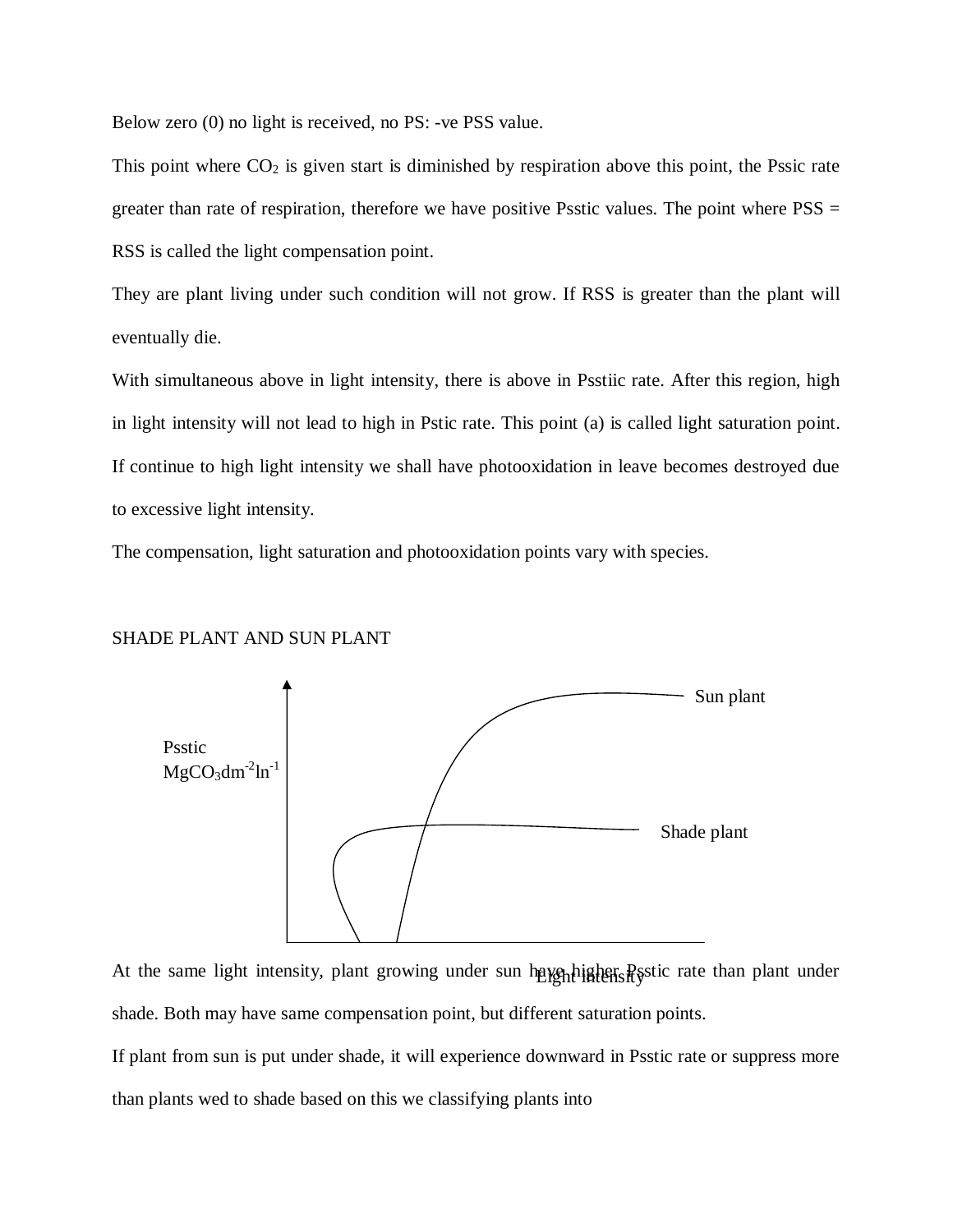Below zero (0) no light is received, no PS: -ve PSS value.

This point where  $CO<sub>2</sub>$  is given start is diminished by respiration above this point, the Pssic rate greater than rate of respiration, therefore we have positive Psstic values. The point where  $PSS =$ RSS is called the light compensation point.

They are plant living under such condition will not grow. If RSS is greater than the plant will eventually die.

With simultaneous above in light intensity, there is above in Psstiic rate. After this region, high in light intensity will not lead to high in Pstic rate. This point (a) is called light saturation point. If continue to high light intensity we shall have photooxidation in leave becomes destroyed due to excessive light intensity.

The compensation, light saturation and photooxidation points vary with species.

#### SHADE PLANT AND SUN PLANT



At the same light intensity, plant growing under sun have higher Postic rate than plant under shade. Both may have same compensation point, but different saturation points.

If plant from sun is put under shade, it will experience downward in Psstic rate or suppress more than plants wed to shade based on this we classifying plants into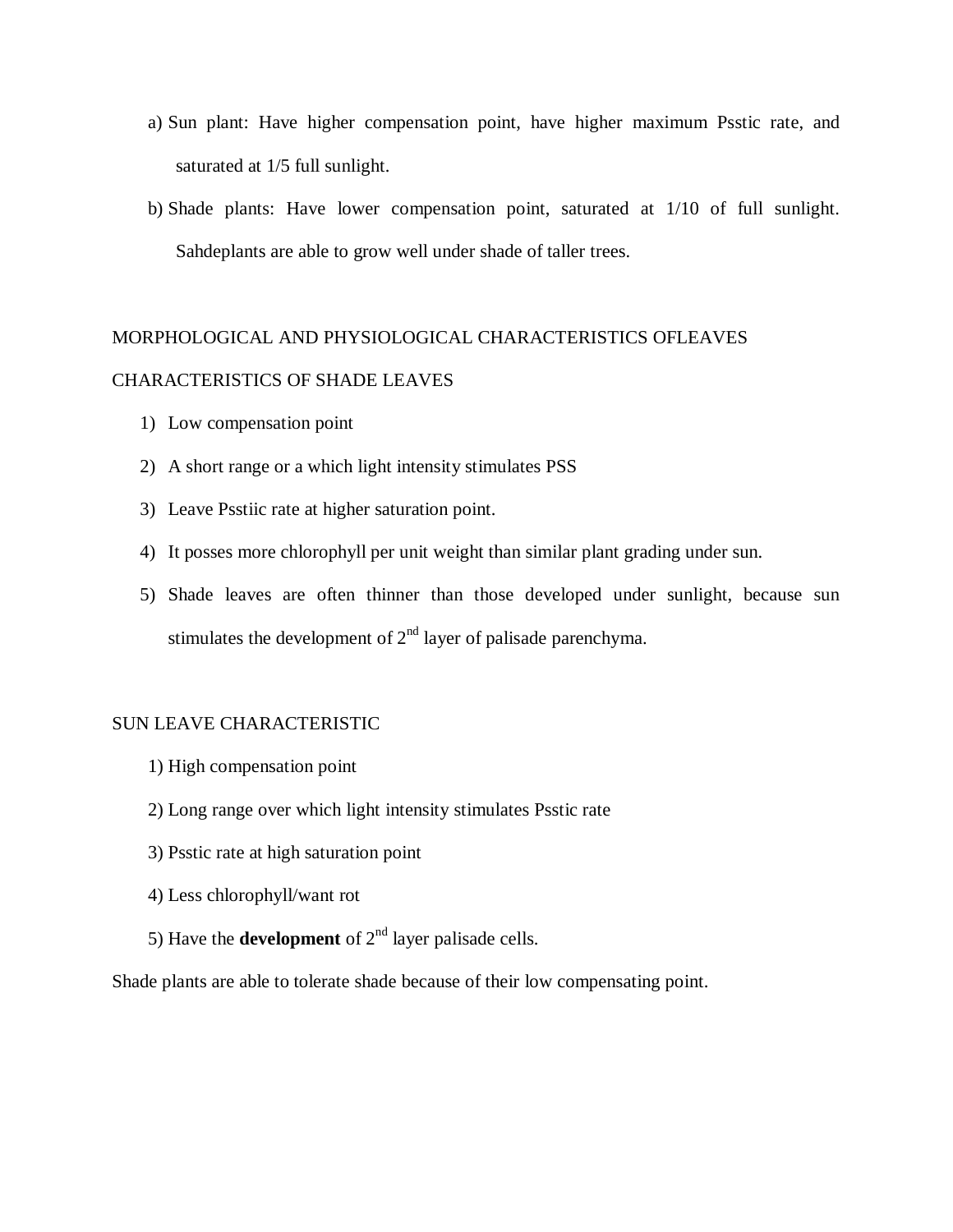- a) Sun plant: Have higher compensation point, have higher maximum Psstic rate, and saturated at 1/5 full sunlight.
- b) Shade plants: Have lower compensation point, saturated at 1/10 of full sunlight. Sahdeplants are able to grow well under shade of taller trees.

# MORPHOLOGICAL AND PHYSIOLOGICAL CHARACTERISTICS OFLEAVES

# CHARACTERISTICS OF SHADE LEAVES

- 1) Low compensation point
- 2) A short range or a which light intensity stimulates PSS
- 3) Leave Psstiic rate at higher saturation point.
- 4) It posses more chlorophyll per unit weight than similar plant grading under sun.
- 5) Shade leaves are often thinner than those developed under sunlight, because sun stimulates the development of  $2<sup>nd</sup>$  layer of palisade parenchyma.

#### SUN LEAVE CHARACTERISTIC

- 1) High compensation point
- 2) Long range over which light intensity stimulates Psstic rate
- 3) Psstic rate at high saturation point
- 4) Less chlorophyll/want rot
- 5) Have the **development** of  $2<sup>nd</sup>$  layer palisade cells.

Shade plants are able to tolerate shade because of their low compensating point.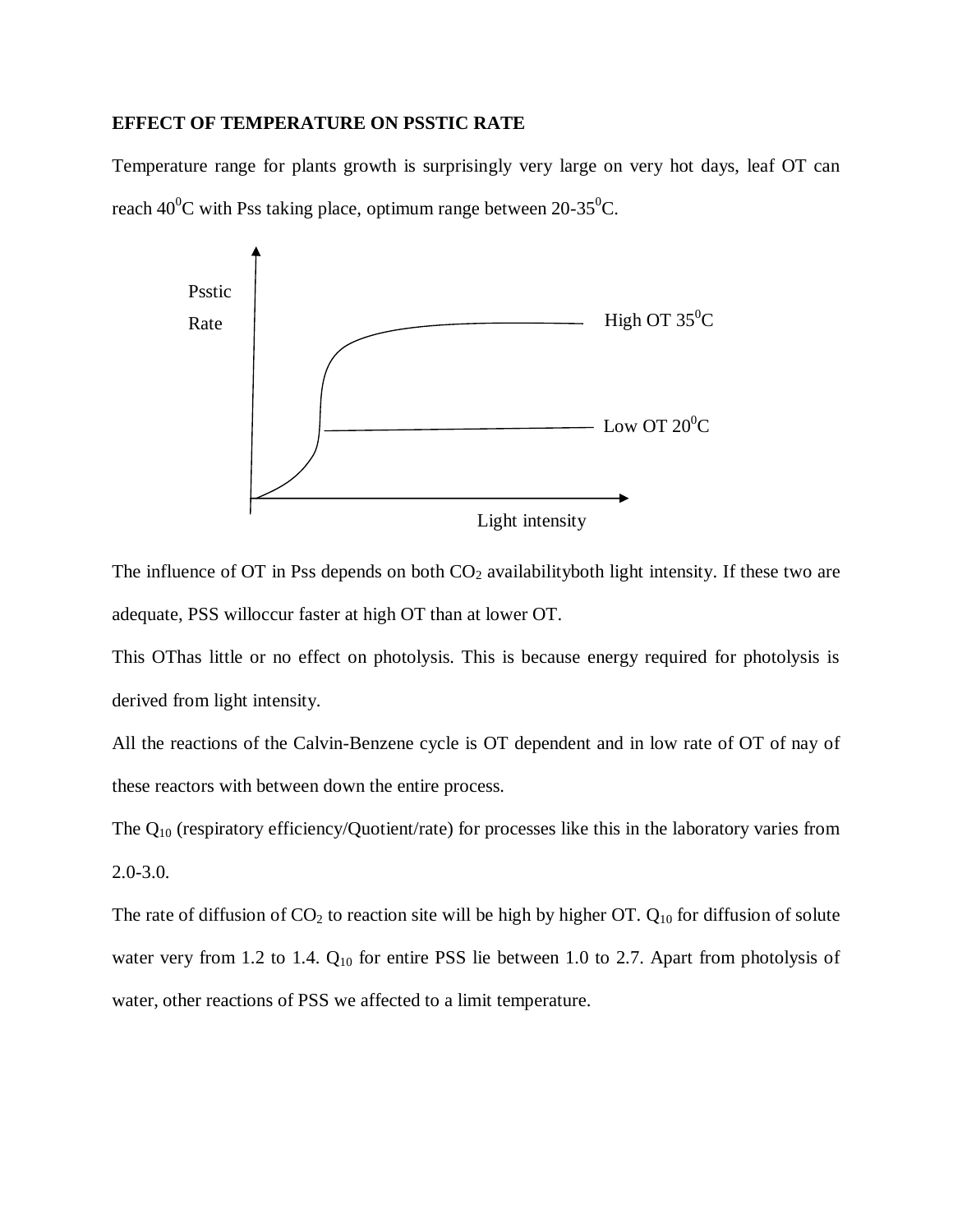# **EFFECT OF TEMPERATURE ON PSSTIC RATE**

Temperature range for plants growth is surprisingly very large on very hot days, leaf OT can reach  $40^{\circ}$ C with Pss taking place, optimum range between 20-35 $^{\circ}$ C.



The influence of OT in Pss depends on both  $CO<sub>2</sub>$  availability both light intensity. If these two are adequate, PSS willoccur faster at high OT than at lower OT.

This OThas little or no effect on photolysis. This is because energy required for photolysis is derived from light intensity.

All the reactions of the Calvin-Benzene cycle is OT dependent and in low rate of OT of nay of these reactors with between down the entire process.

The  $Q_{10}$  (respiratory efficiency/Quotient/rate) for processes like this in the laboratory varies from 2.0-3.0.

The rate of diffusion of  $CO_2$  to reaction site will be high by higher OT.  $Q_{10}$  for diffusion of solute water very from 1.2 to 1.4. Q<sub>10</sub> for entire PSS lie between 1.0 to 2.7. Apart from photolysis of water, other reactions of PSS we affected to a limit temperature.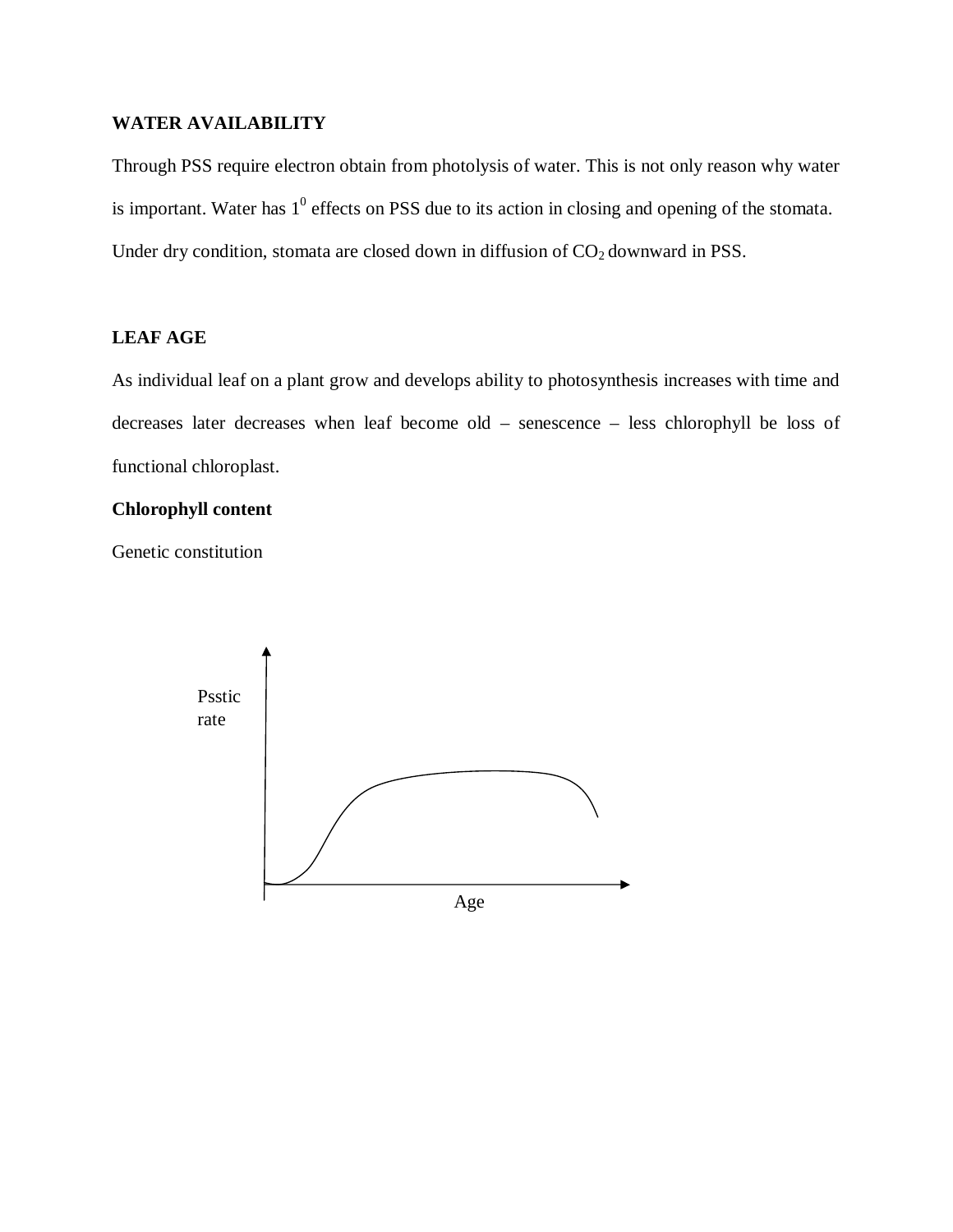# **WATER AVAILABILITY**

Through PSS require electron obtain from photolysis of water. This is not only reason why water is important. Water has  $1^0$  effects on PSS due to its action in closing and opening of the stomata. Under dry condition, stomata are closed down in diffusion of  $CO<sub>2</sub>$  downward in PSS.

# **LEAF AGE**

As individual leaf on a plant grow and develops ability to photosynthesis increases with time and decreases later decreases when leaf become old – senescence – less chlorophyll be loss of functional chloroplast.

### **Chlorophyll content**

Genetic constitution

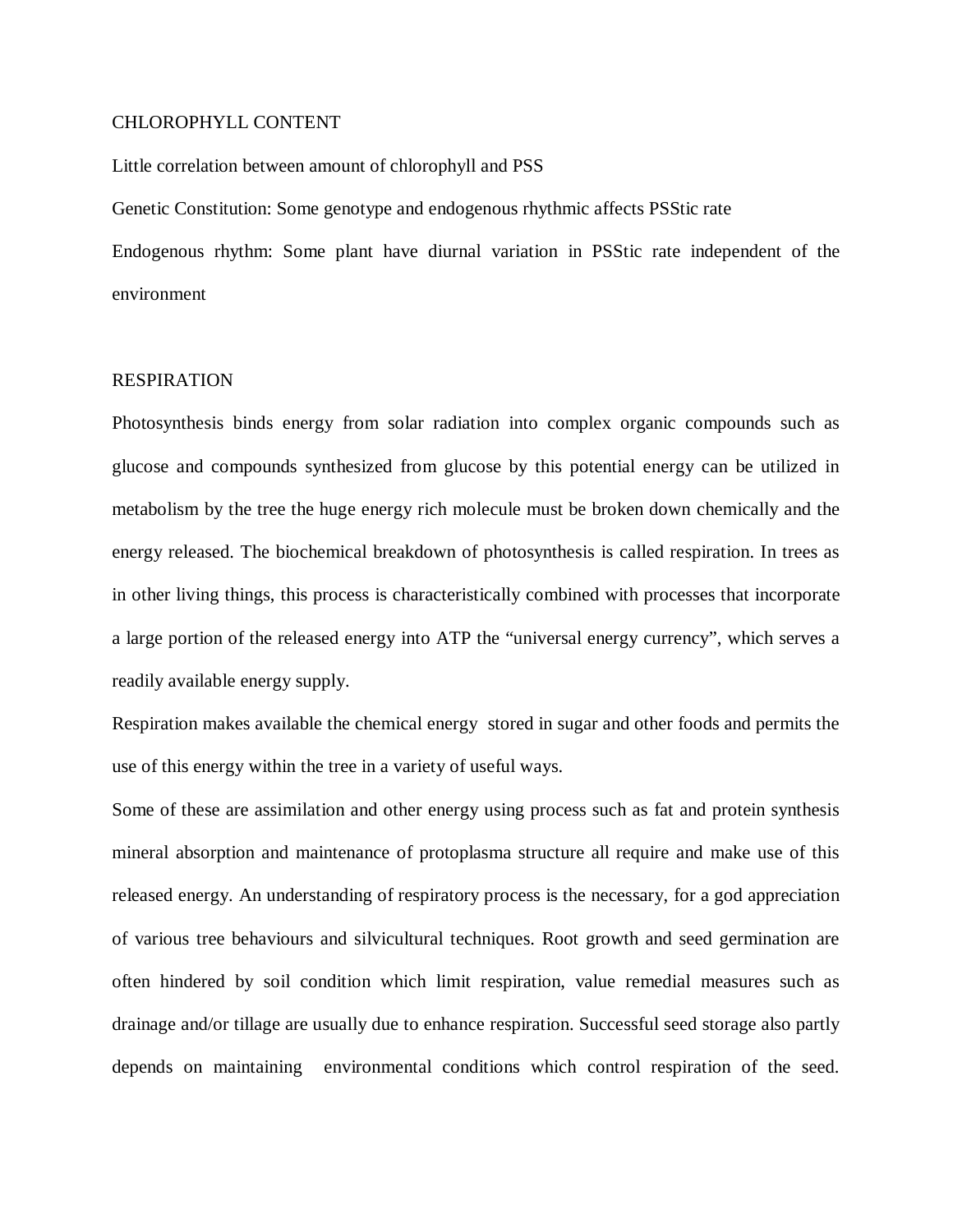#### CHLOROPHYLL CONTENT

#### Little correlation between amount of chlorophyll and PSS

Genetic Constitution: Some genotype and endogenous rhythmic affects PSStic rate Endogenous rhythm: Some plant have diurnal variation in PSStic rate independent of the environment

#### RESPIRATION

Photosynthesis binds energy from solar radiation into complex organic compounds such as glucose and compounds synthesized from glucose by this potential energy can be utilized in metabolism by the tree the huge energy rich molecule must be broken down chemically and the energy released. The biochemical breakdown of photosynthesis is called respiration. In trees as in other living things, this process is characteristically combined with processes that incorporate a large portion of the released energy into ATP the "universal energy currency", which serves a readily available energy supply.

Respiration makes available the chemical energy stored in sugar and other foods and permits the use of this energy within the tree in a variety of useful ways.

Some of these are assimilation and other energy using process such as fat and protein synthesis mineral absorption and maintenance of protoplasma structure all require and make use of this released energy. An understanding of respiratory process is the necessary, for a god appreciation of various tree behaviours and silvicultural techniques. Root growth and seed germination are often hindered by soil condition which limit respiration, value remedial measures such as drainage and/or tillage are usually due to enhance respiration. Successful seed storage also partly depends on maintaining environmental conditions which control respiration of the seed.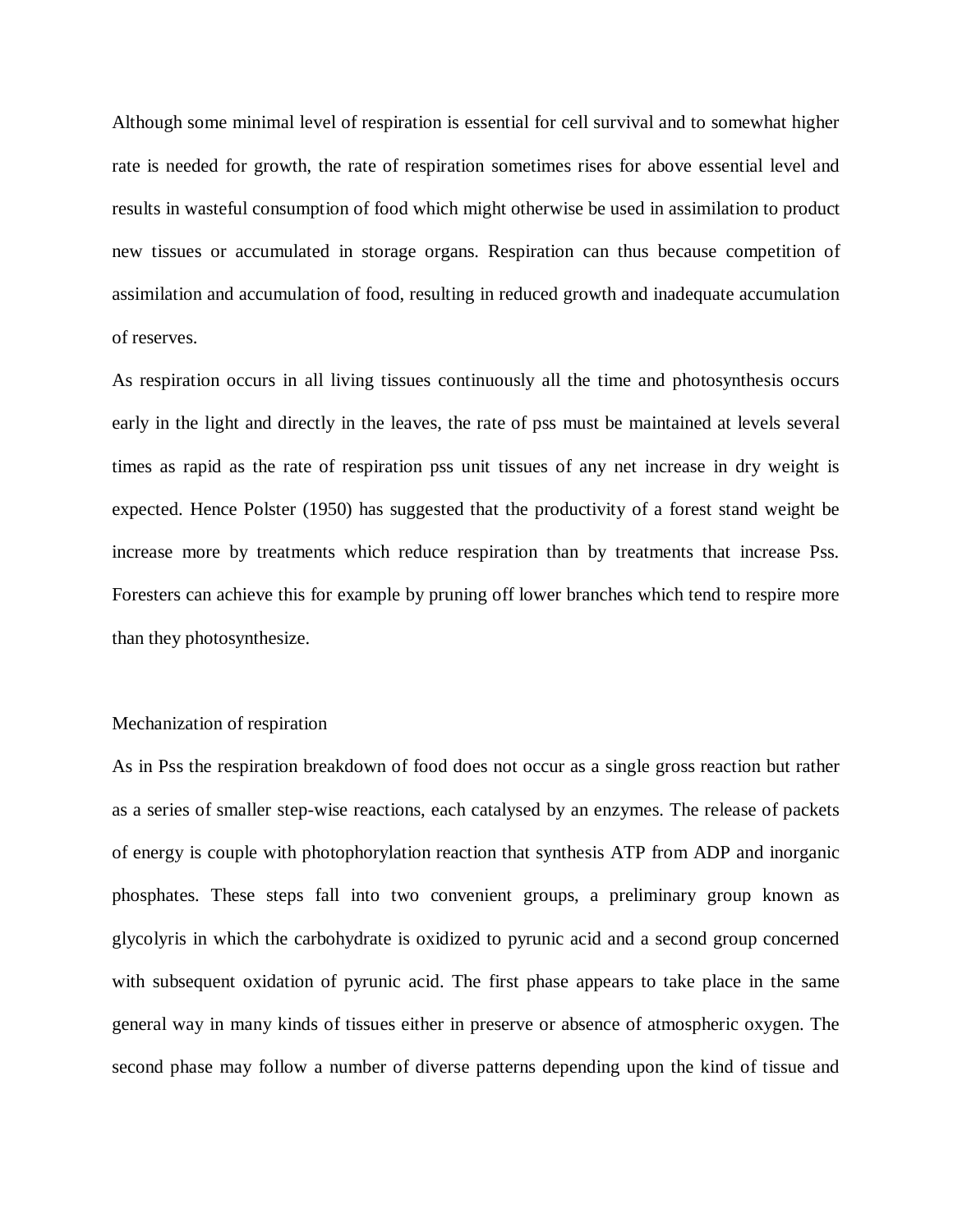Although some minimal level of respiration is essential for cell survival and to somewhat higher rate is needed for growth, the rate of respiration sometimes rises for above essential level and results in wasteful consumption of food which might otherwise be used in assimilation to product new tissues or accumulated in storage organs. Respiration can thus because competition of assimilation and accumulation of food, resulting in reduced growth and inadequate accumulation of reserves.

As respiration occurs in all living tissues continuously all the time and photosynthesis occurs early in the light and directly in the leaves, the rate of pss must be maintained at levels several times as rapid as the rate of respiration pss unit tissues of any net increase in dry weight is expected. Hence Polster (1950) has suggested that the productivity of a forest stand weight be increase more by treatments which reduce respiration than by treatments that increase Pss. Foresters can achieve this for example by pruning off lower branches which tend to respire more than they photosynthesize.

#### Mechanization of respiration

As in Pss the respiration breakdown of food does not occur as a single gross reaction but rather as a series of smaller step-wise reactions, each catalysed by an enzymes. The release of packets of energy is couple with photophorylation reaction that synthesis ATP from ADP and inorganic phosphates. These steps fall into two convenient groups, a preliminary group known as glycolyris in which the carbohydrate is oxidized to pyrunic acid and a second group concerned with subsequent oxidation of pyrunic acid. The first phase appears to take place in the same general way in many kinds of tissues either in preserve or absence of atmospheric oxygen. The second phase may follow a number of diverse patterns depending upon the kind of tissue and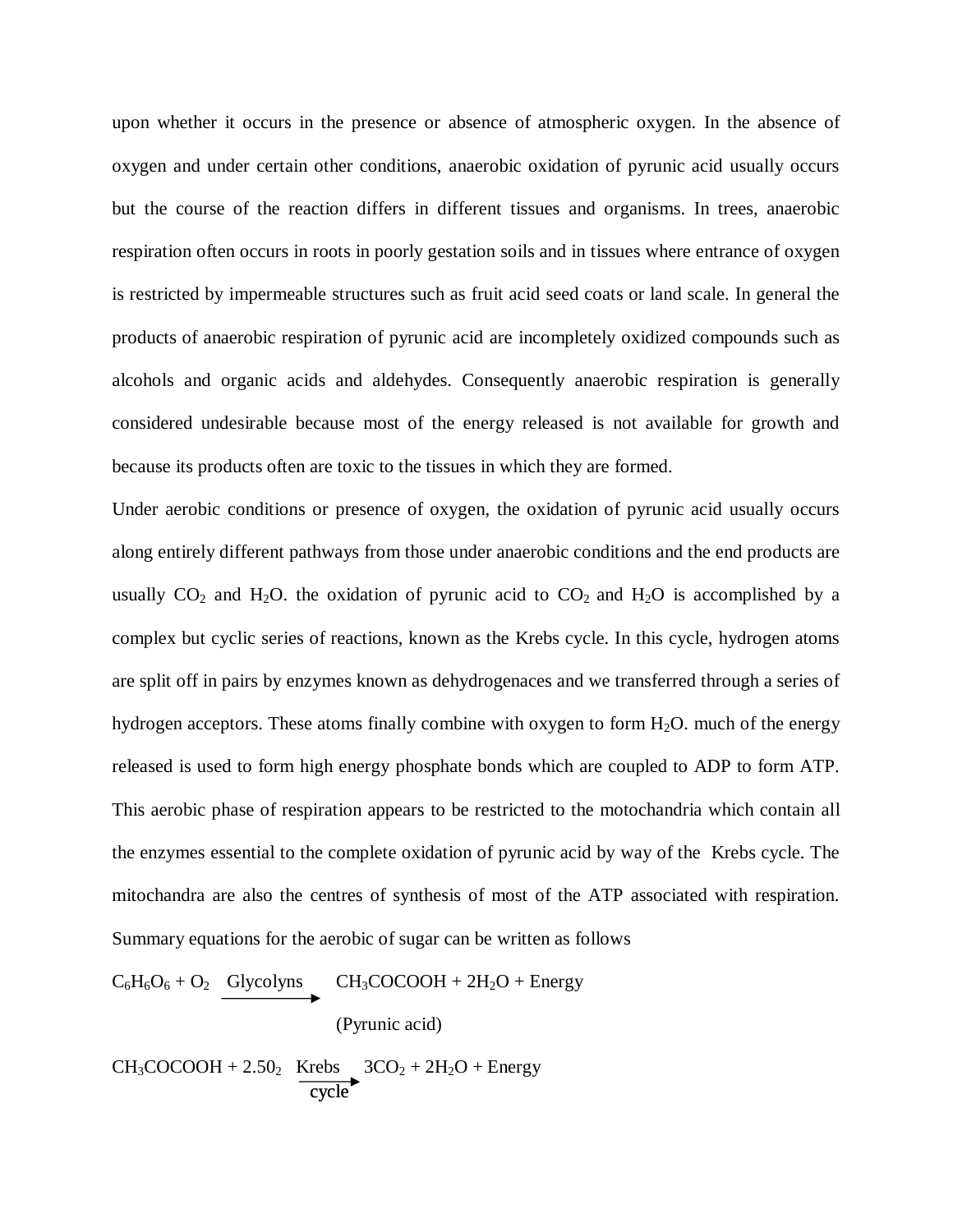upon whether it occurs in the presence or absence of atmospheric oxygen. In the absence of oxygen and under certain other conditions, anaerobic oxidation of pyrunic acid usually occurs but the course of the reaction differs in different tissues and organisms. In trees, anaerobic respiration often occurs in roots in poorly gestation soils and in tissues where entrance of oxygen is restricted by impermeable structures such as fruit acid seed coats or land scale. In general the products of anaerobic respiration of pyrunic acid are incompletely oxidized compounds such as alcohols and organic acids and aldehydes. Consequently anaerobic respiration is generally considered undesirable because most of the energy released is not available for growth and because its products often are toxic to the tissues in which they are formed.

Under aerobic conditions or presence of oxygen, the oxidation of pyrunic acid usually occurs along entirely different pathways from those under anaerobic conditions and the end products are usually  $CO_2$  and H<sub>2</sub>O. the oxidation of pyrunic acid to  $CO_2$  and H<sub>2</sub>O is accomplished by a complex but cyclic series of reactions, known as the Krebs cycle. In this cycle, hydrogen atoms are split off in pairs by enzymes known as dehydrogenaces and we transferred through a series of hydrogen acceptors. These atoms finally combine with oxygen to form  $H_2O$ . much of the energy released is used to form high energy phosphate bonds which are coupled to ADP to form ATP. This aerobic phase of respiration appears to be restricted to the motochandria which contain all the enzymes essential to the complete oxidation of pyrunic acid by way of the Krebs cycle. The mitochandra are also the centres of synthesis of most of the ATP associated with respiration. Summary equations for the aerobic of sugar can be written as follows

$$
C_6H_6O_6 + O_2 \xrightarrow{\text{Glycolyns}} CH_3COCOOH + 2H_2O + Energy
$$
  
(Pyrunic acid)

 $CH_3COCOOH + 2.50_2$  Krebs  $3CO_2 + 2H_2O + Energy$ cycle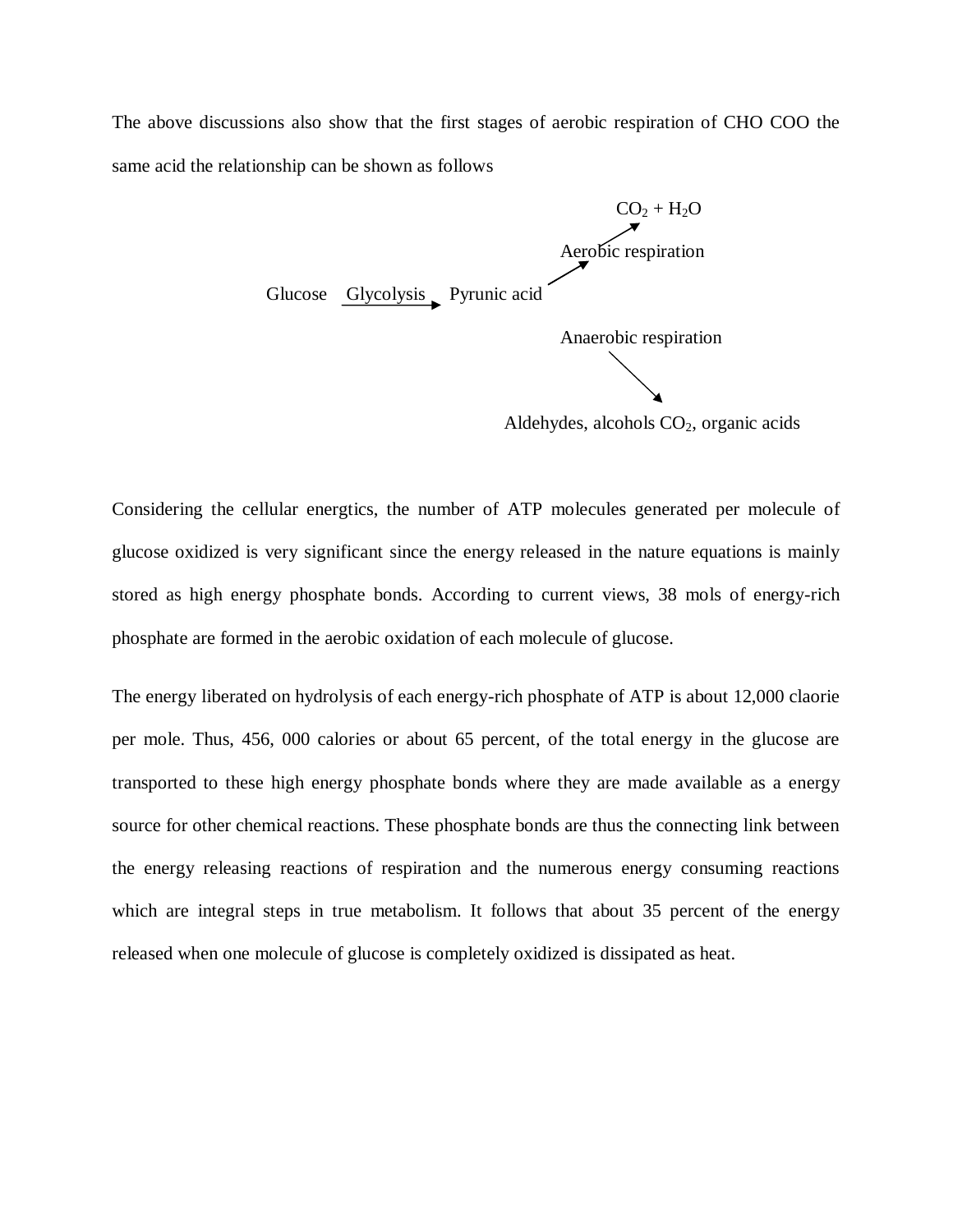The above discussions also show that the first stages of aerobic respiration of CHO COO the same acid the relationship can be shown as follows



Aldehydes, alcohols  $CO<sub>2</sub>$ , organic acids

Considering the cellular energtics, the number of ATP molecules generated per molecule of glucose oxidized is very significant since the energy released in the nature equations is mainly stored as high energy phosphate bonds. According to current views, 38 mols of energy-rich phosphate are formed in the aerobic oxidation of each molecule of glucose.

The energy liberated on hydrolysis of each energy-rich phosphate of ATP is about 12,000 claorie per mole. Thus, 456, 000 calories or about 65 percent, of the total energy in the glucose are transported to these high energy phosphate bonds where they are made available as a energy source for other chemical reactions. These phosphate bonds are thus the connecting link between the energy releasing reactions of respiration and the numerous energy consuming reactions which are integral steps in true metabolism. It follows that about 35 percent of the energy released when one molecule of glucose is completely oxidized is dissipated as heat.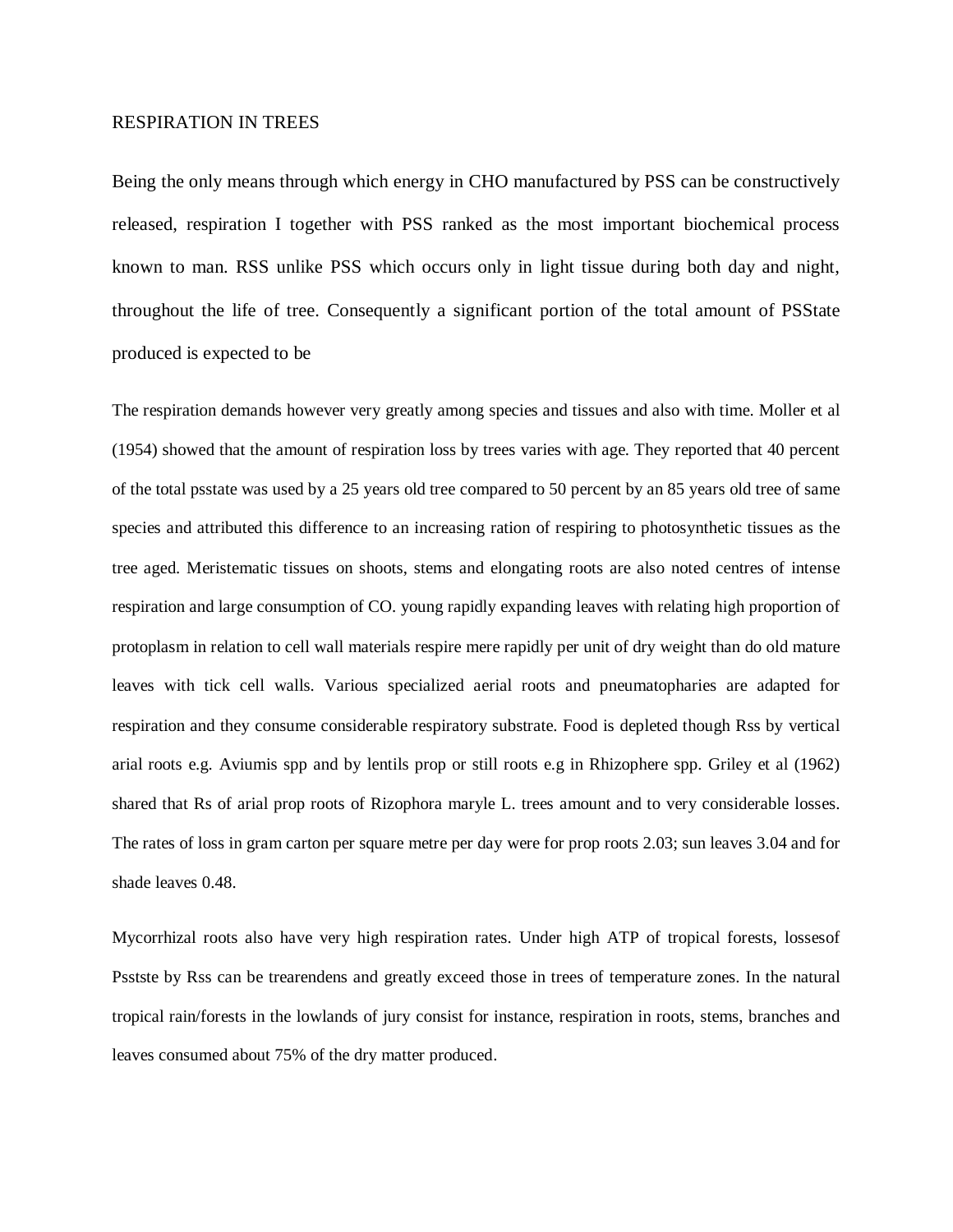#### RESPIRATION IN TREES

Being the only means through which energy in CHO manufactured by PSS can be constructively released, respiration I together with PSS ranked as the most important biochemical process known to man. RSS unlike PSS which occurs only in light tissue during both day and night, throughout the life of tree. Consequently a significant portion of the total amount of PSState produced is expected to be

The respiration demands however very greatly among species and tissues and also with time. Moller et al (1954) showed that the amount of respiration loss by trees varies with age. They reported that 40 percent of the total psstate was used by a 25 years old tree compared to 50 percent by an 85 years old tree of same species and attributed this difference to an increasing ration of respiring to photosynthetic tissues as the tree aged. Meristematic tissues on shoots, stems and elongating roots are also noted centres of intense respiration and large consumption of CO. young rapidly expanding leaves with relating high proportion of protoplasm in relation to cell wall materials respire mere rapidly per unit of dry weight than do old mature leaves with tick cell walls. Various specialized aerial roots and pneumatopharies are adapted for respiration and they consume considerable respiratory substrate. Food is depleted though Rss by vertical arial roots e.g. Aviumis spp and by lentils prop or still roots e.g in Rhizophere spp. Griley et al (1962) shared that Rs of arial prop roots of Rizophora maryle L. trees amount and to very considerable losses. The rates of loss in gram carton per square metre per day were for prop roots 2.03; sun leaves 3.04 and for shade leaves 0.48.

Mycorrhizal roots also have very high respiration rates. Under high ATP of tropical forests, lossesof Psstste by Rss can be trearendens and greatly exceed those in trees of temperature zones. In the natural tropical rain/forests in the lowlands of jury consist for instance, respiration in roots, stems, branches and leaves consumed about 75% of the dry matter produced.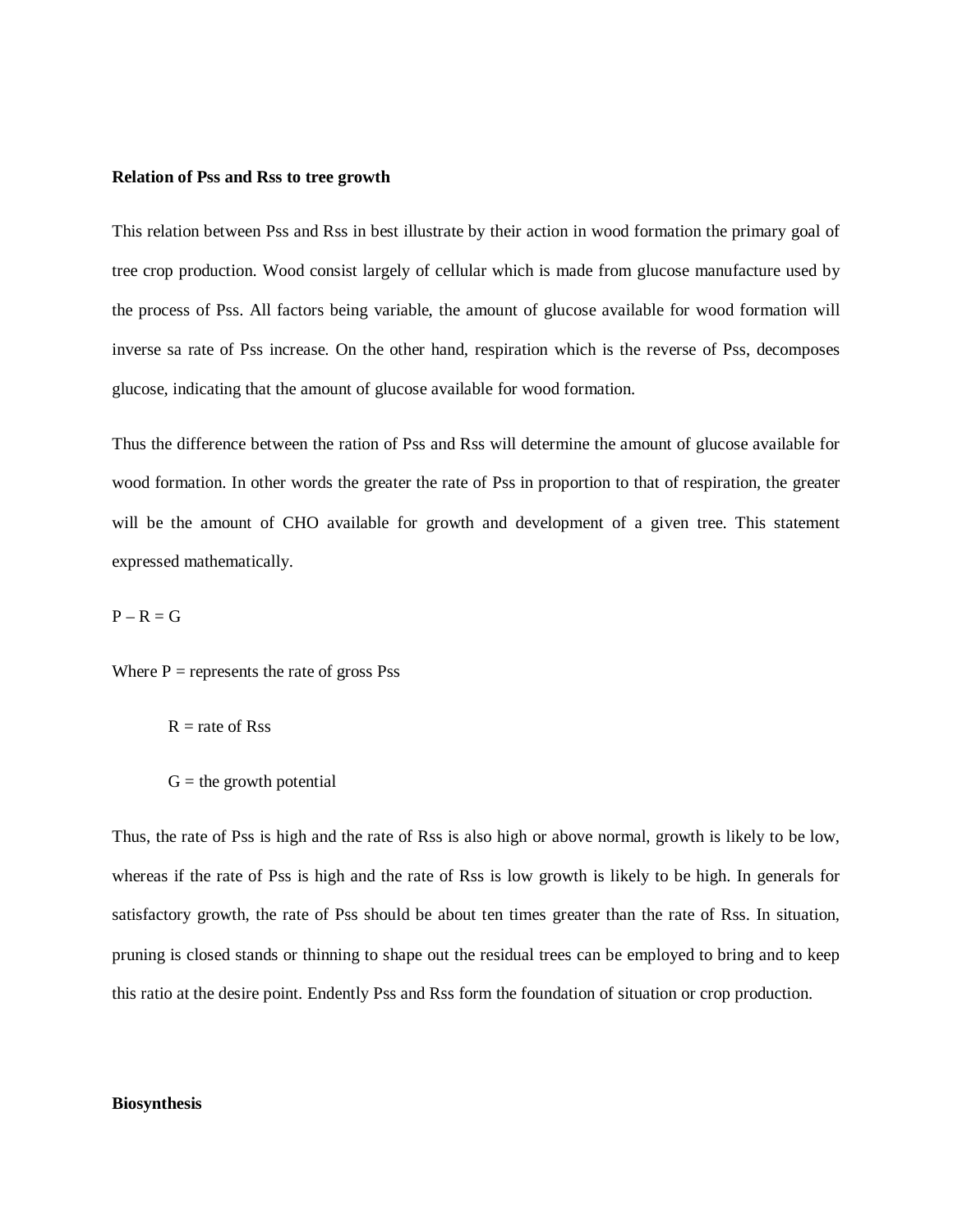#### **Relation of Pss and Rss to tree growth**

This relation between Pss and Rss in best illustrate by their action in wood formation the primary goal of tree crop production. Wood consist largely of cellular which is made from glucose manufacture used by the process of Pss. All factors being variable, the amount of glucose available for wood formation will inverse sa rate of Pss increase. On the other hand, respiration which is the reverse of Pss, decomposes glucose, indicating that the amount of glucose available for wood formation.

Thus the difference between the ration of Pss and Rss will determine the amount of glucose available for wood formation. In other words the greater the rate of Pss in proportion to that of respiration, the greater will be the amount of CHO available for growth and development of a given tree. This statement expressed mathematically.

 $P - R = G$ 

Where  $P =$  represents the rate of gross Pss

 $R =$  rate of Rss

 $G =$  the growth potential

Thus, the rate of Pss is high and the rate of Rss is also high or above normal, growth is likely to be low, whereas if the rate of Pss is high and the rate of Rss is low growth is likely to be high. In generals for satisfactory growth, the rate of Pss should be about ten times greater than the rate of Rss. In situation, pruning is closed stands or thinning to shape out the residual trees can be employed to bring and to keep this ratio at the desire point. Endently Pss and Rss form the foundation of situation or crop production.

#### **Biosynthesis**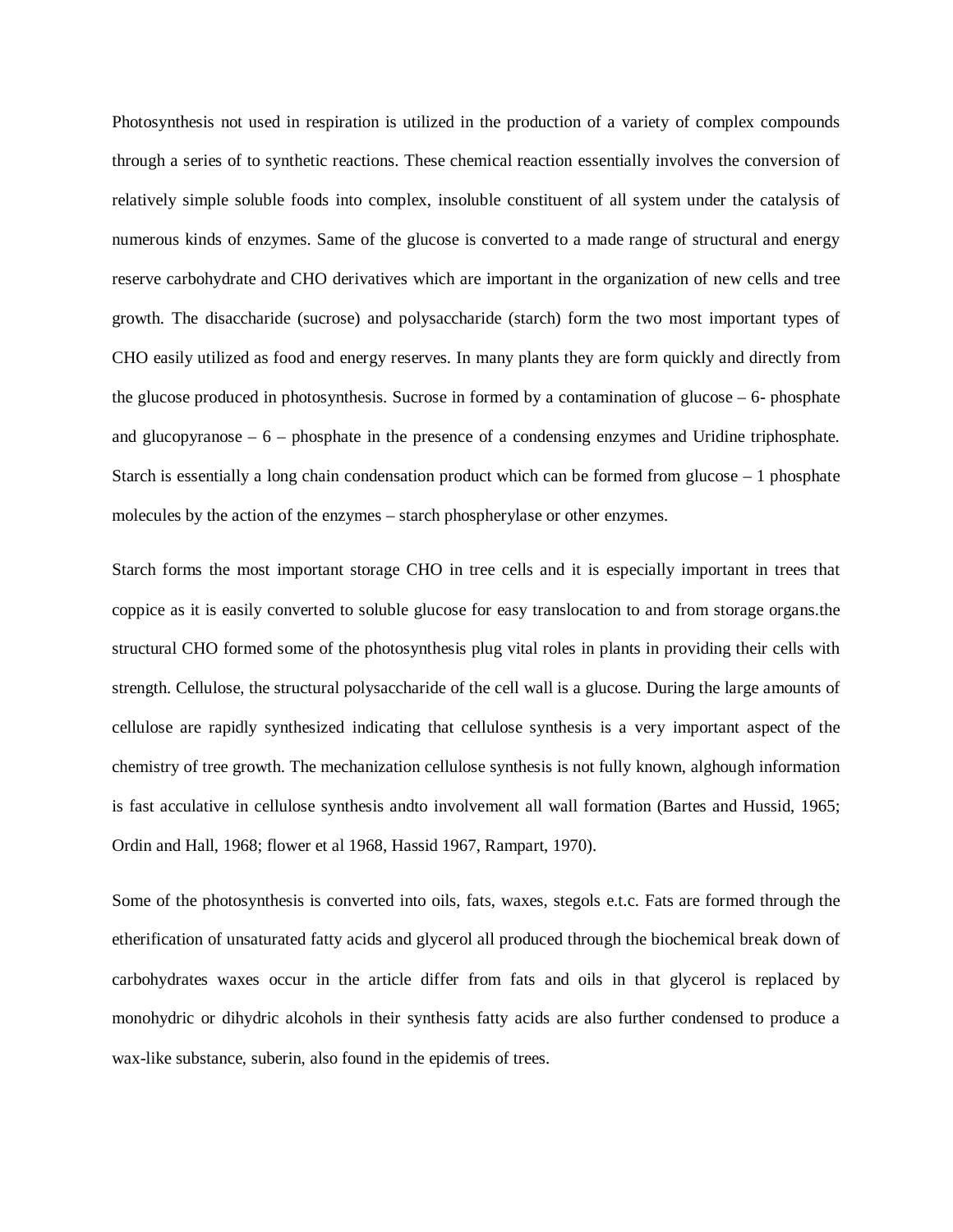Photosynthesis not used in respiration is utilized in the production of a variety of complex compounds through a series of to synthetic reactions. These chemical reaction essentially involves the conversion of relatively simple soluble foods into complex, insoluble constituent of all system under the catalysis of numerous kinds of enzymes. Same of the glucose is converted to a made range of structural and energy reserve carbohydrate and CHO derivatives which are important in the organization of new cells and tree growth. The disaccharide (sucrose) and polysaccharide (starch) form the two most important types of CHO easily utilized as food and energy reserves. In many plants they are form quickly and directly from the glucose produced in photosynthesis. Sucrose in formed by a contamination of glucose – 6- phosphate and glucopyranose – 6 – phosphate in the presence of a condensing enzymes and Uridine triphosphate. Starch is essentially a long chain condensation product which can be formed from glucose – 1 phosphate molecules by the action of the enzymes – starch phospherylase or other enzymes.

Starch forms the most important storage CHO in tree cells and it is especially important in trees that coppice as it is easily converted to soluble glucose for easy translocation to and from storage organs.the structural CHO formed some of the photosynthesis plug vital roles in plants in providing their cells with strength. Cellulose, the structural polysaccharide of the cell wall is a glucose. During the large amounts of cellulose are rapidly synthesized indicating that cellulose synthesis is a very important aspect of the chemistry of tree growth. The mechanization cellulose synthesis is not fully known, alghough information is fast acculative in cellulose synthesis andto involvement all wall formation (Bartes and Hussid, 1965; Ordin and Hall, 1968; flower et al 1968, Hassid 1967, Rampart, 1970).

Some of the photosynthesis is converted into oils, fats, waxes, stegols e.t.c. Fats are formed through the etherification of unsaturated fatty acids and glycerol all produced through the biochemical break down of carbohydrates waxes occur in the article differ from fats and oils in that glycerol is replaced by monohydric or dihydric alcohols in their synthesis fatty acids are also further condensed to produce a wax-like substance, suberin, also found in the epidemis of trees.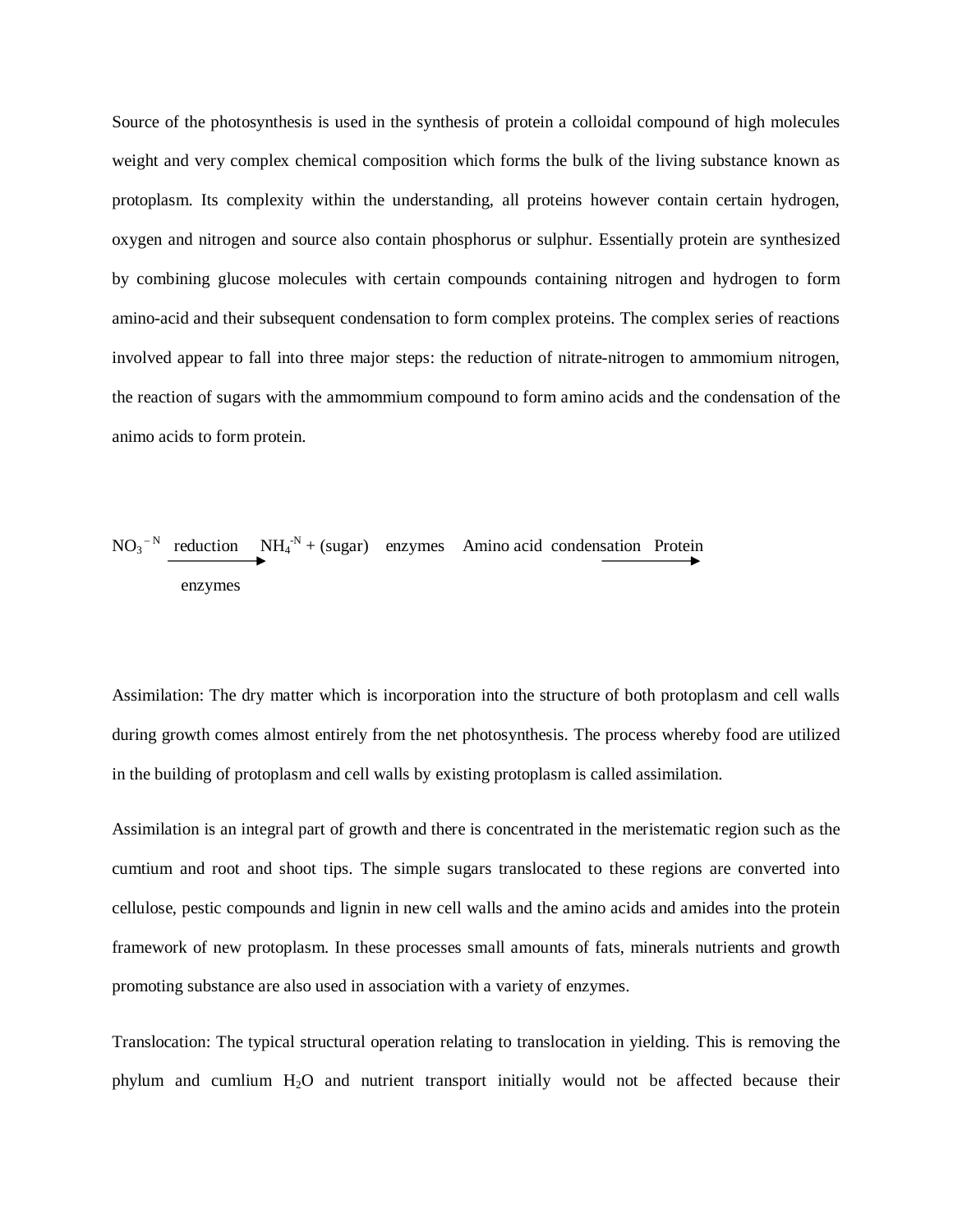Source of the photosynthesis is used in the synthesis of protein a colloidal compound of high molecules weight and very complex chemical composition which forms the bulk of the living substance known as protoplasm. Its complexity within the understanding, all proteins however contain certain hydrogen, oxygen and nitrogen and source also contain phosphorus or sulphur. Essentially protein are synthesized by combining glucose molecules with certain compounds containing nitrogen and hydrogen to form amino-acid and their subsequent condensation to form complex proteins. The complex series of reactions involved appear to fall into three major steps: the reduction of nitrate-nitrogen to ammomium nitrogen, the reaction of sugars with the ammommium compound to form amino acids and the condensation of the animo acids to form protein.

$$
NO_3
$$
<sup>-N</sup> reduction NH<sub>4</sub><sup>-N</sup> + (sugar) enzymes Amino acid condensation Protein  
enzymes

Assimilation: The dry matter which is incorporation into the structure of both protoplasm and cell walls during growth comes almost entirely from the net photosynthesis. The process whereby food are utilized in the building of protoplasm and cell walls by existing protoplasm is called assimilation.

Assimilation is an integral part of growth and there is concentrated in the meristematic region such as the cumtium and root and shoot tips. The simple sugars translocated to these regions are converted into cellulose, pestic compounds and lignin in new cell walls and the amino acids and amides into the protein framework of new protoplasm. In these processes small amounts of fats, minerals nutrients and growth promoting substance are also used in association with a variety of enzymes.

Translocation: The typical structural operation relating to translocation in yielding. This is removing the phylum and cumlium H2O and nutrient transport initially would not be affected because their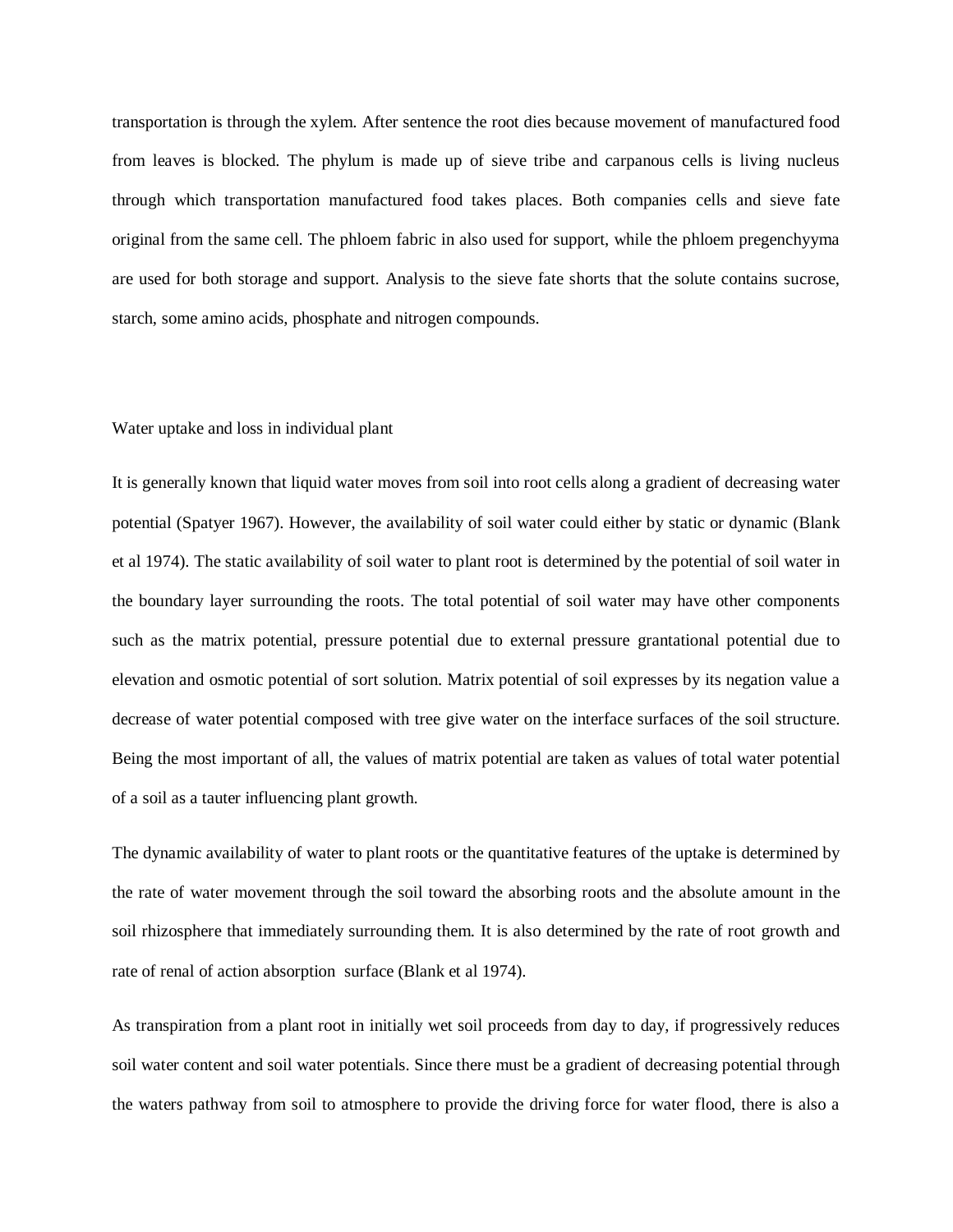transportation is through the xylem. After sentence the root dies because movement of manufactured food from leaves is blocked. The phylum is made up of sieve tribe and carpanous cells is living nucleus through which transportation manufactured food takes places. Both companies cells and sieve fate original from the same cell. The phloem fabric in also used for support, while the phloem pregenchyyma are used for both storage and support. Analysis to the sieve fate shorts that the solute contains sucrose, starch, some amino acids, phosphate and nitrogen compounds.

#### Water uptake and loss in individual plant

It is generally known that liquid water moves from soil into root cells along a gradient of decreasing water potential (Spatyer 1967). However, the availability of soil water could either by static or dynamic (Blank et al 1974). The static availability of soil water to plant root is determined by the potential of soil water in the boundary layer surrounding the roots. The total potential of soil water may have other components such as the matrix potential, pressure potential due to external pressure grantational potential due to elevation and osmotic potential of sort solution. Matrix potential of soil expresses by its negation value a decrease of water potential composed with tree give water on the interface surfaces of the soil structure. Being the most important of all, the values of matrix potential are taken as values of total water potential of a soil as a tauter influencing plant growth.

The dynamic availability of water to plant roots or the quantitative features of the uptake is determined by the rate of water movement through the soil toward the absorbing roots and the absolute amount in the soil rhizosphere that immediately surrounding them. It is also determined by the rate of root growth and rate of renal of action absorption surface (Blank et al 1974).

As transpiration from a plant root in initially wet soil proceeds from day to day, if progressively reduces soil water content and soil water potentials. Since there must be a gradient of decreasing potential through the waters pathway from soil to atmosphere to provide the driving force for water flood, there is also a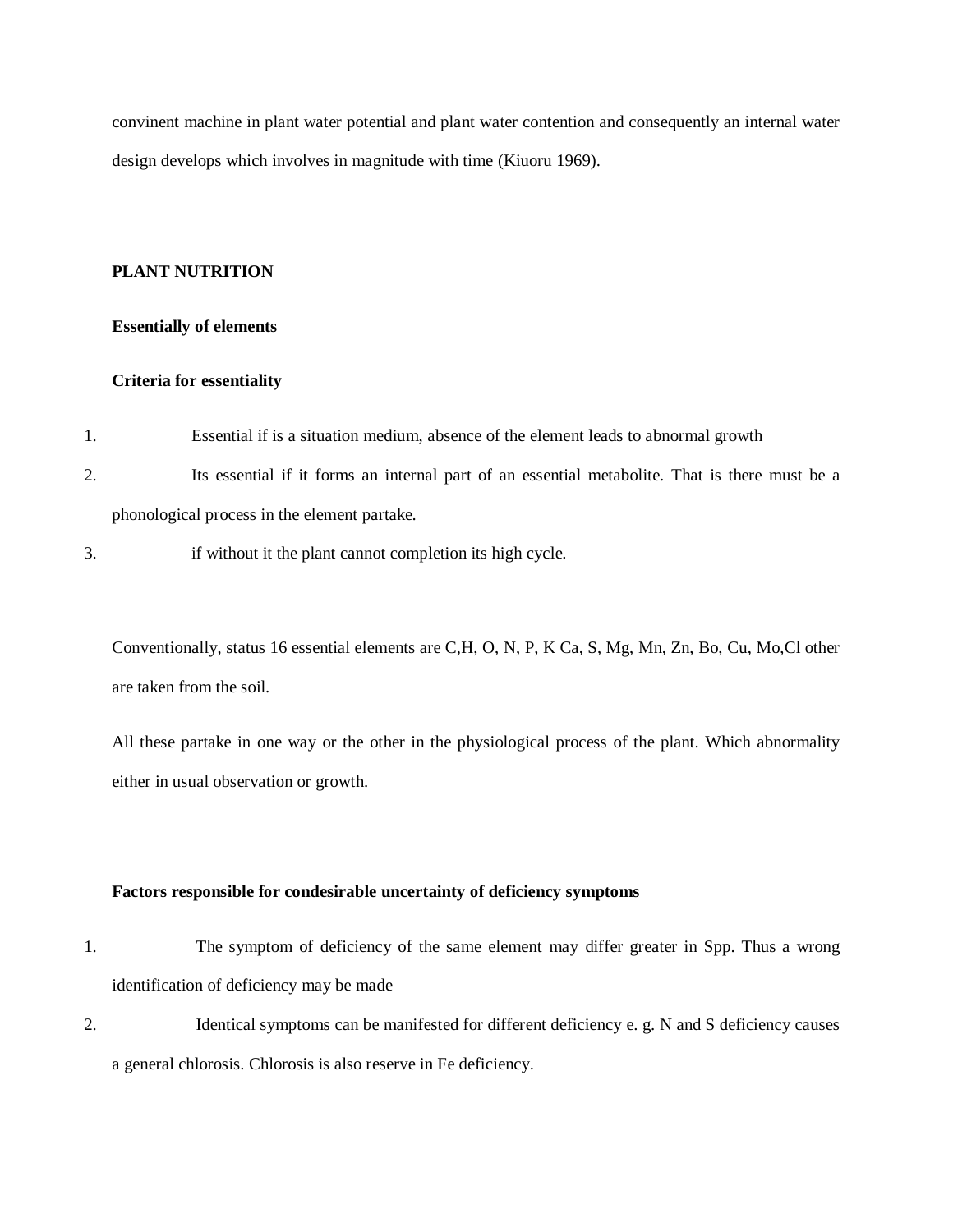convinent machine in plant water potential and plant water contention and consequently an internal water design develops which involves in magnitude with time (Kiuoru 1969).

#### **PLANT NUTRITION**

#### **Essentially of elements**

#### **Criteria for essentiality**

- 1. Essential if is a situation medium, absence of the element leads to abnormal growth
- 2. Its essential if it forms an internal part of an essential metabolite. That is there must be a phonological process in the element partake.
- 3. if without it the plant cannot completion its high cycle.

Conventionally, status 16 essential elements are C,H, O, N, P, K Ca, S, Mg, Mn, Zn, Bo, Cu, Mo,Cl other are taken from the soil.

All these partake in one way or the other in the physiological process of the plant. Which abnormality either in usual observation or growth.

#### **Factors responsible for condesirable uncertainty of deficiency symptoms**

- 1. The symptom of deficiency of the same element may differ greater in Spp. Thus a wrong identification of deficiency may be made
- 2. Identical symptoms can be manifested for different deficiency e. g. N and S deficiency causes a general chlorosis. Chlorosis is also reserve in Fe deficiency.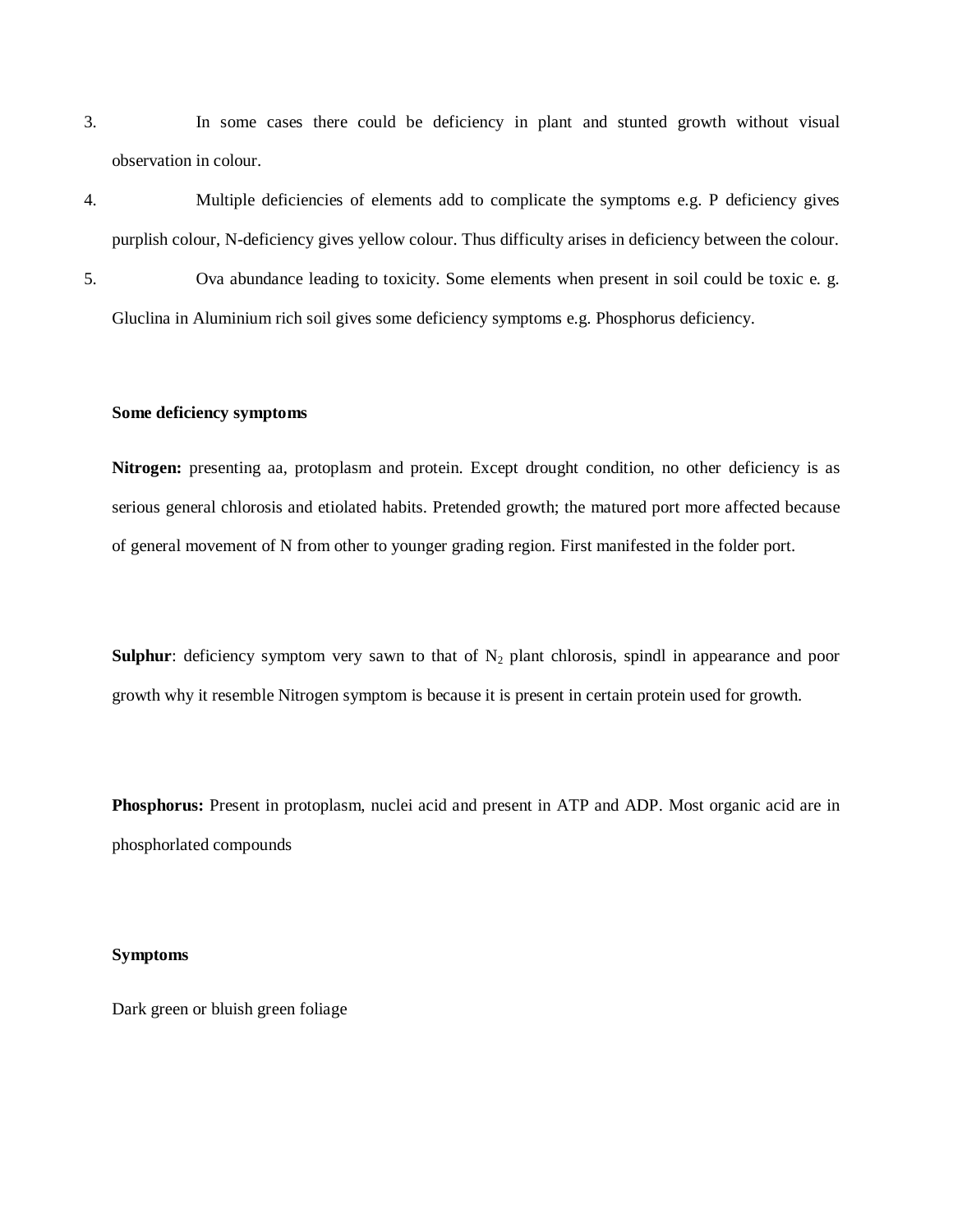3. In some cases there could be deficiency in plant and stunted growth without visual observation in colour.

4. Multiple deficiencies of elements add to complicate the symptoms e.g. P deficiency gives purplish colour, N-deficiency gives yellow colour. Thus difficulty arises in deficiency between the colour. 5. Ova abundance leading to toxicity. Some elements when present in soil could be toxic e. g. Gluclina in Aluminium rich soil gives some deficiency symptoms e.g. Phosphorus deficiency.

#### **Some deficiency symptoms**

**Nitrogen:** presenting aa, protoplasm and protein. Except drought condition, no other deficiency is as serious general chlorosis and etiolated habits. Pretended growth; the matured port more affected because of general movement of N from other to younger grading region. First manifested in the folder port.

**Sulphur**: deficiency symptom very sawn to that of  $N_2$  plant chlorosis, spindl in appearance and poor growth why it resemble Nitrogen symptom is because it is present in certain protein used for growth.

**Phosphorus:** Present in protoplasm, nuclei acid and present in ATP and ADP. Most organic acid are in phosphorlated compounds

#### **Symptoms**

Dark green or bluish green foliage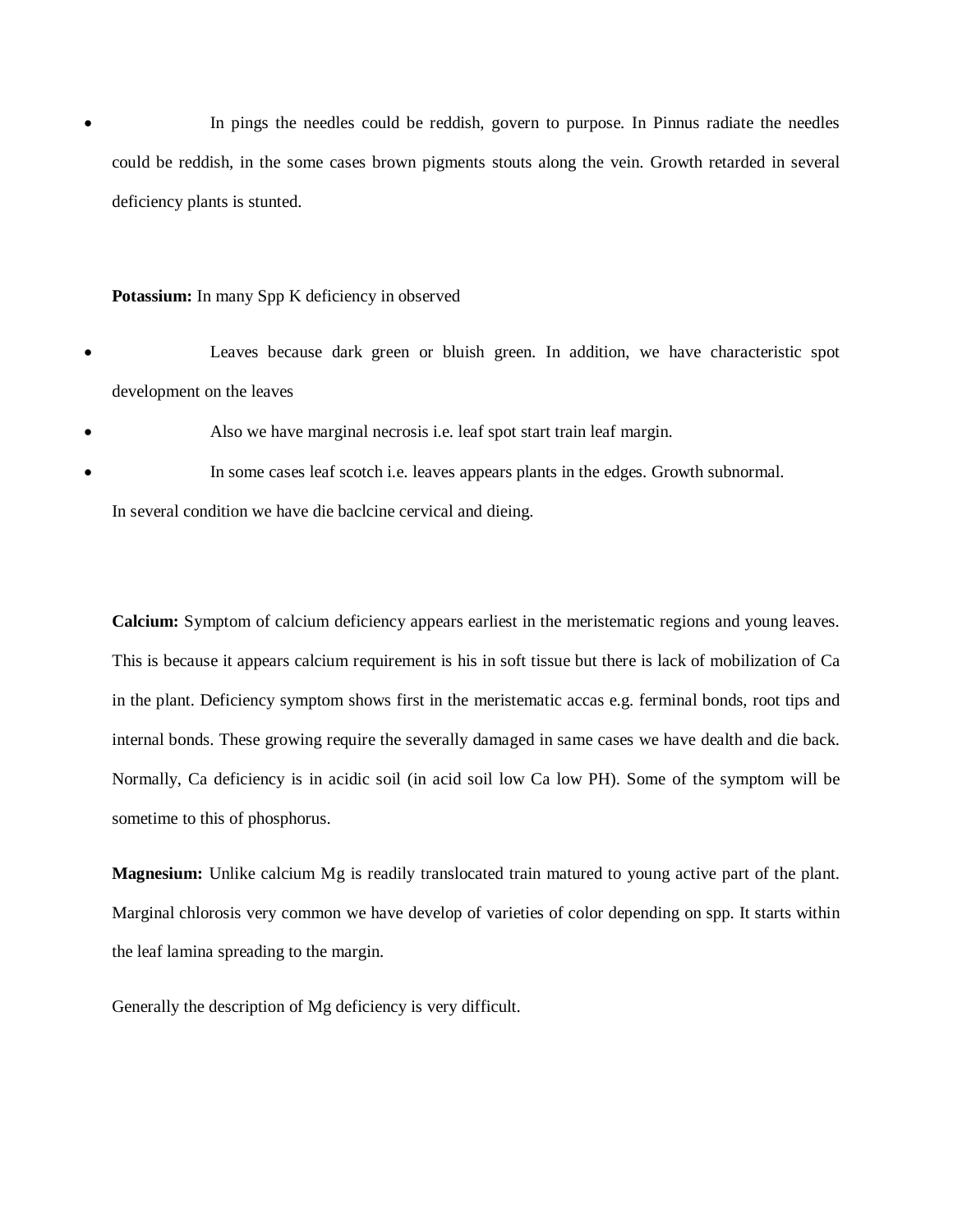In pings the needles could be reddish, govern to purpose. In Pinnus radiate the needles could be reddish, in the some cases brown pigments stouts along the vein. Growth retarded in several deficiency plants is stunted.

#### **Potassium:** In many Spp K deficiency in observed

- Leaves because dark green or bluish green. In addition, we have characteristic spot development on the leaves
- Also we have marginal necrosis i.e. leaf spot start train leaf margin.
- In some cases leaf scotch i.e. leaves appears plants in the edges. Growth subnormal.

In several condition we have die baclcine cervical and dieing.

**Calcium:** Symptom of calcium deficiency appears earliest in the meristematic regions and young leaves. This is because it appears calcium requirement is his in soft tissue but there is lack of mobilization of Ca in the plant. Deficiency symptom shows first in the meristematic accas e.g. ferminal bonds, root tips and internal bonds. These growing require the severally damaged in same cases we have dealth and die back. Normally, Ca deficiency is in acidic soil (in acid soil low Ca low PH). Some of the symptom will be sometime to this of phosphorus.

**Magnesium:** Unlike calcium Mg is readily translocated train matured to young active part of the plant. Marginal chlorosis very common we have develop of varieties of color depending on spp. It starts within the leaf lamina spreading to the margin.

Generally the description of Mg deficiency is very difficult.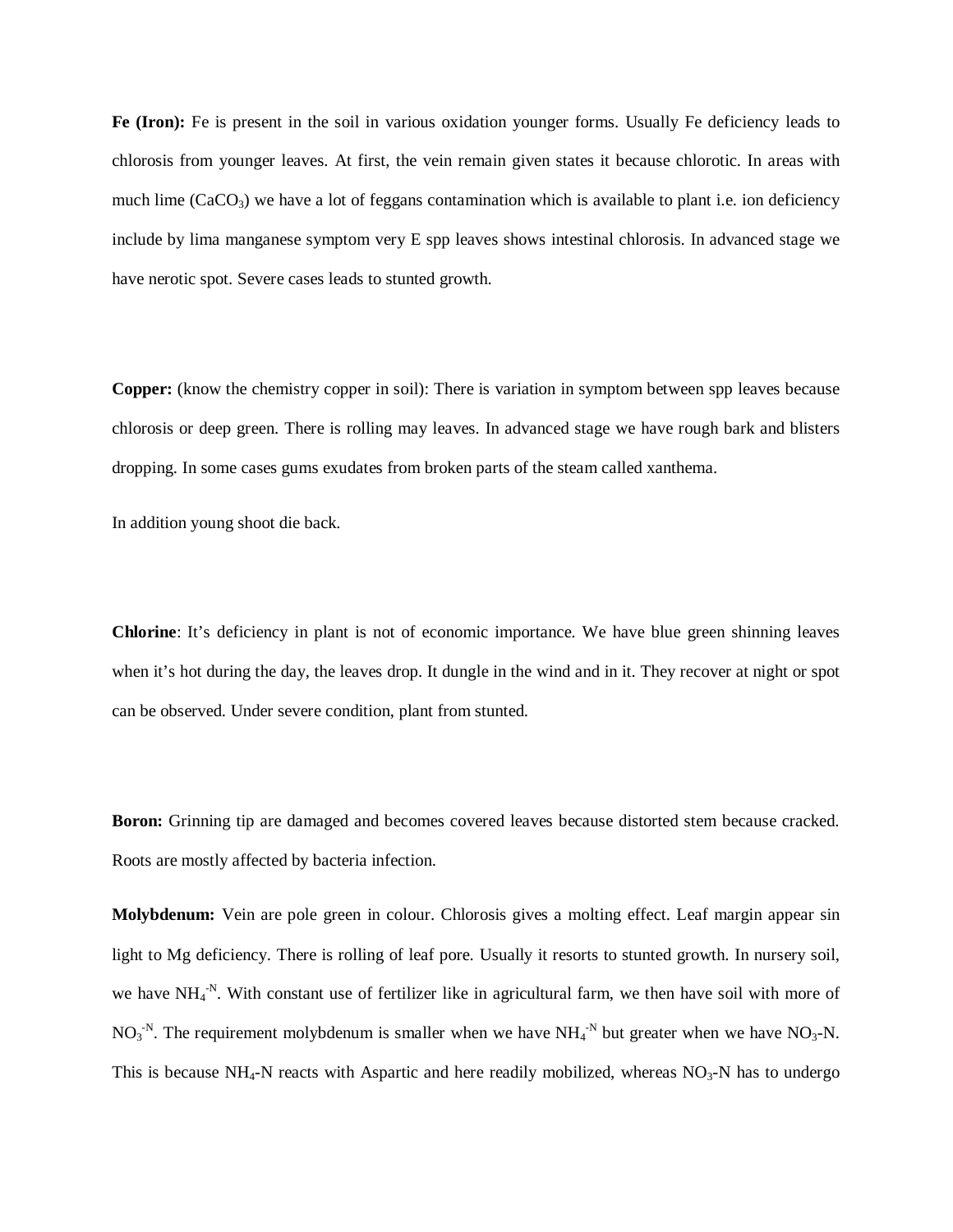**Fe (Iron):** Fe is present in the soil in various oxidation younger forms. Usually Fe deficiency leads to chlorosis from younger leaves. At first, the vein remain given states it because chlorotic. In areas with much lime  $(CaCO<sub>3</sub>)$  we have a lot of feggans contamination which is available to plant i.e. ion deficiency include by lima manganese symptom very E spp leaves shows intestinal chlorosis. In advanced stage we have nerotic spot. Severe cases leads to stunted growth.

**Copper:** (know the chemistry copper in soil): There is variation in symptom between spp leaves because chlorosis or deep green. There is rolling may leaves. In advanced stage we have rough bark and blisters dropping. In some cases gums exudates from broken parts of the steam called xanthema.

In addition young shoot die back.

**Chlorine**: It's deficiency in plant is not of economic importance. We have blue green shinning leaves when it's hot during the day, the leaves drop. It dungle in the wind and in it. They recover at night or spot can be observed. Under severe condition, plant from stunted.

**Boron:** Grinning tip are damaged and becomes covered leaves because distorted stem because cracked. Roots are mostly affected by bacteria infection.

**Molybdenum:** Vein are pole green in colour. Chlorosis gives a molting effect. Leaf margin appear sin light to Mg deficiency. There is rolling of leaf pore. Usually it resorts to stunted growth. In nursery soil, we have  $NH_4$ <sup>-N</sup>. With constant use of fertilizer like in agricultural farm, we then have soil with more of  $NO<sub>3</sub><sup>-N</sup>$ . The requirement molybdenum is smaller when we have  $NH<sub>4</sub><sup>-N</sup>$  but greater when we have  $NO<sub>3</sub>-N$ . This is because  $NH_4$ -N reacts with Aspartic and here readily mobilized, whereas  $NO_3$ -N has to undergo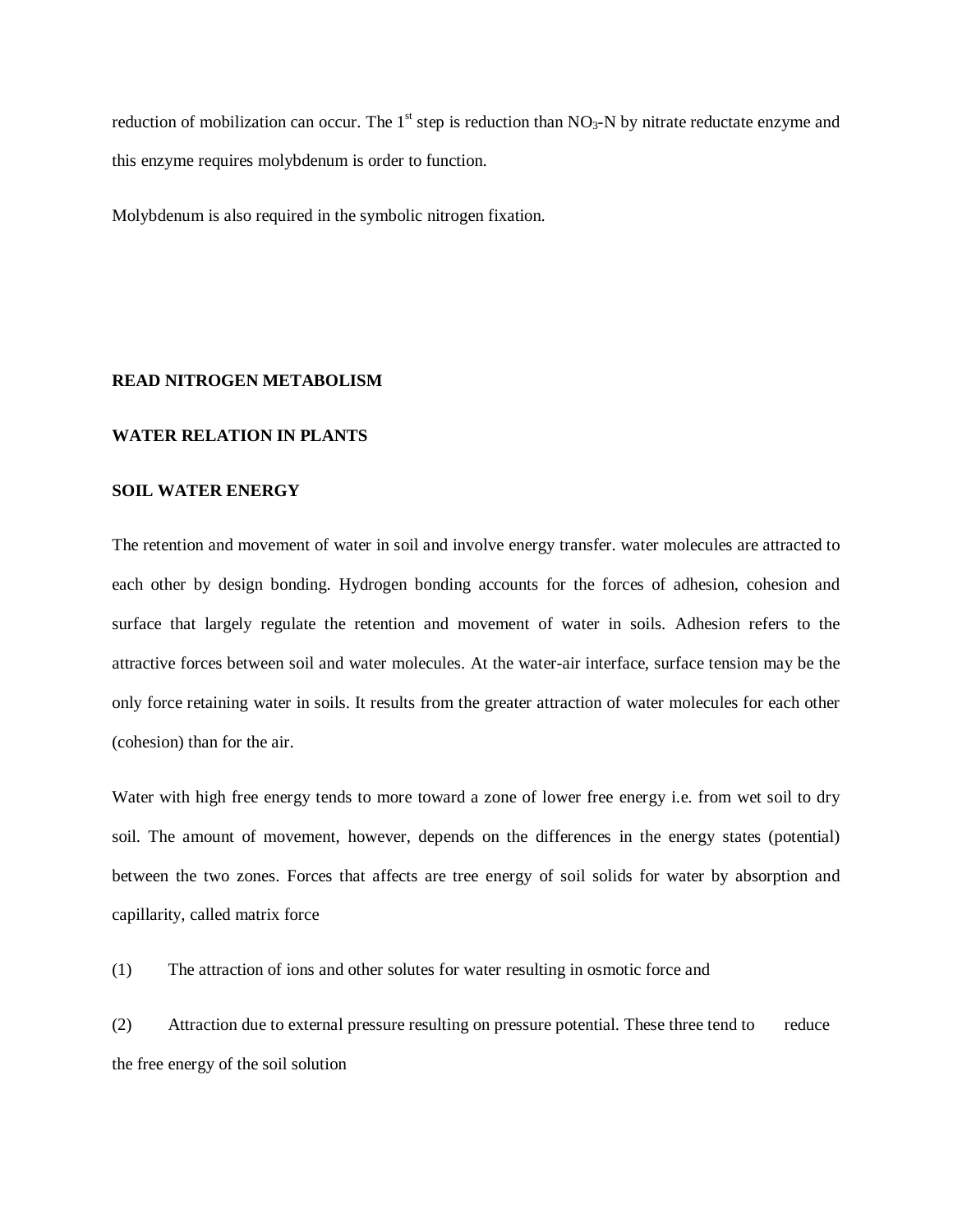reduction of mobilization can occur. The 1<sup>st</sup> step is reduction than  $NO_3-N$  by nitrate reductate enzyme and this enzyme requires molybdenum is order to function.

Molybdenum is also required in the symbolic nitrogen fixation.

#### **READ NITROGEN METABOLISM**

#### **WATER RELATION IN PLANTS**

#### **SOIL WATER ENERGY**

The retention and movement of water in soil and involve energy transfer. water molecules are attracted to each other by design bonding. Hydrogen bonding accounts for the forces of adhesion, cohesion and surface that largely regulate the retention and movement of water in soils. Adhesion refers to the attractive forces between soil and water molecules. At the water-air interface, surface tension may be the only force retaining water in soils. It results from the greater attraction of water molecules for each other (cohesion) than for the air.

Water with high free energy tends to more toward a zone of lower free energy i.e. from wet soil to dry soil. The amount of movement, however, depends on the differences in the energy states (potential) between the two zones. Forces that affects are tree energy of soil solids for water by absorption and capillarity, called matrix force

(1) The attraction of ions and other solutes for water resulting in osmotic force and

(2) Attraction due to external pressure resulting on pressure potential. These three tend to reduce the free energy of the soil solution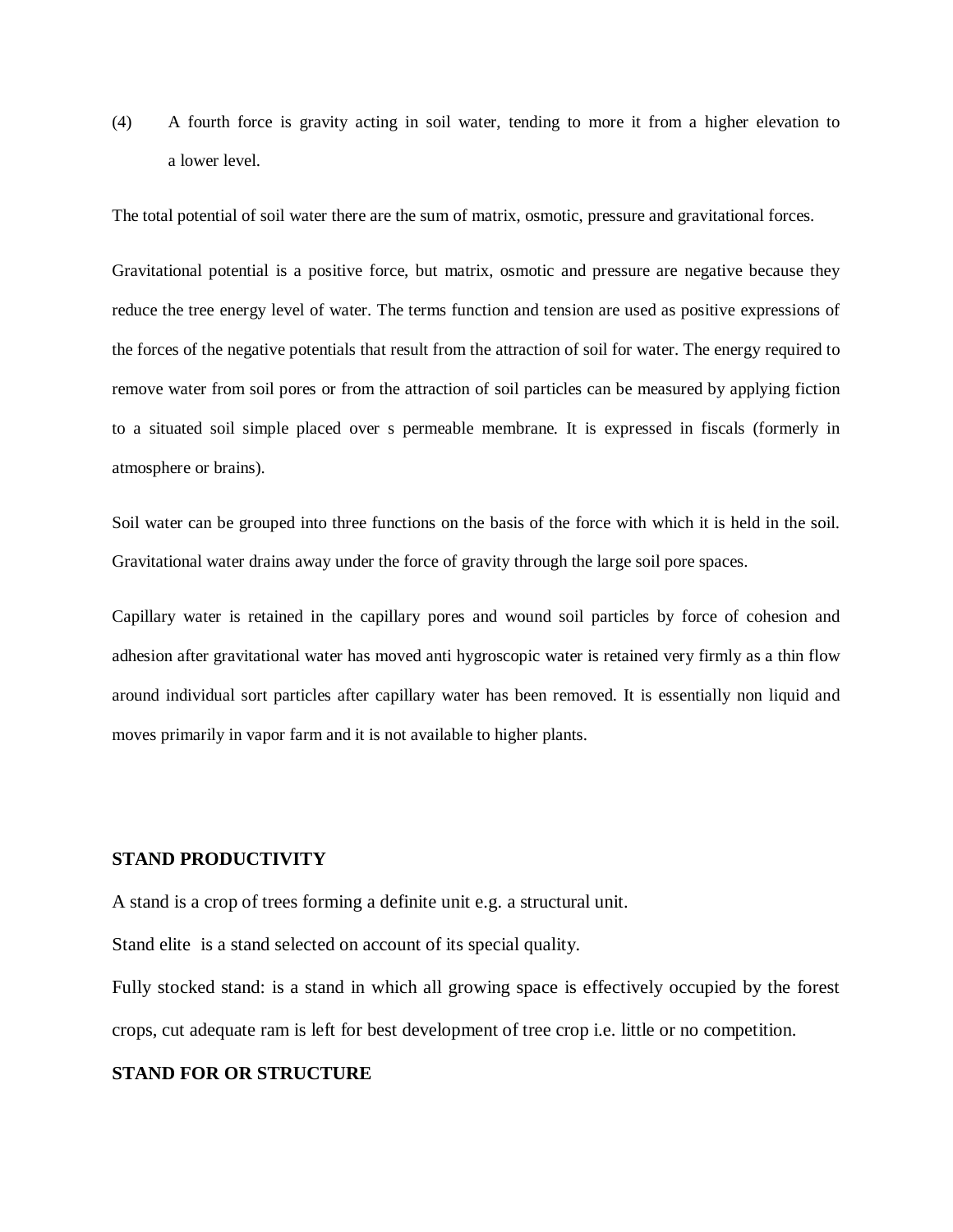(4) A fourth force is gravity acting in soil water, tending to more it from a higher elevation to a lower level.

The total potential of soil water there are the sum of matrix, osmotic, pressure and gravitational forces.

Gravitational potential is a positive force, but matrix, osmotic and pressure are negative because they reduce the tree energy level of water. The terms function and tension are used as positive expressions of the forces of the negative potentials that result from the attraction of soil for water. The energy required to remove water from soil pores or from the attraction of soil particles can be measured by applying fiction to a situated soil simple placed over s permeable membrane. It is expressed in fiscals (formerly in atmosphere or brains).

Soil water can be grouped into three functions on the basis of the force with which it is held in the soil. Gravitational water drains away under the force of gravity through the large soil pore spaces.

Capillary water is retained in the capillary pores and wound soil particles by force of cohesion and adhesion after gravitational water has moved anti hygroscopic water is retained very firmly as a thin flow around individual sort particles after capillary water has been removed. It is essentially non liquid and moves primarily in vapor farm and it is not available to higher plants.

#### **STAND PRODUCTIVITY**

A stand is a crop of trees forming a definite unit e.g. a structural unit.

Stand elite is a stand selected on account of its special quality.

Fully stocked stand: is a stand in which all growing space is effectively occupied by the forest crops, cut adequate ram is left for best development of tree crop i.e. little or no competition.

#### **STAND FOR OR STRUCTURE**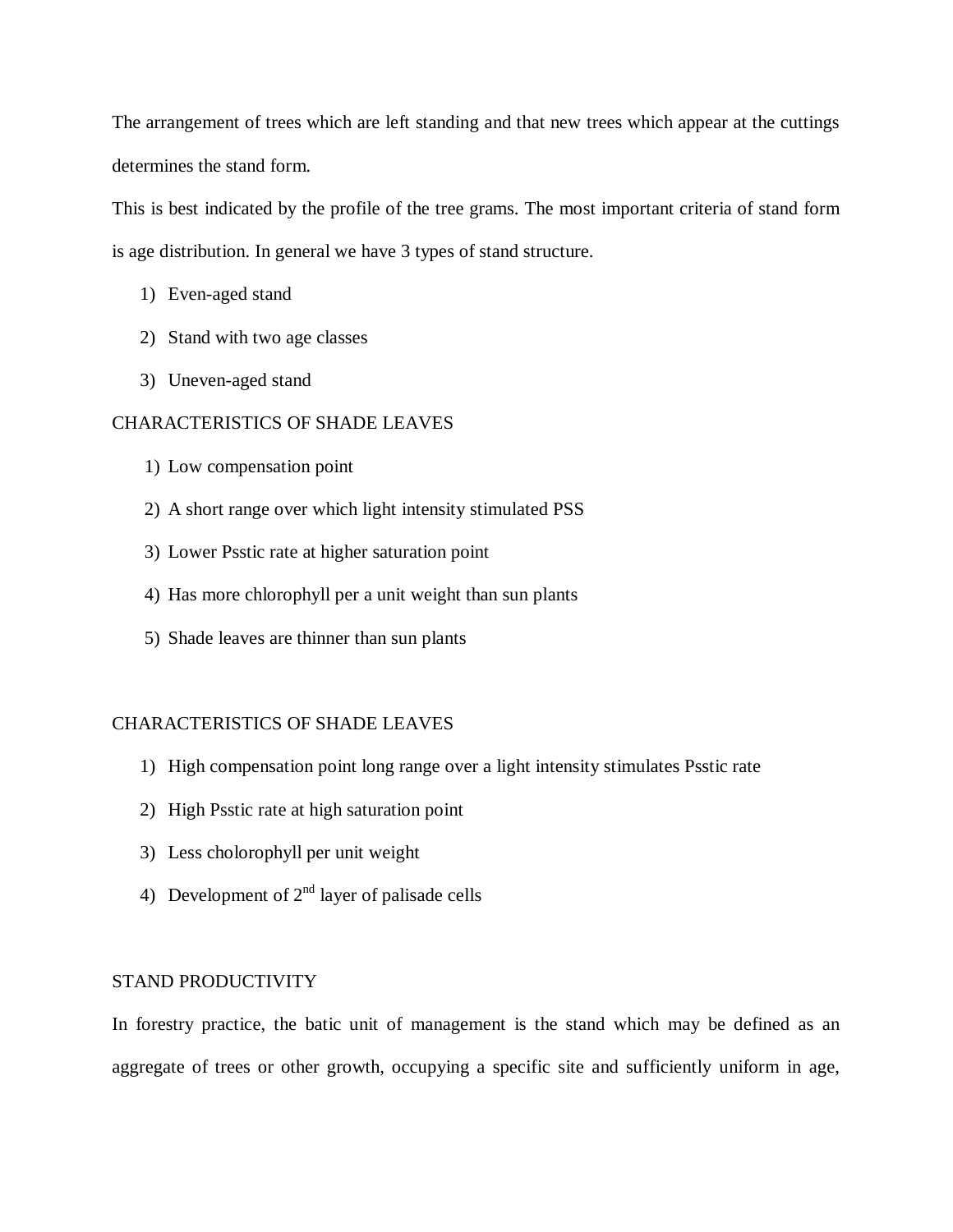The arrangement of trees which are left standing and that new trees which appear at the cuttings determines the stand form.

This is best indicated by the profile of the tree grams. The most important criteria of stand form is age distribution. In general we have 3 types of stand structure.

- 1) Even-aged stand
- 2) Stand with two age classes
- 3) Uneven-aged stand

# CHARACTERISTICS OF SHADE LEAVES

- 1) Low compensation point
- 2) A short range over which light intensity stimulated PSS
- 3) Lower Psstic rate at higher saturation point
- 4) Has more chlorophyll per a unit weight than sun plants
- 5) Shade leaves are thinner than sun plants

#### CHARACTERISTICS OF SHADE LEAVES

- 1) High compensation point long range over a light intensity stimulates Psstic rate
- 2) High Psstic rate at high saturation point
- 3) Less cholorophyll per unit weight
- 4) Development of  $2^{nd}$  layer of palisade cells

#### STAND PRODUCTIVITY

In forestry practice, the batic unit of management is the stand which may be defined as an aggregate of trees or other growth, occupying a specific site and sufficiently uniform in age,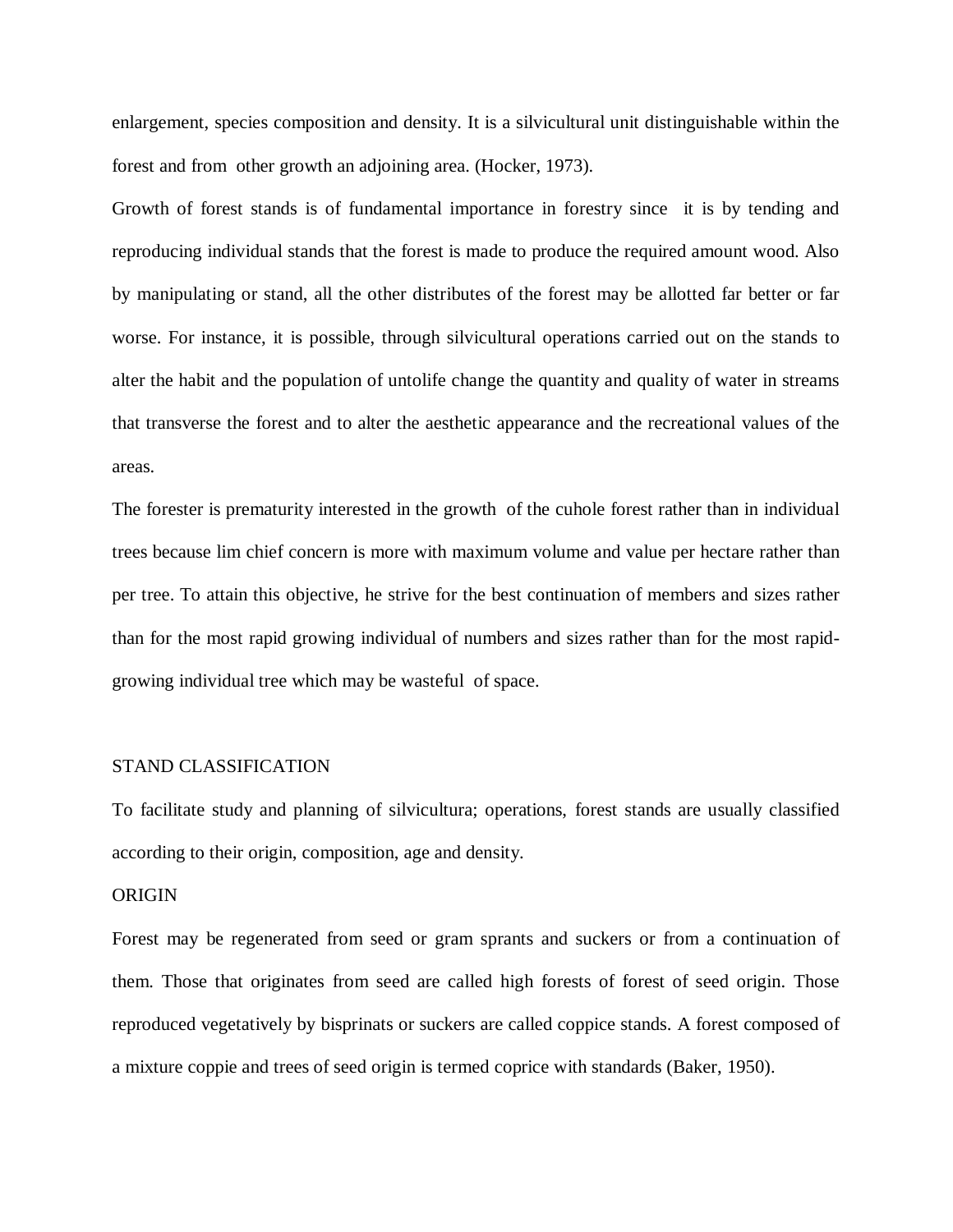enlargement, species composition and density. It is a silvicultural unit distinguishable within the forest and from other growth an adjoining area. (Hocker, 1973).

Growth of forest stands is of fundamental importance in forestry since it is by tending and reproducing individual stands that the forest is made to produce the required amount wood. Also by manipulating or stand, all the other distributes of the forest may be allotted far better or far worse. For instance, it is possible, through silvicultural operations carried out on the stands to alter the habit and the population of untolife change the quantity and quality of water in streams that transverse the forest and to alter the aesthetic appearance and the recreational values of the areas.

The forester is prematurity interested in the growth of the cuhole forest rather than in individual trees because lim chief concern is more with maximum volume and value per hectare rather than per tree. To attain this objective, he strive for the best continuation of members and sizes rather than for the most rapid growing individual of numbers and sizes rather than for the most rapidgrowing individual tree which may be wasteful of space.

#### STAND CLASSIFICATION

To facilitate study and planning of silvicultura; operations, forest stands are usually classified according to their origin, composition, age and density.

#### **ORIGIN**

Forest may be regenerated from seed or gram sprants and suckers or from a continuation of them. Those that originates from seed are called high forests of forest of seed origin. Those reproduced vegetatively by bisprinats or suckers are called coppice stands. A forest composed of a mixture coppie and trees of seed origin is termed coprice with standards (Baker, 1950).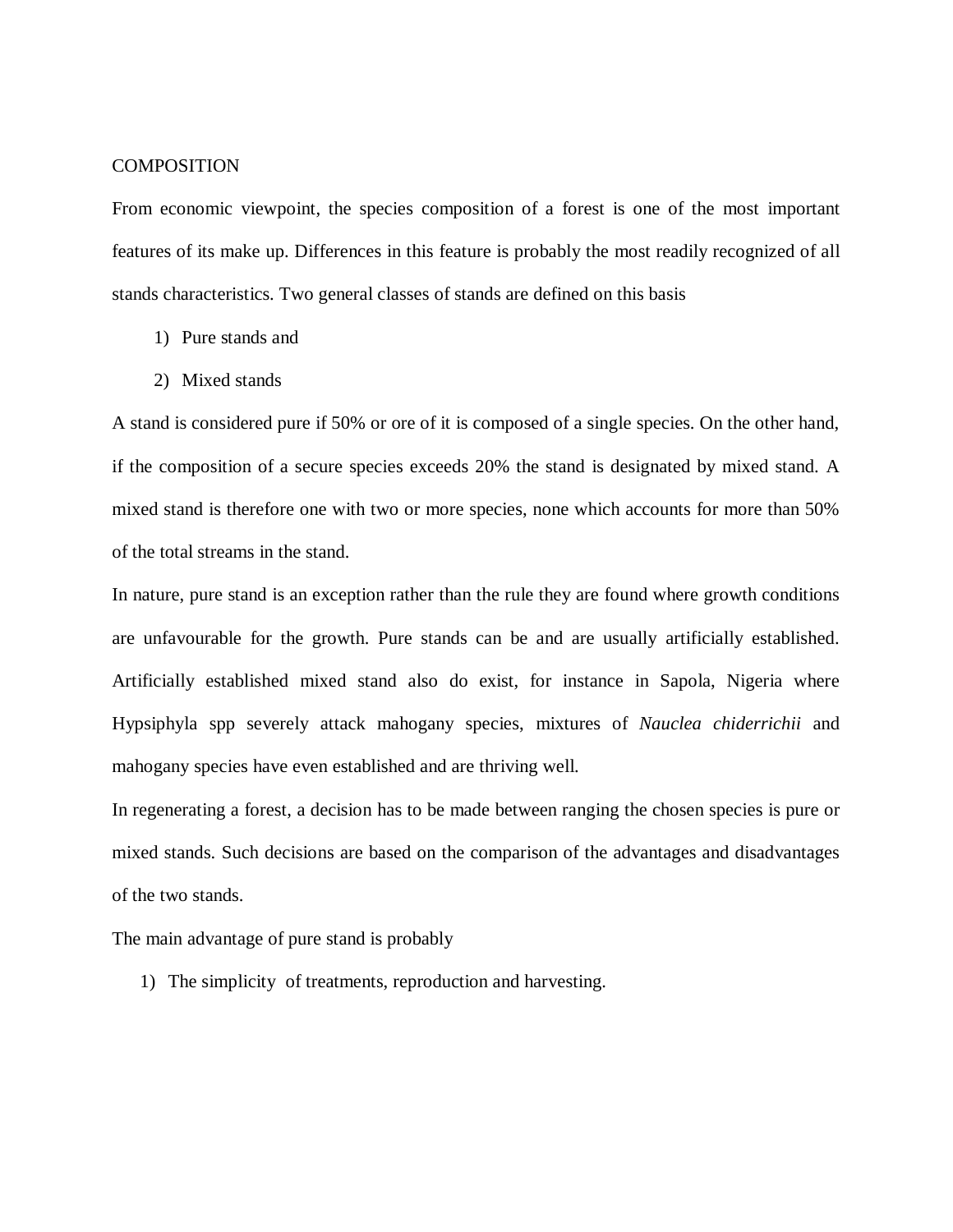#### **COMPOSITION**

From economic viewpoint, the species composition of a forest is one of the most important features of its make up. Differences in this feature is probably the most readily recognized of all stands characteristics. Two general classes of stands are defined on this basis

- 1) Pure stands and
- 2) Mixed stands

A stand is considered pure if 50% or ore of it is composed of a single species. On the other hand, if the composition of a secure species exceeds 20% the stand is designated by mixed stand. A mixed stand is therefore one with two or more species, none which accounts for more than 50% of the total streams in the stand.

In nature, pure stand is an exception rather than the rule they are found where growth conditions are unfavourable for the growth. Pure stands can be and are usually artificially established. Artificially established mixed stand also do exist, for instance in Sapola, Nigeria where Hypsiphyla spp severely attack mahogany species, mixtures of *Nauclea chiderrichii* and mahogany species have even established and are thriving well.

In regenerating a forest, a decision has to be made between ranging the chosen species is pure or mixed stands. Such decisions are based on the comparison of the advantages and disadvantages of the two stands.

The main advantage of pure stand is probably

1) The simplicity of treatments, reproduction and harvesting.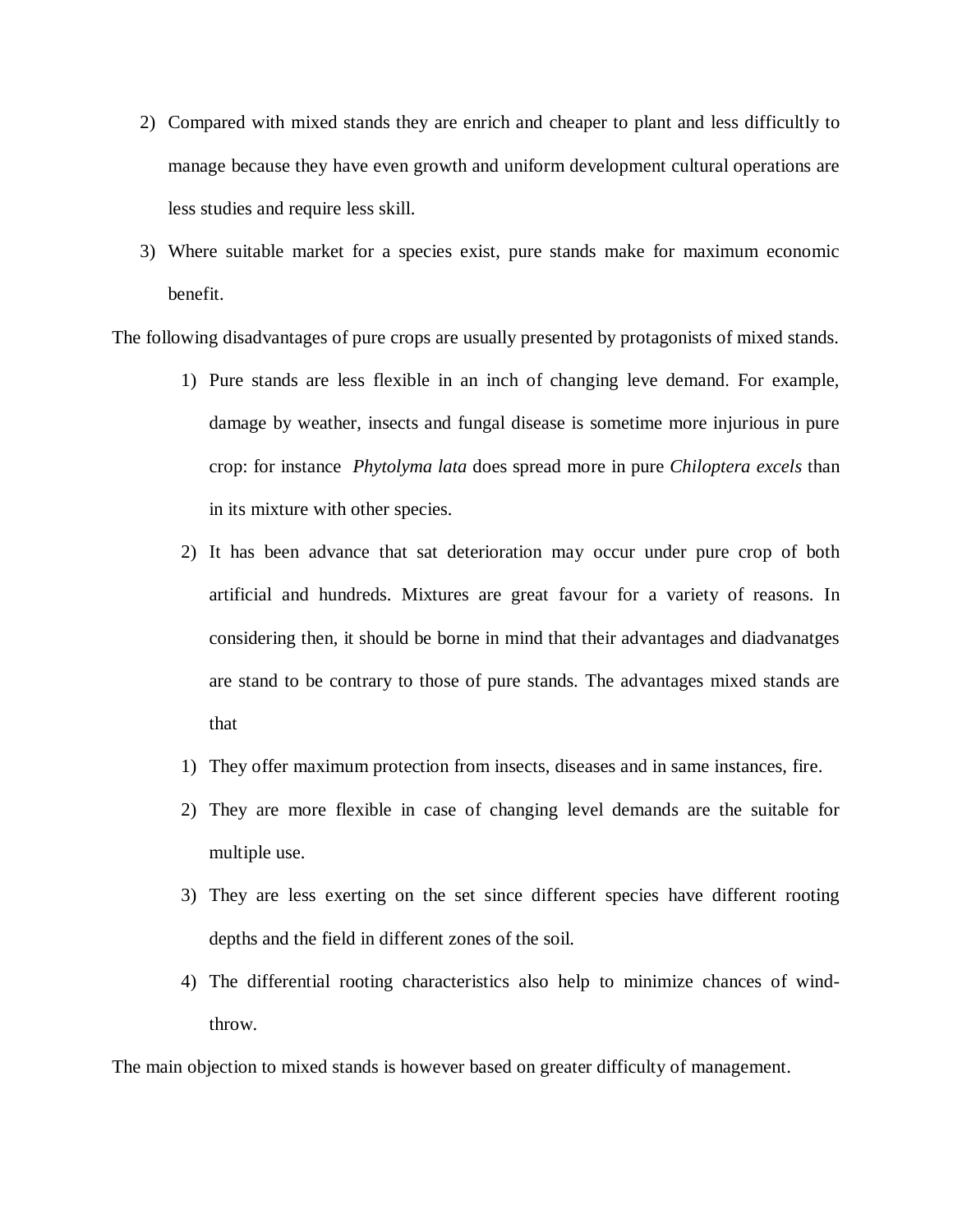- 2) Compared with mixed stands they are enrich and cheaper to plant and less difficultly to manage because they have even growth and uniform development cultural operations are less studies and require less skill.
- 3) Where suitable market for a species exist, pure stands make for maximum economic benefit.

The following disadvantages of pure crops are usually presented by protagonists of mixed stands.

- 1) Pure stands are less flexible in an inch of changing leve demand. For example, damage by weather, insects and fungal disease is sometime more injurious in pure crop: for instance *Phytolyma lata* does spread more in pure *Chiloptera excels* than in its mixture with other species.
- 2) It has been advance that sat deterioration may occur under pure crop of both artificial and hundreds. Mixtures are great favour for a variety of reasons. In considering then, it should be borne in mind that their advantages and diadvanatges are stand to be contrary to those of pure stands. The advantages mixed stands are that
- 1) They offer maximum protection from insects, diseases and in same instances, fire.
- 2) They are more flexible in case of changing level demands are the suitable for multiple use.
- 3) They are less exerting on the set since different species have different rooting depths and the field in different zones of the soil.
- 4) The differential rooting characteristics also help to minimize chances of windthrow.

The main objection to mixed stands is however based on greater difficulty of management.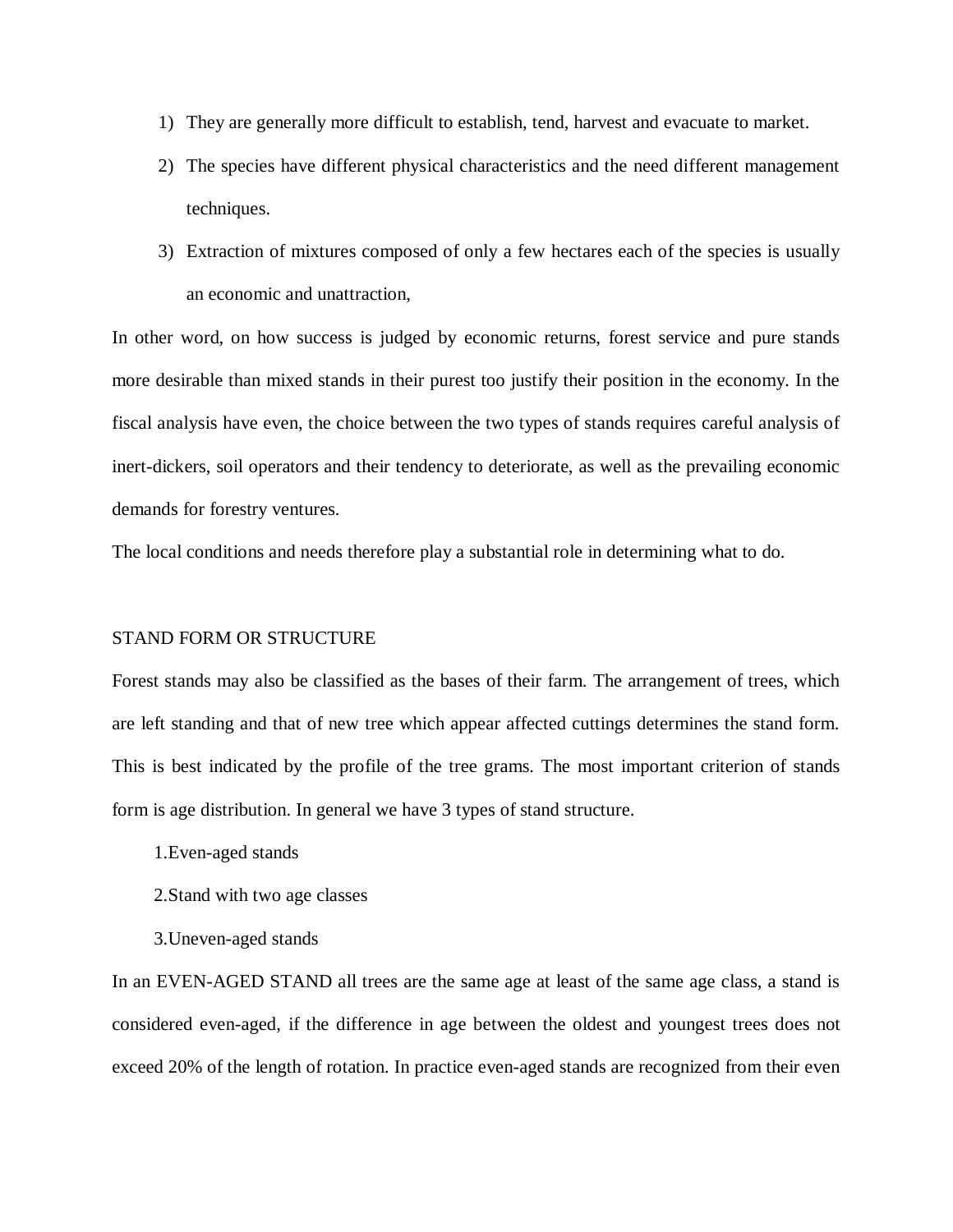- 1) They are generally more difficult to establish, tend, harvest and evacuate to market.
- 2) The species have different physical characteristics and the need different management techniques.
- 3) Extraction of mixtures composed of only a few hectares each of the species is usually an economic and unattraction,

In other word, on how success is judged by economic returns, forest service and pure stands more desirable than mixed stands in their purest too justify their position in the economy. In the fiscal analysis have even, the choice between the two types of stands requires careful analysis of inert-dickers, soil operators and their tendency to deteriorate, as well as the prevailing economic demands for forestry ventures.

The local conditions and needs therefore play a substantial role in determining what to do.

#### STAND FORM OR STRUCTURE

Forest stands may also be classified as the bases of their farm. The arrangement of trees, which are left standing and that of new tree which appear affected cuttings determines the stand form. This is best indicated by the profile of the tree grams. The most important criterion of stands form is age distribution. In general we have 3 types of stand structure.

- 1.Even-aged stands
- 2.Stand with two age classes
- 3.Uneven-aged stands

In an EVEN-AGED STAND all trees are the same age at least of the same age class, a stand is considered even-aged, if the difference in age between the oldest and youngest trees does not exceed 20% of the length of rotation. In practice even-aged stands are recognized from their even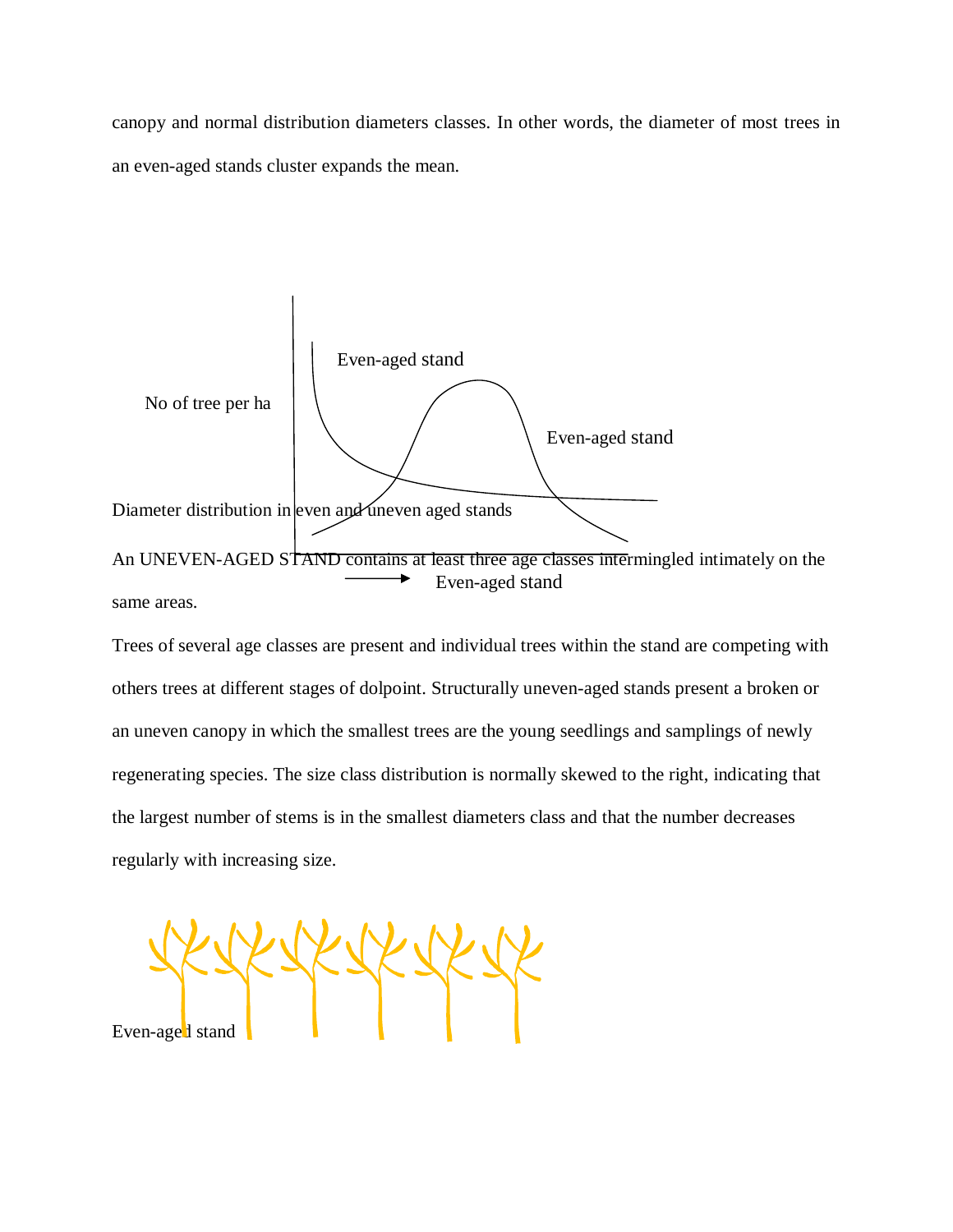canopy and normal distribution diameters classes. In other words, the diameter of most trees in an even-aged stands cluster expands the mean.



Trees of several age classes are present and individual trees within the stand are competing with others trees at different stages of dolpoint. Structurally uneven-aged stands present a broken or an uneven canopy in which the smallest trees are the young seedlings and samplings of newly regenerating species. The size class distribution is normally skewed to the right, indicating that the largest number of stems is in the smallest diameters class and that the number decreases regularly with increasing size.

Even-age<sup>1</sup> stand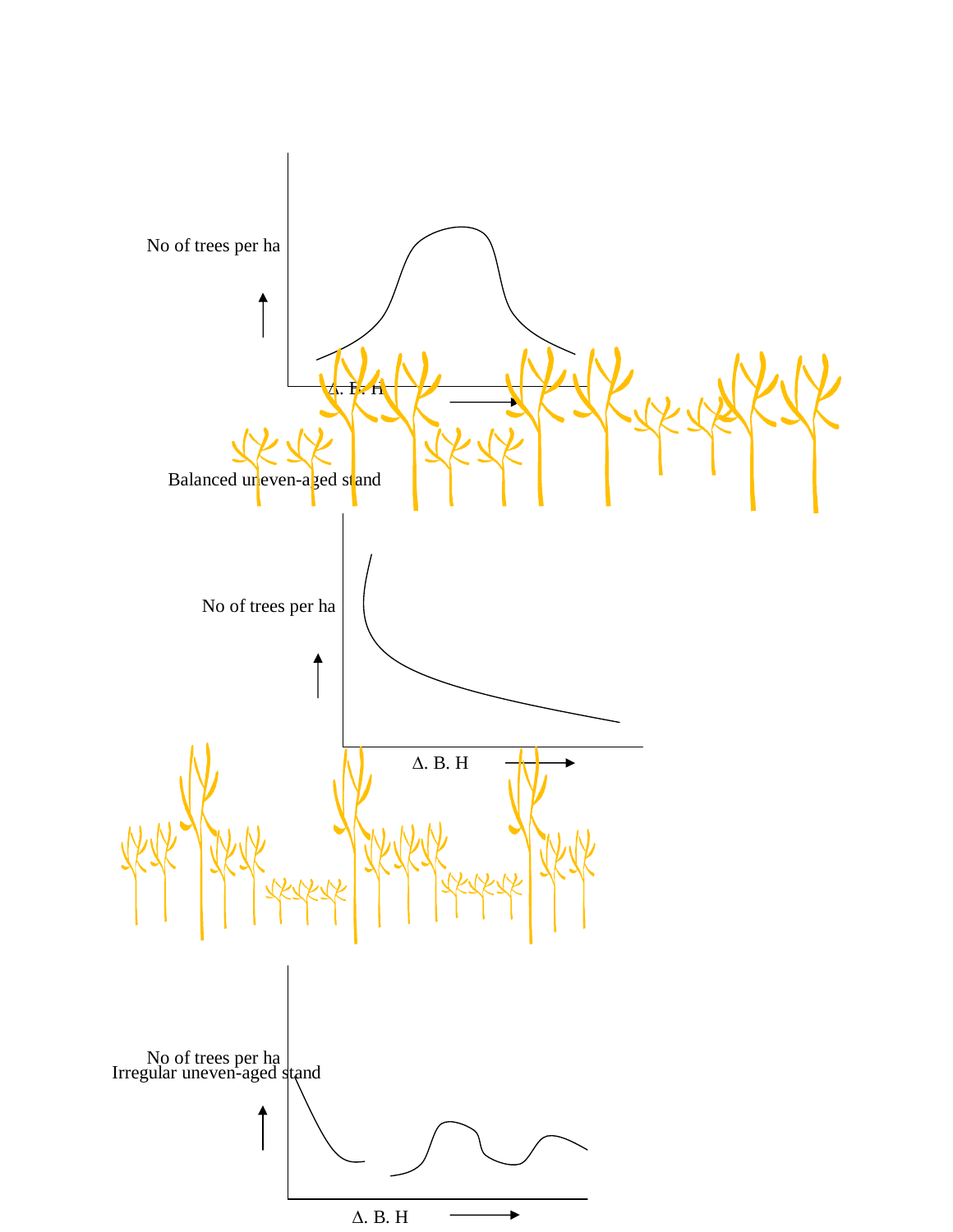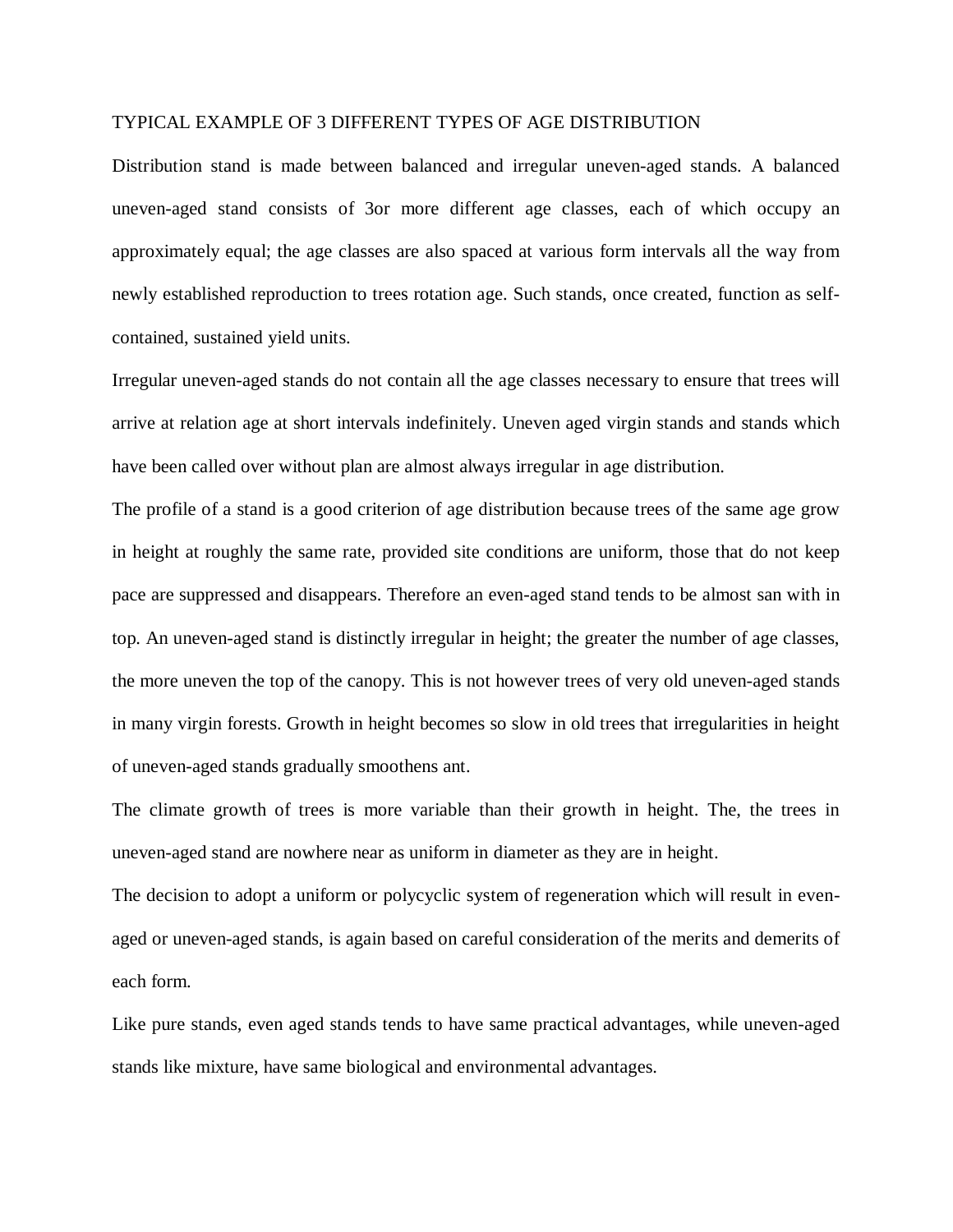## TYPICAL EXAMPLE OF 3 DIFFERENT TYPES OF AGE DISTRIBUTION

Distribution stand is made between balanced and irregular uneven-aged stands. A balanced uneven-aged stand consists of 3or more different age classes, each of which occupy an approximately equal; the age classes are also spaced at various form intervals all the way from newly established reproduction to trees rotation age. Such stands, once created, function as selfcontained, sustained yield units.

Irregular uneven-aged stands do not contain all the age classes necessary to ensure that trees will arrive at relation age at short intervals indefinitely. Uneven aged virgin stands and stands which have been called over without plan are almost always irregular in age distribution.

The profile of a stand is a good criterion of age distribution because trees of the same age grow in height at roughly the same rate, provided site conditions are uniform, those that do not keep pace are suppressed and disappears. Therefore an even-aged stand tends to be almost san with in top. An uneven-aged stand is distinctly irregular in height; the greater the number of age classes, the more uneven the top of the canopy. This is not however trees of very old uneven-aged stands in many virgin forests. Growth in height becomes so slow in old trees that irregularities in height of uneven-aged stands gradually smoothens ant.

The climate growth of trees is more variable than their growth in height. The, the trees in uneven-aged stand are nowhere near as uniform in diameter as they are in height.

The decision to adopt a uniform or polycyclic system of regeneration which will result in evenaged or uneven-aged stands, is again based on careful consideration of the merits and demerits of each form.

Like pure stands, even aged stands tends to have same practical advantages, while uneven-aged stands like mixture, have same biological and environmental advantages.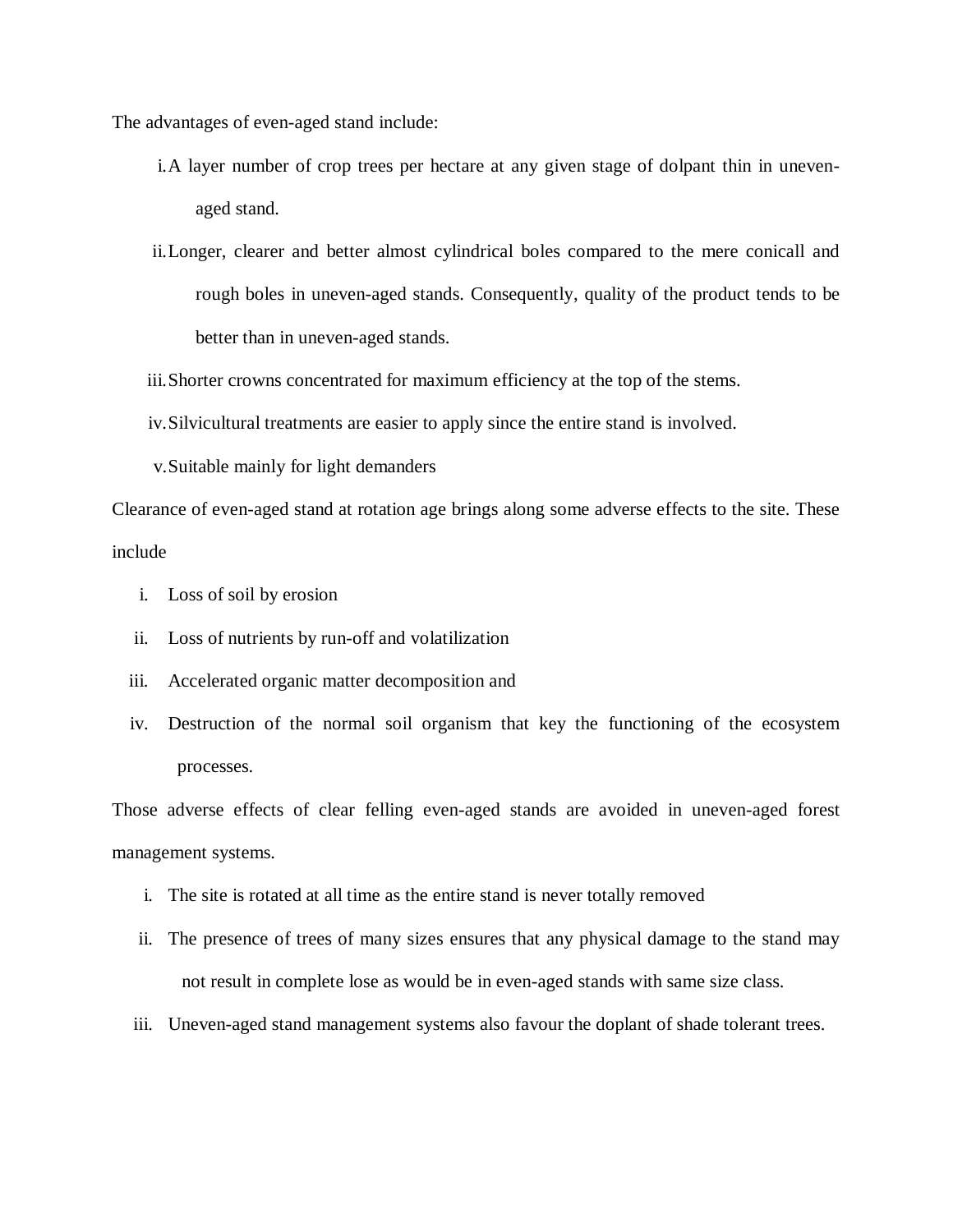The advantages of even-aged stand include:

- i.A layer number of crop trees per hectare at any given stage of dolpant thin in unevenaged stand.
- ii.Longer, clearer and better almost cylindrical boles compared to the mere conicall and rough boles in uneven-aged stands. Consequently, quality of the product tends to be better than in uneven-aged stands.
- iii.Shorter crowns concentrated for maximum efficiency at the top of the stems.
- iv.Silvicultural treatments are easier to apply since the entire stand is involved.
- v.Suitable mainly for light demanders

Clearance of even-aged stand at rotation age brings along some adverse effects to the site. These include

- i. Loss of soil by erosion
- ii. Loss of nutrients by run-off and volatilization
- iii. Accelerated organic matter decomposition and
- iv. Destruction of the normal soil organism that key the functioning of the ecosystem processes.

Those adverse effects of clear felling even-aged stands are avoided in uneven-aged forest management systems.

- i. The site is rotated at all time as the entire stand is never totally removed
- ii. The presence of trees of many sizes ensures that any physical damage to the stand may not result in complete lose as would be in even-aged stands with same size class.
- iii. Uneven-aged stand management systems also favour the doplant of shade tolerant trees.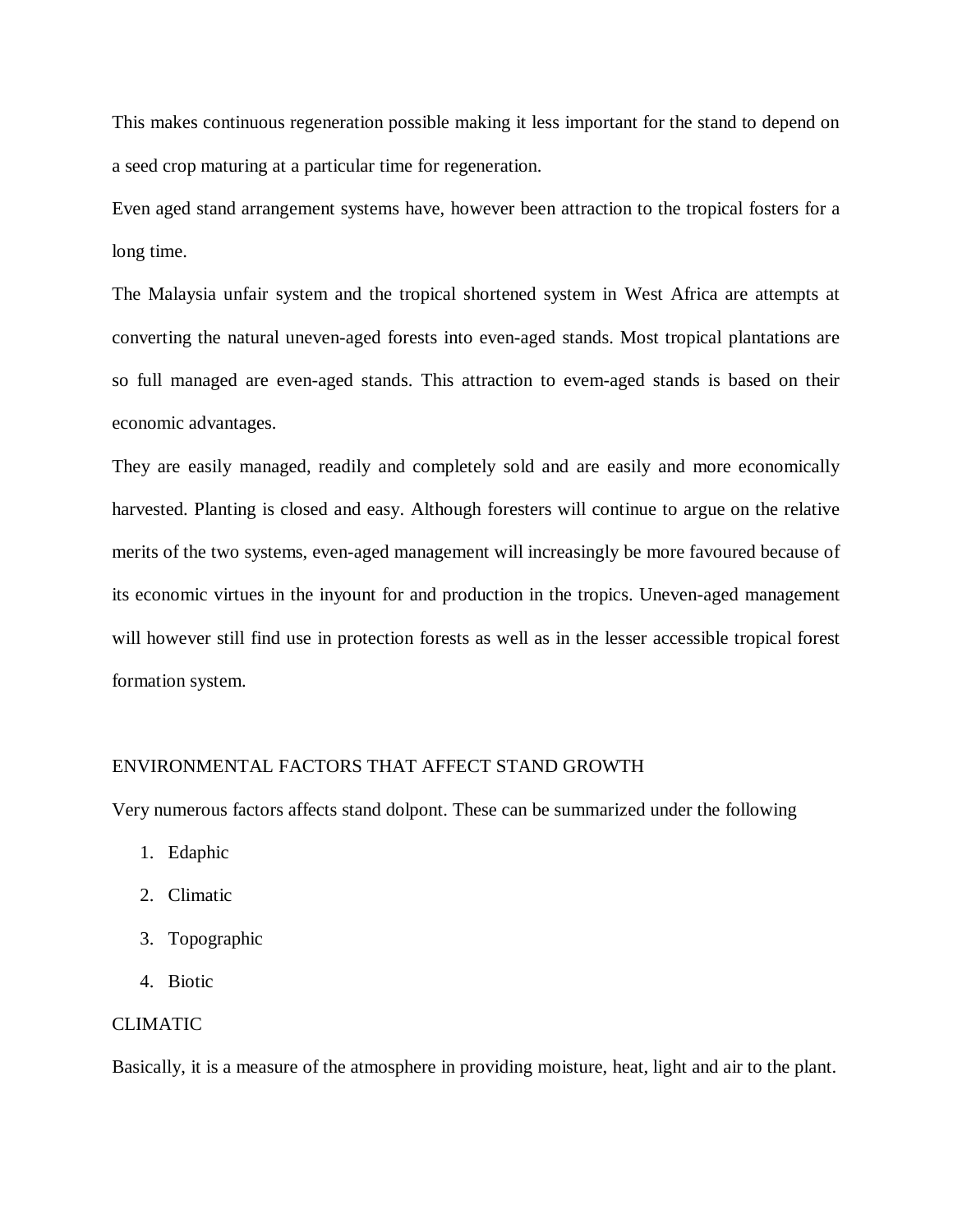This makes continuous regeneration possible making it less important for the stand to depend on a seed crop maturing at a particular time for regeneration.

Even aged stand arrangement systems have, however been attraction to the tropical fosters for a long time.

The Malaysia unfair system and the tropical shortened system in West Africa are attempts at converting the natural uneven-aged forests into even-aged stands. Most tropical plantations are so full managed are even-aged stands. This attraction to evem-aged stands is based on their economic advantages.

They are easily managed, readily and completely sold and are easily and more economically harvested. Planting is closed and easy. Although foresters will continue to argue on the relative merits of the two systems, even-aged management will increasingly be more favoured because of its economic virtues in the inyount for and production in the tropics. Uneven-aged management will however still find use in protection forests as well as in the lesser accessible tropical forest formation system.

#### ENVIRONMENTAL FACTORS THAT AFFECT STAND GROWTH

Very numerous factors affects stand dolpont. These can be summarized under the following

- 1. Edaphic
- 2. Climatic
- 3. Topographic
- 4. Biotic

## CLIMATIC

Basically, it is a measure of the atmosphere in providing moisture, heat, light and air to the plant.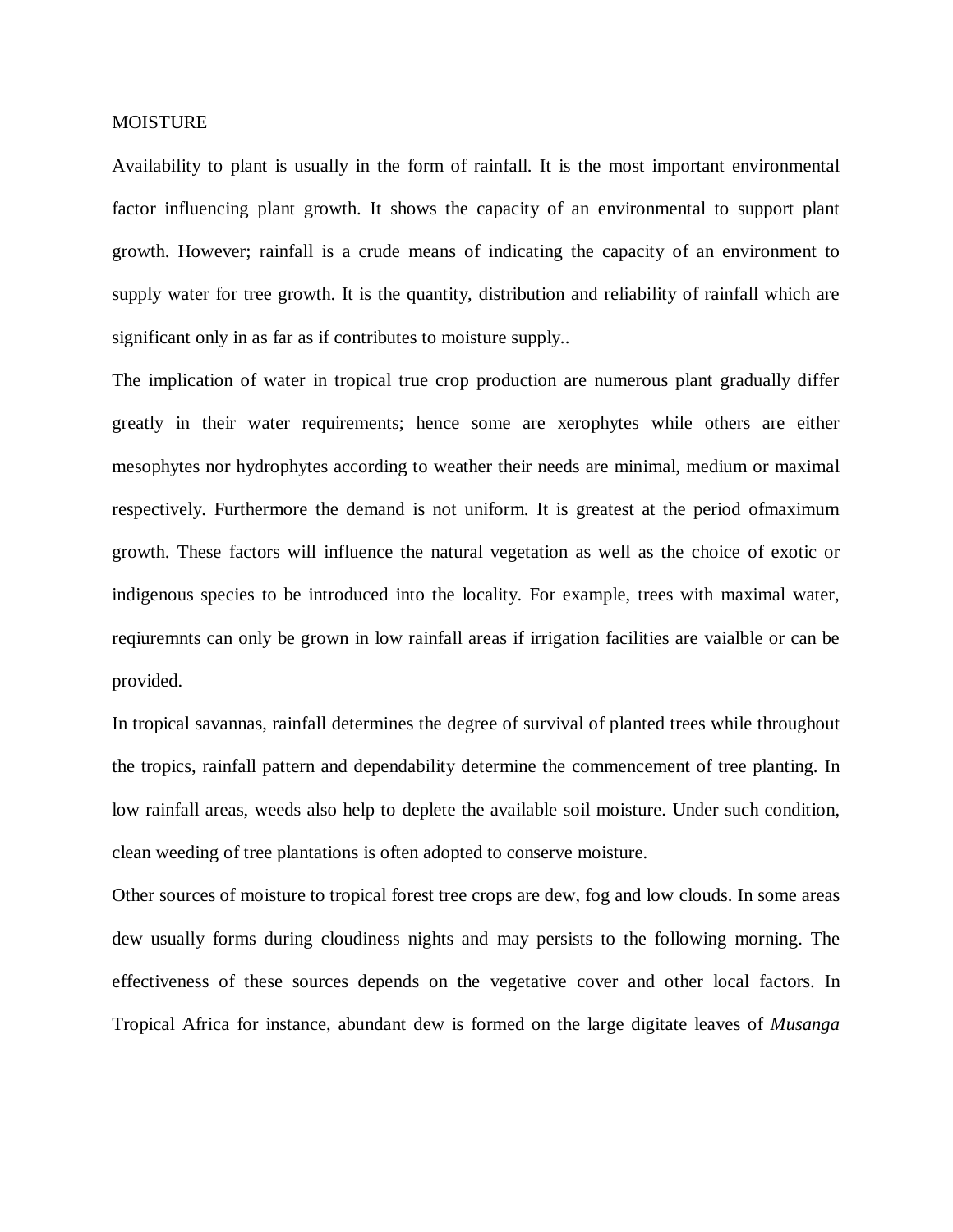## MOISTURE

Availability to plant is usually in the form of rainfall. It is the most important environmental factor influencing plant growth. It shows the capacity of an environmental to support plant growth. However; rainfall is a crude means of indicating the capacity of an environment to supply water for tree growth. It is the quantity, distribution and reliability of rainfall which are significant only in as far as if contributes to moisture supply..

The implication of water in tropical true crop production are numerous plant gradually differ greatly in their water requirements; hence some are xerophytes while others are either mesophytes nor hydrophytes according to weather their needs are minimal, medium or maximal respectively. Furthermore the demand is not uniform. It is greatest at the period ofmaximum growth. These factors will influence the natural vegetation as well as the choice of exotic or indigenous species to be introduced into the locality. For example, trees with maximal water, reqiuremnts can only be grown in low rainfall areas if irrigation facilities are vaialble or can be provided.

In tropical savannas, rainfall determines the degree of survival of planted trees while throughout the tropics, rainfall pattern and dependability determine the commencement of tree planting. In low rainfall areas, weeds also help to deplete the available soil moisture. Under such condition, clean weeding of tree plantations is often adopted to conserve moisture.

Other sources of moisture to tropical forest tree crops are dew, fog and low clouds. In some areas dew usually forms during cloudiness nights and may persists to the following morning. The effectiveness of these sources depends on the vegetative cover and other local factors. In Tropical Africa for instance, abundant dew is formed on the large digitate leaves of *Musanga*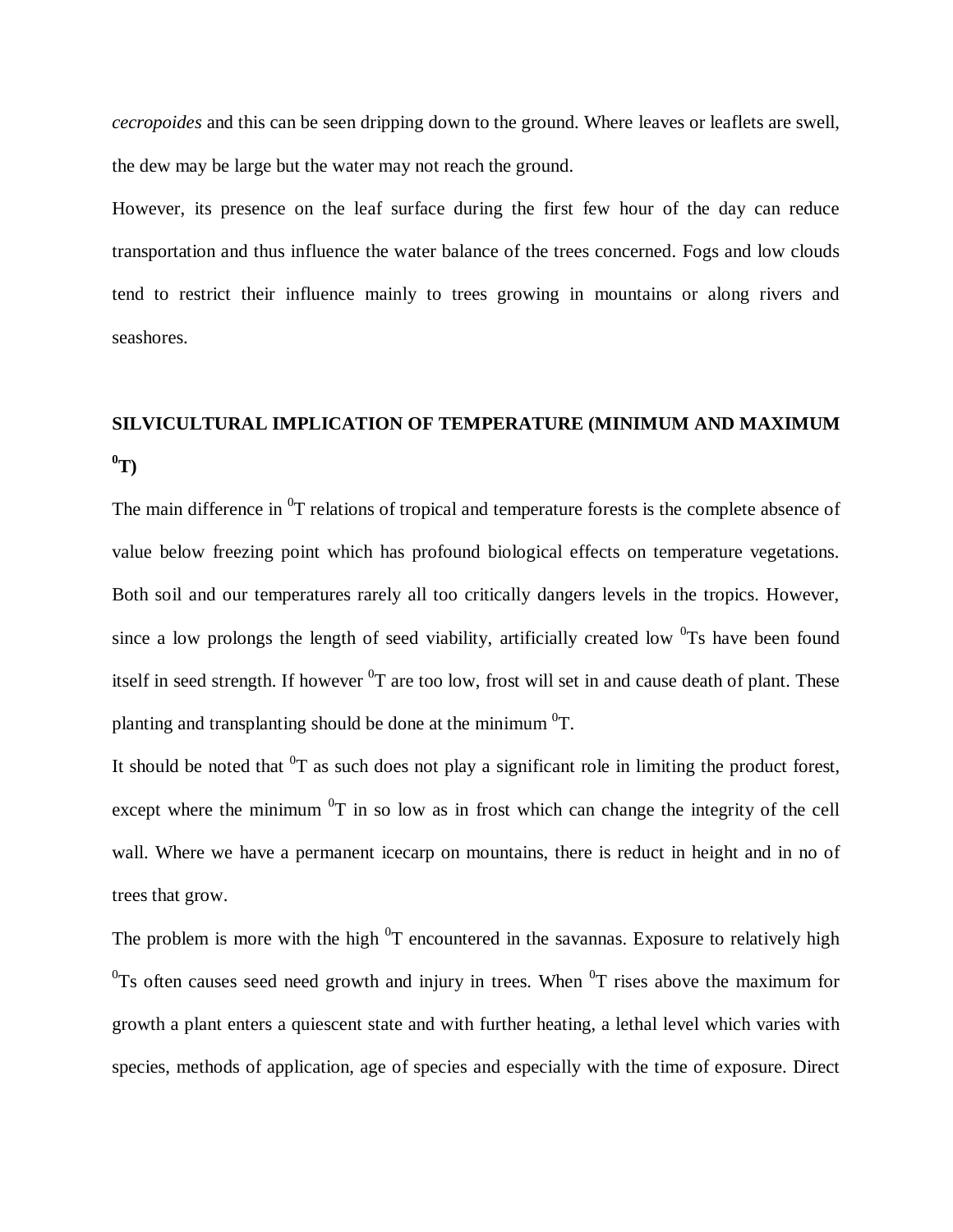*cecropoides* and this can be seen dripping down to the ground. Where leaves or leaflets are swell, the dew may be large but the water may not reach the ground.

However, its presence on the leaf surface during the first few hour of the day can reduce transportation and thus influence the water balance of the trees concerned. Fogs and low clouds tend to restrict their influence mainly to trees growing in mountains or along rivers and seashores.

# **SILVICULTURAL IMPLICATION OF TEMPERATURE (MINIMUM AND MAXIMUM**   $\mathbf{T}^0$

The main difference in  ${}^{0}T$  relations of tropical and temperature forests is the complete absence of value below freezing point which has profound biological effects on temperature vegetations. Both soil and our temperatures rarely all too critically dangers levels in the tropics. However, since a low prolongs the length of seed viability, artificially created low  ${}^{0}$ Ts have been found itself in seed strength. If however  ${}^{0}T$  are too low, frost will set in and cause death of plant. These planting and transplanting should be done at the minimum  ${}^{0}T$ .

It should be noted that  ${}^{0}T$  as such does not play a significant role in limiting the product forest, except where the minimum  ${}^{0}T$  in so low as in frost which can change the integrity of the cell wall. Where we have a permanent icecarp on mountains, there is reduct in height and in no of trees that grow.

The problem is more with the high  ${}^{0}T$  encountered in the savannas. Exposure to relatively high  $^{0}$ Ts often causes seed need growth and injury in trees. When  $^{0}$ T rises above the maximum for growth a plant enters a quiescent state and with further heating, a lethal level which varies with species, methods of application, age of species and especially with the time of exposure. Direct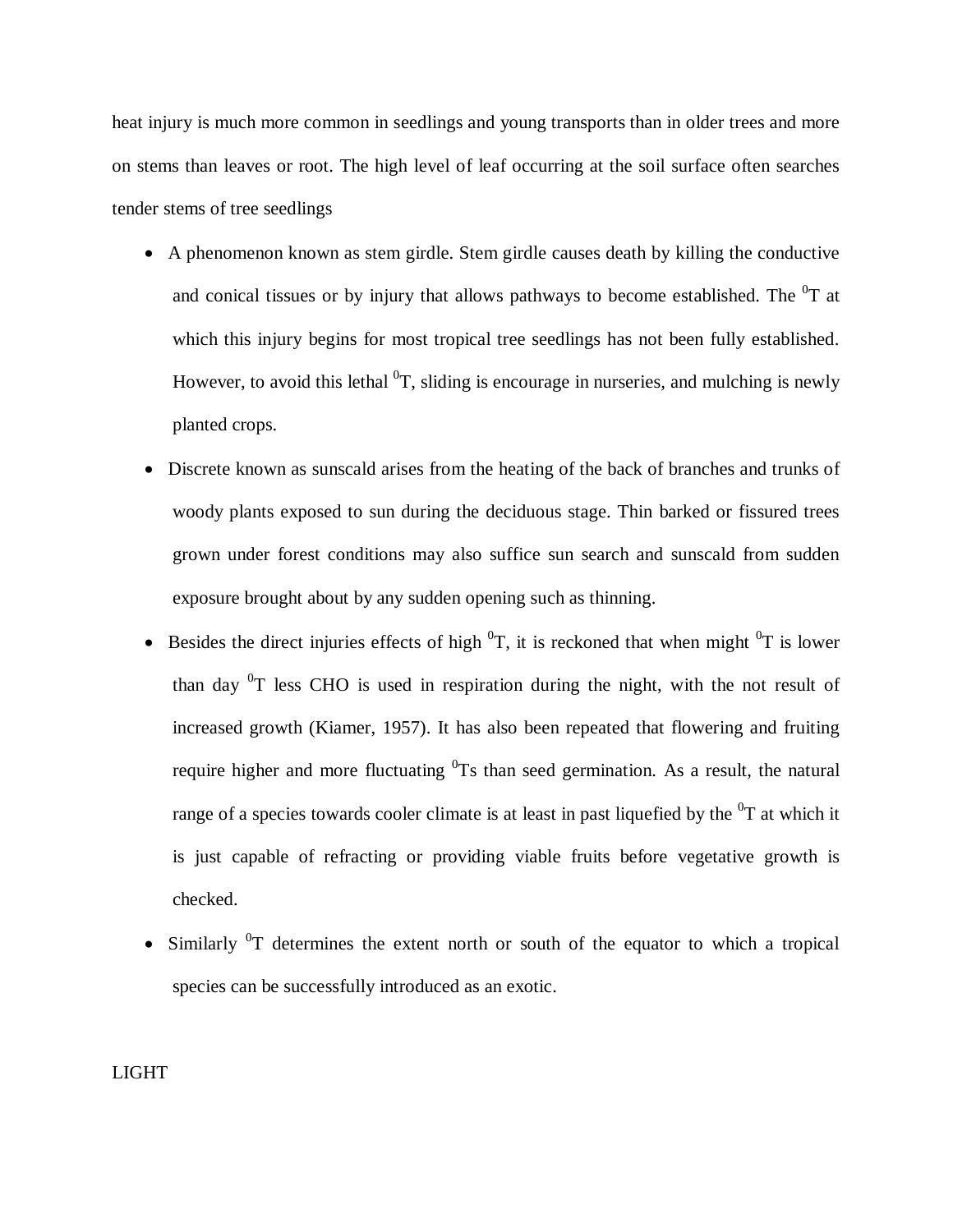heat injury is much more common in seedlings and young transports than in older trees and more on stems than leaves or root. The high level of leaf occurring at the soil surface often searches tender stems of tree seedlings

- A phenomenon known as stem girdle. Stem girdle causes death by killing the conductive and conical tissues or by injury that allows pathways to become established. The  ${}^{0}T$  at which this injury begins for most tropical tree seedlings has not been fully established. However, to avoid this lethal  ${}^{0}T$ , sliding is encourage in nurseries, and mulching is newly planted crops.
- Discrete known as sunscald arises from the heating of the back of branches and trunks of woody plants exposed to sun during the deciduous stage. Thin barked or fissured trees grown under forest conditions may also suffice sun search and sunscald from sudden exposure brought about by any sudden opening such as thinning.
- Besides the direct injuries effects of high  ${}^{0}T$ , it is reckoned that when might  ${}^{0}T$  is lower than day  ${}^{0}T$  less CHO is used in respiration during the night, with the not result of increased growth (Kiamer, 1957). It has also been repeated that flowering and fruiting require higher and more fluctuating  ${}^{0}$ Ts than seed germination. As a result, the natural range of a species towards cooler climate is at least in past liquefied by the  $0<sup>T</sup>$  at which it is just capable of refracting or providing viable fruits before vegetative growth is checked.
- Similarly  ${}^{0}T$  determines the extent north or south of the equator to which a tropical species can be successfully introduced as an exotic.

LIGHT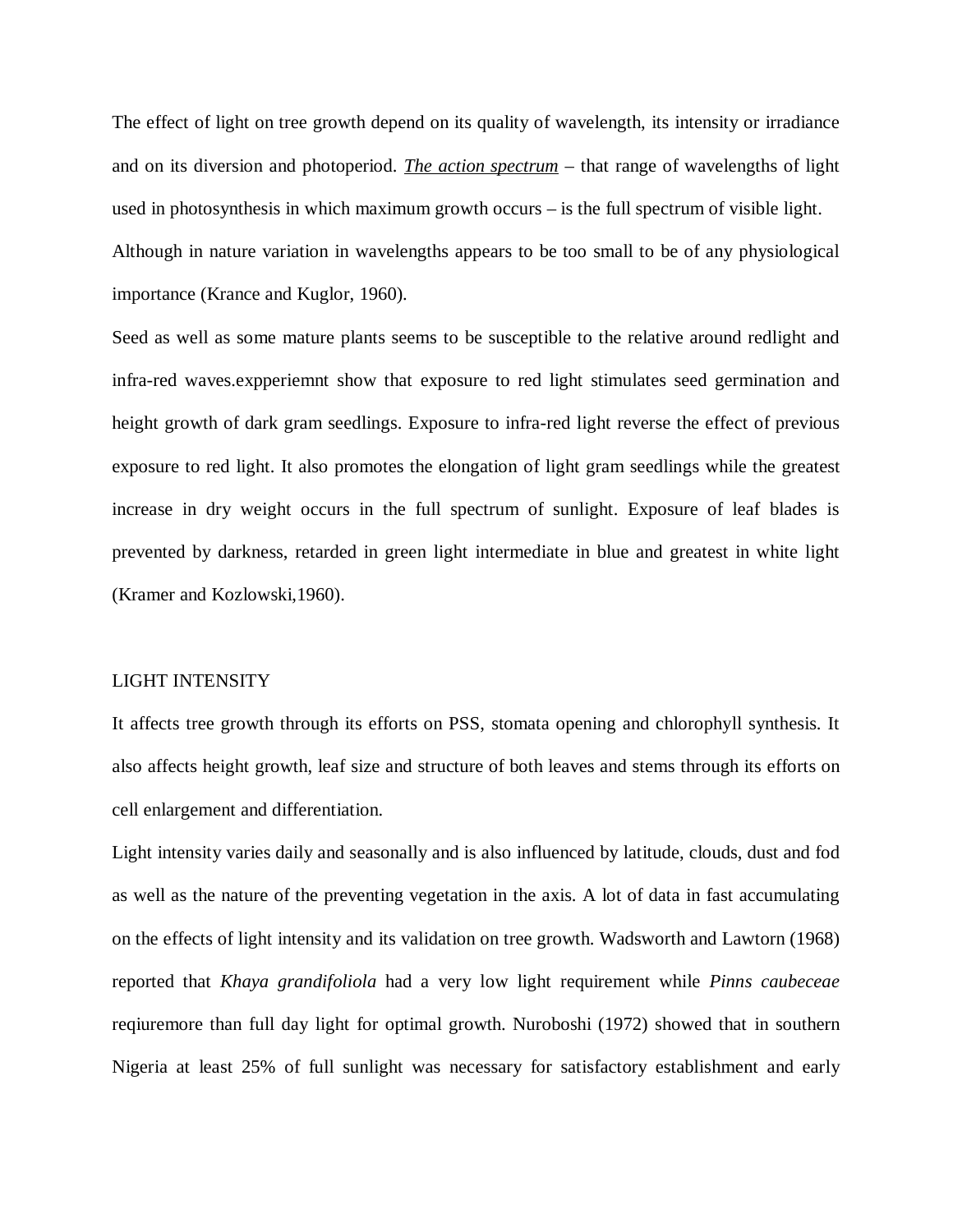The effect of light on tree growth depend on its quality of wavelength, its intensity or irradiance and on its diversion and photoperiod. *The action spectrum* – that range of wavelengths of light used in photosynthesis in which maximum growth occurs – is the full spectrum of visible light. Although in nature variation in wavelengths appears to be too small to be of any physiological importance (Krance and Kuglor, 1960).

Seed as well as some mature plants seems to be susceptible to the relative around redlight and infra-red waves.expperiemnt show that exposure to red light stimulates seed germination and height growth of dark gram seedlings. Exposure to infra-red light reverse the effect of previous exposure to red light. It also promotes the elongation of light gram seedlings while the greatest increase in dry weight occurs in the full spectrum of sunlight. Exposure of leaf blades is prevented by darkness, retarded in green light intermediate in blue and greatest in white light (Kramer and Kozlowski,1960).

#### LIGHT INTENSITY

It affects tree growth through its efforts on PSS, stomata opening and chlorophyll synthesis. It also affects height growth, leaf size and structure of both leaves and stems through its efforts on cell enlargement and differentiation.

Light intensity varies daily and seasonally and is also influenced by latitude, clouds, dust and fod as well as the nature of the preventing vegetation in the axis. A lot of data in fast accumulating on the effects of light intensity and its validation on tree growth. Wadsworth and Lawtorn (1968) reported that *Khaya grandifoliola* had a very low light requirement while *Pinns caubeceae* reqiuremore than full day light for optimal growth. Nuroboshi (1972) showed that in southern Nigeria at least 25% of full sunlight was necessary for satisfactory establishment and early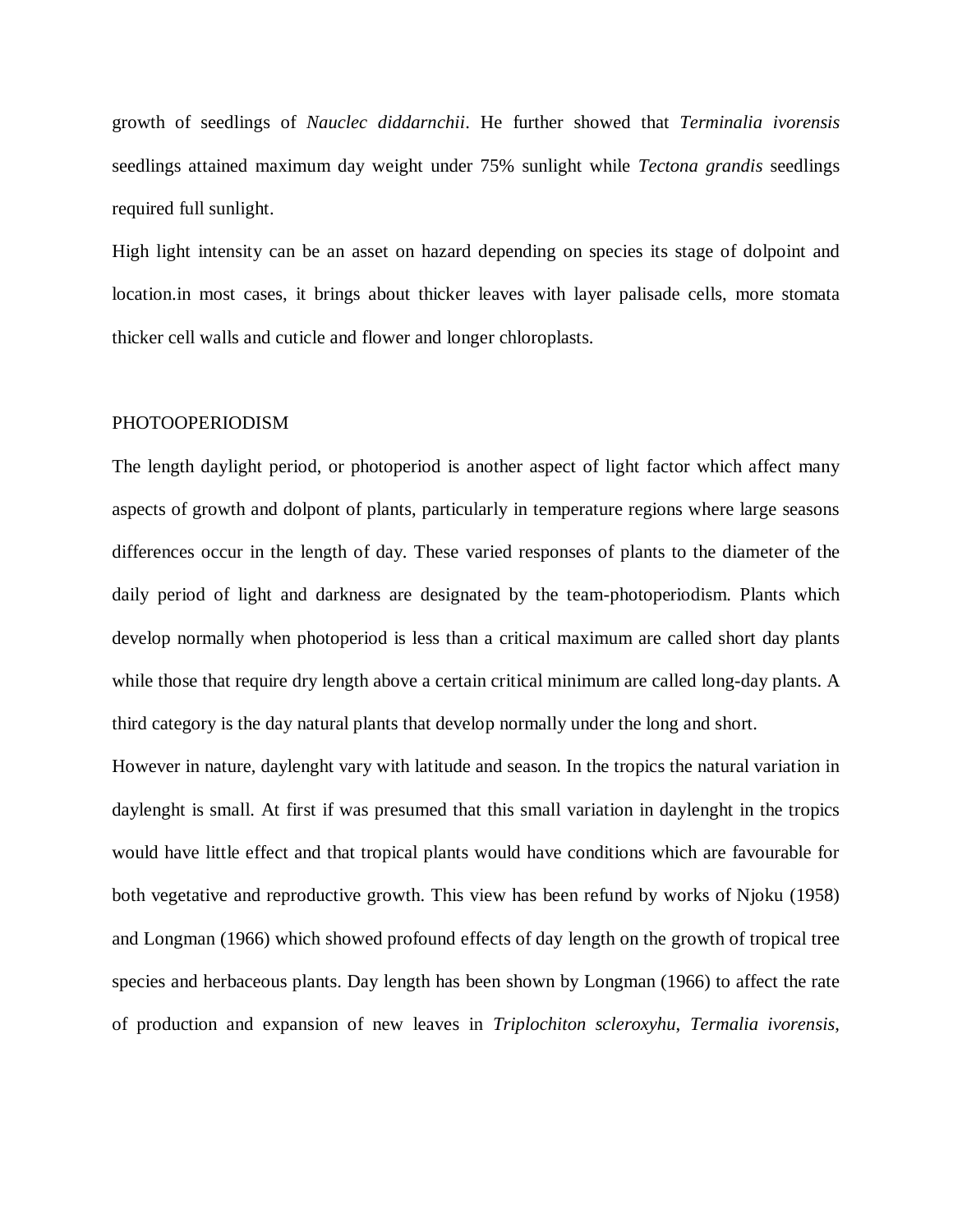growth of seedlings of *Nauclec diddarnchii*. He further showed that *Terminalia ivorensis* seedlings attained maximum day weight under 75% sunlight while *Tectona grandis* seedlings required full sunlight.

High light intensity can be an asset on hazard depending on species its stage of dolpoint and location.in most cases, it brings about thicker leaves with layer palisade cells, more stomata thicker cell walls and cuticle and flower and longer chloroplasts.

#### PHOTOOPERIODISM

The length daylight period, or photoperiod is another aspect of light factor which affect many aspects of growth and dolpont of plants, particularly in temperature regions where large seasons differences occur in the length of day. These varied responses of plants to the diameter of the daily period of light and darkness are designated by the team-photoperiodism. Plants which develop normally when photoperiod is less than a critical maximum are called short day plants while those that require dry length above a certain critical minimum are called long-day plants. A third category is the day natural plants that develop normally under the long and short.

However in nature, daylenght vary with latitude and season. In the tropics the natural variation in daylenght is small. At first if was presumed that this small variation in daylenght in the tropics would have little effect and that tropical plants would have conditions which are favourable for both vegetative and reproductive growth. This view has been refund by works of Njoku (1958) and Longman (1966) which showed profound effects of day length on the growth of tropical tree species and herbaceous plants. Day length has been shown by Longman (1966) to affect the rate of production and expansion of new leaves in *Triplochiton scleroxyhu*, *Termalia ivorensis*,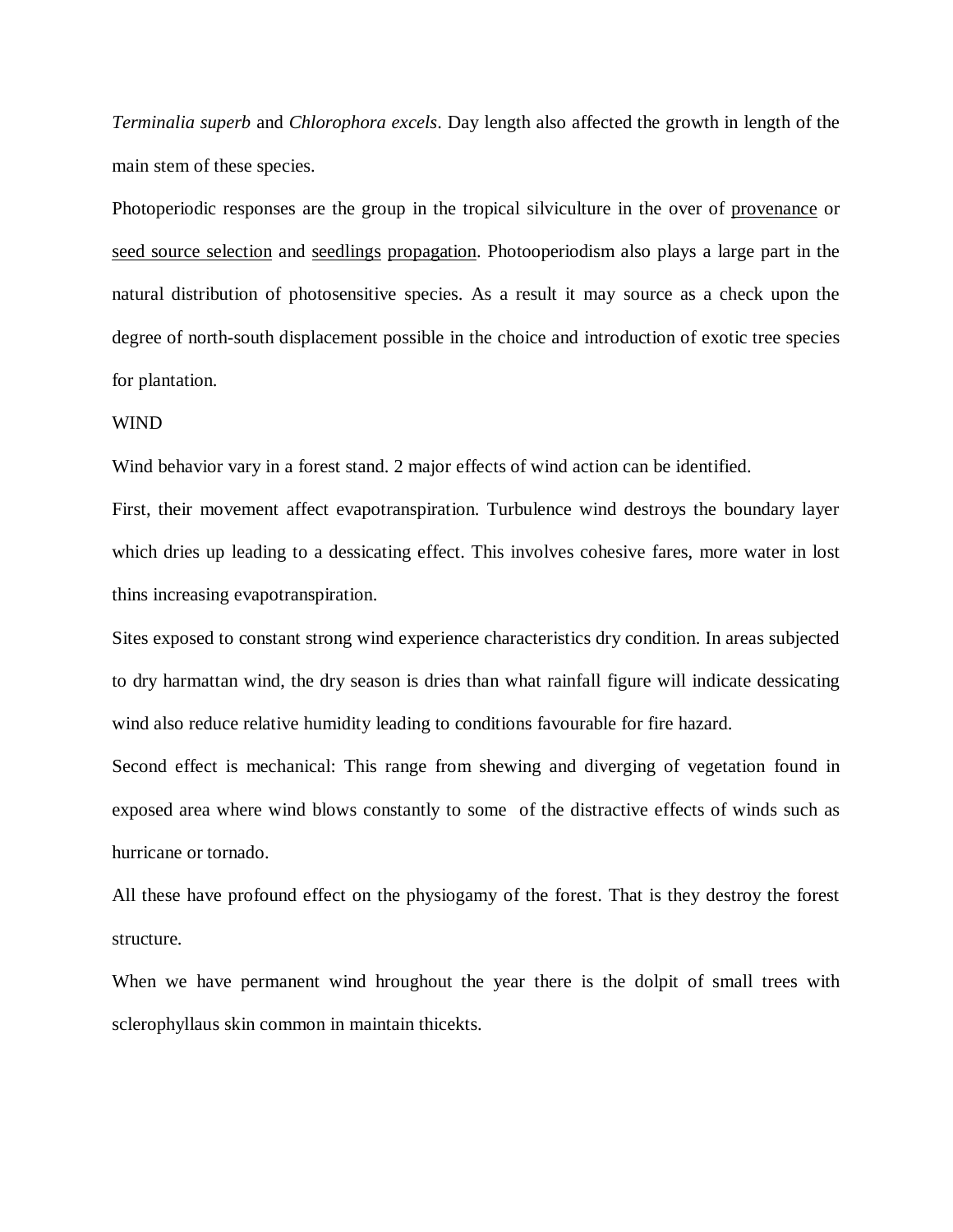*Terminalia superb* and *Chlorophora excels*. Day length also affected the growth in length of the main stem of these species.

Photoperiodic responses are the group in the tropical silviculture in the over of provenance or seed source selection and seedlings propagation. Photooperiodism also plays a large part in the natural distribution of photosensitive species. As a result it may source as a check upon the degree of north-south displacement possible in the choice and introduction of exotic tree species for plantation.

#### WIND

Wind behavior vary in a forest stand. 2 major effects of wind action can be identified.

First, their movement affect evapotranspiration. Turbulence wind destroys the boundary layer which dries up leading to a dessicating effect. This involves cohesive fares, more water in lost thins increasing evapotranspiration.

Sites exposed to constant strong wind experience characteristics dry condition. In areas subjected to dry harmattan wind, the dry season is dries than what rainfall figure will indicate dessicating wind also reduce relative humidity leading to conditions favourable for fire hazard.

Second effect is mechanical: This range from shewing and diverging of vegetation found in exposed area where wind blows constantly to some of the distractive effects of winds such as hurricane or tornado.

All these have profound effect on the physiogamy of the forest. That is they destroy the forest structure.

When we have permanent wind hroughout the year there is the dolpit of small trees with sclerophyllaus skin common in maintain thicekts.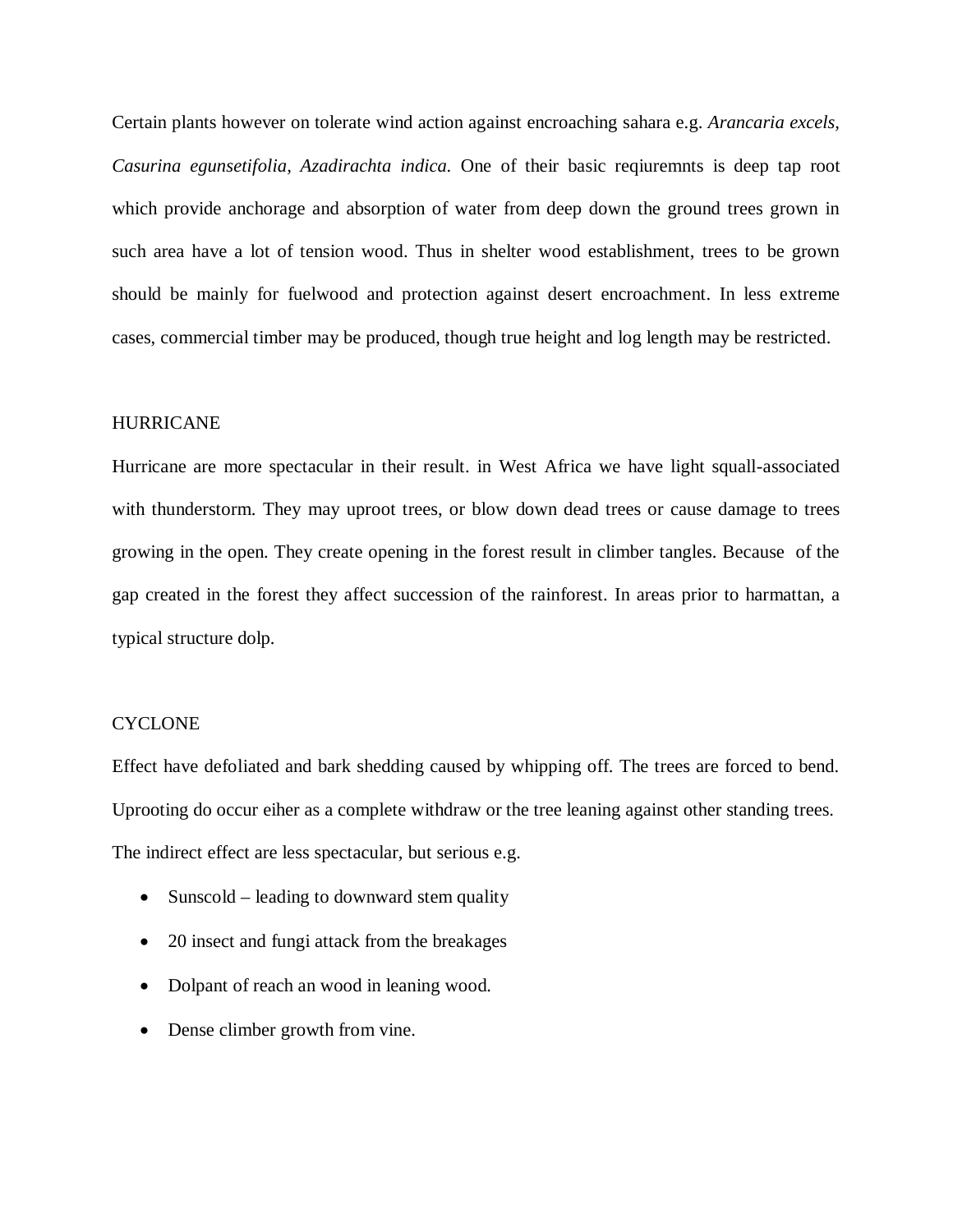Certain plants however on tolerate wind action against encroaching sahara e.g. *Arancaria excels, Casurina egunsetifolia, Azadirachta indica.* One of their basic reqiuremnts is deep tap root which provide anchorage and absorption of water from deep down the ground trees grown in such area have a lot of tension wood. Thus in shelter wood establishment, trees to be grown should be mainly for fuelwood and protection against desert encroachment. In less extreme cases, commercial timber may be produced, though true height and log length may be restricted.

#### HURRICANE

Hurricane are more spectacular in their result. in West Africa we have light squall-associated with thunderstorm. They may uproot trees, or blow down dead trees or cause damage to trees growing in the open. They create opening in the forest result in climber tangles. Because of the gap created in the forest they affect succession of the rainforest. In areas prior to harmattan, a typical structure dolp.

#### **CYCLONE**

Effect have defoliated and bark shedding caused by whipping off. The trees are forced to bend. Uprooting do occur eiher as a complete withdraw or the tree leaning against other standing trees. The indirect effect are less spectacular, but serious e.g.

- Sunscold leading to downward stem quality
- 20 insect and fungi attack from the breakages
- Dolpant of reach an wood in leaning wood.
- Dense climber growth from vine.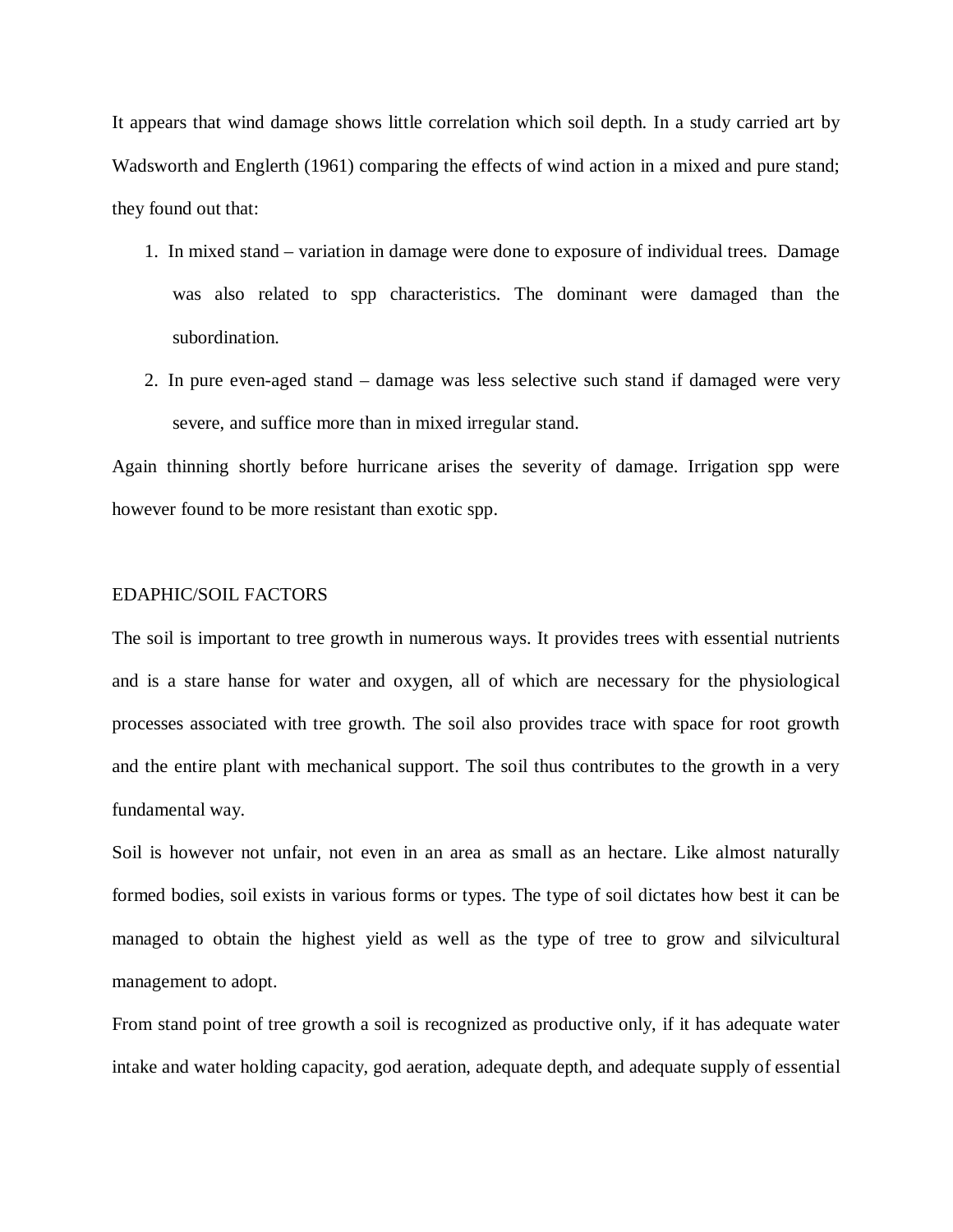It appears that wind damage shows little correlation which soil depth. In a study carried art by Wadsworth and Englerth (1961) comparing the effects of wind action in a mixed and pure stand; they found out that:

- 1. In mixed stand variation in damage were done to exposure of individual trees. Damage was also related to spp characteristics. The dominant were damaged than the subordination.
- 2. In pure even-aged stand damage was less selective such stand if damaged were very severe, and suffice more than in mixed irregular stand.

Again thinning shortly before hurricane arises the severity of damage. Irrigation spp were however found to be more resistant than exotic spp.

## EDAPHIC/SOIL FACTORS

The soil is important to tree growth in numerous ways. It provides trees with essential nutrients and is a stare hanse for water and oxygen, all of which are necessary for the physiological processes associated with tree growth. The soil also provides trace with space for root growth and the entire plant with mechanical support. The soil thus contributes to the growth in a very fundamental way.

Soil is however not unfair, not even in an area as small as an hectare. Like almost naturally formed bodies, soil exists in various forms or types. The type of soil dictates how best it can be managed to obtain the highest yield as well as the type of tree to grow and silvicultural management to adopt.

From stand point of tree growth a soil is recognized as productive only, if it has adequate water intake and water holding capacity, god aeration, adequate depth, and adequate supply of essential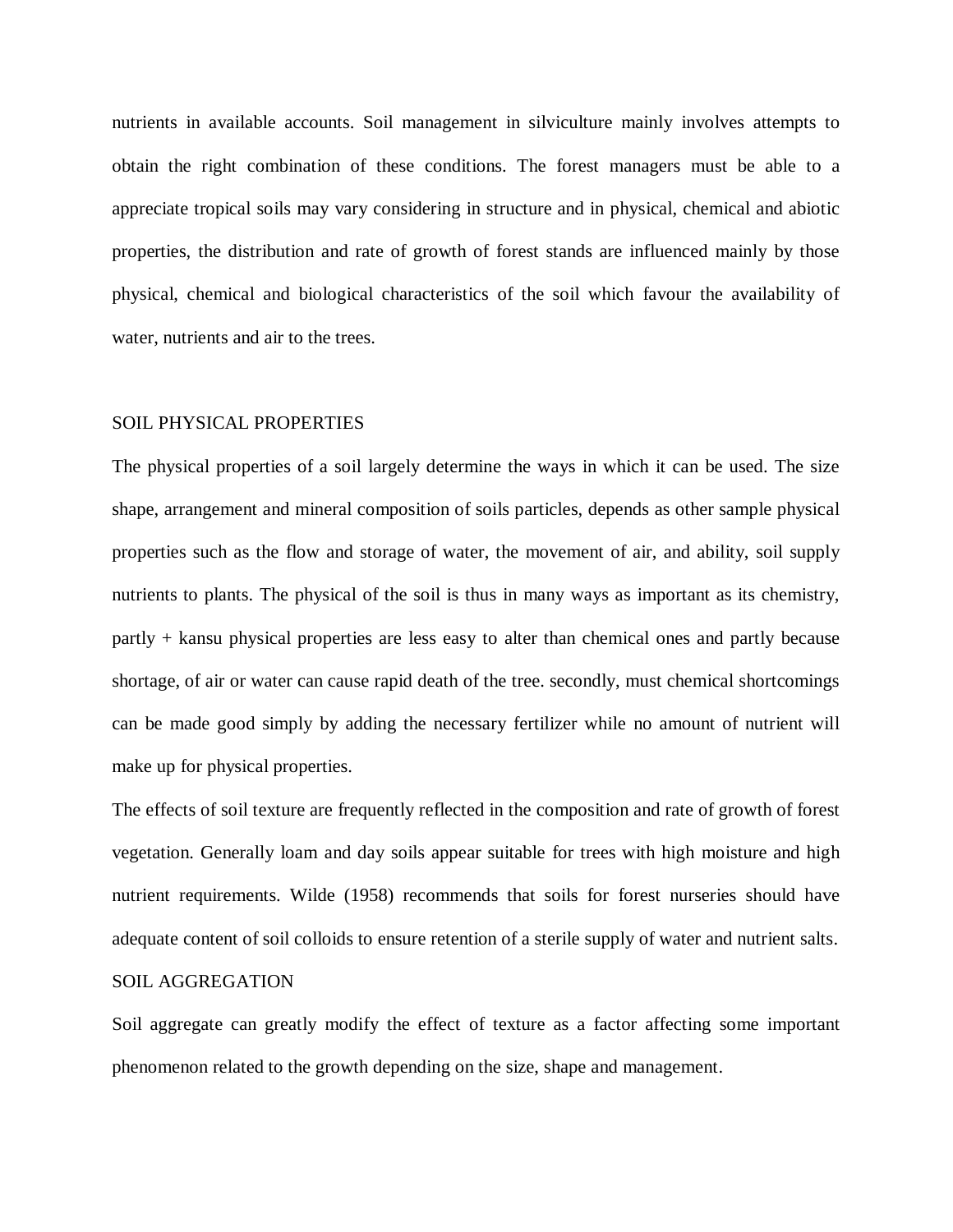nutrients in available accounts. Soil management in silviculture mainly involves attempts to obtain the right combination of these conditions. The forest managers must be able to a appreciate tropical soils may vary considering in structure and in physical, chemical and abiotic properties, the distribution and rate of growth of forest stands are influenced mainly by those physical, chemical and biological characteristics of the soil which favour the availability of water, nutrients and air to the trees.

#### SOIL PHYSICAL PROPERTIES

The physical properties of a soil largely determine the ways in which it can be used. The size shape, arrangement and mineral composition of soils particles, depends as other sample physical properties such as the flow and storage of water, the movement of air, and ability, soil supply nutrients to plants. The physical of the soil is thus in many ways as important as its chemistry, partly + kansu physical properties are less easy to alter than chemical ones and partly because shortage, of air or water can cause rapid death of the tree. secondly, must chemical shortcomings can be made good simply by adding the necessary fertilizer while no amount of nutrient will make up for physical properties.

The effects of soil texture are frequently reflected in the composition and rate of growth of forest vegetation. Generally loam and day soils appear suitable for trees with high moisture and high nutrient requirements. Wilde (1958) recommends that soils for forest nurseries should have adequate content of soil colloids to ensure retention of a sterile supply of water and nutrient salts.

#### SOIL AGGREGATION

Soil aggregate can greatly modify the effect of texture as a factor affecting some important phenomenon related to the growth depending on the size, shape and management.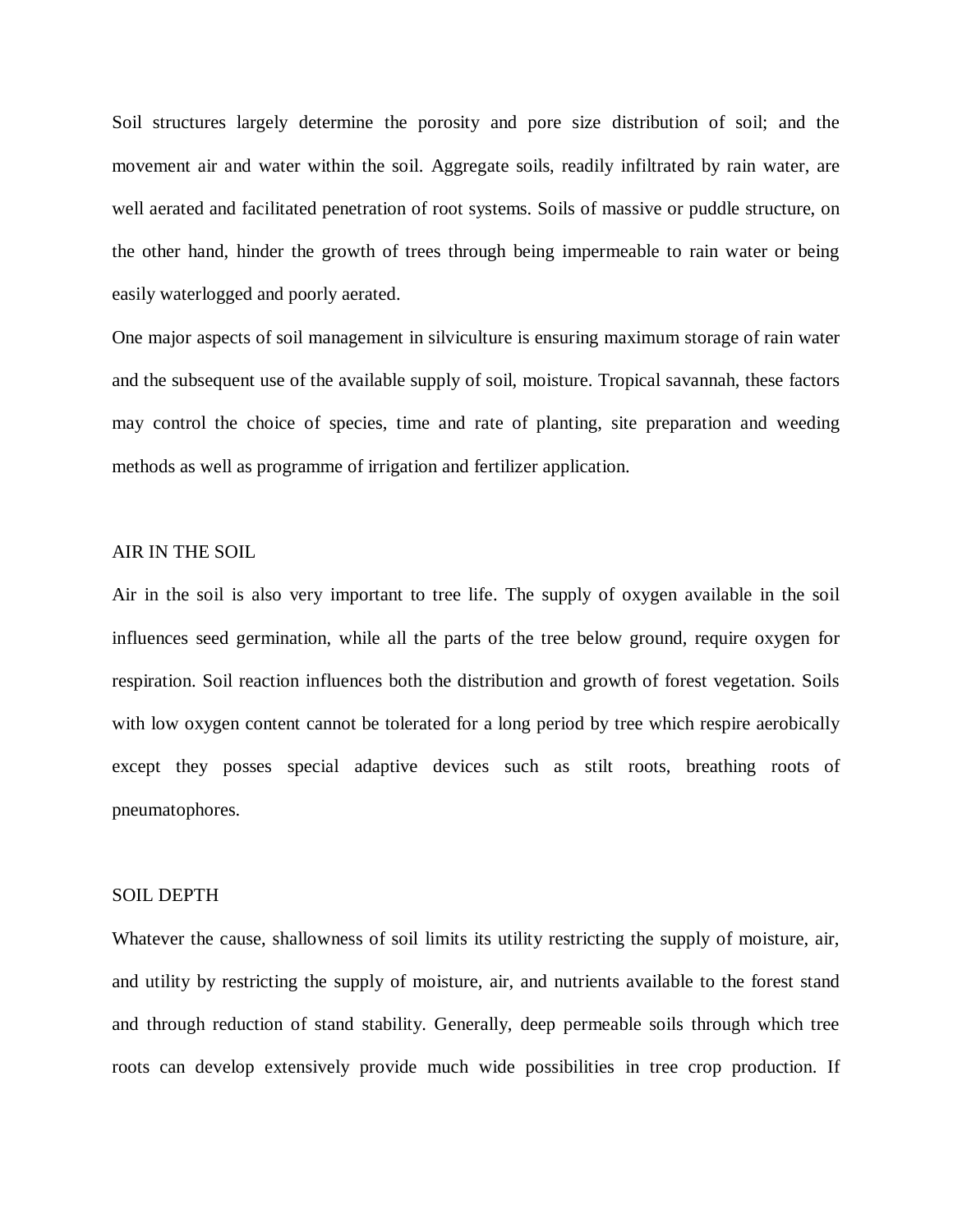Soil structures largely determine the porosity and pore size distribution of soil; and the movement air and water within the soil. Aggregate soils, readily infiltrated by rain water, are well aerated and facilitated penetration of root systems. Soils of massive or puddle structure, on the other hand, hinder the growth of trees through being impermeable to rain water or being easily waterlogged and poorly aerated.

One major aspects of soil management in silviculture is ensuring maximum storage of rain water and the subsequent use of the available supply of soil, moisture. Tropical savannah, these factors may control the choice of species, time and rate of planting, site preparation and weeding methods as well as programme of irrigation and fertilizer application.

#### AIR IN THE SOIL

Air in the soil is also very important to tree life. The supply of oxygen available in the soil influences seed germination, while all the parts of the tree below ground, require oxygen for respiration. Soil reaction influences both the distribution and growth of forest vegetation. Soils with low oxygen content cannot be tolerated for a long period by tree which respire aerobically except they posses special adaptive devices such as stilt roots, breathing roots of pneumatophores.

#### SOIL DEPTH

Whatever the cause, shallowness of soil limits its utility restricting the supply of moisture, air, and utility by restricting the supply of moisture, air, and nutrients available to the forest stand and through reduction of stand stability. Generally, deep permeable soils through which tree roots can develop extensively provide much wide possibilities in tree crop production. If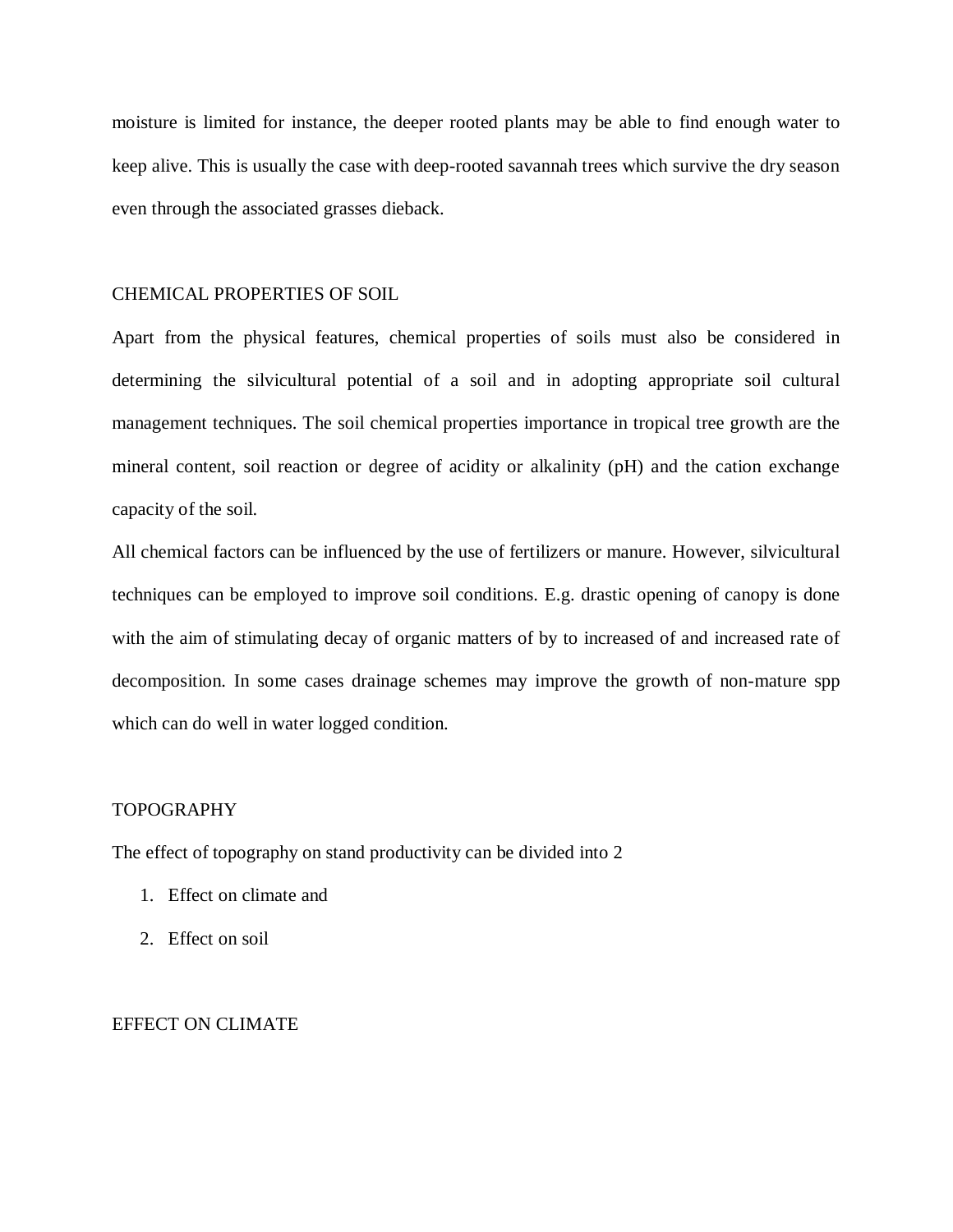moisture is limited for instance, the deeper rooted plants may be able to find enough water to keep alive. This is usually the case with deep-rooted savannah trees which survive the dry season even through the associated grasses dieback.

## CHEMICAL PROPERTIES OF SOIL

Apart from the physical features, chemical properties of soils must also be considered in determining the silvicultural potential of a soil and in adopting appropriate soil cultural management techniques. The soil chemical properties importance in tropical tree growth are the mineral content, soil reaction or degree of acidity or alkalinity (pH) and the cation exchange capacity of the soil.

All chemical factors can be influenced by the use of fertilizers or manure. However, silvicultural techniques can be employed to improve soil conditions. E.g. drastic opening of canopy is done with the aim of stimulating decay of organic matters of by to increased of and increased rate of decomposition. In some cases drainage schemes may improve the growth of non-mature spp which can do well in water logged condition.

#### TOPOGRAPHY

The effect of topography on stand productivity can be divided into 2

- 1. Effect on climate and
- 2. Effect on soil

#### EFFECT ON CLIMATE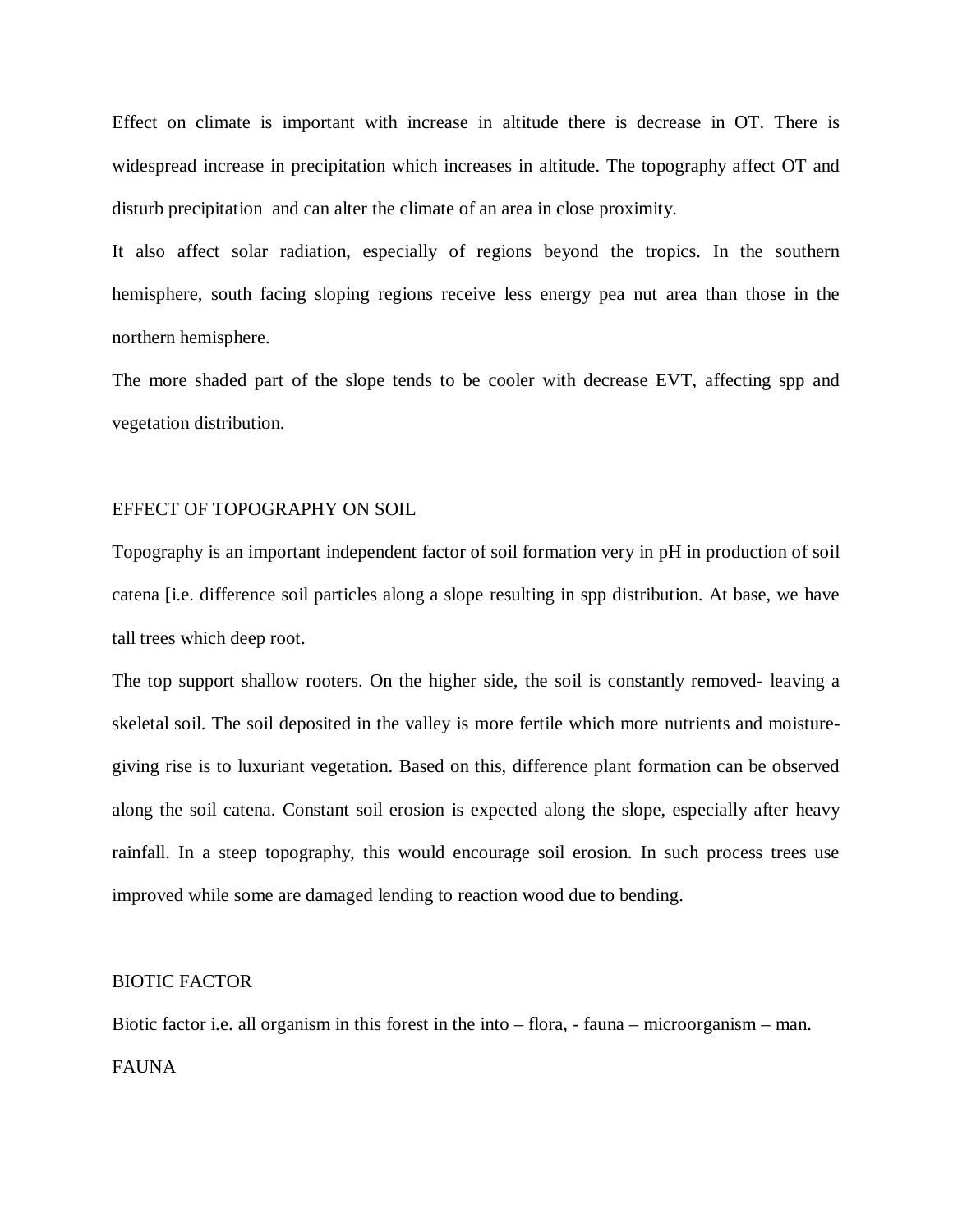Effect on climate is important with increase in altitude there is decrease in OT. There is widespread increase in precipitation which increases in altitude. The topography affect OT and disturb precipitation and can alter the climate of an area in close proximity.

It also affect solar radiation, especially of regions beyond the tropics. In the southern hemisphere, south facing sloping regions receive less energy pea nut area than those in the northern hemisphere.

The more shaded part of the slope tends to be cooler with decrease EVT, affecting spp and vegetation distribution.

#### EFFECT OF TOPOGRAPHY ON SOIL

Topography is an important independent factor of soil formation very in pH in production of soil catena [i.e. difference soil particles along a slope resulting in spp distribution. At base, we have tall trees which deep root.

The top support shallow rooters. On the higher side, the soil is constantly removed- leaving a skeletal soil. The soil deposited in the valley is more fertile which more nutrients and moisturegiving rise is to luxuriant vegetation. Based on this, difference plant formation can be observed along the soil catena. Constant soil erosion is expected along the slope, especially after heavy rainfall. In a steep topography, this would encourage soil erosion. In such process trees use improved while some are damaged lending to reaction wood due to bending.

#### BIOTIC FACTOR

Biotic factor i.e. all organism in this forest in the into – flora, - fauna – microorganism – man. FAUNA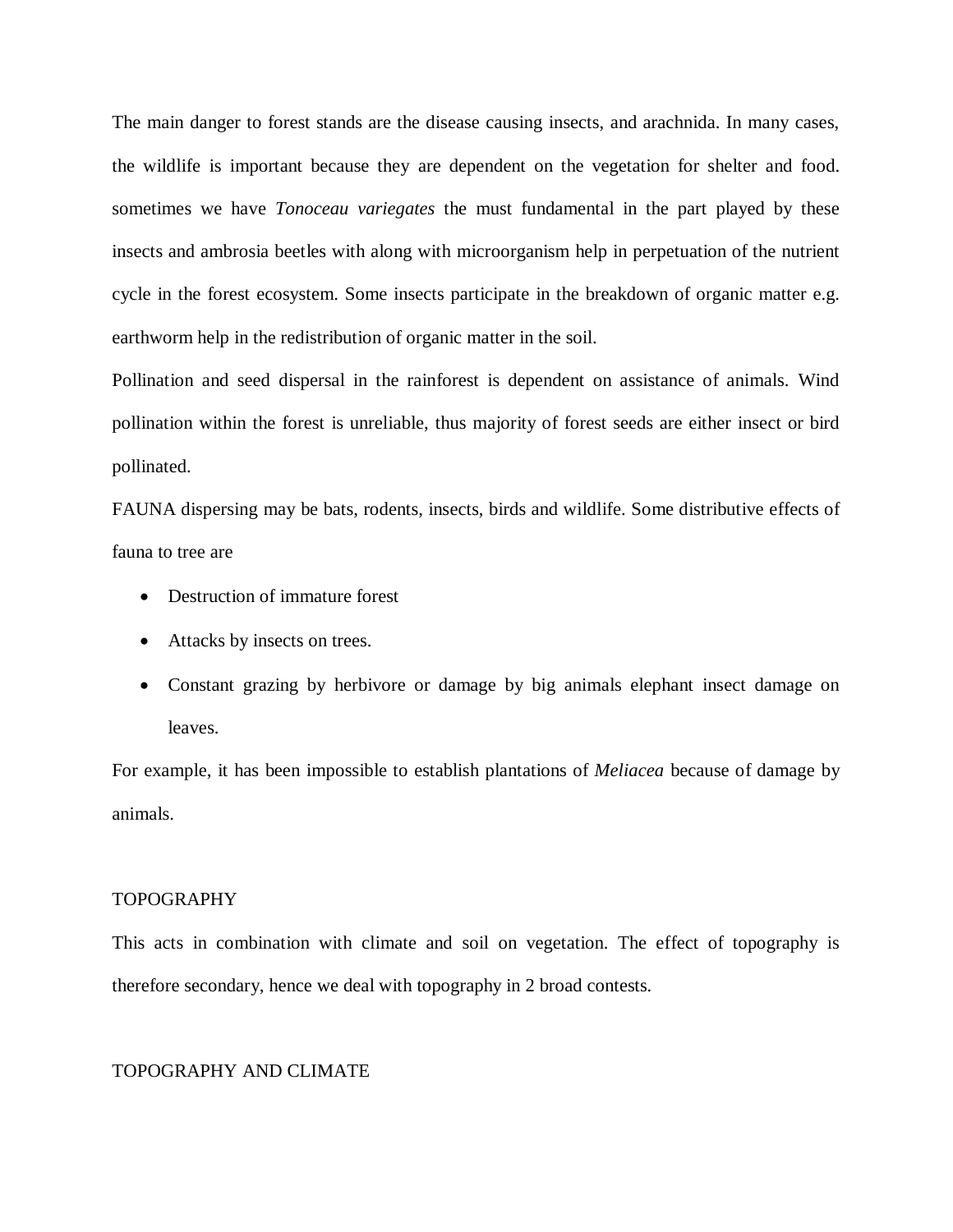The main danger to forest stands are the disease causing insects, and arachnida. In many cases, the wildlife is important because they are dependent on the vegetation for shelter and food. sometimes we have *Tonoceau variegates* the must fundamental in the part played by these insects and ambrosia beetles with along with microorganism help in perpetuation of the nutrient cycle in the forest ecosystem. Some insects participate in the breakdown of organic matter e.g. earthworm help in the redistribution of organic matter in the soil.

Pollination and seed dispersal in the rainforest is dependent on assistance of animals. Wind pollination within the forest is unreliable, thus majority of forest seeds are either insect or bird pollinated.

FAUNA dispersing may be bats, rodents, insects, birds and wildlife. Some distributive effects of fauna to tree are

- Destruction of immature forest
- Attacks by insects on trees.
- Constant grazing by herbivore or damage by big animals elephant insect damage on leaves.

For example, it has been impossible to establish plantations of *Meliacea* because of damage by animals.

## TOPOGRAPHY

This acts in combination with climate and soil on vegetation. The effect of topography is therefore secondary, hence we deal with topography in 2 broad contests.

## TOPOGRAPHY AND CLIMATE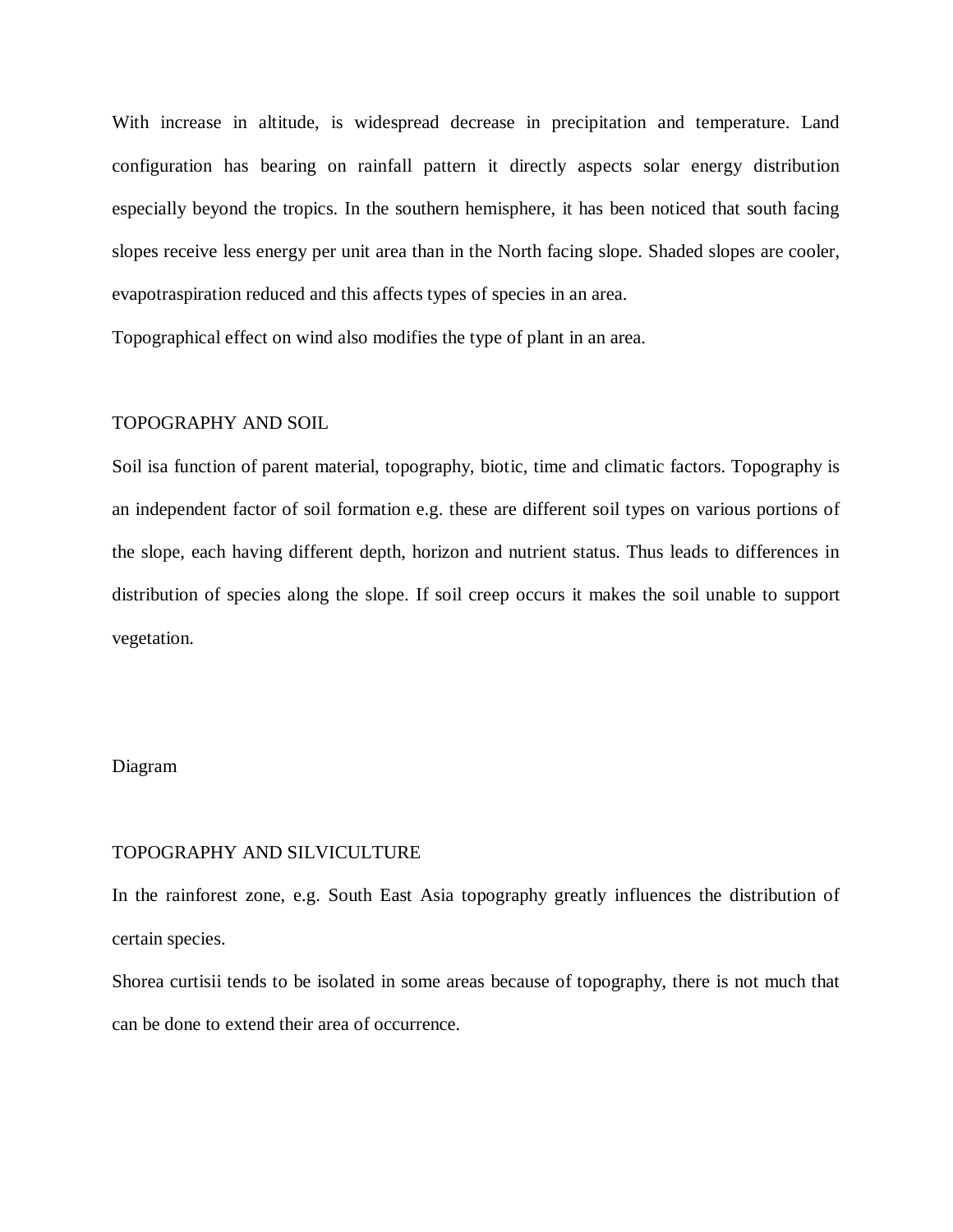With increase in altitude, is widespread decrease in precipitation and temperature. Land configuration has bearing on rainfall pattern it directly aspects solar energy distribution especially beyond the tropics. In the southern hemisphere, it has been noticed that south facing slopes receive less energy per unit area than in the North facing slope. Shaded slopes are cooler, evapotraspiration reduced and this affects types of species in an area.

Topographical effect on wind also modifies the type of plant in an area.

#### TOPOGRAPHY AND SOIL

Soil isa function of parent material, topography, biotic, time and climatic factors. Topography is an independent factor of soil formation e.g. these are different soil types on various portions of the slope, each having different depth, horizon and nutrient status. Thus leads to differences in distribution of species along the slope. If soil creep occurs it makes the soil unable to support vegetation.

## Diagram

#### TOPOGRAPHY AND SILVICULTURE

In the rainforest zone, e.g. South East Asia topography greatly influences the distribution of certain species.

Shorea curtisii tends to be isolated in some areas because of topography, there is not much that can be done to extend their area of occurrence.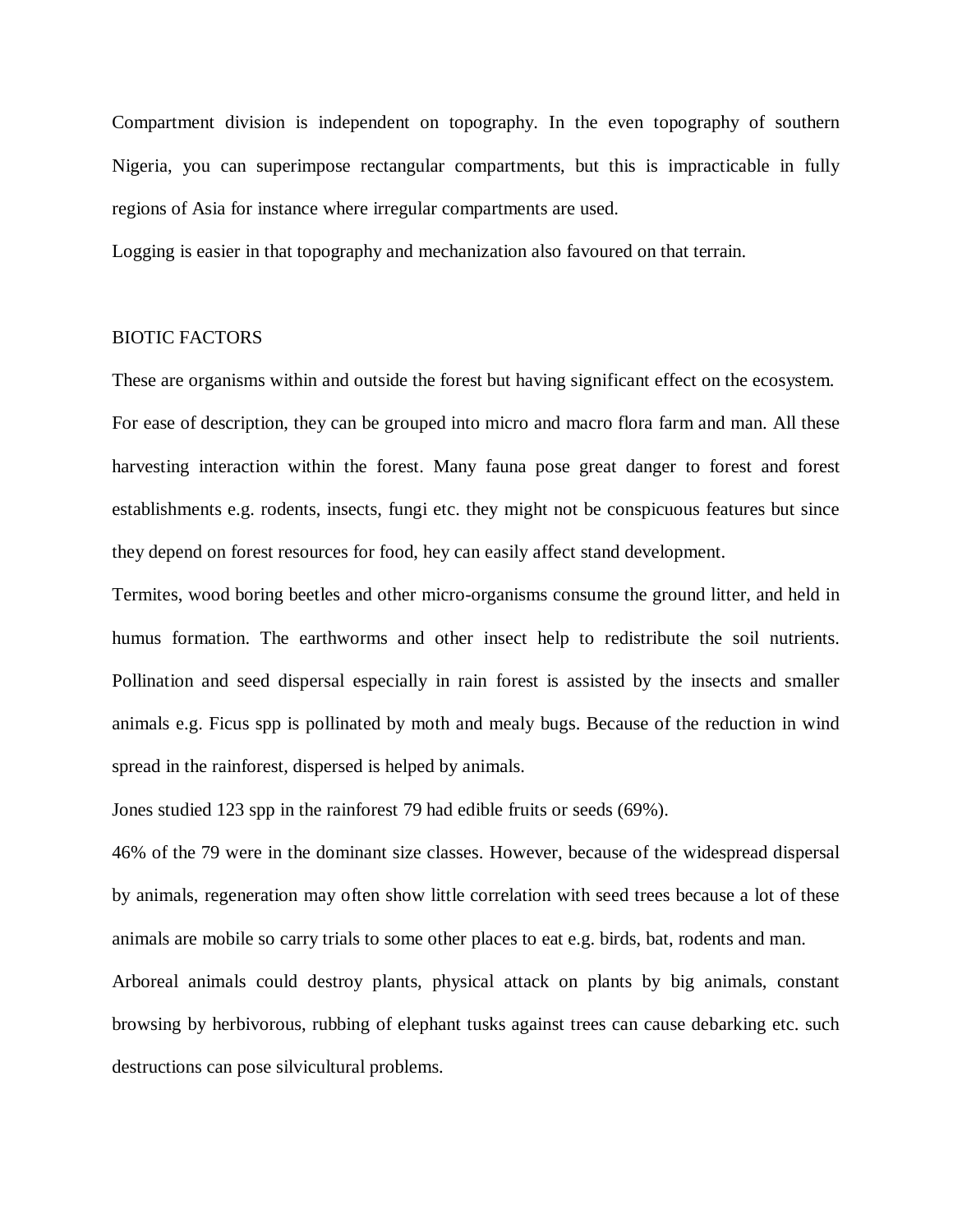Compartment division is independent on topography. In the even topography of southern Nigeria, you can superimpose rectangular compartments, but this is impracticable in fully regions of Asia for instance where irregular compartments are used.

Logging is easier in that topography and mechanization also favoured on that terrain.

#### BIOTIC FACTORS

These are organisms within and outside the forest but having significant effect on the ecosystem. For ease of description, they can be grouped into micro and macro flora farm and man. All these harvesting interaction within the forest. Many fauna pose great danger to forest and forest establishments e.g. rodents, insects, fungi etc. they might not be conspicuous features but since they depend on forest resources for food, hey can easily affect stand development.

Termites, wood boring beetles and other micro-organisms consume the ground litter, and held in humus formation. The earthworms and other insect help to redistribute the soil nutrients. Pollination and seed dispersal especially in rain forest is assisted by the insects and smaller animals e.g. Ficus spp is pollinated by moth and mealy bugs. Because of the reduction in wind spread in the rainforest, dispersed is helped by animals.

Jones studied 123 spp in the rainforest 79 had edible fruits or seeds (69%).

46% of the 79 were in the dominant size classes. However, because of the widespread dispersal by animals, regeneration may often show little correlation with seed trees because a lot of these animals are mobile so carry trials to some other places to eat e.g. birds, bat, rodents and man.

Arboreal animals could destroy plants, physical attack on plants by big animals, constant browsing by herbivorous, rubbing of elephant tusks against trees can cause debarking etc. such destructions can pose silvicultural problems.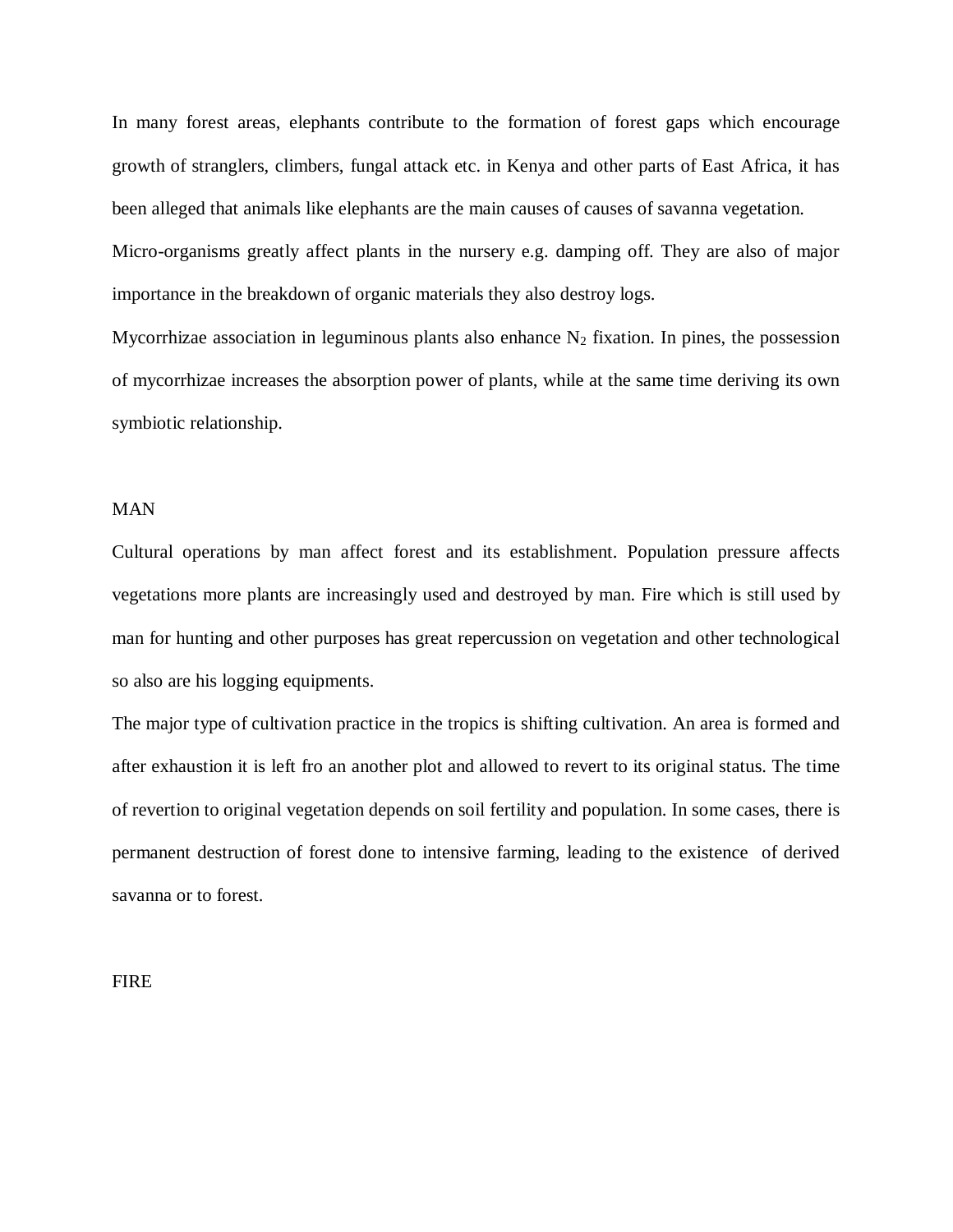In many forest areas, elephants contribute to the formation of forest gaps which encourage growth of stranglers, climbers, fungal attack etc. in Kenya and other parts of East Africa, it has been alleged that animals like elephants are the main causes of causes of savanna vegetation.

Micro-organisms greatly affect plants in the nursery e.g. damping off. They are also of major importance in the breakdown of organic materials they also destroy logs.

Mycorrhizae association in leguminous plants also enhance  $N_2$  fixation. In pines, the possession of mycorrhizae increases the absorption power of plants, while at the same time deriving its own symbiotic relationship.

#### MAN

Cultural operations by man affect forest and its establishment. Population pressure affects vegetations more plants are increasingly used and destroyed by man. Fire which is still used by man for hunting and other purposes has great repercussion on vegetation and other technological so also are his logging equipments.

The major type of cultivation practice in the tropics is shifting cultivation. An area is formed and after exhaustion it is left fro an another plot and allowed to revert to its original status. The time of revertion to original vegetation depends on soil fertility and population. In some cases, there is permanent destruction of forest done to intensive farming, leading to the existence of derived savanna or to forest.

FIRE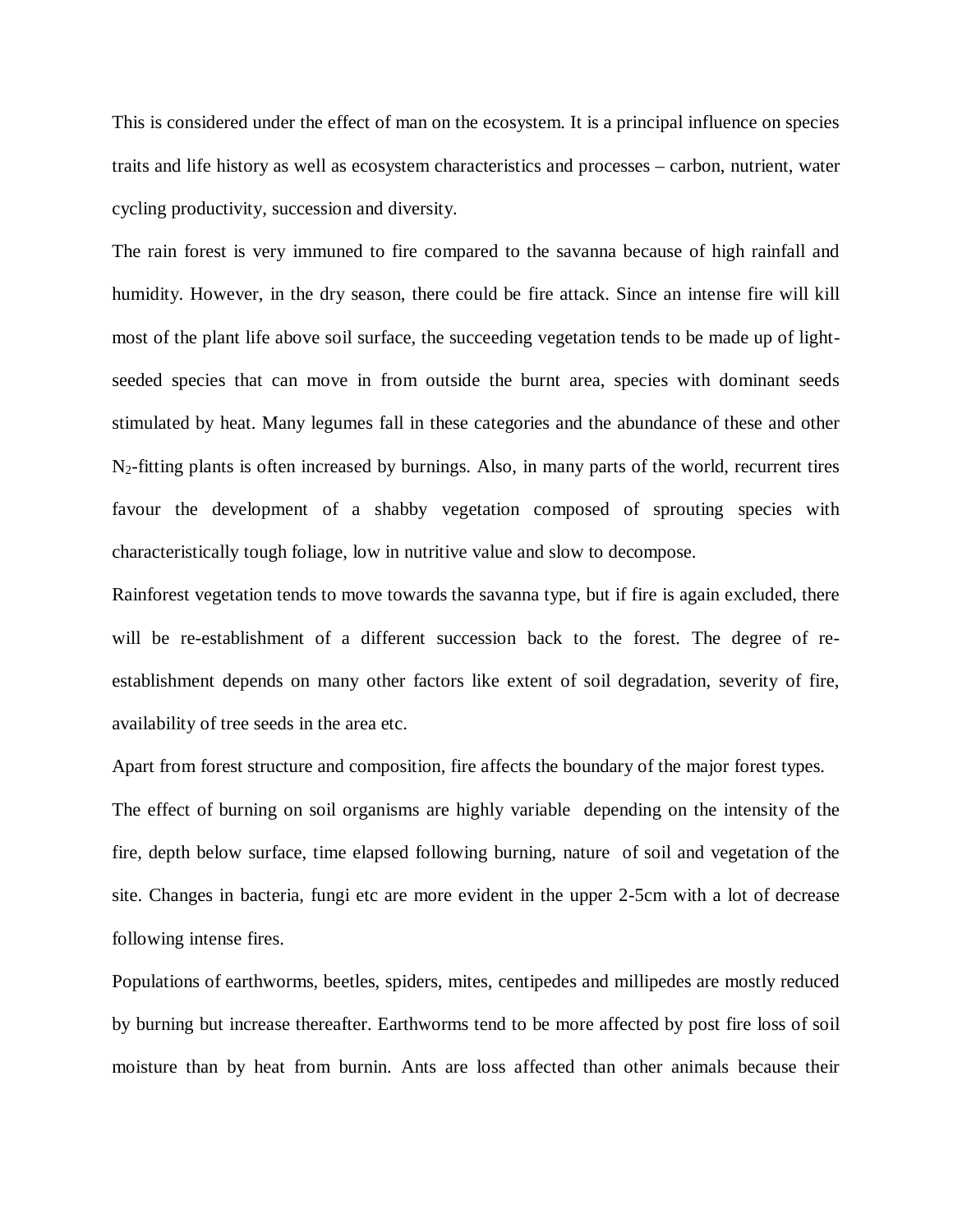This is considered under the effect of man on the ecosystem. It is a principal influence on species traits and life history as well as ecosystem characteristics and processes – carbon, nutrient, water cycling productivity, succession and diversity.

The rain forest is very immuned to fire compared to the savanna because of high rainfall and humidity. However, in the dry season, there could be fire attack. Since an intense fire will kill most of the plant life above soil surface, the succeeding vegetation tends to be made up of lightseeded species that can move in from outside the burnt area, species with dominant seeds stimulated by heat. Many legumes fall in these categories and the abundance of these and other N2-fitting plants is often increased by burnings. Also, in many parts of the world, recurrent tires favour the development of a shabby vegetation composed of sprouting species with characteristically tough foliage, low in nutritive value and slow to decompose.

Rainforest vegetation tends to move towards the savanna type, but if fire is again excluded, there will be re-establishment of a different succession back to the forest. The degree of reestablishment depends on many other factors like extent of soil degradation, severity of fire, availability of tree seeds in the area etc.

Apart from forest structure and composition, fire affects the boundary of the major forest types. The effect of burning on soil organisms are highly variable depending on the intensity of the fire, depth below surface, time elapsed following burning, nature of soil and vegetation of the site. Changes in bacteria, fungi etc are more evident in the upper 2-5cm with a lot of decrease following intense fires.

Populations of earthworms, beetles, spiders, mites, centipedes and millipedes are mostly reduced by burning but increase thereafter. Earthworms tend to be more affected by post fire loss of soil moisture than by heat from burnin. Ants are loss affected than other animals because their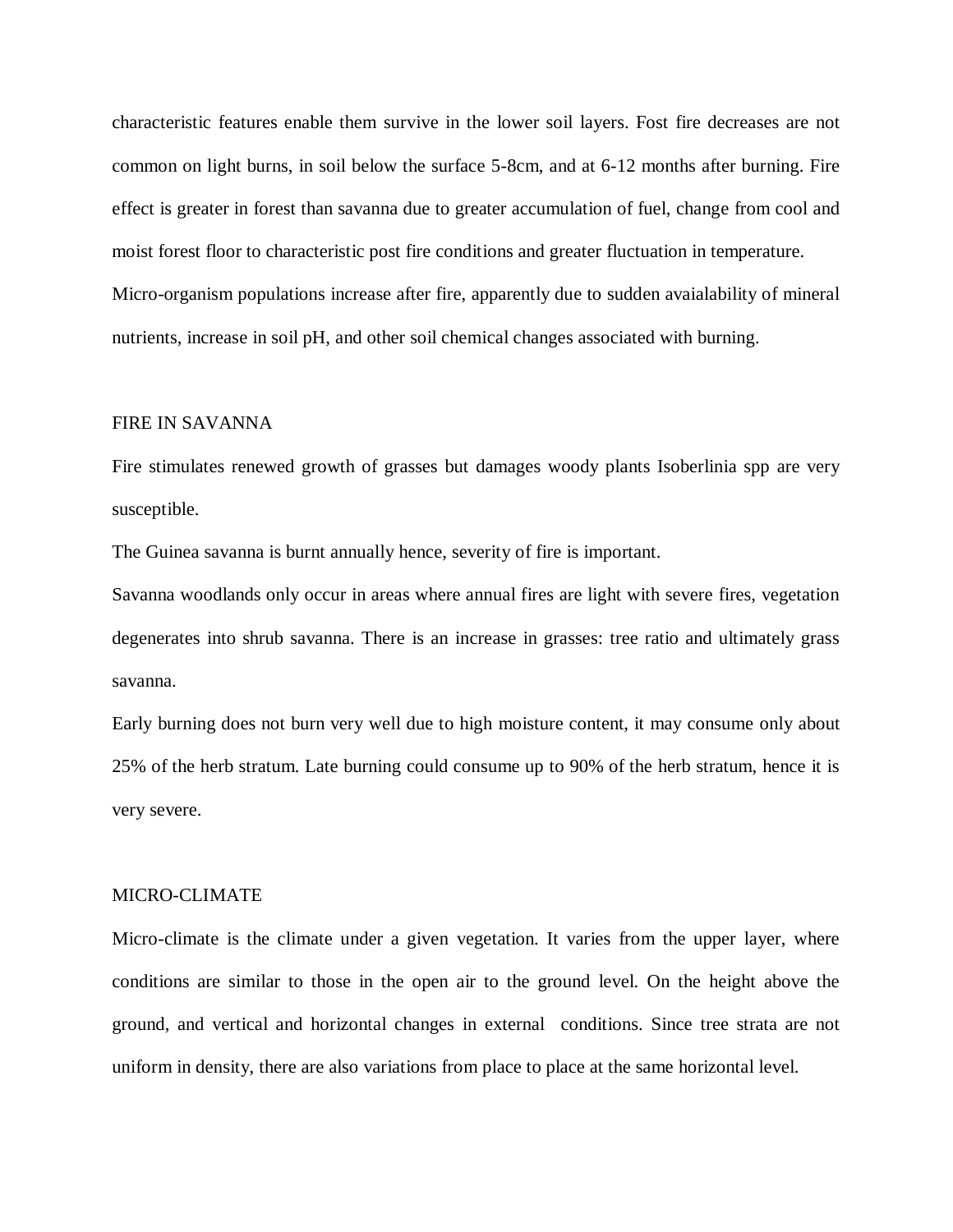characteristic features enable them survive in the lower soil layers. Fost fire decreases are not common on light burns, in soil below the surface 5-8cm, and at 6-12 months after burning. Fire effect is greater in forest than savanna due to greater accumulation of fuel, change from cool and moist forest floor to characteristic post fire conditions and greater fluctuation in temperature. Micro-organism populations increase after fire, apparently due to sudden avaialability of mineral nutrients, increase in soil pH, and other soil chemical changes associated with burning.

#### FIRE IN SAVANNA

Fire stimulates renewed growth of grasses but damages woody plants Isoberlinia spp are very susceptible.

The Guinea savanna is burnt annually hence, severity of fire is important.

Savanna woodlands only occur in areas where annual fires are light with severe fires, vegetation degenerates into shrub savanna. There is an increase in grasses: tree ratio and ultimately grass savanna.

Early burning does not burn very well due to high moisture content, it may consume only about 25% of the herb stratum. Late burning could consume up to 90% of the herb stratum, hence it is very severe.

#### MICRO-CLIMATE

Micro-climate is the climate under a given vegetation. It varies from the upper layer, where conditions are similar to those in the open air to the ground level. On the height above the ground, and vertical and horizontal changes in external conditions. Since tree strata are not uniform in density, there are also variations from place to place at the same horizontal level.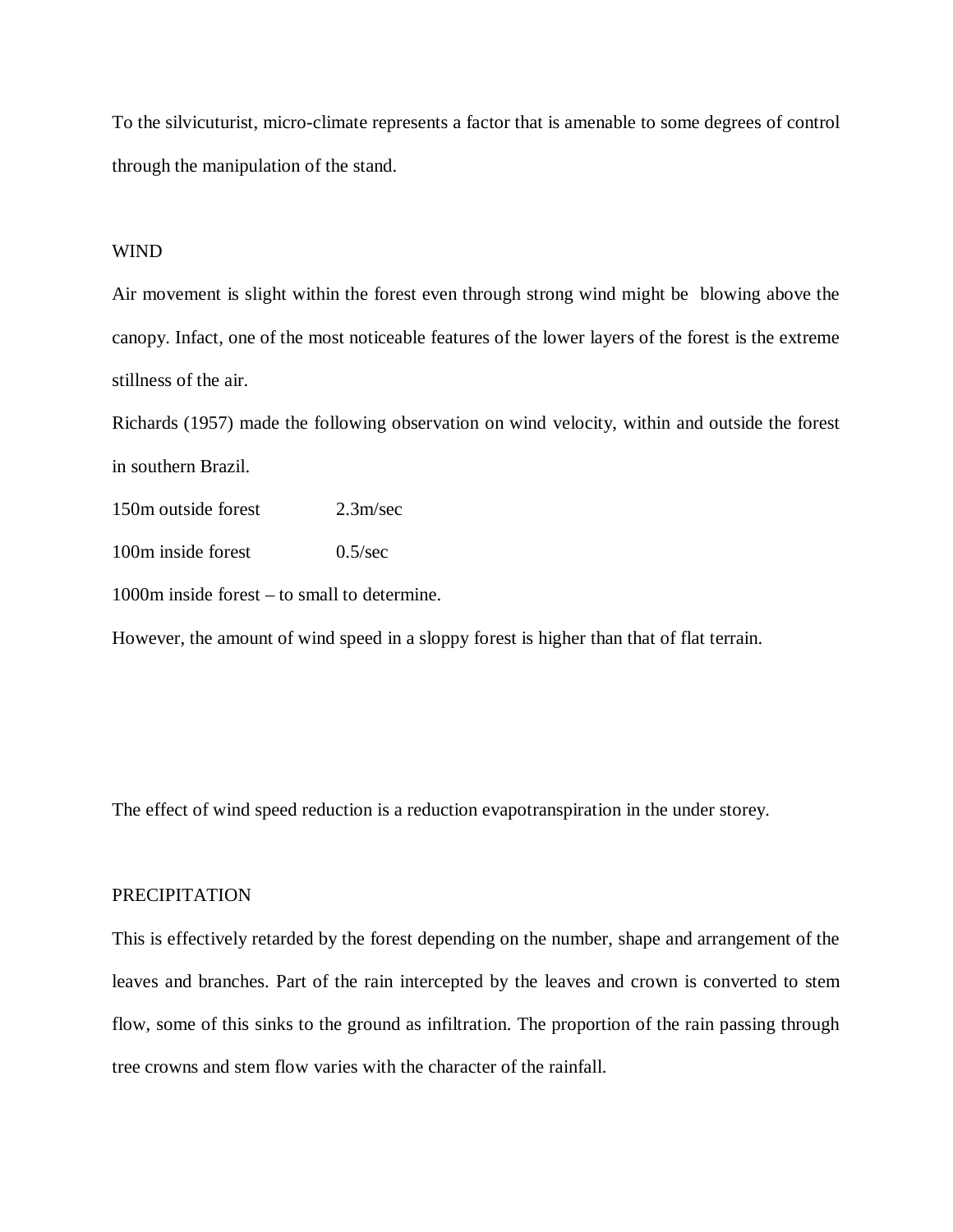To the silvicuturist, micro-climate represents a factor that is amenable to some degrees of control through the manipulation of the stand.

#### WIND

Air movement is slight within the forest even through strong wind might be blowing above the canopy. Infact, one of the most noticeable features of the lower layers of the forest is the extreme stillness of the air.

Richards (1957) made the following observation on wind velocity, within and outside the forest in southern Brazil.

150m outside forest 2.3m/sec

100m inside forest 0.5/sec

1000m inside forest – to small to determine.

However, the amount of wind speed in a sloppy forest is higher than that of flat terrain.

The effect of wind speed reduction is a reduction evapotranspiration in the under storey.

#### PRECIPITATION

This is effectively retarded by the forest depending on the number, shape and arrangement of the leaves and branches. Part of the rain intercepted by the leaves and crown is converted to stem flow, some of this sinks to the ground as infiltration. The proportion of the rain passing through tree crowns and stem flow varies with the character of the rainfall.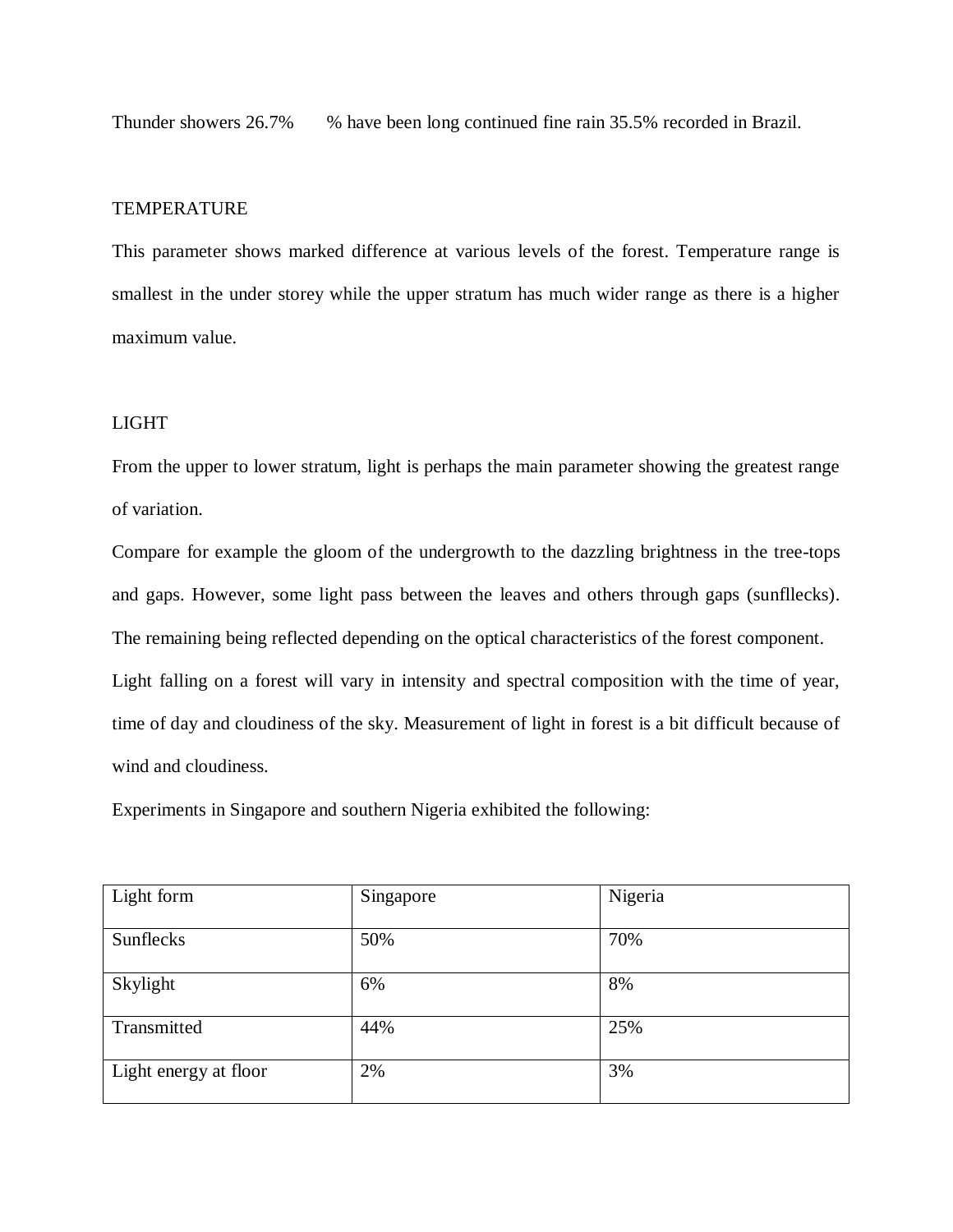Thunder showers 26.7% % have been long continued fine rain 35.5% recorded in Brazil.

## **TEMPERATURE**

This parameter shows marked difference at various levels of the forest. Temperature range is smallest in the under storey while the upper stratum has much wider range as there is a higher maximum value.

## LIGHT

From the upper to lower stratum, light is perhaps the main parameter showing the greatest range of variation.

Compare for example the gloom of the undergrowth to the dazzling brightness in the tree-tops and gaps. However, some light pass between the leaves and others through gaps (sunfllecks). The remaining being reflected depending on the optical characteristics of the forest component. Light falling on a forest will vary in intensity and spectral composition with the time of year, time of day and cloudiness of the sky. Measurement of light in forest is a bit difficult because of wind and cloudiness.

Experiments in Singapore and southern Nigeria exhibited the following:

| Light form            | Singapore | Nigeria |
|-----------------------|-----------|---------|
| Sunflecks             | 50%       | 70%     |
| Skylight              | 6%        | 8%      |
| Transmitted           | 44%       | 25%     |
| Light energy at floor | 2%        | 3%      |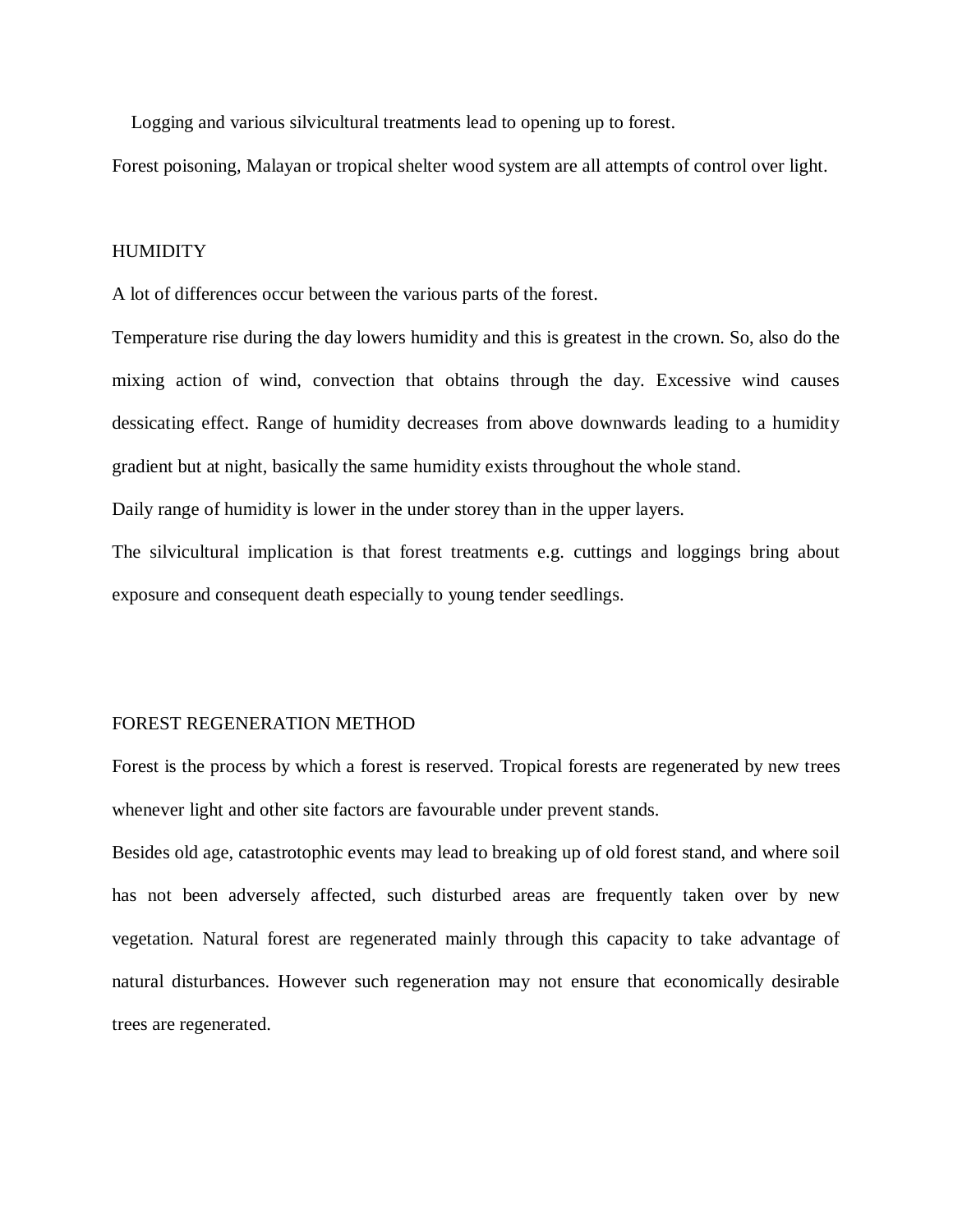Logging and various silvicultural treatments lead to opening up to forest.

Forest poisoning, Malayan or tropical shelter wood system are all attempts of control over light.

#### HUMIDITY

A lot of differences occur between the various parts of the forest.

Temperature rise during the day lowers humidity and this is greatest in the crown. So, also do the mixing action of wind, convection that obtains through the day. Excessive wind causes dessicating effect. Range of humidity decreases from above downwards leading to a humidity gradient but at night, basically the same humidity exists throughout the whole stand.

Daily range of humidity is lower in the under storey than in the upper layers.

The silvicultural implication is that forest treatments e.g. cuttings and loggings bring about exposure and consequent death especially to young tender seedlings.

#### FOREST REGENERATION METHOD

Forest is the process by which a forest is reserved. Tropical forests are regenerated by new trees whenever light and other site factors are favourable under prevent stands.

Besides old age, catastrotophic events may lead to breaking up of old forest stand, and where soil has not been adversely affected, such disturbed areas are frequently taken over by new vegetation. Natural forest are regenerated mainly through this capacity to take advantage of natural disturbances. However such regeneration may not ensure that economically desirable trees are regenerated.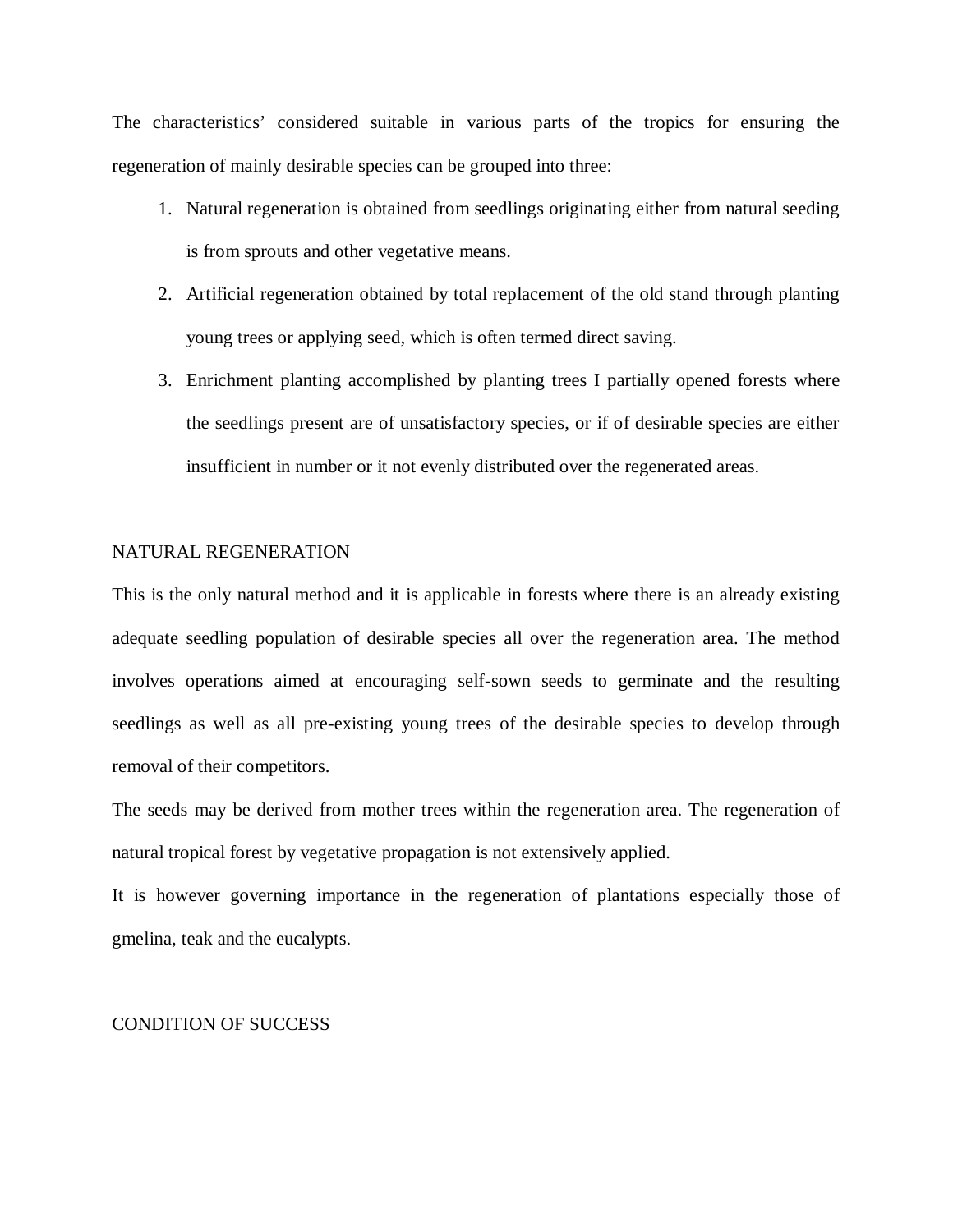The characteristics' considered suitable in various parts of the tropics for ensuring the regeneration of mainly desirable species can be grouped into three:

- 1. Natural regeneration is obtained from seedlings originating either from natural seeding is from sprouts and other vegetative means.
- 2. Artificial regeneration obtained by total replacement of the old stand through planting young trees or applying seed, which is often termed direct saving.
- 3. Enrichment planting accomplished by planting trees I partially opened forests where the seedlings present are of unsatisfactory species, or if of desirable species are either insufficient in number or it not evenly distributed over the regenerated areas.

## NATURAL REGENERATION

This is the only natural method and it is applicable in forests where there is an already existing adequate seedling population of desirable species all over the regeneration area. The method involves operations aimed at encouraging self-sown seeds to germinate and the resulting seedlings as well as all pre-existing young trees of the desirable species to develop through removal of their competitors.

The seeds may be derived from mother trees within the regeneration area. The regeneration of natural tropical forest by vegetative propagation is not extensively applied.

It is however governing importance in the regeneration of plantations especially those of gmelina, teak and the eucalypts.

#### CONDITION OF SUCCESS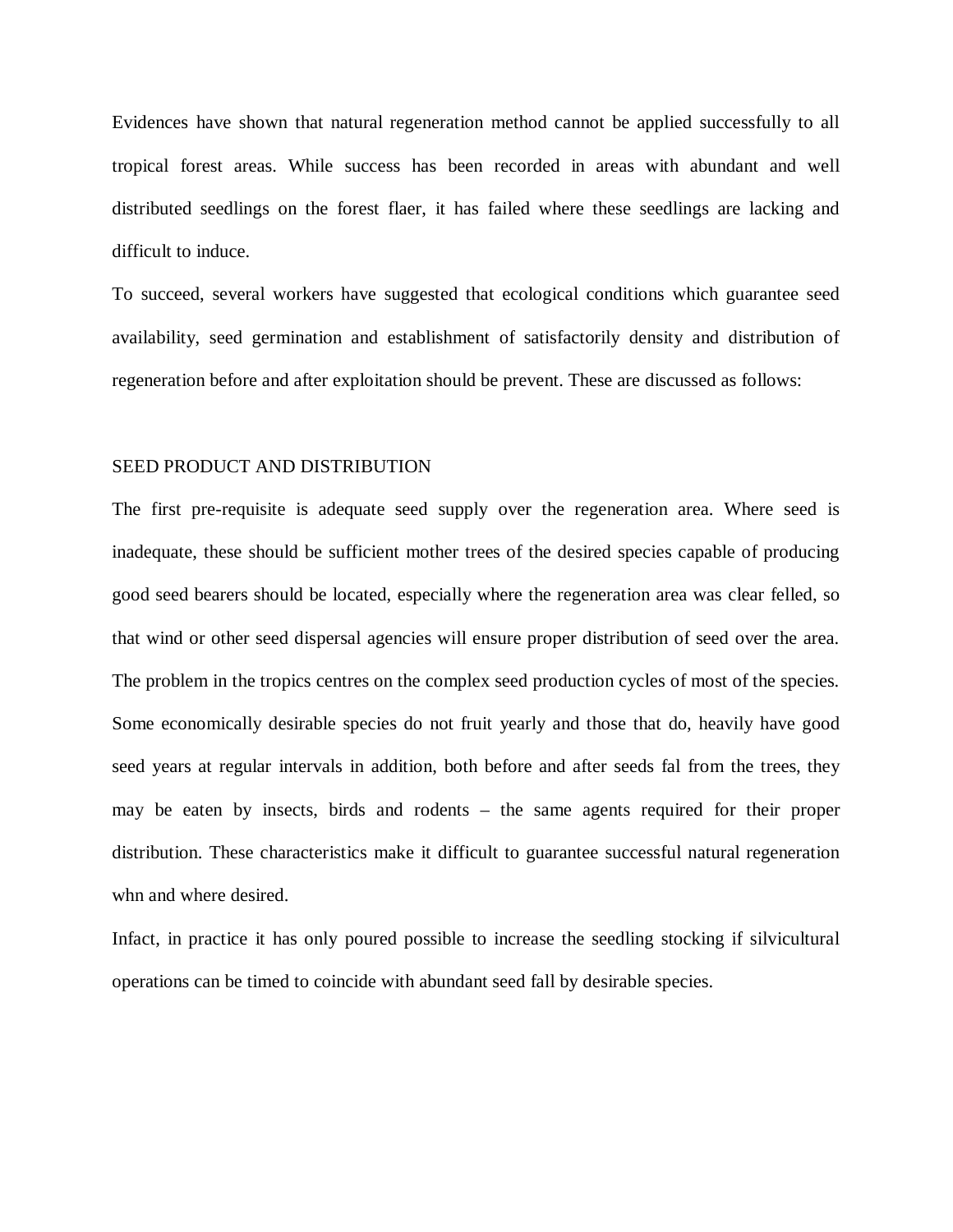Evidences have shown that natural regeneration method cannot be applied successfully to all tropical forest areas. While success has been recorded in areas with abundant and well distributed seedlings on the forest flaer, it has failed where these seedlings are lacking and difficult to induce.

To succeed, several workers have suggested that ecological conditions which guarantee seed availability, seed germination and establishment of satisfactorily density and distribution of regeneration before and after exploitation should be prevent. These are discussed as follows:

### SEED PRODUCT AND DISTRIBUTION

The first pre-requisite is adequate seed supply over the regeneration area. Where seed is inadequate, these should be sufficient mother trees of the desired species capable of producing good seed bearers should be located, especially where the regeneration area was clear felled, so that wind or other seed dispersal agencies will ensure proper distribution of seed over the area. The problem in the tropics centres on the complex seed production cycles of most of the species. Some economically desirable species do not fruit yearly and those that do, heavily have good seed years at regular intervals in addition, both before and after seeds fal from the trees, they may be eaten by insects, birds and rodents – the same agents required for their proper distribution. These characteristics make it difficult to guarantee successful natural regeneration whn and where desired.

Infact, in practice it has only poured possible to increase the seedling stocking if silvicultural operations can be timed to coincide with abundant seed fall by desirable species.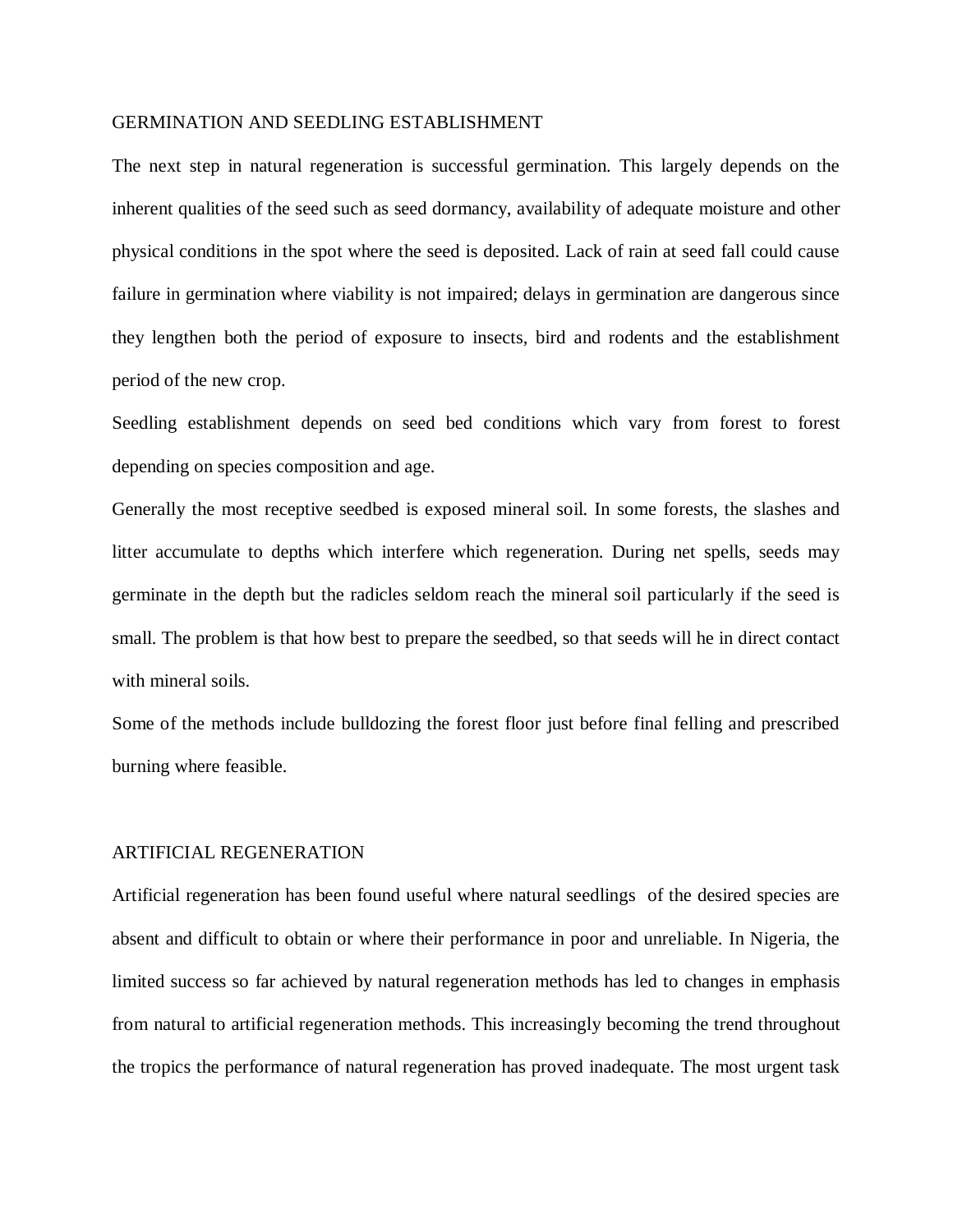## GERMINATION AND SEEDLING ESTABLISHMENT

The next step in natural regeneration is successful germination. This largely depends on the inherent qualities of the seed such as seed dormancy, availability of adequate moisture and other physical conditions in the spot where the seed is deposited. Lack of rain at seed fall could cause failure in germination where viability is not impaired; delays in germination are dangerous since they lengthen both the period of exposure to insects, bird and rodents and the establishment period of the new crop.

Seedling establishment depends on seed bed conditions which vary from forest to forest depending on species composition and age.

Generally the most receptive seedbed is exposed mineral soil. In some forests, the slashes and litter accumulate to depths which interfere which regeneration. During net spells, seeds may germinate in the depth but the radicles seldom reach the mineral soil particularly if the seed is small. The problem is that how best to prepare the seedbed, so that seeds will he in direct contact with mineral soils.

Some of the methods include bulldozing the forest floor just before final felling and prescribed burning where feasible.

#### ARTIFICIAL REGENERATION

Artificial regeneration has been found useful where natural seedlings of the desired species are absent and difficult to obtain or where their performance in poor and unreliable. In Nigeria, the limited success so far achieved by natural regeneration methods has led to changes in emphasis from natural to artificial regeneration methods. This increasingly becoming the trend throughout the tropics the performance of natural regeneration has proved inadequate. The most urgent task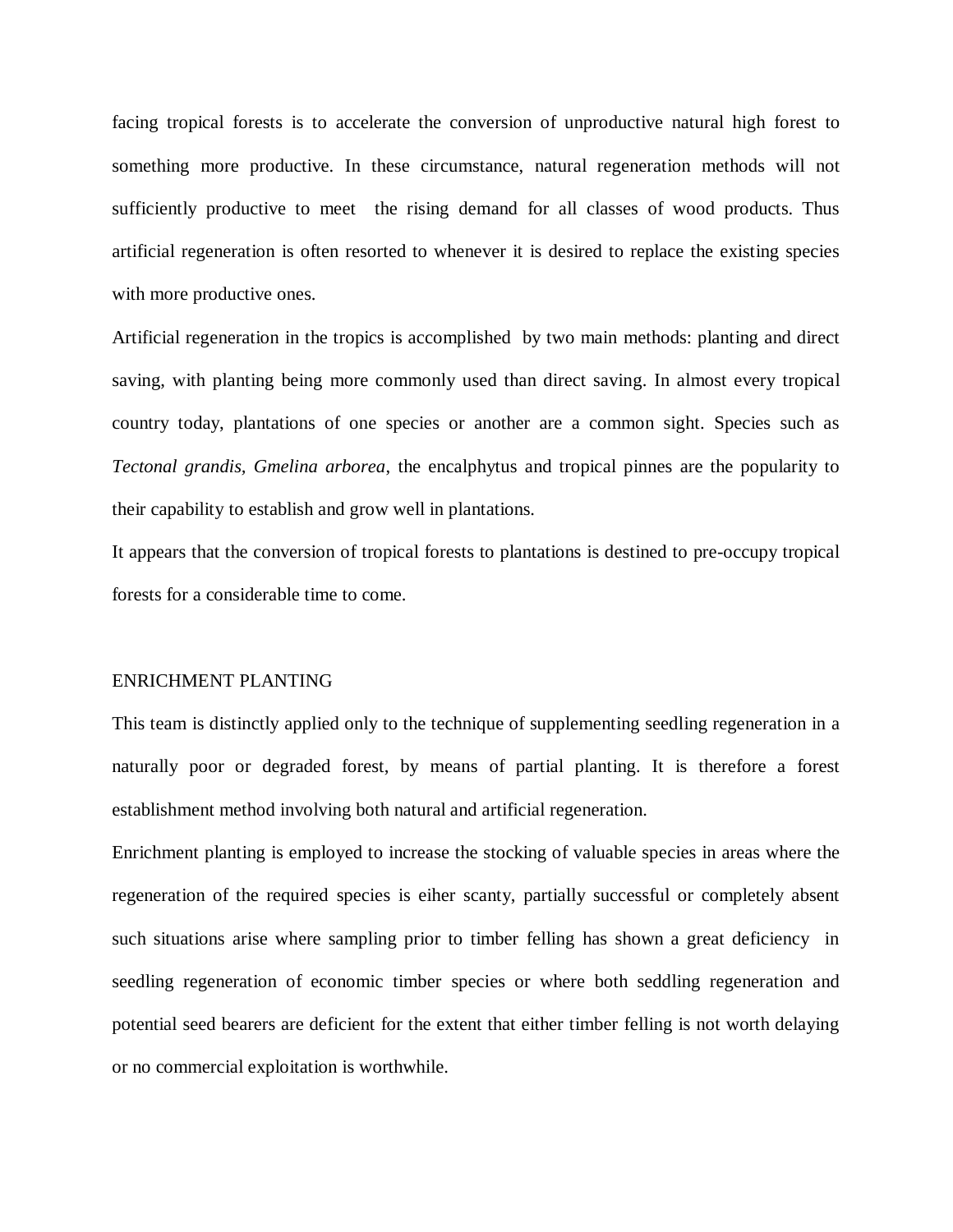facing tropical forests is to accelerate the conversion of unproductive natural high forest to something more productive. In these circumstance, natural regeneration methods will not sufficiently productive to meet the rising demand for all classes of wood products. Thus artificial regeneration is often resorted to whenever it is desired to replace the existing species with more productive ones.

Artificial regeneration in the tropics is accomplished by two main methods: planting and direct saving, with planting being more commonly used than direct saving. In almost every tropical country today, plantations of one species or another are a common sight. Species such as *Tectonal grandis, Gmelina arborea*, the encalphytus and tropical pinnes are the popularity to their capability to establish and grow well in plantations.

It appears that the conversion of tropical forests to plantations is destined to pre-occupy tropical forests for a considerable time to come.

#### ENRICHMENT PLANTING

This team is distinctly applied only to the technique of supplementing seedling regeneration in a naturally poor or degraded forest, by means of partial planting. It is therefore a forest establishment method involving both natural and artificial regeneration.

Enrichment planting is employed to increase the stocking of valuable species in areas where the regeneration of the required species is eiher scanty, partially successful or completely absent such situations arise where sampling prior to timber felling has shown a great deficiency in seedling regeneration of economic timber species or where both seddling regeneration and potential seed bearers are deficient for the extent that either timber felling is not worth delaying or no commercial exploitation is worthwhile.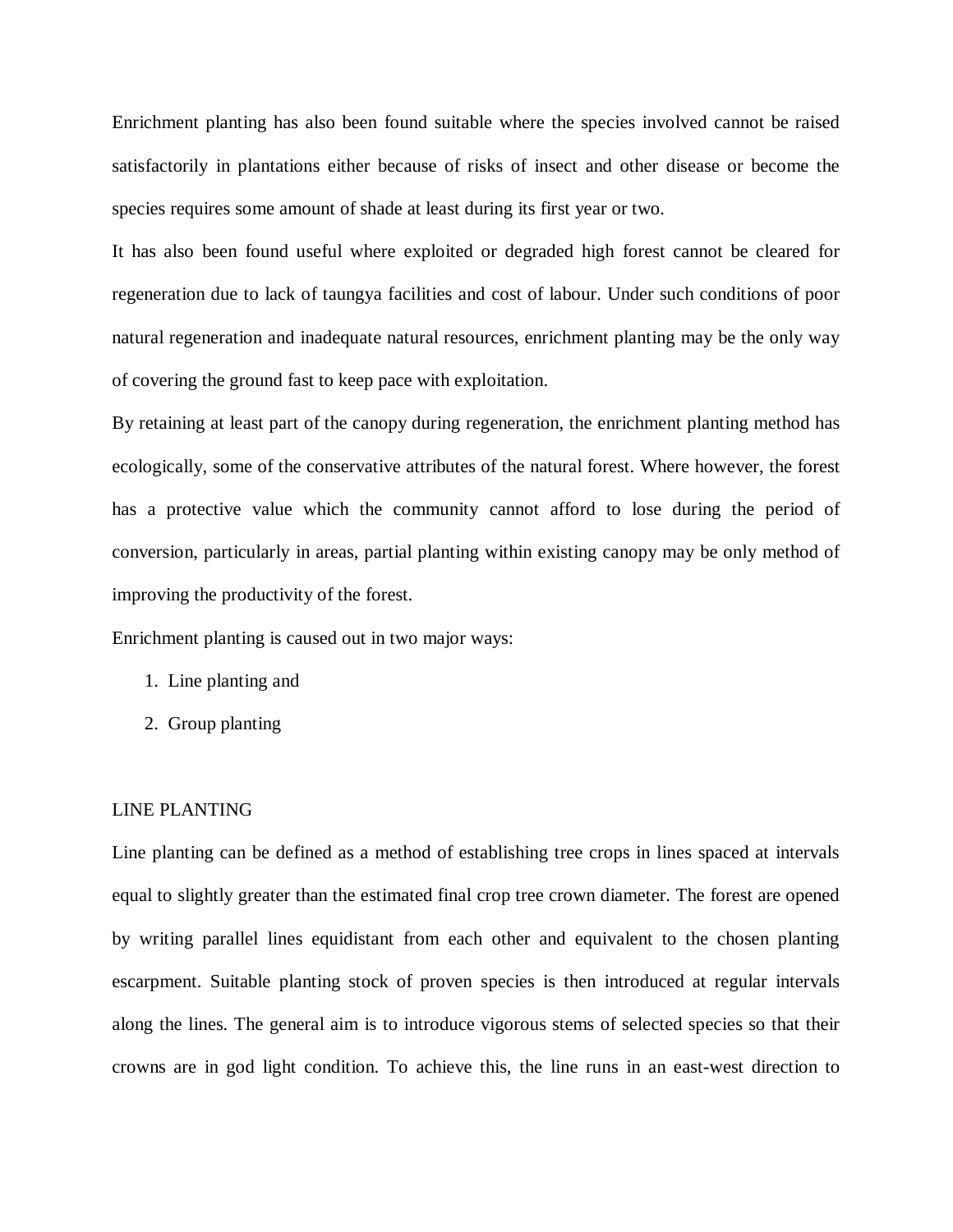Enrichment planting has also been found suitable where the species involved cannot be raised satisfactorily in plantations either because of risks of insect and other disease or become the species requires some amount of shade at least during its first year or two.

It has also been found useful where exploited or degraded high forest cannot be cleared for regeneration due to lack of taungya facilities and cost of labour. Under such conditions of poor natural regeneration and inadequate natural resources, enrichment planting may be the only way of covering the ground fast to keep pace with exploitation.

By retaining at least part of the canopy during regeneration, the enrichment planting method has ecologically, some of the conservative attributes of the natural forest. Where however, the forest has a protective value which the community cannot afford to lose during the period of conversion, particularly in areas, partial planting within existing canopy may be only method of improving the productivity of the forest.

Enrichment planting is caused out in two major ways:

- 1. Line planting and
- 2. Group planting

#### LINE PLANTING

Line planting can be defined as a method of establishing tree crops in lines spaced at intervals equal to slightly greater than the estimated final crop tree crown diameter. The forest are opened by writing parallel lines equidistant from each other and equivalent to the chosen planting escarpment. Suitable planting stock of proven species is then introduced at regular intervals along the lines. The general aim is to introduce vigorous stems of selected species so that their crowns are in god light condition. To achieve this, the line runs in an east-west direction to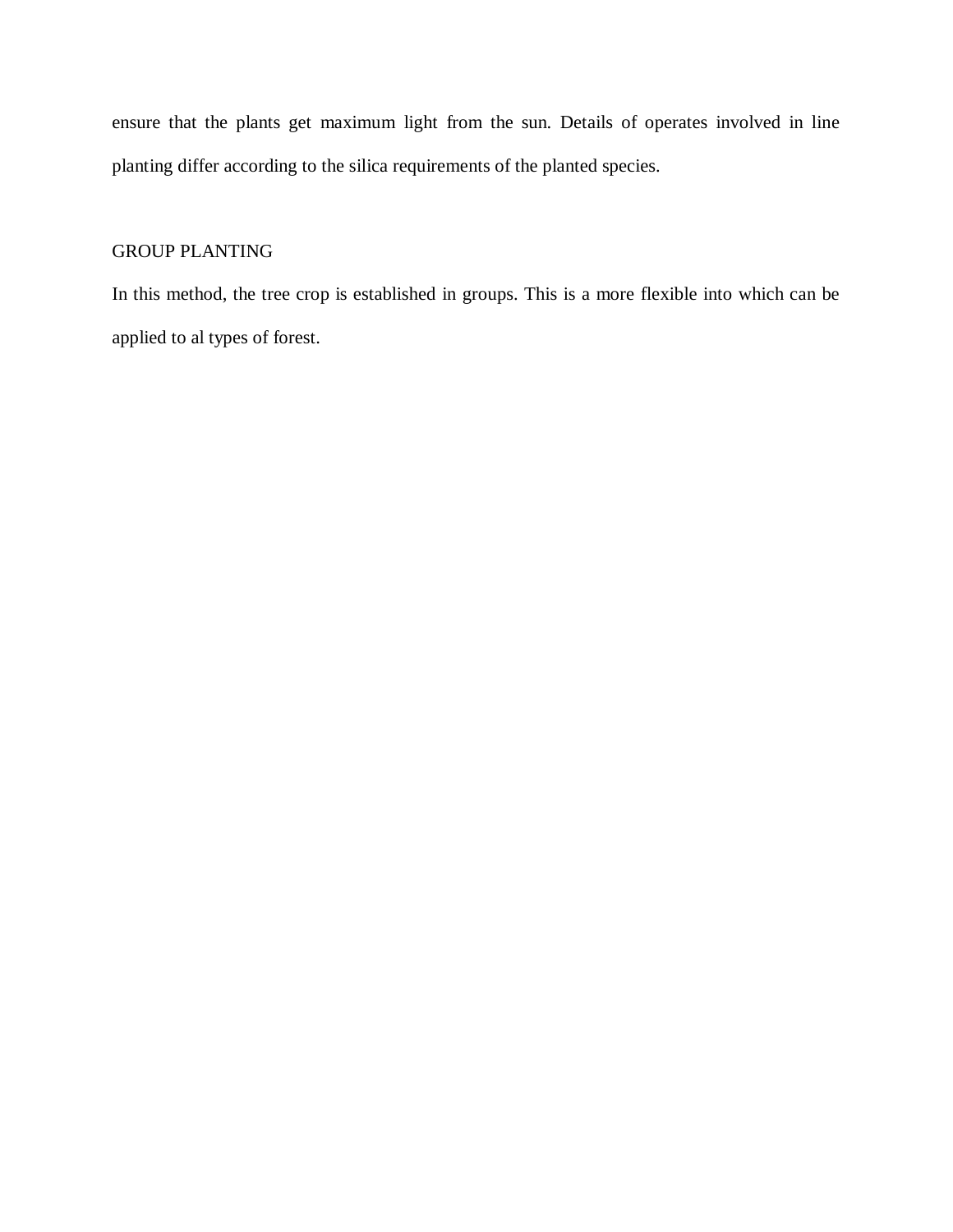ensure that the plants get maximum light from the sun. Details of operates involved in line planting differ according to the silica requirements of the planted species.

## GROUP PLANTING

In this method, the tree crop is established in groups. This is a more flexible into which can be applied to al types of forest.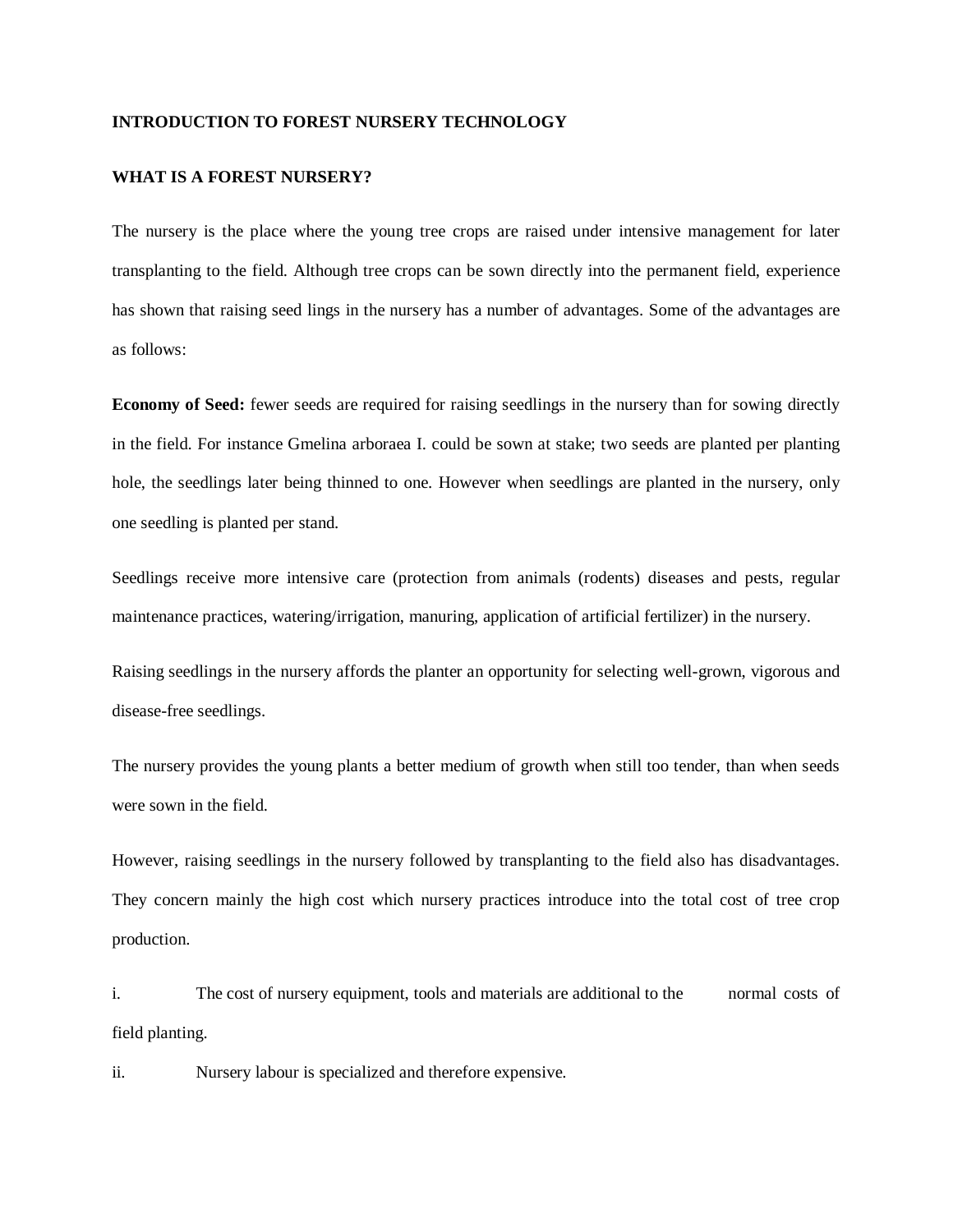#### **INTRODUCTION TO FOREST NURSERY TECHNOLOGY**

#### **WHAT IS A FOREST NURSERY?**

The nursery is the place where the young tree crops are raised under intensive management for later transplanting to the field. Although tree crops can be sown directly into the permanent field, experience has shown that raising seed lings in the nursery has a number of advantages. Some of the advantages are as follows:

**Economy of Seed:** fewer seeds are required for raising seedlings in the nursery than for sowing directly in the field. For instance Gmelina arboraea I. could be sown at stake; two seeds are planted per planting hole, the seedlings later being thinned to one. However when seedlings are planted in the nursery, only one seedling is planted per stand.

Seedlings receive more intensive care (protection from animals (rodents) diseases and pests, regular maintenance practices, watering/irrigation, manuring, application of artificial fertilizer) in the nursery.

Raising seedlings in the nursery affords the planter an opportunity for selecting well-grown, vigorous and disease-free seedlings.

The nursery provides the young plants a better medium of growth when still too tender, than when seeds were sown in the field.

However, raising seedlings in the nursery followed by transplanting to the field also has disadvantages. They concern mainly the high cost which nursery practices introduce into the total cost of tree crop production.

i. The cost of nursery equipment, tools and materials are additional to the normal costs of field planting.

ii. Nursery labour is specialized and therefore expensive.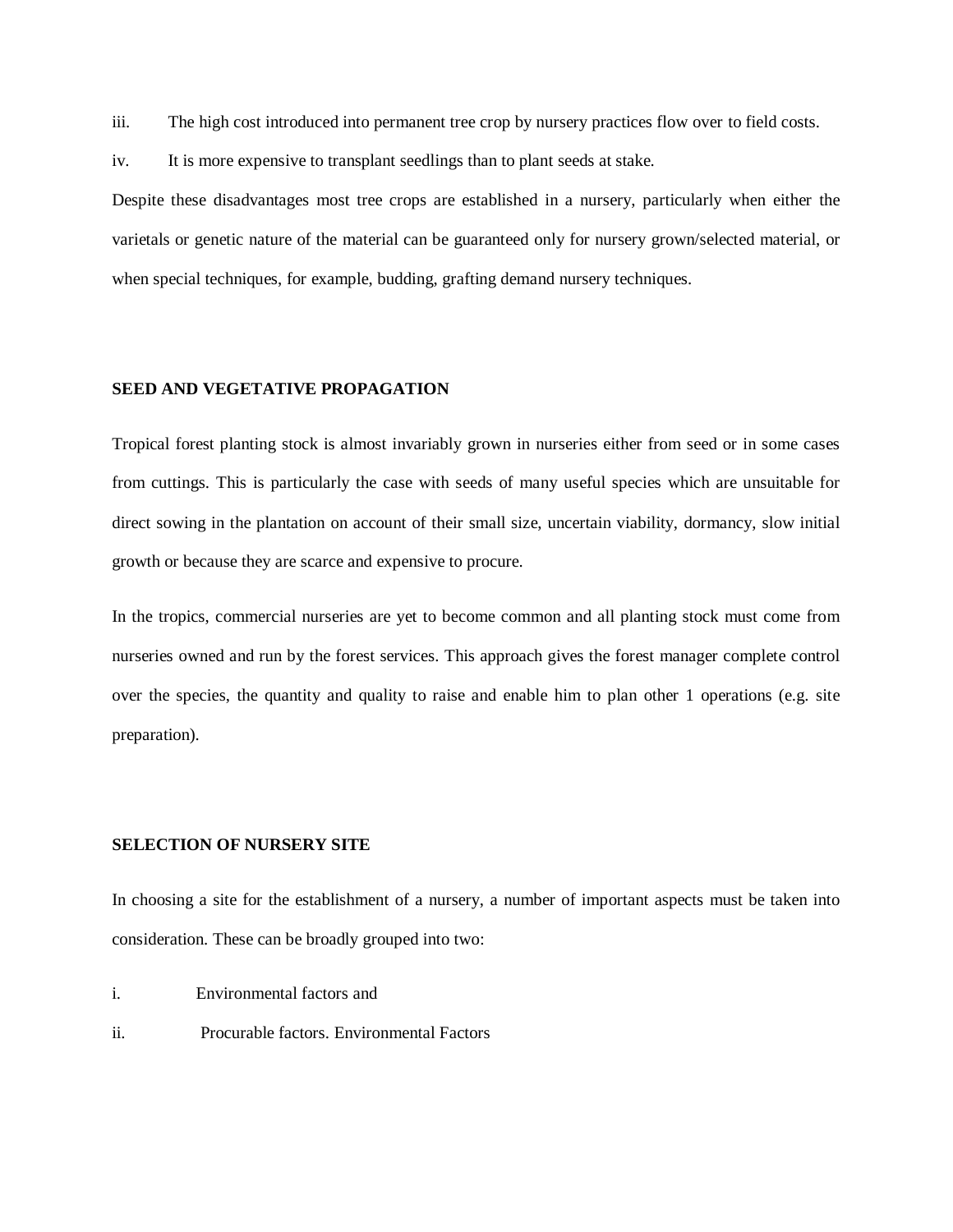iii. The high cost introduced into permanent tree crop by nursery practices flow over to field costs.

iv. It is more expensive to transplant seedlings than to plant seeds at stake.

Despite these disadvantages most tree crops are established in a nursery, particularly when either the varietals or genetic nature of the material can be guaranteed only for nursery grown/selected material, or when special techniques, for example, budding, grafting demand nursery techniques.

## **SEED AND VEGETATIVE PROPAGATION**

Tropical forest planting stock is almost invariably grown in nurseries either from seed or in some cases from cuttings. This is particularly the case with seeds of many useful species which are unsuitable for direct sowing in the plantation on account of their small size, uncertain viability, dormancy, slow initial growth or because they are scarce and expensive to procure.

In the tropics, commercial nurseries are yet to become common and all planting stock must come from nurseries owned and run by the forest services. This approach gives the forest manager complete control over the species, the quantity and quality to raise and enable him to plan other 1 operations (e.g. site preparation).

#### **SELECTION OF NURSERY SITE**

In choosing a site for the establishment of a nursery, a number of important aspects must be taken into consideration. These can be broadly grouped into two:

- i. Environmental factors and
- ii. Procurable factors. Environmental Factors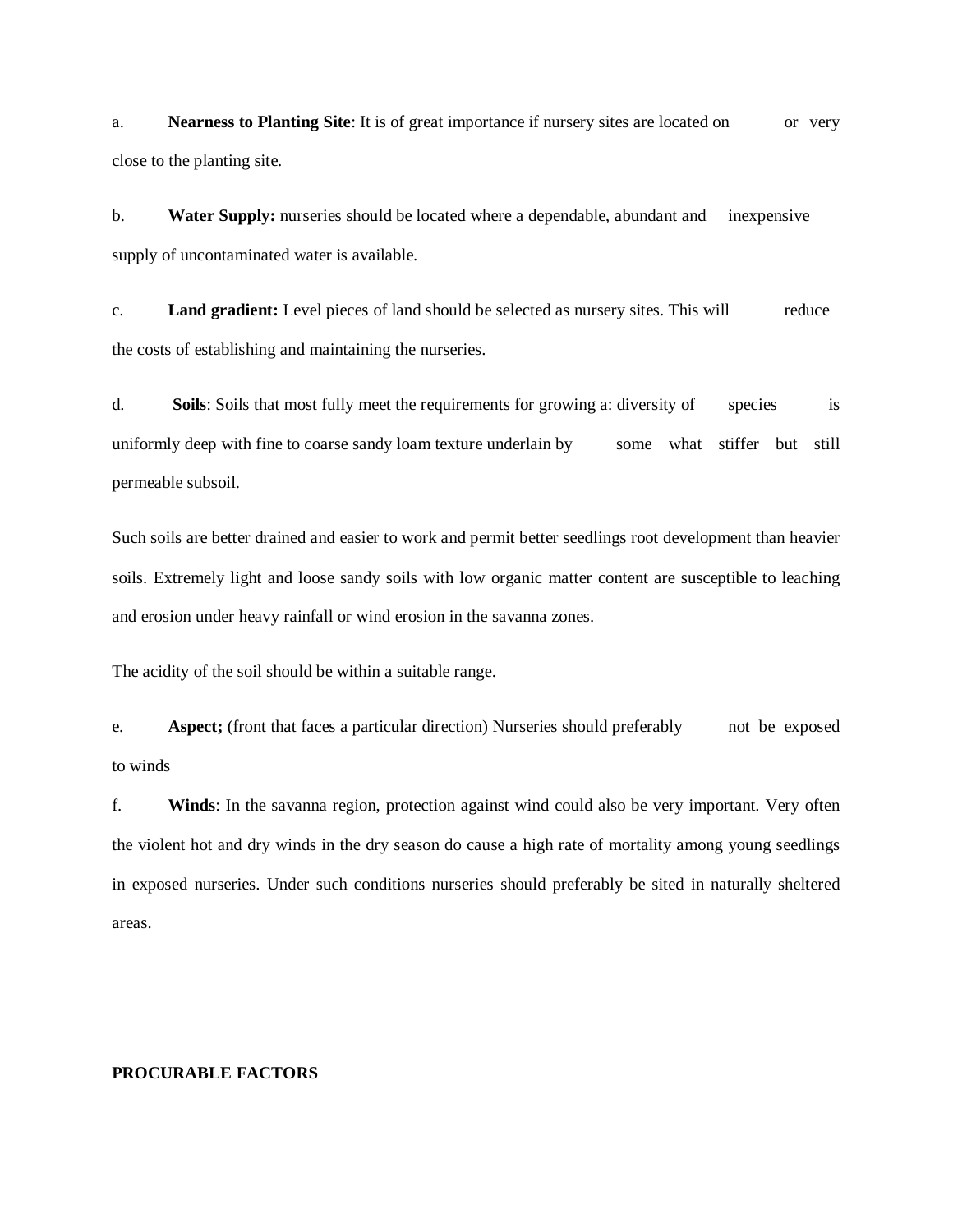a. **Nearness to Planting Site**: It is of great importance if nursery sites are located on or very close to the planting site.

b. **Water Supply:** nurseries should be located where a dependable, abundant and inexpensive supply of uncontaminated water is available.

c. **Land gradient:** Level pieces of land should be selected as nursery sites. This will reduce the costs of establishing and maintaining the nurseries.

d. **Soils**: Soils that most fully meet the requirements for growing a: diversity of species is uniformly deep with fine to coarse sandy loam texture underlain by some what stiffer but still permeable subsoil.

Such soils are better drained and easier to work and permit better seedlings root development than heavier soils. Extremely light and loose sandy soils with low organic matter content are susceptible to leaching and erosion under heavy rainfall or wind erosion in the savanna zones.

The acidity of the soil should be within a suitable range.

e. **Aspect;** (front that faces a particular direction) Nurseries should preferably not be exposed to winds

f. **Winds**: In the savanna region, protection against wind could also be very important. Very often the violent hot and dry winds in the dry season do cause a high rate of mortality among young seedlings in exposed nurseries. Under such conditions nurseries should preferably be sited in naturally sheltered areas.

## **PROCURABLE FACTORS**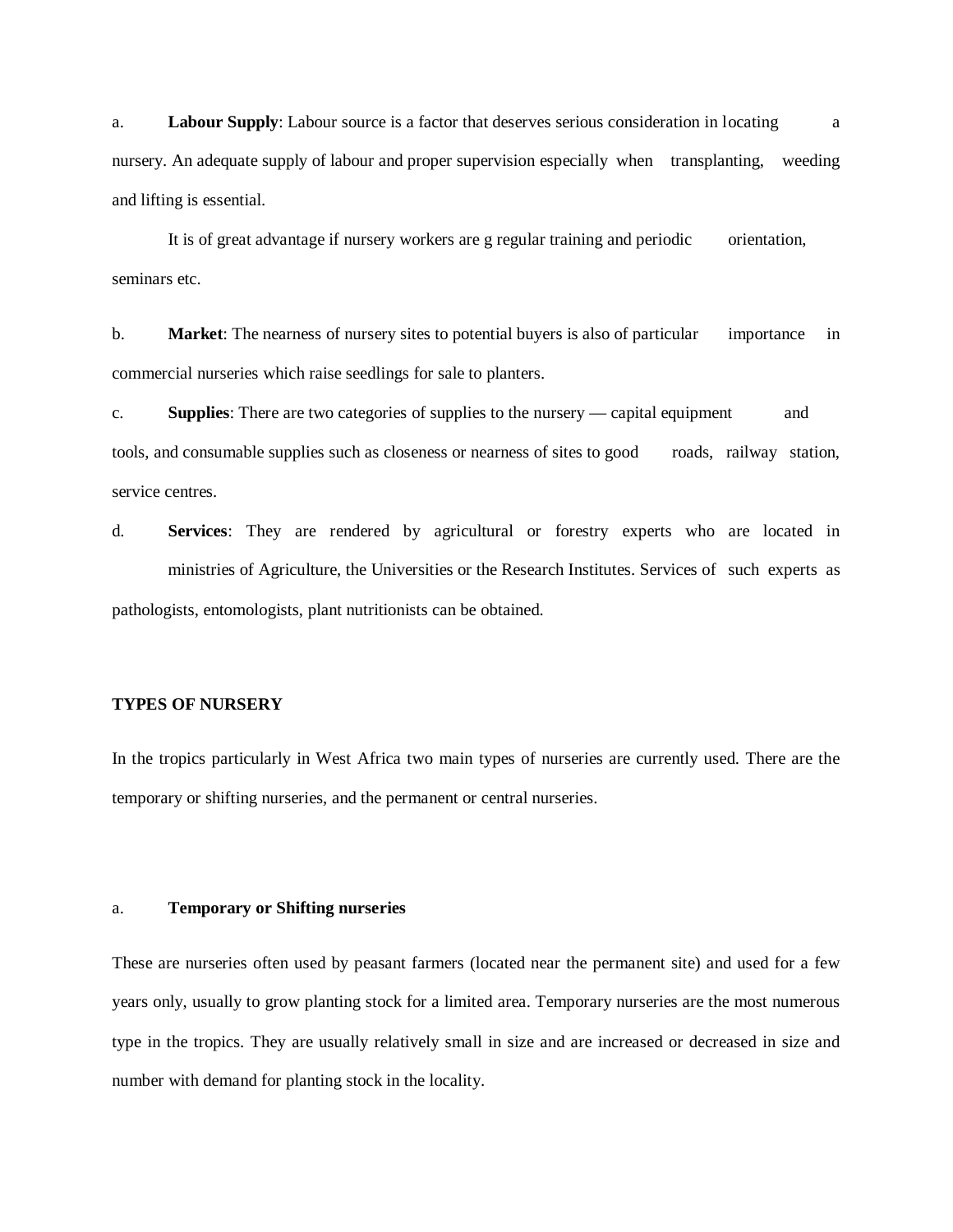a. **Labour Supply**: Labour source is a factor that deserves serious consideration in locating a nursery. An adequate supply of labour and proper supervision especially when transplanting, weeding and lifting is essential.

It is of great advantage if nursery workers are g regular training and periodic orientation, seminars etc.

b. **Market:** The nearness of nursery sites to potential buyers is also of particular importance in commercial nurseries which raise seedlings for sale to planters.

c. **Supplies**: There are two categories of supplies to the nursery — capital equipment and tools, and consumable supplies such as closeness or nearness of sites to good roads, railway station, service centres.

d. **Services**: They are rendered by agricultural or forestry experts who are located in ministries of Agriculture, the Universities or the Research Institutes. Services of such experts as pathologists, entomologists, plant nutritionists can be obtained.

# **TYPES OF NURSERY**

In the tropics particularly in West Africa two main types of nurseries are currently used. There are the temporary or shifting nurseries, and the permanent or central nurseries.

#### a. **Temporary or Shifting nurseries**

These are nurseries often used by peasant farmers (located near the permanent site) and used for a few years only, usually to grow planting stock for a limited area. Temporary nurseries are the most numerous type in the tropics. They are usually relatively small in size and are increased or decreased in size and number with demand for planting stock in the locality.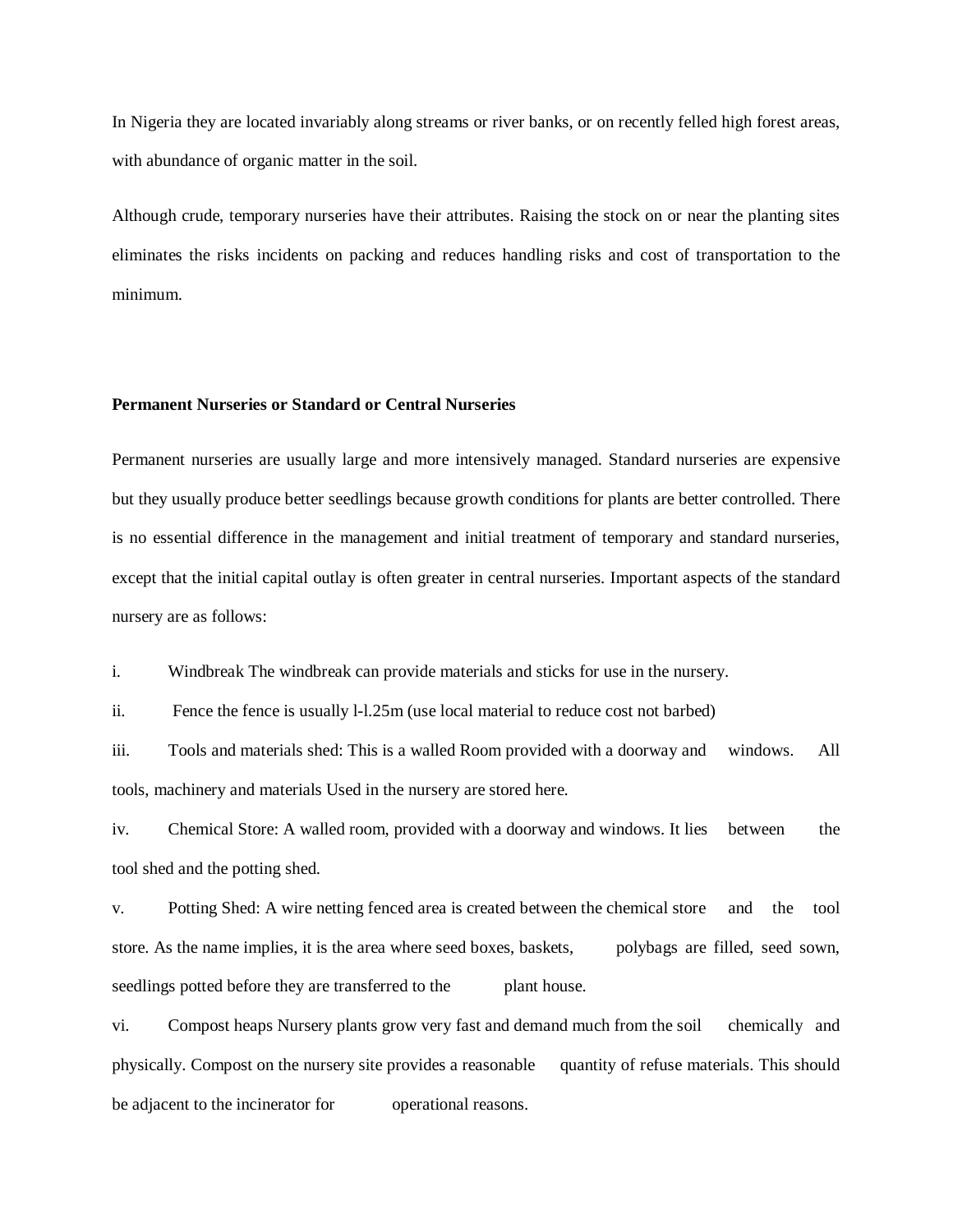In Nigeria they are located invariably along streams or river banks, or on recently felled high forest areas, with abundance of organic matter in the soil.

Although crude, temporary nurseries have their attributes. Raising the stock on or near the planting sites eliminates the risks incidents on packing and reduces handling risks and cost of transportation to the minimum.

# **Permanent Nurseries or Standard or Central Nurseries**

Permanent nurseries are usually large and more intensively managed. Standard nurseries are expensive but they usually produce better seedlings because growth conditions for plants are better controlled. There is no essential difference in the management and initial treatment of temporary and standard nurseries, except that the initial capital outlay is often greater in central nurseries. Important aspects of the standard nursery are as follows:

i. Windbreak The windbreak can provide materials and sticks for use in the nursery.

ii. Fence the fence is usually l-l.25m (use local material to reduce cost not barbed)

iii. Tools and materials shed: This is a walled Room provided with a doorway and windows. All tools, machinery and materials Used in the nursery are stored here.

iv. Chemical Store: A walled room, provided with a doorway and windows. It lies between the tool shed and the potting shed.

v. Potting Shed: A wire netting fenced area is created between the chemical store and the tool store. As the name implies, it is the area where seed boxes, baskets, polybags are filled, seed sown, seedlings potted before they are transferred to the plant house.

vi. Compost heaps Nursery plants grow very fast and demand much from the soil chemically and physically. Compost on the nursery site provides a reasonable quantity of refuse materials. This should be adjacent to the incinerator for operational reasons.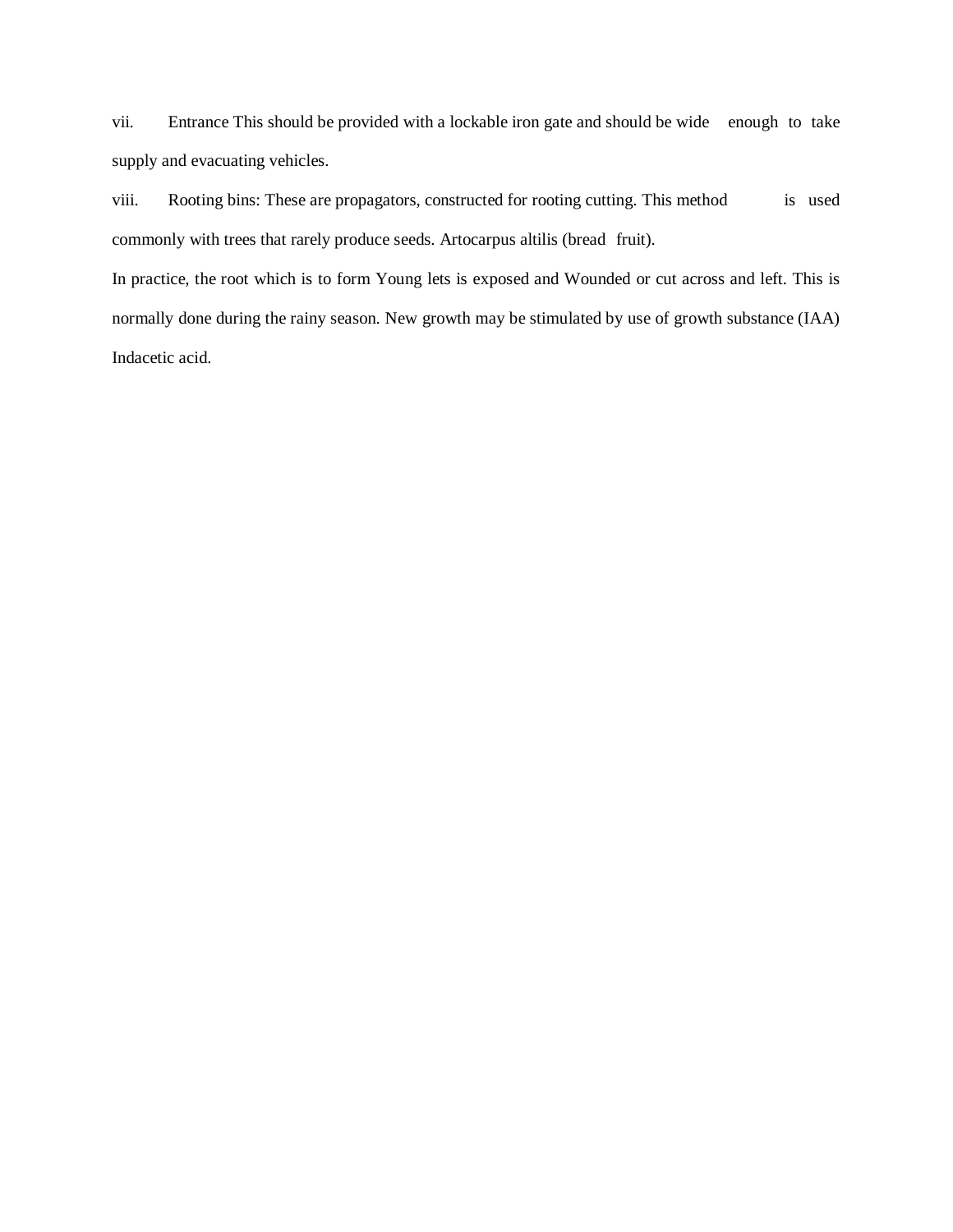vii. Entrance This should be provided with a lockable iron gate and should be wide enough to take supply and evacuating vehicles.

viii. Rooting bins: These are propagators, constructed for rooting cutting. This method is used commonly with trees that rarely produce seeds. Artocarpus altilis (bread fruit).

In practice, the root which is to form Young lets is exposed and Wounded or cut across and left. This is normally done during the rainy season. New growth may be stimulated by use of growth substance (IAA) Indacetic acid.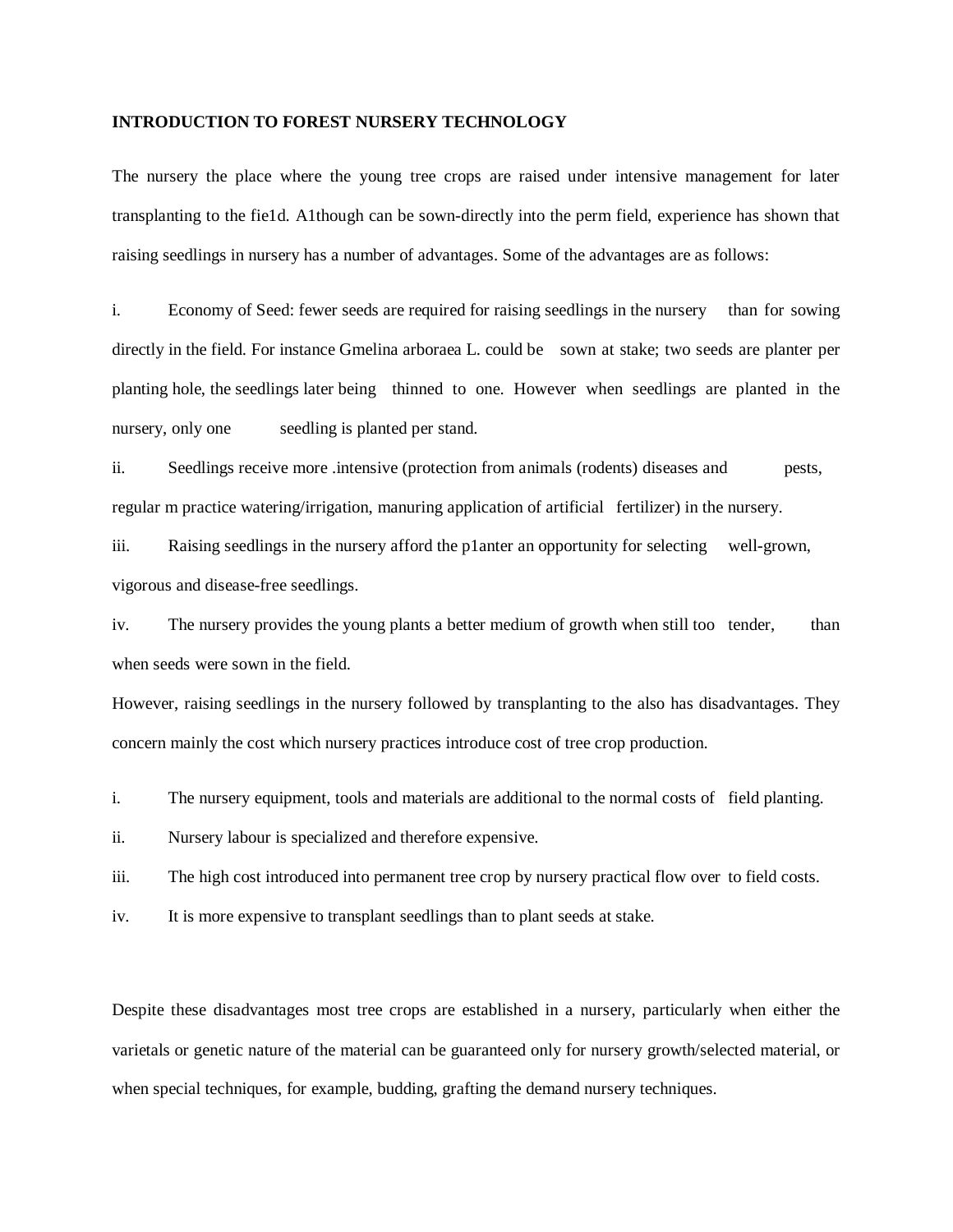## **INTRODUCTION TO FOREST NURSERY TECHNOLOGY**

The nursery the place where the young tree crops are raised under intensive management for later transplanting to the fie1d. A1though can be sown-directly into the perm field, experience has shown that raising seedlings in nursery has a number of advantages. Some of the advantages are as follows:

i. Economy of Seed: fewer seeds are required for raising seedlings in the nursery than for sowing directly in the field. For instance Gmelina arboraea L. could be sown at stake; two seeds are planter per planting hole, the seedlings later being thinned to one. However when seedlings are planted in the nursery, only one seedling is planted per stand.

ii. Seedlings receive more .intensive (protection from animals (rodents) diseases and pests, regular m practice watering/irrigation, manuring application of artificial fertilizer) in the nursery.

iii. Raising seedlings in the nursery afford the p1anter an opportunity for selecting well-grown, vigorous and disease-free seedlings.

iv. The nursery provides the young plants a better medium of growth when still too tender, than when seeds were sown in the field.

However, raising seedlings in the nursery followed by transplanting to the also has disadvantages. They concern mainly the cost which nursery practices introduce cost of tree crop production.

i. The nursery equipment, tools and materials are additional to the normal costs of field planting.

ii. Nursery labour is specialized and therefore expensive.

iii. The high cost introduced into permanent tree crop by nursery practical flow over to field costs.

iv. It is more expensive to transplant seedlings than to plant seeds at stake.

Despite these disadvantages most tree crops are established in a nursery, particularly when either the varietals or genetic nature of the material can be guaranteed only for nursery growth/selected material, or when special techniques, for example, budding, grafting the demand nursery techniques.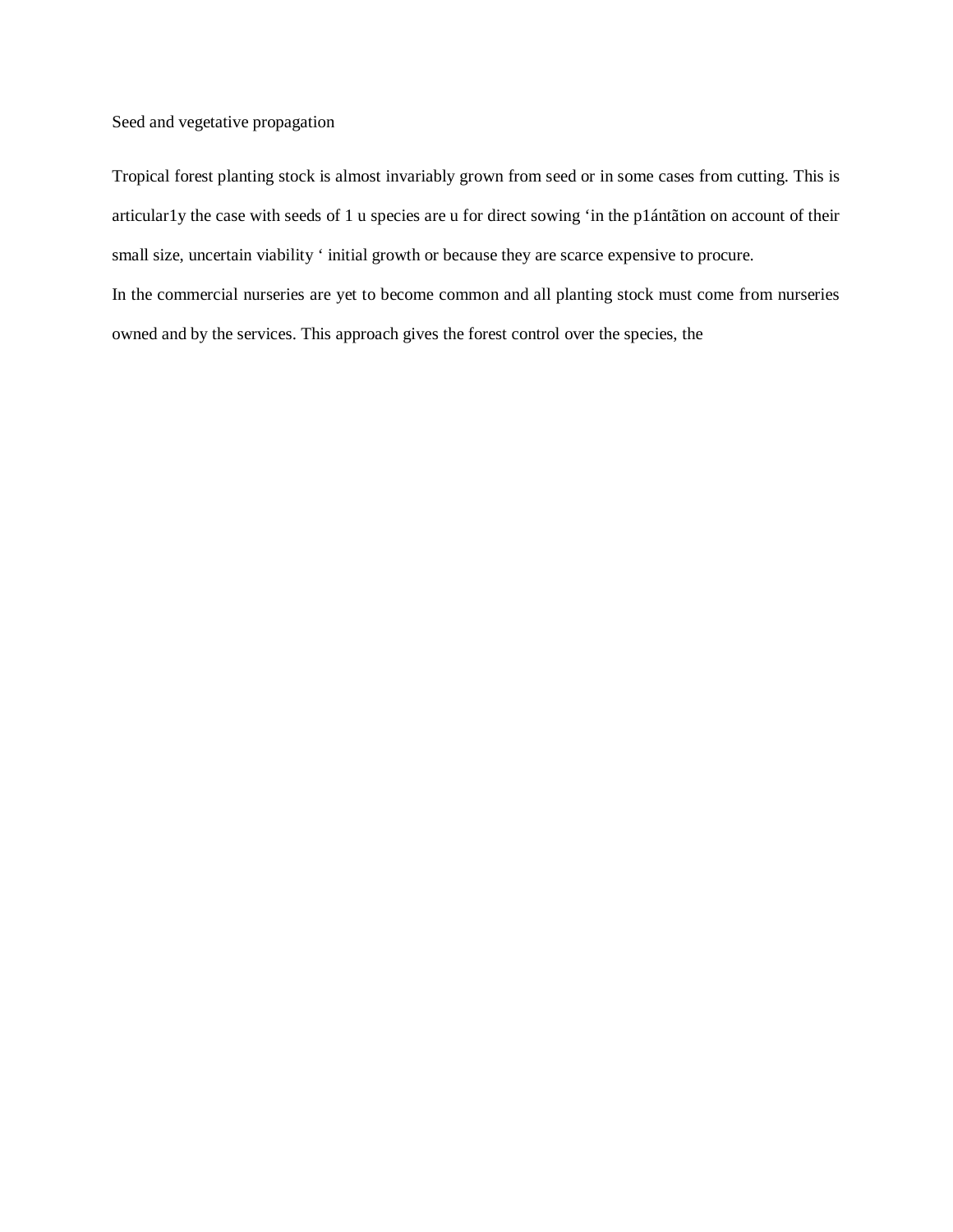Seed and vegetative propagation

Tropical forest planting stock is almost invariably grown from seed or in some cases from cutting. This is articular1y the case with seeds of 1 u species are u for direct sowing 'in the p1ántãtion on account of their small size, uncertain viability ' initial growth or because they are scarce expensive to procure. In the commercial nurseries are yet to become common and all planting stock must come from nurseries owned and by the services. This approach gives the forest control over the species, the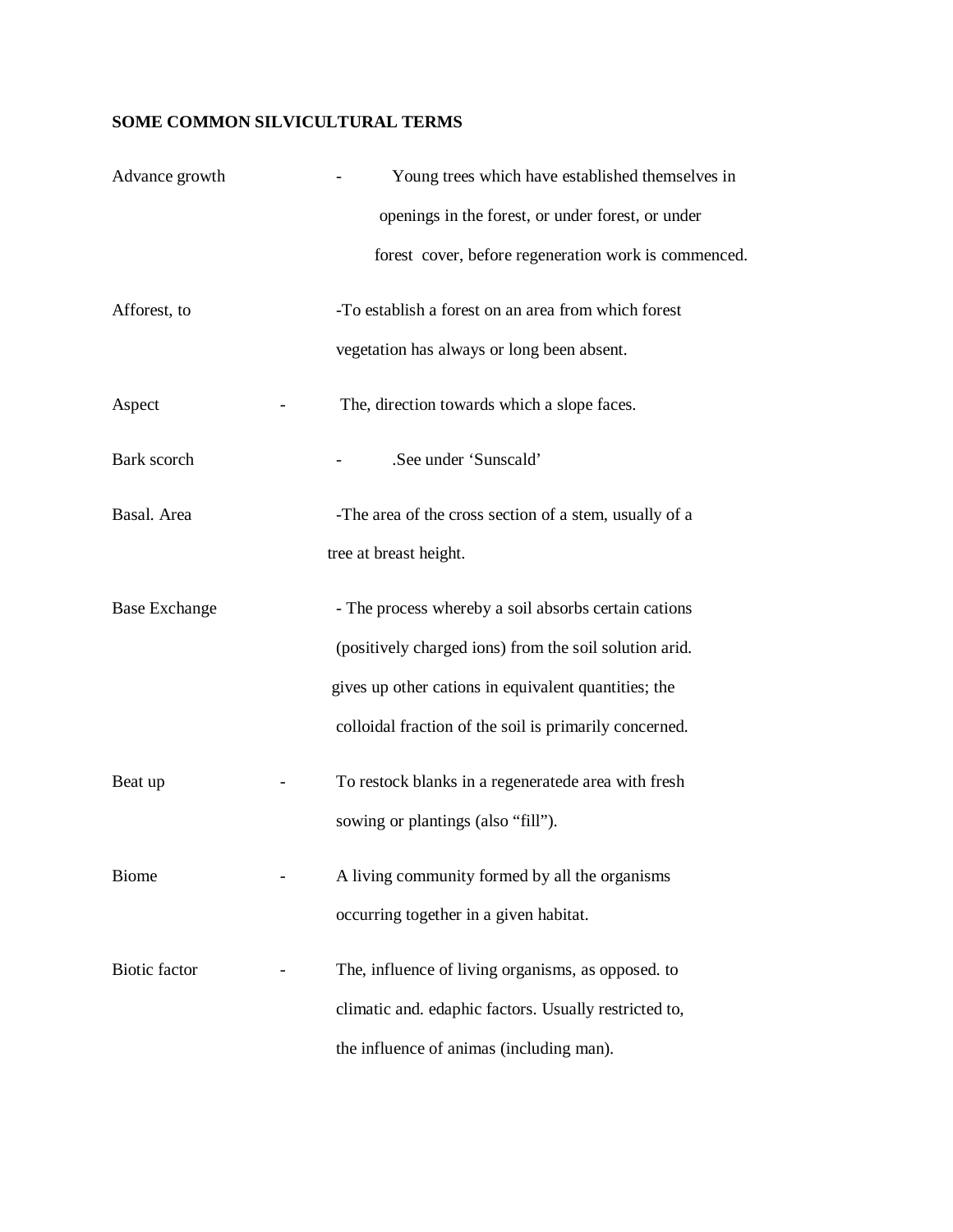# **SOME COMMON SILVICULTURAL TERMS**

| Advance growth       | Young trees which have established themselves in       |
|----------------------|--------------------------------------------------------|
|                      | openings in the forest, or under forest, or under      |
|                      | forest cover, before regeneration work is commenced.   |
| Afforest, to         | -To establish a forest on an area from which forest    |
|                      | vegetation has always or long been absent.             |
| Aspect               | The, direction towards which a slope faces.            |
| Bark scorch          | .See under 'Sunscald'                                  |
| Basal. Area          | -The area of the cross section of a stem, usually of a |
|                      | tree at breast height.                                 |
| <b>Base Exchange</b> | - The process whereby a soil absorbs certain cations   |
|                      | (positively charged ions) from the soil solution arid. |
|                      | gives up other cations in equivalent quantities; the   |
|                      | colloidal fraction of the soil is primarily concerned. |
| Beat up              | To restock blanks in a regeneratede area with fresh    |
|                      | sowing or plantings (also "fill").                     |
| <b>Biome</b>         | A living community formed by all the organisms         |
|                      | occurring together in a given habitat.                 |
| Biotic factor        | The, influence of living organisms, as opposed. to     |
|                      | climatic and. edaphic factors. Usually restricted to,  |
|                      | the influence of animas (including man).               |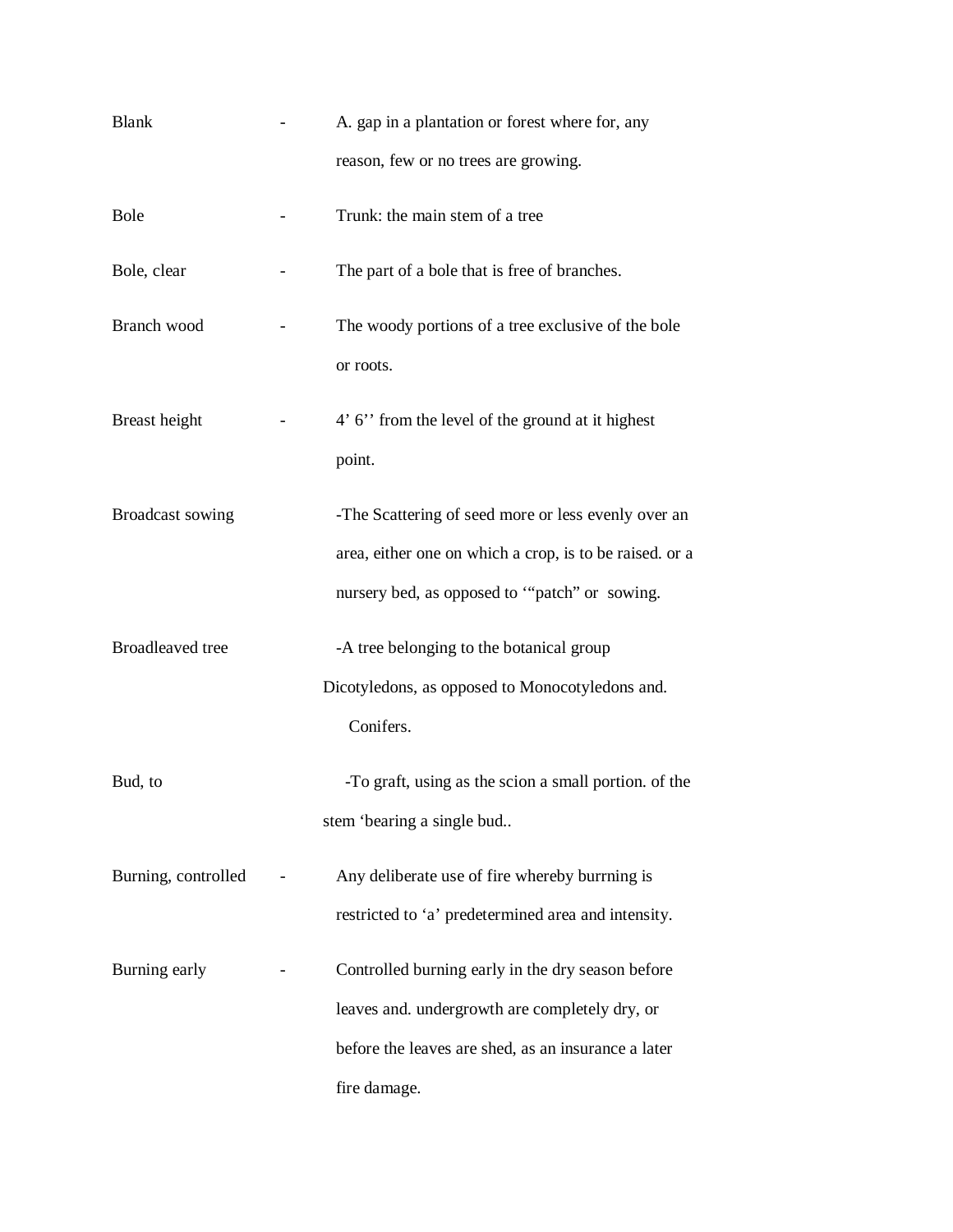| <b>Blank</b>            | A. gap in a plantation or forest where for, any         |
|-------------------------|---------------------------------------------------------|
|                         | reason, few or no trees are growing.                    |
| <b>Bole</b>             | Trunk: the main stem of a tree                          |
| Bole, clear             | The part of a bole that is free of branches.            |
| Branch wood             | The woody portions of a tree exclusive of the bole      |
|                         | or roots.                                               |
| Breast height           | 4' 6" from the level of the ground at it highest        |
|                         | point.                                                  |
| Broadcast sowing        | -The Scattering of seed more or less evenly over an     |
|                         | area, either one on which a crop, is to be raised. or a |
|                         | nursery bed, as opposed to "patch" or sowing.           |
| <b>Broadleaved</b> tree | -A tree belonging to the botanical group                |
|                         | Dicotyledons, as opposed to Monocotyledons and.         |
|                         | Conifers.                                               |
| Bud, to                 | -To graft, using as the scion a small portion. of the   |
|                         | stem 'bearing a single bud                              |
| Burning, controlled     | Any deliberate use of fire whereby burrning is          |
|                         | restricted to 'a' predetermined area and intensity.     |
| Burning early           | Controlled burning early in the dry season before       |
|                         | leaves and. undergrowth are completely dry, or          |
|                         | before the leaves are shed, as an insurance a later     |
|                         | fire damage.                                            |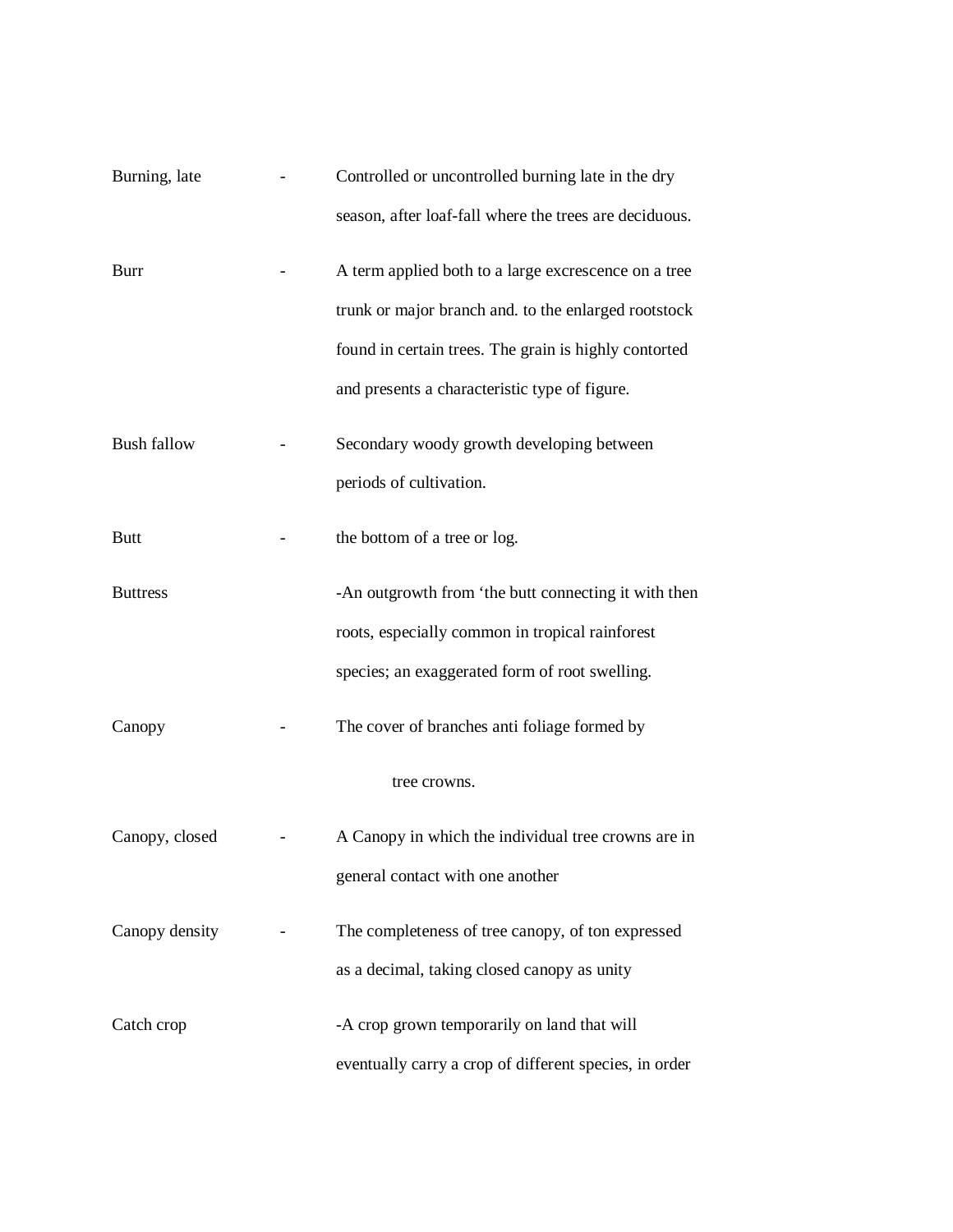| Burning, late      | Controlled or uncontrolled burning late in the dry     |
|--------------------|--------------------------------------------------------|
|                    | season, after loaf-fall where the trees are deciduous. |
| <b>Burr</b>        | A term applied both to a large excrescence on a tree   |
|                    | trunk or major branch and. to the enlarged rootstock   |
|                    | found in certain trees. The grain is highly contorted  |
|                    | and presents a characteristic type of figure.          |
| <b>Bush fallow</b> | Secondary woody growth developing between              |
|                    | periods of cultivation.                                |
| <b>Butt</b>        | the bottom of a tree or log.                           |
| <b>Buttress</b>    | -An outgrowth from 'the butt connecting it with then   |
|                    | roots, especially common in tropical rainforest        |
|                    | species; an exaggerated form of root swelling.         |
| Canopy             | The cover of branches anti foliage formed by           |
|                    | tree crowns.                                           |
| Canopy, closed     | A Canopy in which the individual tree crowns are in    |
|                    | general contact with one another                       |
| Canopy density     | The completeness of tree canopy, of ton expressed      |
|                    | as a decimal, taking closed canopy as unity            |
| Catch crop         | -A crop grown temporarily on land that will            |
|                    | eventually carry a crop of different species, in order |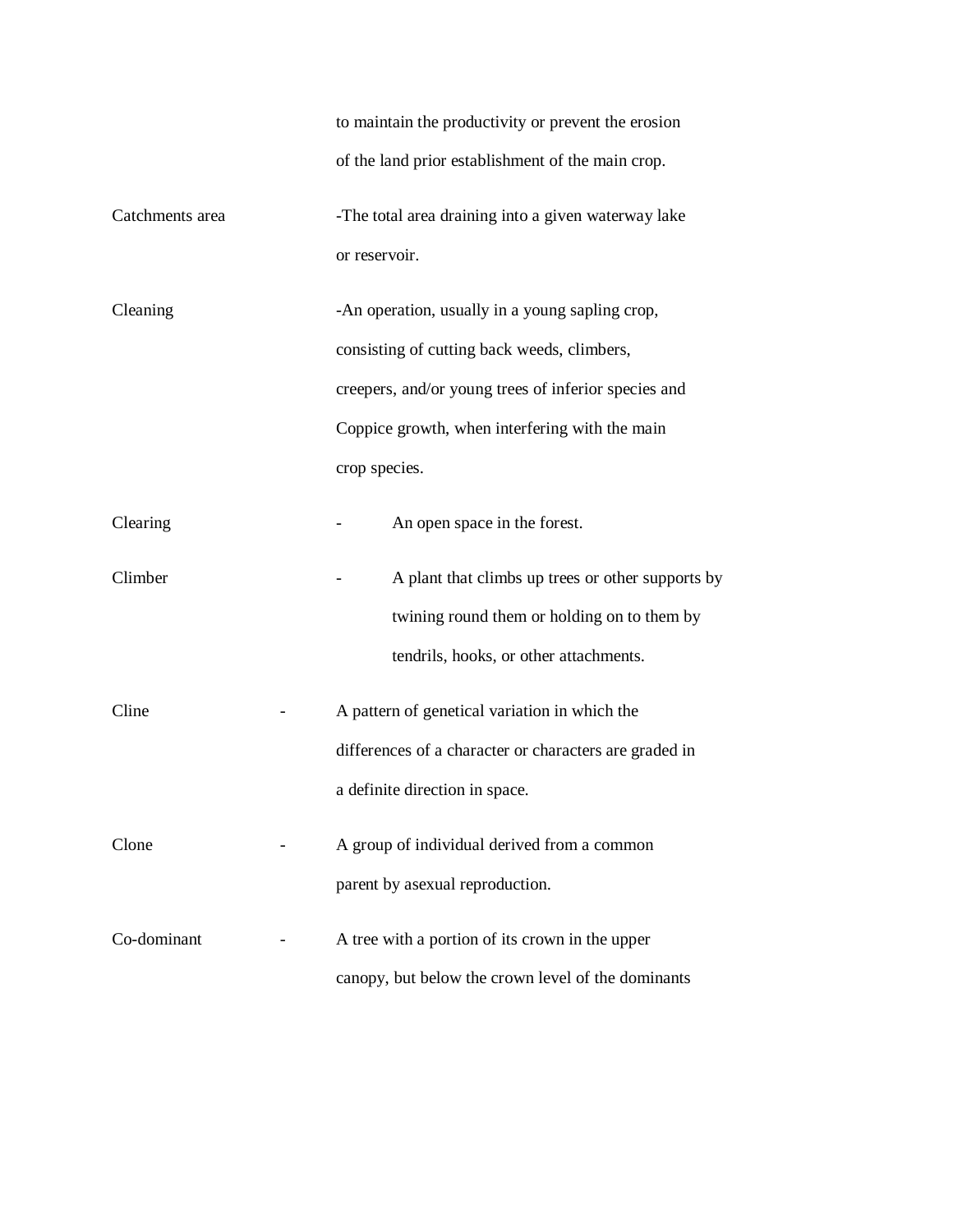|                 | to maintain the productivity or prevent the erosion    |  |  |
|-----------------|--------------------------------------------------------|--|--|
|                 | of the land prior establishment of the main crop.      |  |  |
| Catchments area | -The total area draining into a given waterway lake    |  |  |
|                 | or reservoir.                                          |  |  |
| Cleaning        | -An operation, usually in a young sapling crop,        |  |  |
|                 | consisting of cutting back weeds, climbers,            |  |  |
|                 | creepers, and/or young trees of inferior species and   |  |  |
|                 | Coppice growth, when interfering with the main         |  |  |
|                 | crop species.                                          |  |  |
| Clearing        | An open space in the forest.                           |  |  |
| Climber         | A plant that climbs up trees or other supports by      |  |  |
|                 | twining round them or holding on to them by            |  |  |
|                 | tendrils, hooks, or other attachments.                 |  |  |
| Cline           | A pattern of genetical variation in which the          |  |  |
|                 | differences of a character or characters are graded in |  |  |
|                 | a definite direction in space.                         |  |  |
| Clone           | A group of individual derived from a common            |  |  |
|                 | parent by asexual reproduction.                        |  |  |
| Co-dominant     | A tree with a portion of its crown in the upper        |  |  |
|                 | canopy, but below the crown level of the dominants     |  |  |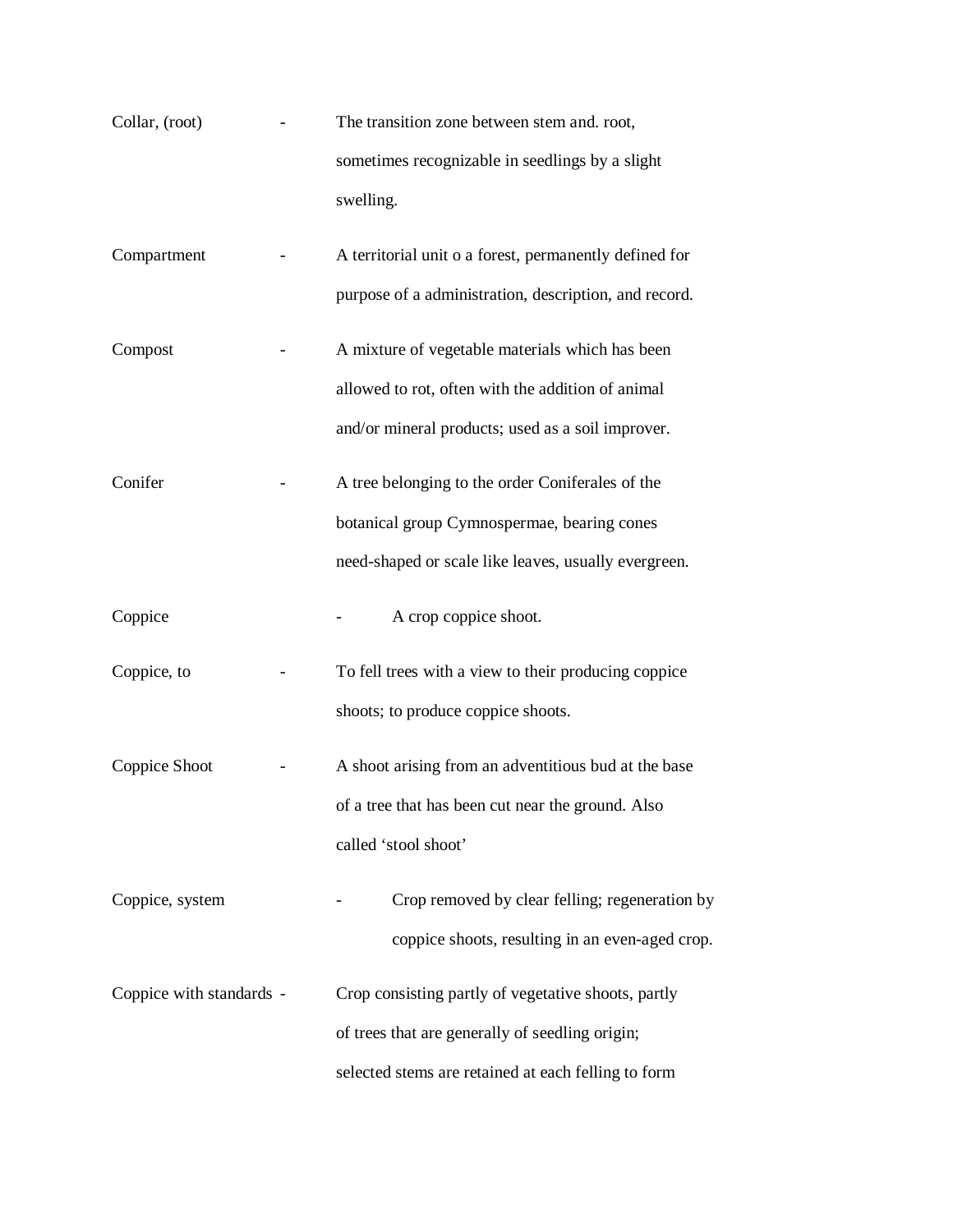| Collar, (root)           | The transition zone between stem and. root,            |
|--------------------------|--------------------------------------------------------|
|                          | sometimes recognizable in seedlings by a slight        |
|                          | swelling.                                              |
| Compartment              | A territorial unit o a forest, permanently defined for |
|                          | purpose of a administration, description, and record.  |
| Compost                  | A mixture of vegetable materials which has been        |
|                          | allowed to rot, often with the addition of animal      |
|                          | and/or mineral products; used as a soil improver.      |
| Conifer                  | A tree belonging to the order Coniferales of the       |
|                          | botanical group Cymnospermae, bearing cones            |
|                          | need-shaped or scale like leaves, usually evergreen.   |
| Coppice                  | A crop coppice shoot.                                  |
| Coppice, to              | To fell trees with a view to their producing coppice   |
|                          | shoots; to produce coppice shoots.                     |
| Coppice Shoot            | A shoot arising from an adventitious bud at the base   |
|                          | of a tree that has been cut near the ground. Also      |
|                          | called 'stool shoot'                                   |
| Coppice, system          | Crop removed by clear felling; regeneration by         |
|                          | coppice shoots, resulting in an even-aged crop.        |
| Coppice with standards - | Crop consisting partly of vegetative shoots, partly    |
|                          | of trees that are generally of seedling origin;        |
|                          | selected stems are retained at each felling to form    |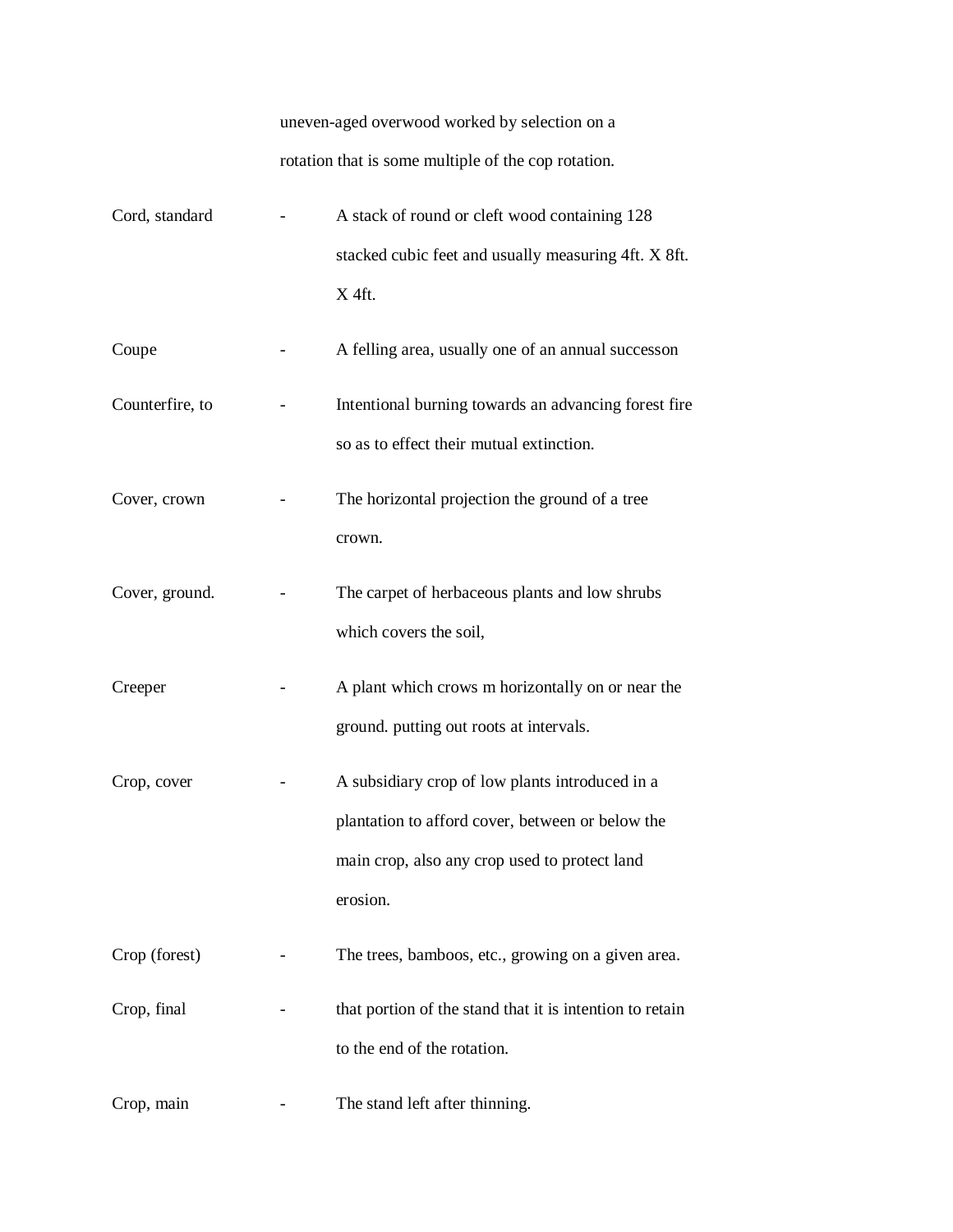uneven-aged overwood worked by selection on a rotation that is some multiple of the cop rotation.

| Cord, standard  | A stack of round or cleft wood containing 128                                                                                                                    |
|-----------------|------------------------------------------------------------------------------------------------------------------------------------------------------------------|
|                 | stacked cubic feet and usually measuring 4ft. X 8ft.<br>X 4ft.                                                                                                   |
| Coupe           | A felling area, usually one of an annual successon                                                                                                               |
| Counterfire, to | Intentional burning towards an advancing forest fire<br>so as to effect their mutual extinction.                                                                 |
| Cover, crown    | The horizontal projection the ground of a tree<br>crown.                                                                                                         |
| Cover, ground.  | The carpet of herbaceous plants and low shrubs<br>which covers the soil,                                                                                         |
| Creeper         | A plant which crows m horizontally on or near the<br>ground. putting out roots at intervals.                                                                     |
| Crop, cover     | A subsidiary crop of low plants introduced in a<br>plantation to afford cover, between or below the<br>main crop, also any crop used to protect land<br>erosion. |
| Crop (forest)   | The trees, bamboos, etc., growing on a given area.                                                                                                               |
| Crop, final     | that portion of the stand that it is intention to retain<br>to the end of the rotation.                                                                          |
| Crop, main      | The stand left after thinning.                                                                                                                                   |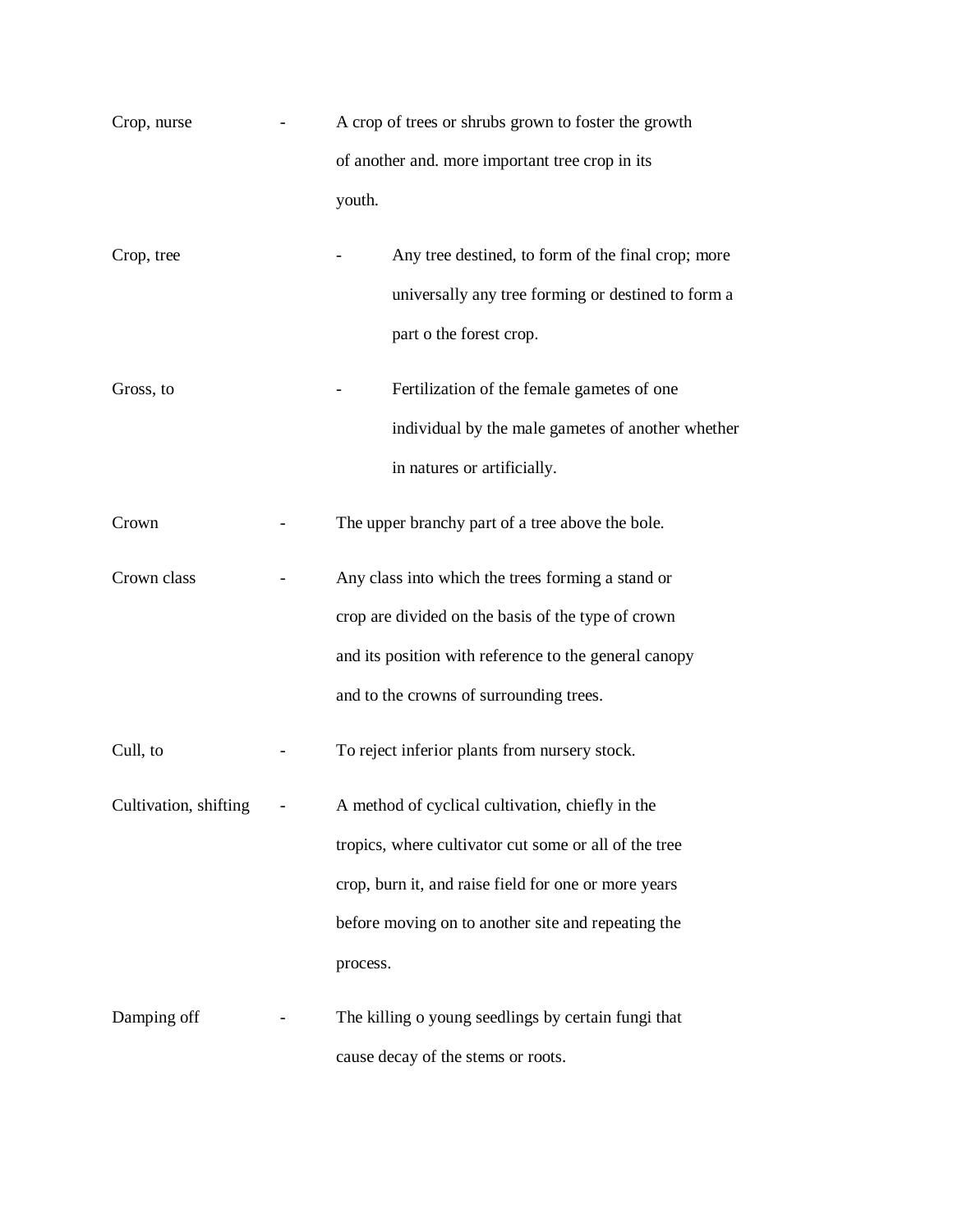| Crop, nurse           | A crop of trees or shrubs grown to foster the growth                                                                                                                                                                                |  |
|-----------------------|-------------------------------------------------------------------------------------------------------------------------------------------------------------------------------------------------------------------------------------|--|
|                       | of another and. more important tree crop in its                                                                                                                                                                                     |  |
|                       | youth.                                                                                                                                                                                                                              |  |
| Crop, tree            | Any tree destined, to form of the final crop; more<br>universally any tree forming or destined to form a<br>part o the forest crop.                                                                                                 |  |
| Gross, to             | Fertilization of the female gametes of one<br>individual by the male gametes of another whether<br>in natures or artificially.                                                                                                      |  |
| Crown                 | The upper branchy part of a tree above the bole.                                                                                                                                                                                    |  |
| Crown class           | Any class into which the trees forming a stand or<br>crop are divided on the basis of the type of crown<br>and its position with reference to the general canopy<br>and to the crowns of surrounding trees.                         |  |
| Cull, to              | To reject inferior plants from nursery stock.                                                                                                                                                                                       |  |
| Cultivation, shifting | A method of cyclical cultivation, chiefly in the<br>tropics, where cultivator cut some or all of the tree<br>crop, burn it, and raise field for one or more years<br>before moving on to another site and repeating the<br>process. |  |
| Damping off           | The killing o young seedlings by certain fungi that<br>cause decay of the stems or roots.                                                                                                                                           |  |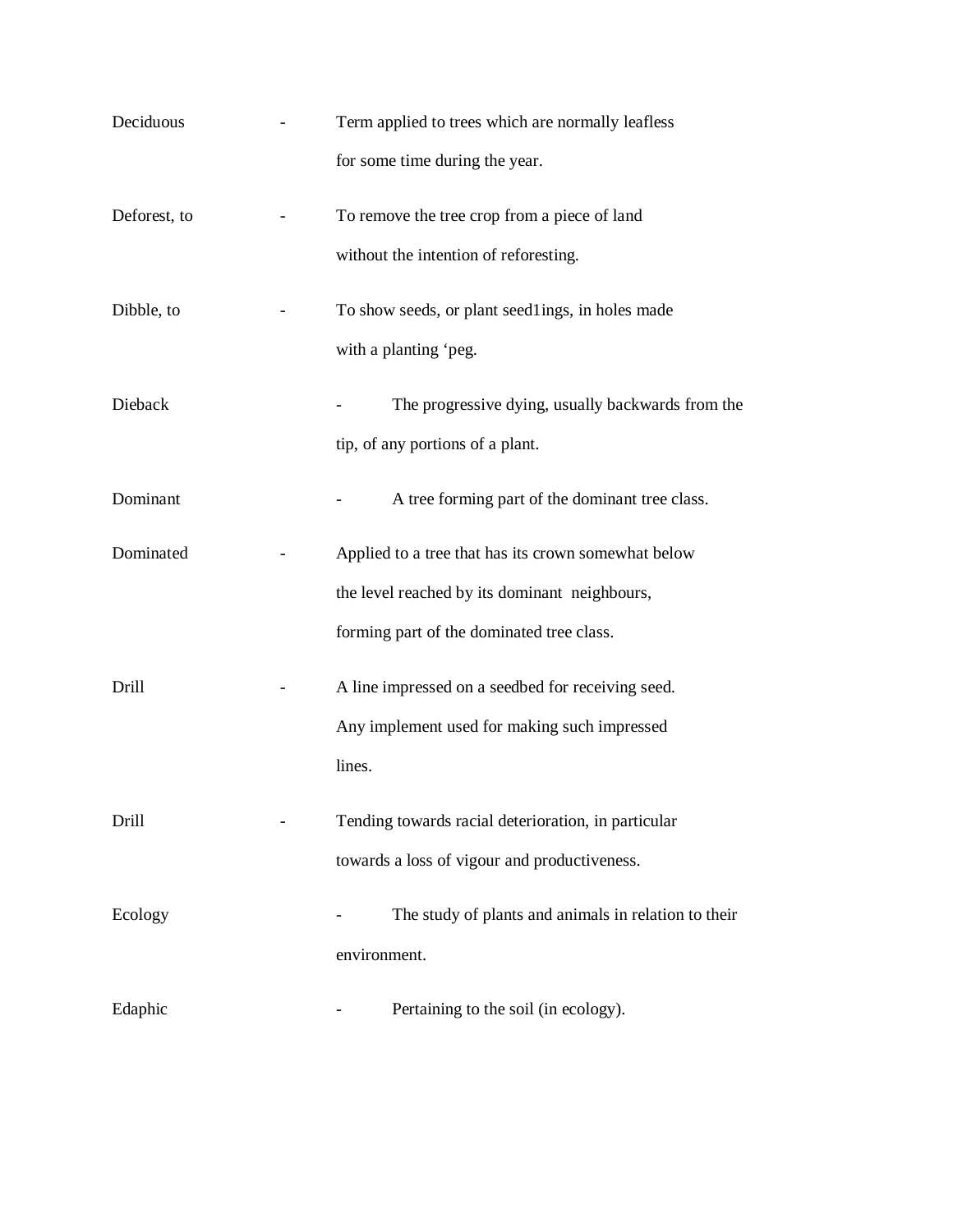| Deciduous    | Term applied to trees which are normally leafless    |
|--------------|------------------------------------------------------|
|              | for some time during the year.                       |
| Deforest, to | To remove the tree crop from a piece of land         |
|              | without the intention of reforesting.                |
| Dibble, to   | To show seeds, or plant seedlings, in holes made     |
|              | with a planting 'peg.                                |
| Dieback      | The progressive dying, usually backwards from the    |
|              | tip, of any portions of a plant.                     |
| Dominant     | A tree forming part of the dominant tree class.      |
| Dominated    | Applied to a tree that has its crown somewhat below  |
|              | the level reached by its dominant neighbours,        |
|              | forming part of the dominated tree class.            |
| Drill        | A line impressed on a seedbed for receiving seed.    |
|              | Any implement used for making such impressed         |
|              | lines.                                               |
| Drill        | Tending towards racial deterioration, in particular  |
|              | towards a loss of vigour and productiveness.         |
| Ecology      | The study of plants and animals in relation to their |
|              | environment.                                         |
| Edaphic      | Pertaining to the soil (in ecology).                 |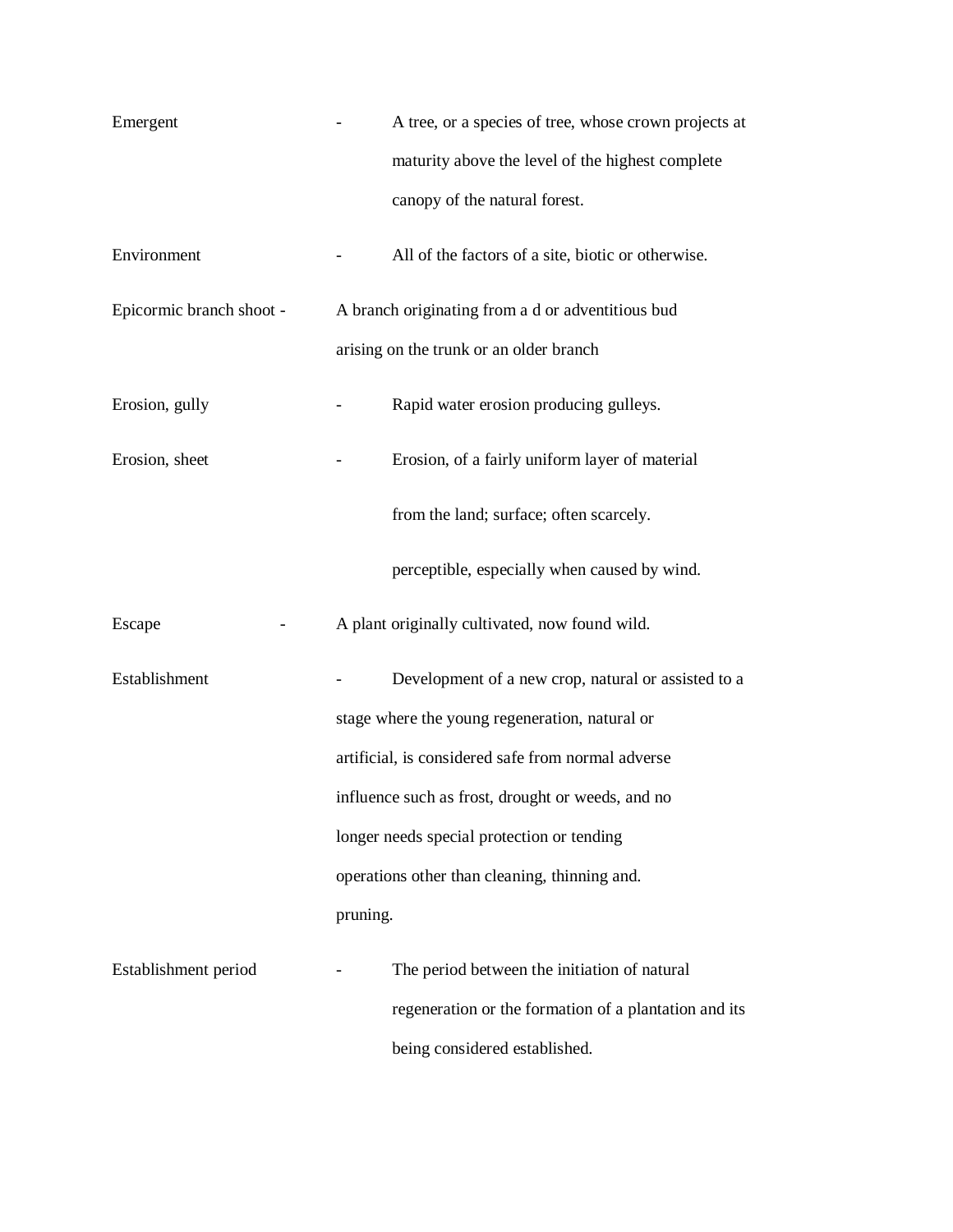| Emergent                 |                                                   | A tree, or a species of tree, whose crown projects at |  |  |  |
|--------------------------|---------------------------------------------------|-------------------------------------------------------|--|--|--|
|                          |                                                   | maturity above the level of the highest complete      |  |  |  |
|                          |                                                   | canopy of the natural forest.                         |  |  |  |
| Environment              |                                                   | All of the factors of a site, biotic or otherwise.    |  |  |  |
| Epicormic branch shoot - |                                                   | A branch originating from a d or adventitious bud     |  |  |  |
|                          |                                                   | arising on the trunk or an older branch               |  |  |  |
| Erosion, gully           |                                                   | Rapid water erosion producing gulleys.                |  |  |  |
| Erosion, sheet           |                                                   | Erosion, of a fairly uniform layer of material        |  |  |  |
|                          |                                                   | from the land; surface; often scarcely.               |  |  |  |
|                          |                                                   | perceptible, especially when caused by wind.          |  |  |  |
| Escape                   |                                                   | A plant originally cultivated, now found wild.        |  |  |  |
| Establishment            |                                                   | Development of a new crop, natural or assisted to a   |  |  |  |
|                          |                                                   | stage where the young regeneration, natural or        |  |  |  |
|                          |                                                   | artificial, is considered safe from normal adverse    |  |  |  |
|                          | influence such as frost, drought or weeds, and no |                                                       |  |  |  |
|                          | longer needs special protection or tending        |                                                       |  |  |  |
|                          | operations other than cleaning, thinning and.     |                                                       |  |  |  |
|                          | pruning.                                          |                                                       |  |  |  |
| Establishment period     |                                                   | The period between the initiation of natural          |  |  |  |
|                          |                                                   | regeneration or the formation of a plantation and its |  |  |  |
|                          |                                                   | being considered established.                         |  |  |  |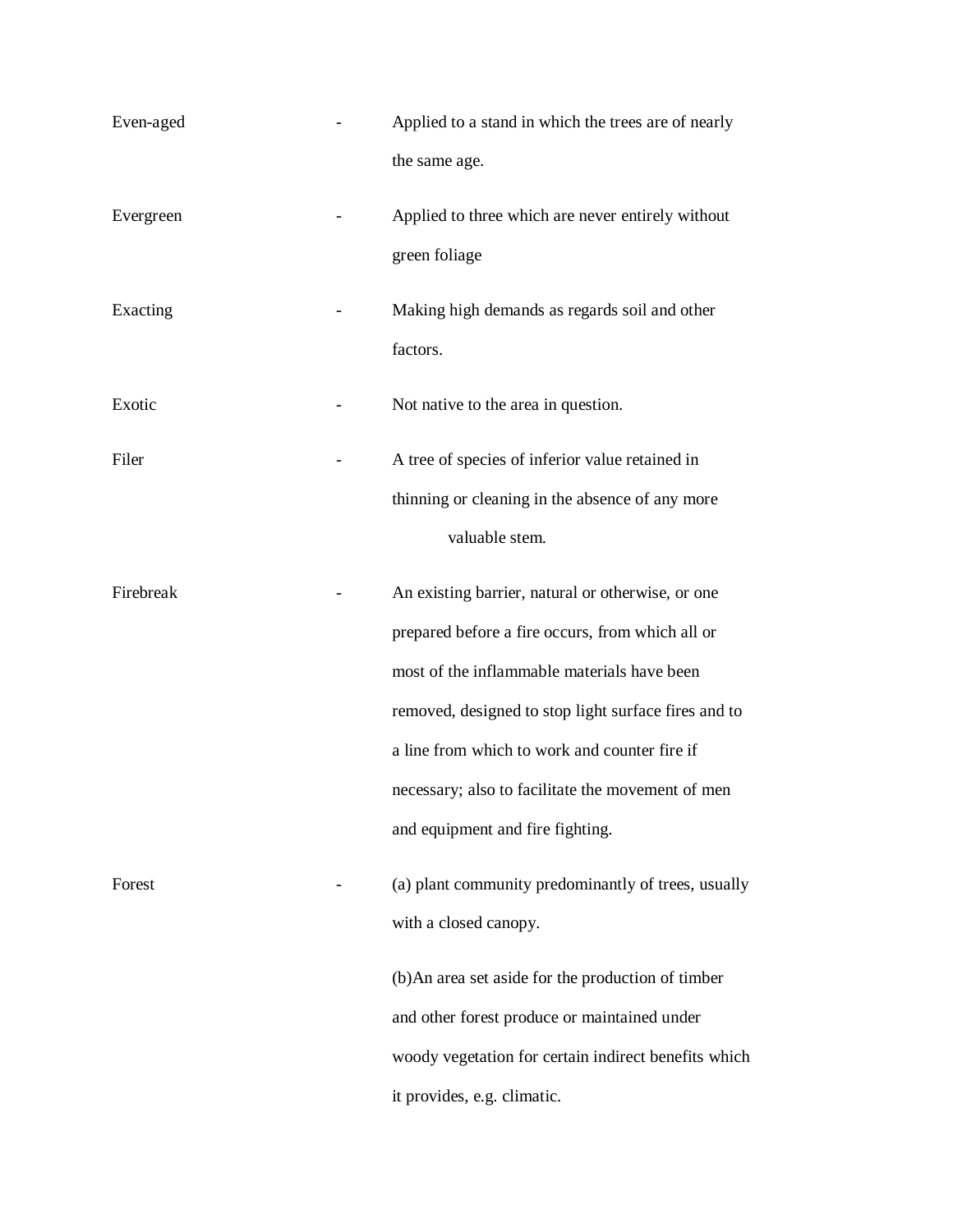| Even-aged | Applied to a stand in which the trees are of nearly<br>the same age.                                                                                                                                                                                                                                                                                   |
|-----------|--------------------------------------------------------------------------------------------------------------------------------------------------------------------------------------------------------------------------------------------------------------------------------------------------------------------------------------------------------|
| Evergreen | Applied to three which are never entirely without<br>green foliage                                                                                                                                                                                                                                                                                     |
| Exacting  | Making high demands as regards soil and other<br>factors.                                                                                                                                                                                                                                                                                              |
| Exotic    | Not native to the area in question.                                                                                                                                                                                                                                                                                                                    |
| Filer     | A tree of species of inferior value retained in<br>thinning or cleaning in the absence of any more<br>valuable stem.                                                                                                                                                                                                                                   |
| Firebreak | An existing barrier, natural or otherwise, or one<br>prepared before a fire occurs, from which all or<br>most of the inflammable materials have been<br>removed, designed to stop light surface fires and to<br>a line from which to work and counter fire if<br>necessary; also to facilitate the movement of men<br>and equipment and fire fighting. |
| Forest    | (a) plant community predominantly of trees, usually<br>with a closed canopy.<br>(b) An area set aside for the production of timber<br>and other forest produce or maintained under<br>woody vegetation for certain indirect benefits which<br>it provides, e.g. climatic.                                                                              |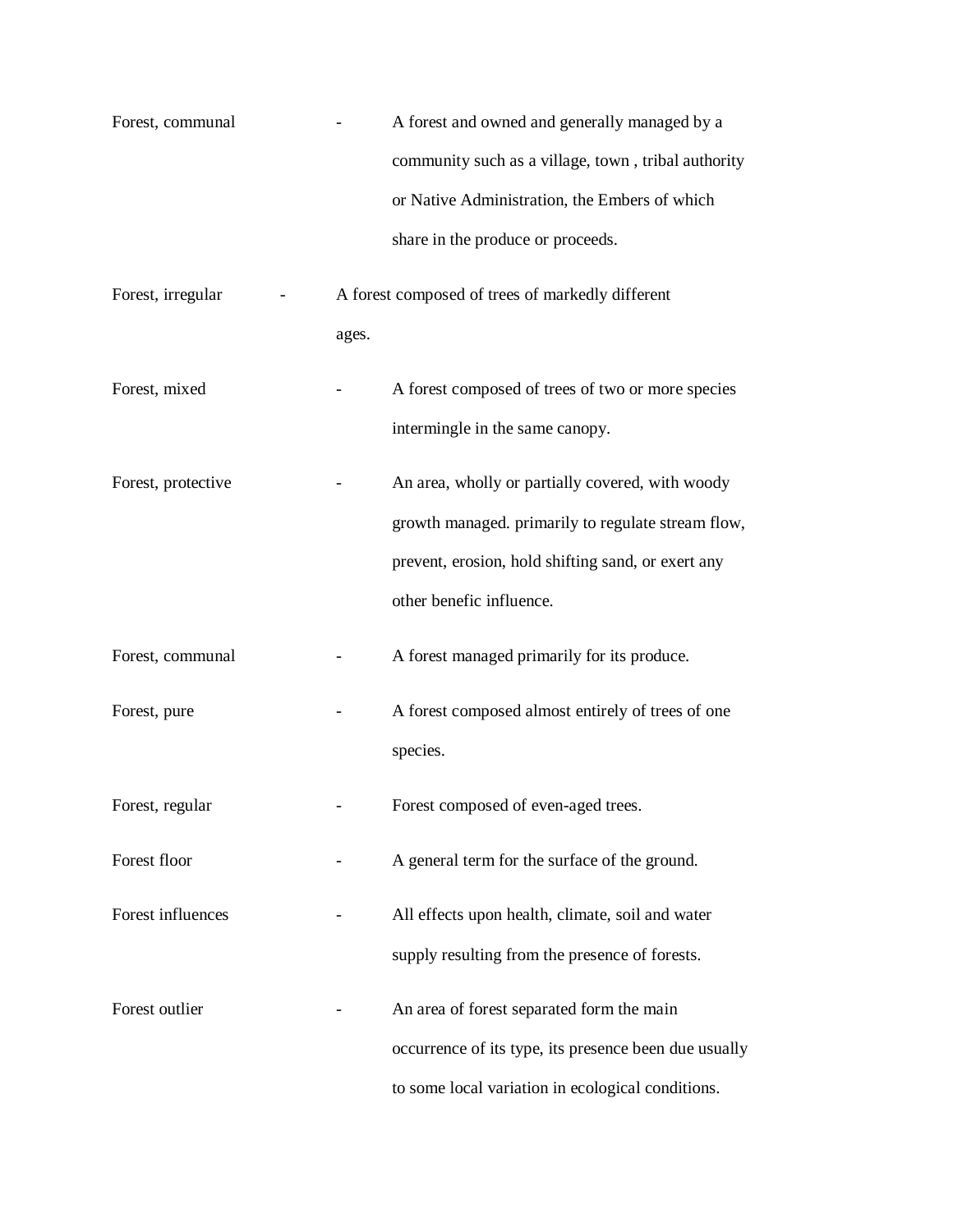| Forest, communal   |       | A forest and owned and generally managed by a         |
|--------------------|-------|-------------------------------------------------------|
|                    |       | community such as a village, town, tribal authority   |
|                    |       | or Native Administration, the Embers of which         |
|                    |       | share in the produce or proceeds.                     |
| Forest, irregular  |       | A forest composed of trees of markedly different      |
|                    | ages. |                                                       |
| Forest, mixed      |       | A forest composed of trees of two or more species     |
|                    |       | intermingle in the same canopy.                       |
| Forest, protective |       | An area, wholly or partially covered, with woody      |
|                    |       | growth managed. primarily to regulate stream flow,    |
|                    |       | prevent, erosion, hold shifting sand, or exert any    |
|                    |       | other benefic influence.                              |
| Forest, communal   |       | A forest managed primarily for its produce.           |
| Forest, pure       |       | A forest composed almost entirely of trees of one     |
|                    |       | species.                                              |
| Forest, regular    |       | Forest composed of even-aged trees.                   |
| Forest floor       |       | A general term for the surface of the ground.         |
| Forest influences  |       | All effects upon health, climate, soil and water      |
|                    |       | supply resulting from the presence of forests.        |
| Forest outlier     |       | An area of forest separated form the main             |
|                    |       | occurrence of its type, its presence been due usually |
|                    |       | to some local variation in ecological conditions.     |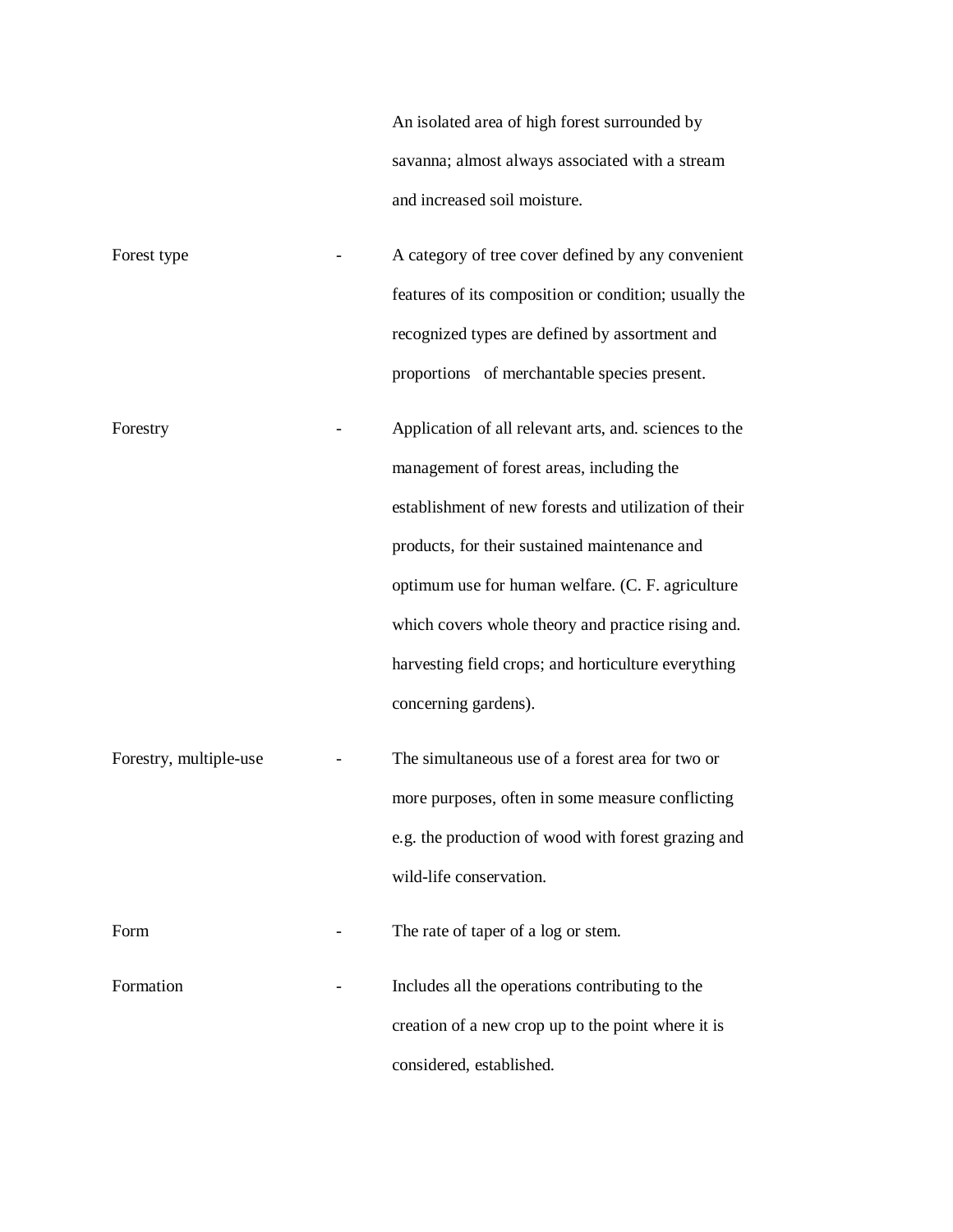|                        | An isolated area of high forest surrounded by<br>savanna; almost always associated with a stream<br>and increased soil moisture.                                                                                                                                                                                                                                                                        |
|------------------------|---------------------------------------------------------------------------------------------------------------------------------------------------------------------------------------------------------------------------------------------------------------------------------------------------------------------------------------------------------------------------------------------------------|
| Forest type            | A category of tree cover defined by any convenient<br>features of its composition or condition; usually the<br>recognized types are defined by assortment and<br>proportions of merchantable species present.                                                                                                                                                                                           |
| Forestry               | Application of all relevant arts, and. sciences to the<br>management of forest areas, including the<br>establishment of new forests and utilization of their<br>products, for their sustained maintenance and<br>optimum use for human welfare. (C. F. agriculture<br>which covers whole theory and practice rising and.<br>harvesting field crops; and horticulture everything<br>concerning gardens). |
| Forestry, multiple-use | The simultaneous use of a forest area for two or<br>more purposes, often in some measure conflicting<br>e.g. the production of wood with forest grazing and<br>wild-life conservation.                                                                                                                                                                                                                  |
| Form                   | The rate of taper of a log or stem.                                                                                                                                                                                                                                                                                                                                                                     |
| Formation              | Includes all the operations contributing to the<br>creation of a new crop up to the point where it is<br>considered, established.                                                                                                                                                                                                                                                                       |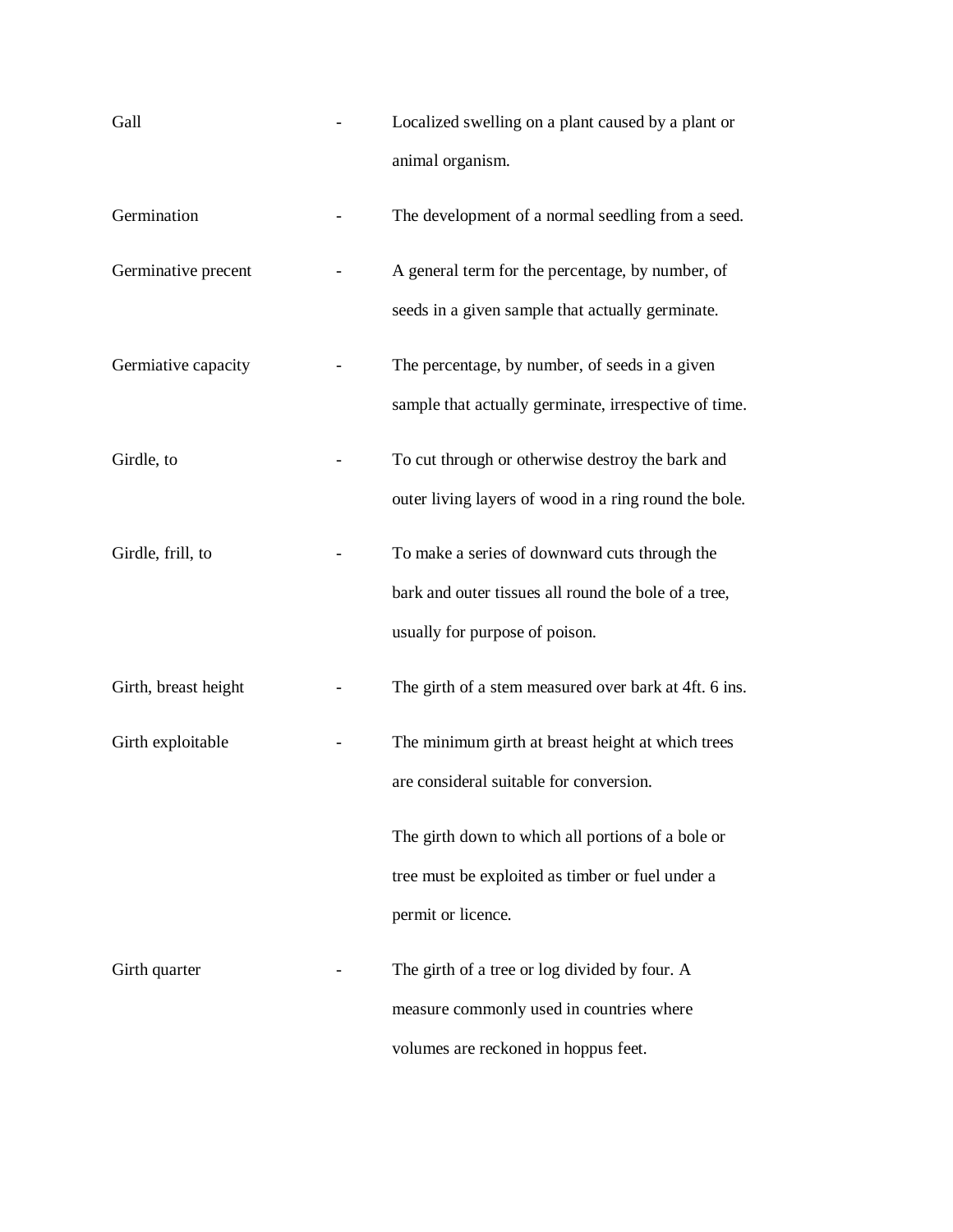| Gall                 | Localized swelling on a plant caused by a plant or<br>animal organism.                                                                  |
|----------------------|-----------------------------------------------------------------------------------------------------------------------------------------|
| Germination          | The development of a normal seedling from a seed.                                                                                       |
| Germinative precent  | A general term for the percentage, by number, of<br>seeds in a given sample that actually germinate.                                    |
| Germiative capacity  | The percentage, by number, of seeds in a given<br>sample that actually germinate, irrespective of time.                                 |
| Girdle, to           | To cut through or otherwise destroy the bark and<br>outer living layers of wood in a ring round the bole.                               |
| Girdle, frill, to    | To make a series of downward cuts through the<br>bark and outer tissues all round the bole of a tree,<br>usually for purpose of poison. |
| Girth, breast height | The girth of a stem measured over bark at 4ft. 6 ins.                                                                                   |
| Girth exploitable    | The minimum girth at breast height at which trees<br>are consideral suitable for conversion.                                            |
|                      | The girth down to which all portions of a bole or<br>tree must be exploited as timber or fuel under a<br>permit or licence.             |
| Girth quarter        | The girth of a tree or log divided by four. A<br>measure commonly used in countries where<br>volumes are reckoned in hoppus feet.       |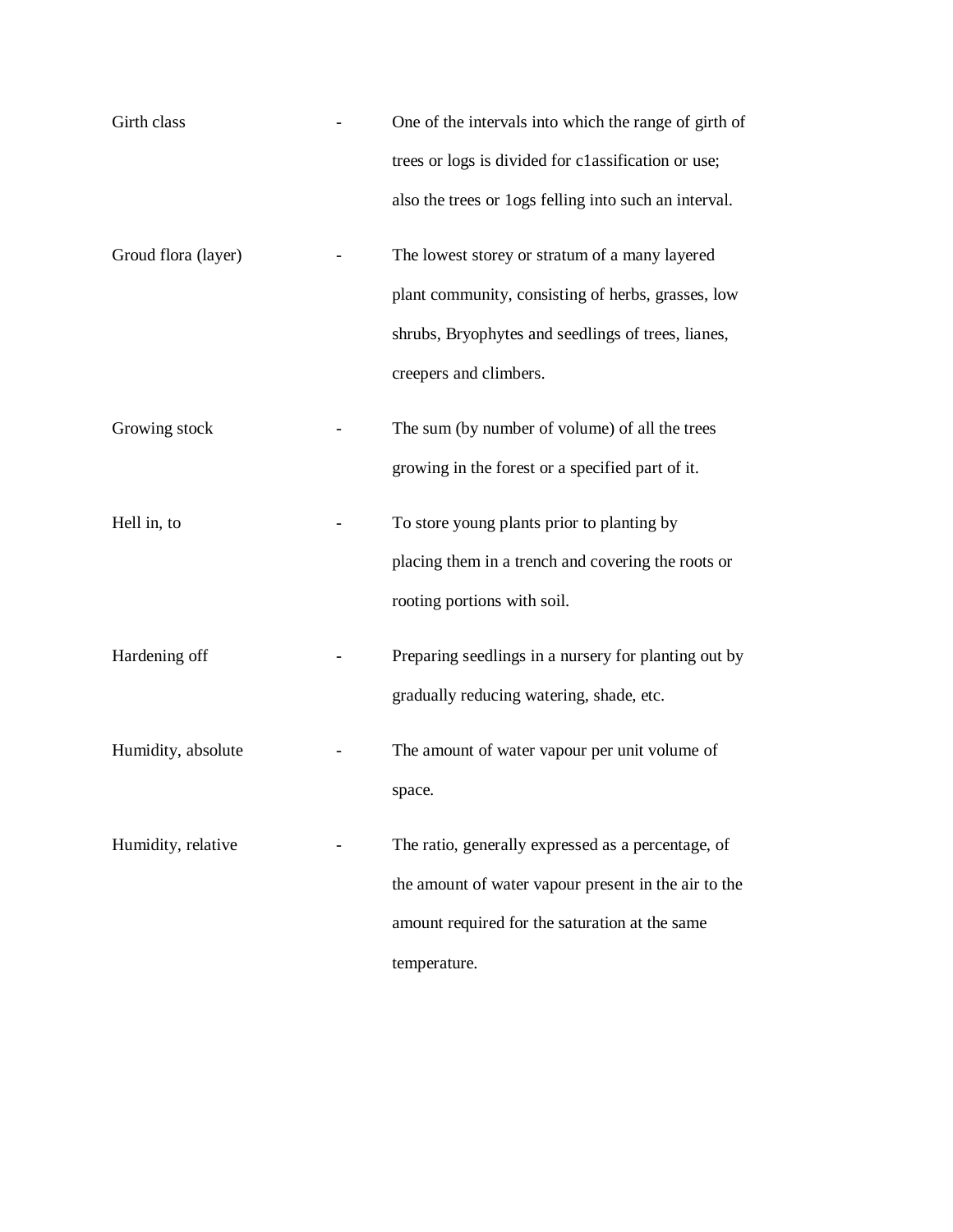| Girth class         | One of the intervals into which the range of girth of |
|---------------------|-------------------------------------------------------|
|                     | trees or logs is divided for classification or use;   |
|                     | also the trees or logs felling into such an interval. |
| Groud flora (layer) | The lowest storey or stratum of a many layered        |
|                     | plant community, consisting of herbs, grasses, low    |
|                     | shrubs, Bryophytes and seedlings of trees, lianes,    |
|                     | creepers and climbers.                                |
| Growing stock       | The sum (by number of volume) of all the trees        |
|                     | growing in the forest or a specified part of it.      |
| Hell in, to         | To store young plants prior to planting by            |
|                     | placing them in a trench and covering the roots or    |
|                     | rooting portions with soil.                           |
| Hardening off       | Preparing seedlings in a nursery for planting out by  |
|                     | gradually reducing watering, shade, etc.              |
| Humidity, absolute  | The amount of water vapour per unit volume of         |
|                     | space.                                                |
| Humidity, relative  | The ratio, generally expressed as a percentage, of    |
|                     | the amount of water vapour present in the air to the  |
|                     | amount required for the saturation at the same        |
|                     | temperature.                                          |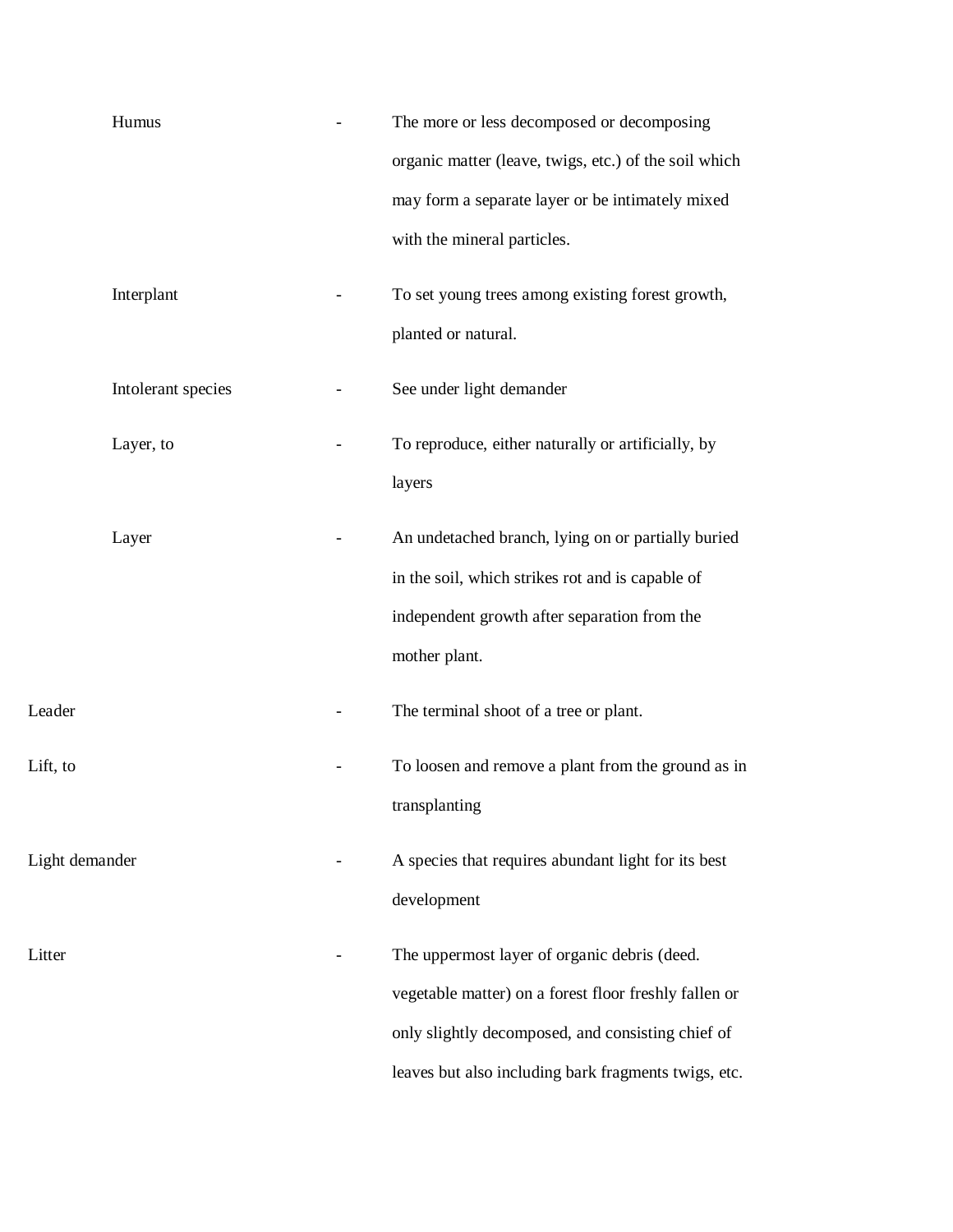| The more or less decomposed or decomposing<br>organic matter (leave, twigs, etc.) of the soil which |
|-----------------------------------------------------------------------------------------------------|
| may form a separate layer or be intimately mixed                                                    |
| with the mineral particles.                                                                         |
| To set young trees among existing forest growth,                                                    |
| planted or natural.                                                                                 |
| See under light demander                                                                            |
| To reproduce, either naturally or artificially, by                                                  |
| layers                                                                                              |
| An undetached branch, lying on or partially buried                                                  |
| in the soil, which strikes rot and is capable of                                                    |
| independent growth after separation from the                                                        |
| mother plant.                                                                                       |
| The terminal shoot of a tree or plant.                                                              |
| To loosen and remove a plant from the ground as in                                                  |
| transplanting                                                                                       |
| A species that requires abundant light for its best                                                 |
| development                                                                                         |
| The uppermost layer of organic debris (deed.                                                        |
| vegetable matter) on a forest floor freshly fallen or                                               |
| only slightly decomposed, and consisting chief of                                                   |
| leaves but also including bark fragments twigs, etc.                                                |
|                                                                                                     |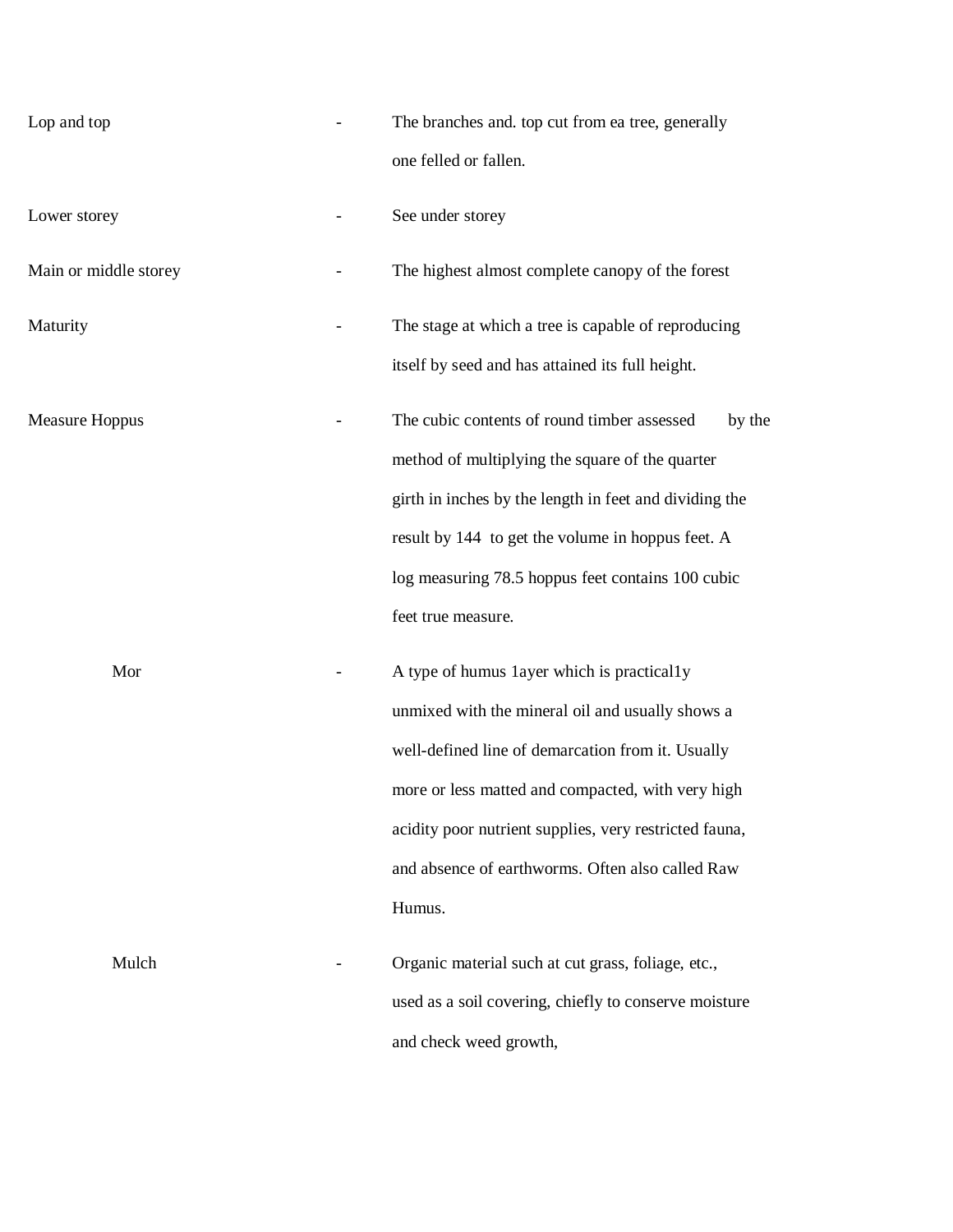| Lop and top           | The branches and. top cut from ea tree, generally<br>one felled or fallen.                                                                                                                                                                                                                                                       |
|-----------------------|----------------------------------------------------------------------------------------------------------------------------------------------------------------------------------------------------------------------------------------------------------------------------------------------------------------------------------|
| Lower storey          | See under storey                                                                                                                                                                                                                                                                                                                 |
| Main or middle storey | The highest almost complete canopy of the forest                                                                                                                                                                                                                                                                                 |
| Maturity              | The stage at which a tree is capable of reproducing<br>itself by seed and has attained its full height.                                                                                                                                                                                                                          |
| <b>Measure Hoppus</b> | The cubic contents of round timber assessed<br>by the<br>method of multiplying the square of the quarter<br>girth in inches by the length in feet and dividing the<br>result by 144 to get the volume in hoppus feet. A<br>log measuring 78.5 hoppus feet contains 100 cubic<br>feet true measure.                               |
| Mor                   | A type of humus 1ayer which is practically<br>unmixed with the mineral oil and usually shows a<br>well-defined line of demarcation from it. Usually<br>more or less matted and compacted, with very high<br>acidity poor nutrient supplies, very restricted fauna,<br>and absence of earthworms. Often also called Raw<br>Humus. |
| Mulch                 | Organic material such at cut grass, foliage, etc.,<br>used as a soil covering, chiefly to conserve moisture<br>and check weed growth,                                                                                                                                                                                            |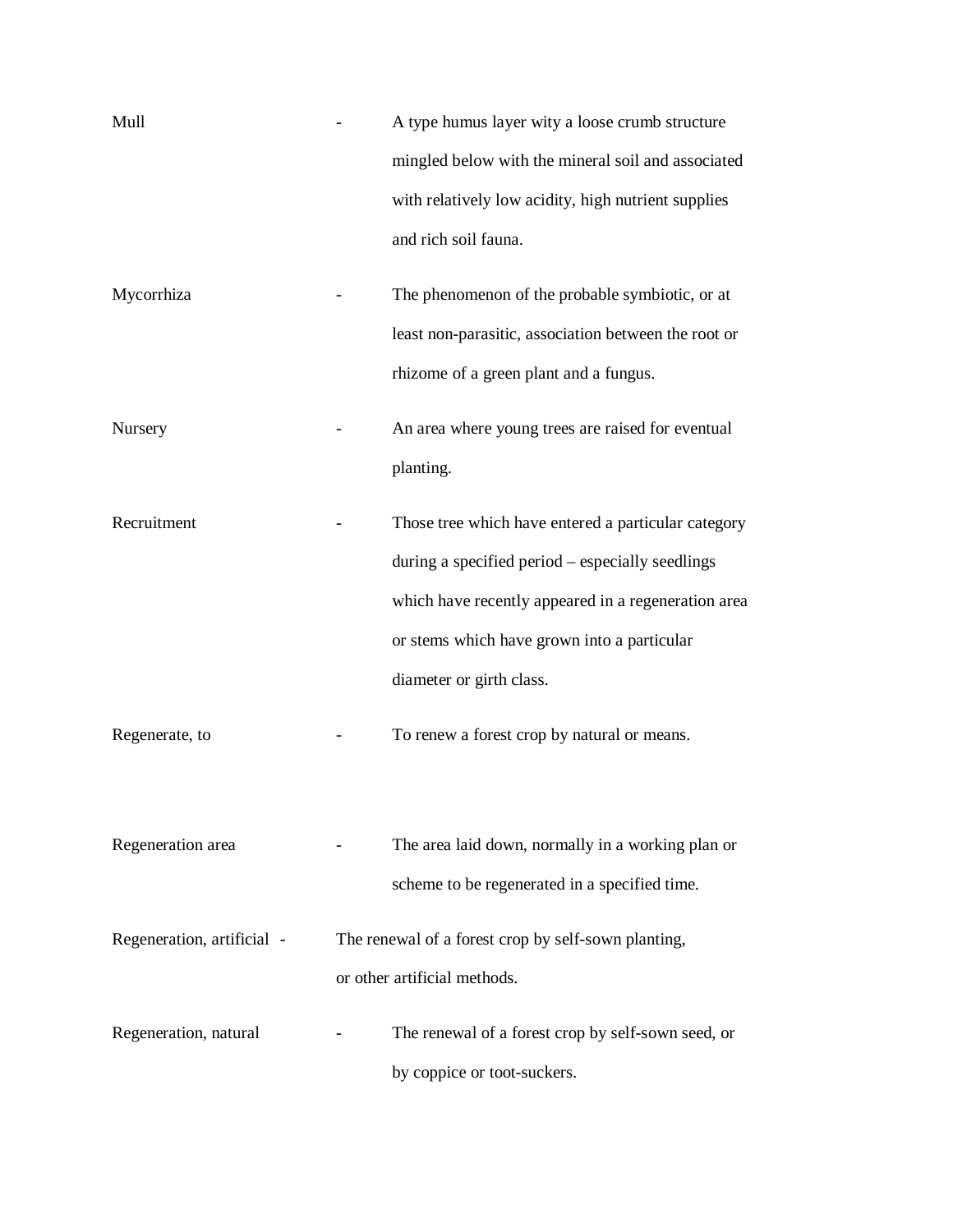| Mull                       | A type humus layer wity a loose crumb structure      |
|----------------------------|------------------------------------------------------|
|                            | mingled below with the mineral soil and associated   |
|                            | with relatively low acidity, high nutrient supplies  |
|                            | and rich soil fauna.                                 |
| Mycorrhiza                 | The phenomenon of the probable symbiotic, or at      |
|                            | least non-parasitic, association between the root or |
|                            | rhizome of a green plant and a fungus.               |
| Nursery                    | An area where young trees are raised for eventual    |
|                            | planting.                                            |
| Recruitment                | Those tree which have entered a particular category  |
|                            | during a specified period – especially seedlings     |
|                            | which have recently appeared in a regeneration area  |
|                            | or stems which have grown into a particular          |
|                            | diameter or girth class.                             |
| Regenerate, to             | To renew a forest crop by natural or means.          |
|                            |                                                      |
| Regeneration area          | The area laid down, normally in a working plan or    |
|                            | scheme to be regenerated in a specified time.        |
| Regeneration, artificial - | The renewal of a forest crop by self-sown planting,  |
|                            | or other artificial methods.                         |
| Regeneration, natural      | The renewal of a forest crop by self-sown seed, or   |
|                            | by coppice or toot-suckers.                          |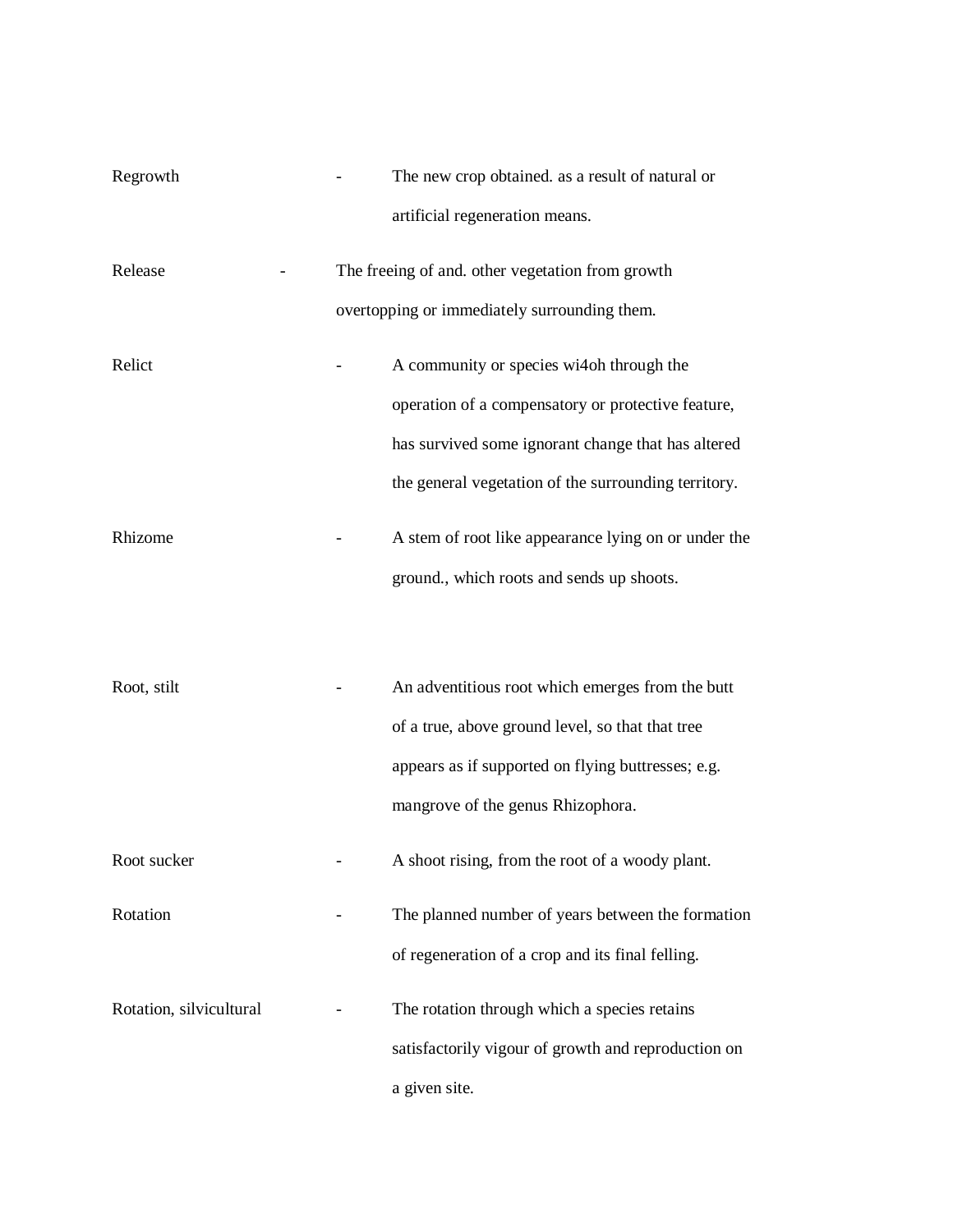| Regrowth                | The new crop obtained. as a result of natural or     |
|-------------------------|------------------------------------------------------|
|                         | artificial regeneration means.                       |
| Release                 | The freeing of and. other vegetation from growth     |
|                         | overtopping or immediately surrounding them.         |
| Relict                  | A community or species wi4oh through the             |
|                         | operation of a compensatory or protective feature,   |
|                         | has survived some ignorant change that has altered   |
|                         | the general vegetation of the surrounding territory. |
| Rhizome                 | A stem of root like appearance lying on or under the |
|                         | ground., which roots and sends up shoots.            |
|                         |                                                      |
| Root, stilt             | An adventitious root which emerges from the butt     |
|                         | of a true, above ground level, so that that tree     |
|                         | appears as if supported on flying buttresses; e.g.   |
|                         | mangrove of the genus Rhizophora.                    |
| Root sucker             | A shoot rising, from the root of a woody plant.      |
| Rotation                | The planned number of years between the formation    |
|                         | of regeneration of a crop and its final felling.     |
| Rotation, silvicultural | The rotation through which a species retains         |
|                         | satisfactorily vigour of growth and reproduction on  |
|                         | a given site.                                        |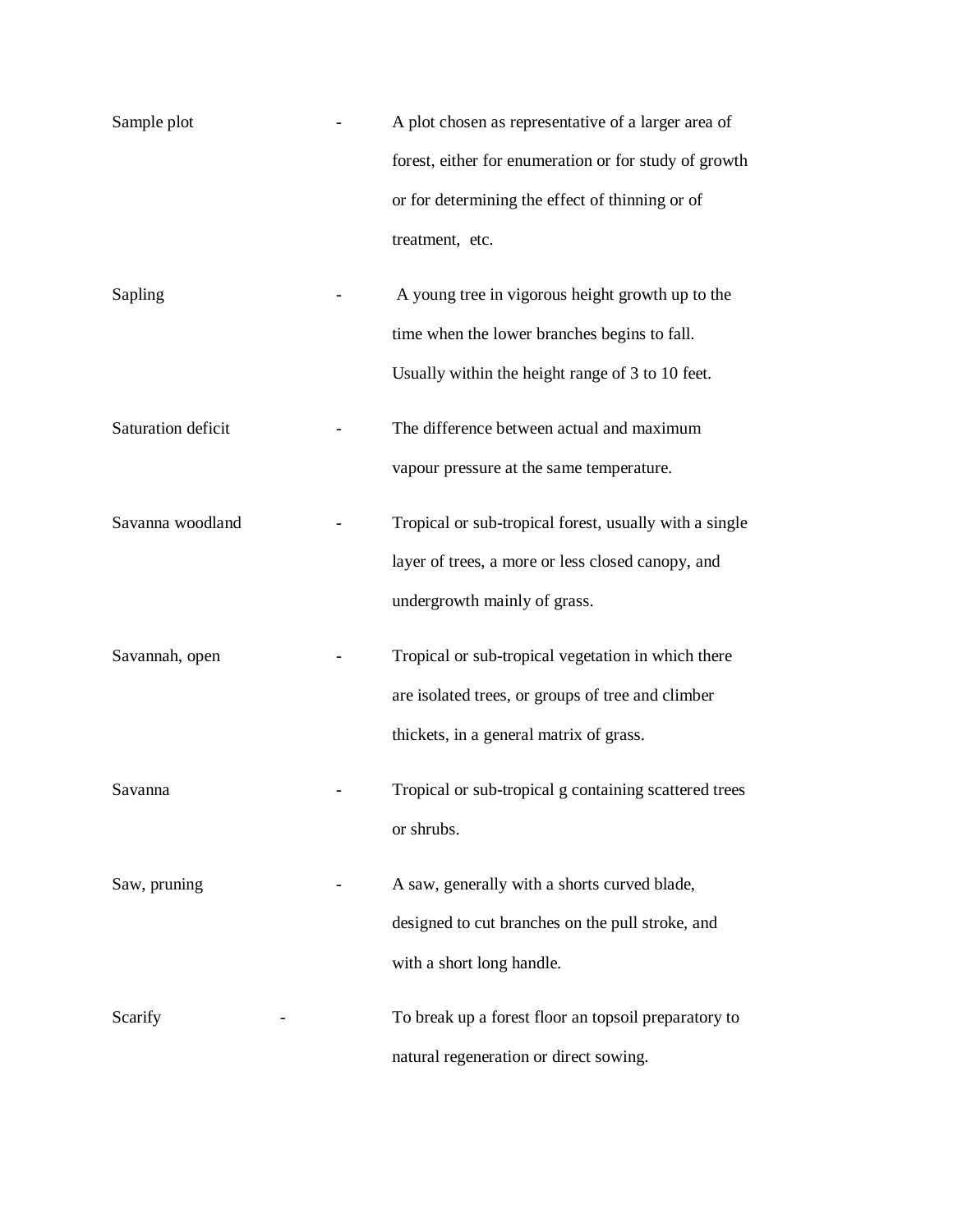| Sample plot        | A plot chosen as representative of a larger area of    |
|--------------------|--------------------------------------------------------|
|                    | forest, either for enumeration or for study of growth  |
|                    | or for determining the effect of thinning or of        |
|                    | treatment, etc.                                        |
| Sapling            | A young tree in vigorous height growth up to the       |
|                    | time when the lower branches begins to fall.           |
|                    | Usually within the height range of 3 to 10 feet.       |
| Saturation deficit | The difference between actual and maximum              |
|                    | vapour pressure at the same temperature.               |
| Savanna woodland   | Tropical or sub-tropical forest, usually with a single |
|                    | layer of trees, a more or less closed canopy, and      |
|                    | undergrowth mainly of grass.                           |
| Savannah, open     | Tropical or sub-tropical vegetation in which there     |
|                    | are isolated trees, or groups of tree and climber      |
|                    | thickets, in a general matrix of grass.                |
| Savanna            | Tropical or sub-tropical g containing scattered trees  |
|                    | or shrubs.                                             |
| Saw, pruning       | A saw, generally with a shorts curved blade,           |
|                    | designed to cut branches on the pull stroke, and       |
|                    | with a short long handle.                              |
| Scarify            | To break up a forest floor an topsoil preparatory to   |
|                    | natural regeneration or direct sowing.                 |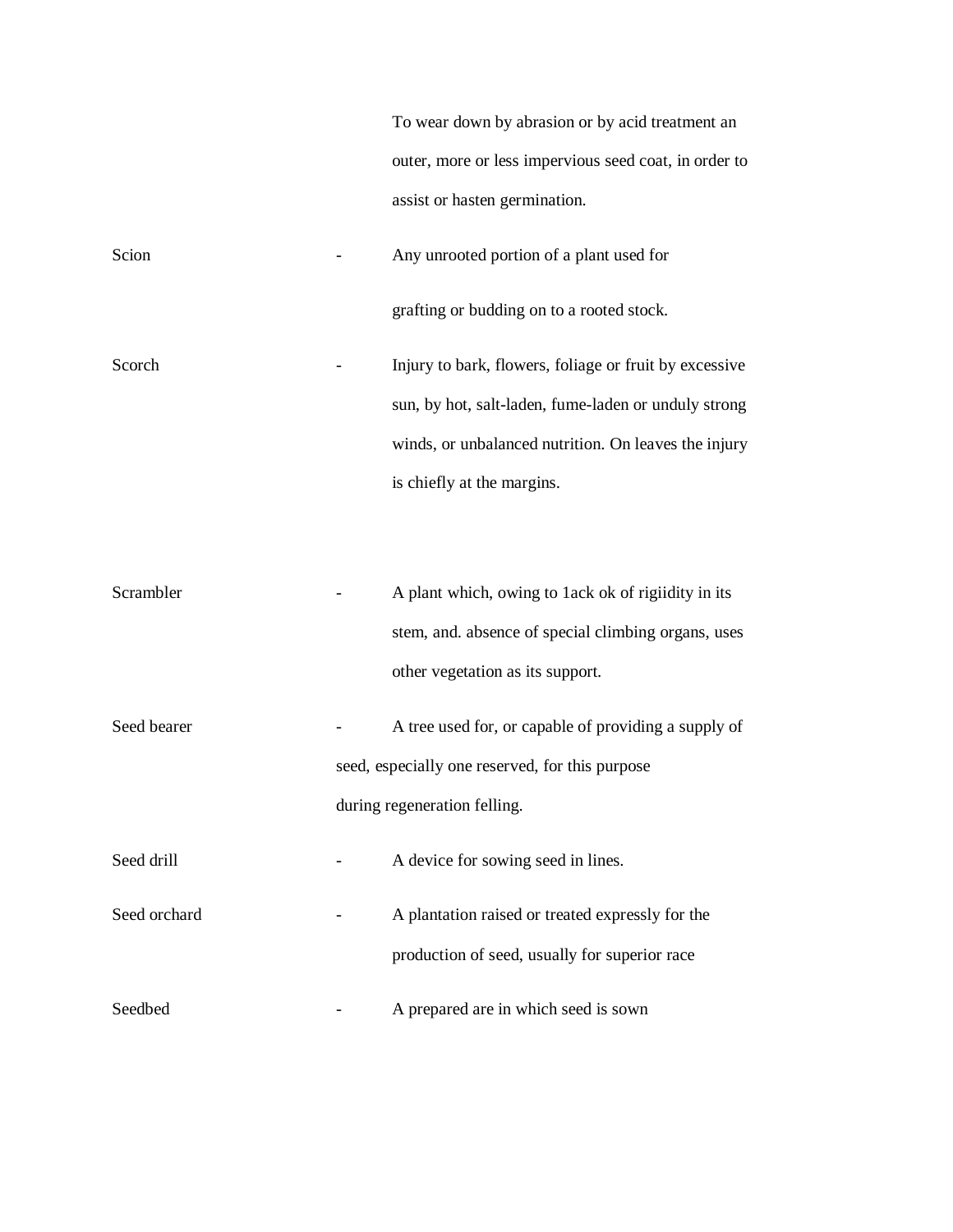|              | To wear down by abrasion or by acid treatment an<br>outer, more or less impervious seed coat, in order to                                      |
|--------------|------------------------------------------------------------------------------------------------------------------------------------------------|
|              | assist or hasten germination.                                                                                                                  |
| Scion        | Any unrooted portion of a plant used for                                                                                                       |
|              | grafting or budding on to a rooted stock.                                                                                                      |
| Scorch       | Injury to bark, flowers, foliage or fruit by excessive                                                                                         |
|              | sun, by hot, salt-laden, fume-laden or unduly strong                                                                                           |
|              | winds, or unbalanced nutrition. On leaves the injury                                                                                           |
|              | is chiefly at the margins.                                                                                                                     |
| Scrambler    | A plant which, owing to 1ack ok of rigiidity in its<br>stem, and. absence of special climbing organs, uses<br>other vegetation as its support. |
| Seed bearer  | A tree used for, or capable of providing a supply of                                                                                           |
|              | seed, especially one reserved, for this purpose                                                                                                |
|              | during regeneration felling.                                                                                                                   |
| Seed drill   | A device for sowing seed in lines.                                                                                                             |
| Seed orchard | A plantation raised or treated expressly for the                                                                                               |
|              | production of seed, usually for superior race                                                                                                  |
| Seedbed      | A prepared are in which seed is sown                                                                                                           |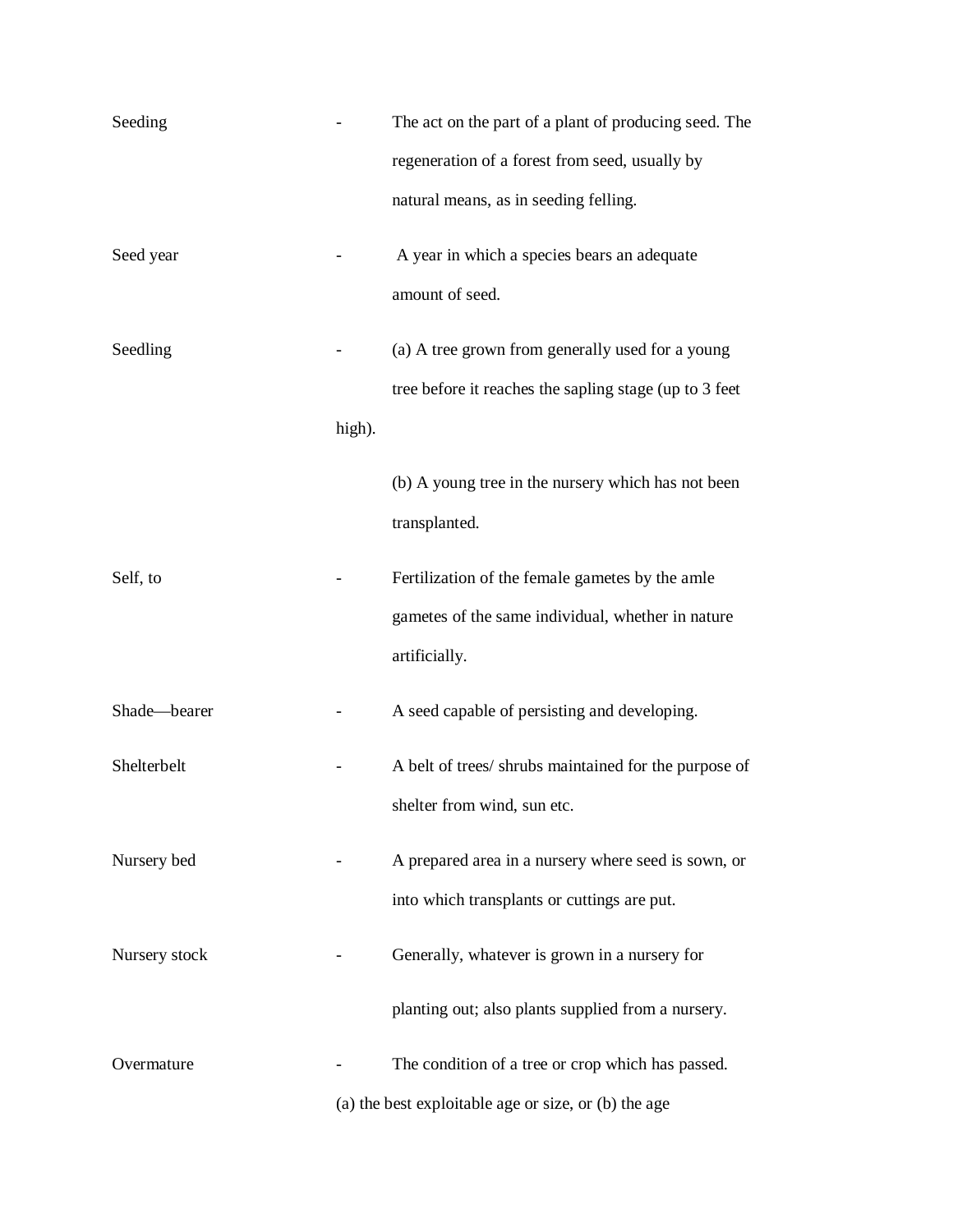| Seeding       |        | The act on the part of a plant of producing seed. The  |
|---------------|--------|--------------------------------------------------------|
|               |        | regeneration of a forest from seed, usually by         |
|               |        | natural means, as in seeding felling.                  |
| Seed year     |        | A year in which a species bears an adequate            |
|               |        | amount of seed.                                        |
| Seedling      |        | (a) A tree grown from generally used for a young       |
|               |        | tree before it reaches the sapling stage (up to 3 feet |
|               | high). |                                                        |
|               |        | (b) A young tree in the nursery which has not been     |
|               |        | transplanted.                                          |
| Self, to      |        | Fertilization of the female gametes by the amle        |
|               |        | gametes of the same individual, whether in nature      |
|               |        | artificially.                                          |
| Shade-bearer  |        | A seed capable of persisting and developing.           |
| Shelterbelt   |        | A belt of trees/ shrubs maintained for the purpose of  |
|               |        | shelter from wind, sun etc.                            |
| Nursery bed   |        | A prepared area in a nursery where seed is sown, or    |
|               |        | into which transplants or cuttings are put.            |
| Nursery stock |        | Generally, whatever is grown in a nursery for          |
|               |        | planting out; also plants supplied from a nursery.     |
| Overmature    |        | The condition of a tree or crop which has passed.      |
|               |        | (a) the best exploitable age or size, or (b) the age   |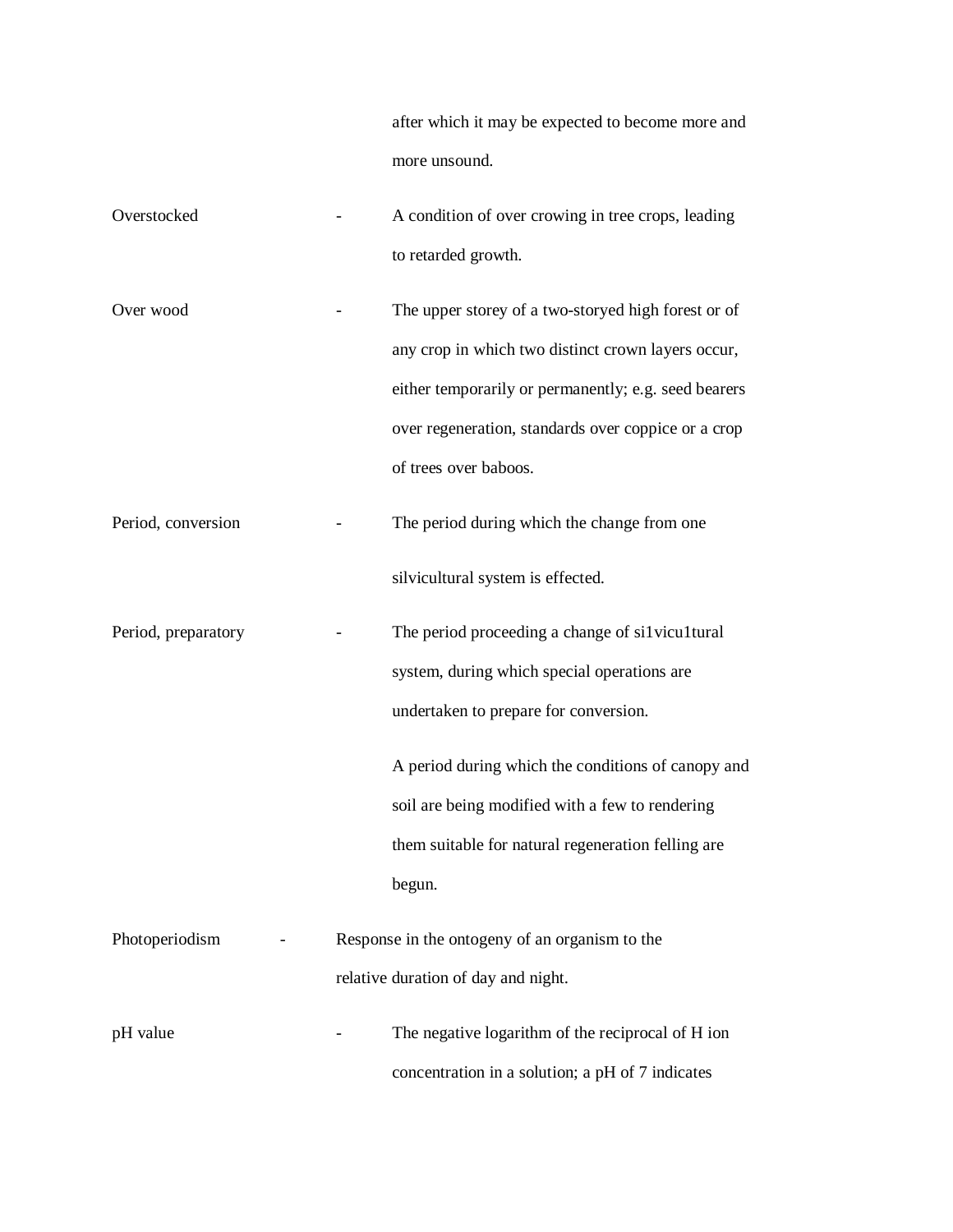after which it may be expected to become more and more unsound.

| Overstocked         | A condition of over crowing in tree crops, leading   |
|---------------------|------------------------------------------------------|
|                     | to retarded growth.                                  |
| Over wood           | The upper storey of a two-storyed high forest or of  |
|                     | any crop in which two distinct crown layers occur,   |
|                     | either temporarily or permanently; e.g. seed bearers |
|                     | over regeneration, standards over coppice or a crop  |
|                     | of trees over baboos.                                |
| Period, conversion  | The period during which the change from one          |
|                     | silvicultural system is effected.                    |
| Period, preparatory | The period proceeding a change of silvicultural      |
|                     | system, during which special operations are          |
|                     | undertaken to prepare for conversion.                |
|                     | A period during which the conditions of canopy and   |
|                     | soil are being modified with a few to rendering      |
|                     | them suitable for natural regeneration felling are   |
|                     | begun.                                               |
| Photoperiodism      | Response in the ontogeny of an organism to the       |
|                     | relative duration of day and night.                  |
| pH value            | The negative logarithm of the reciprocal of H ion    |
|                     | concentration in a solution; a pH of 7 indicates     |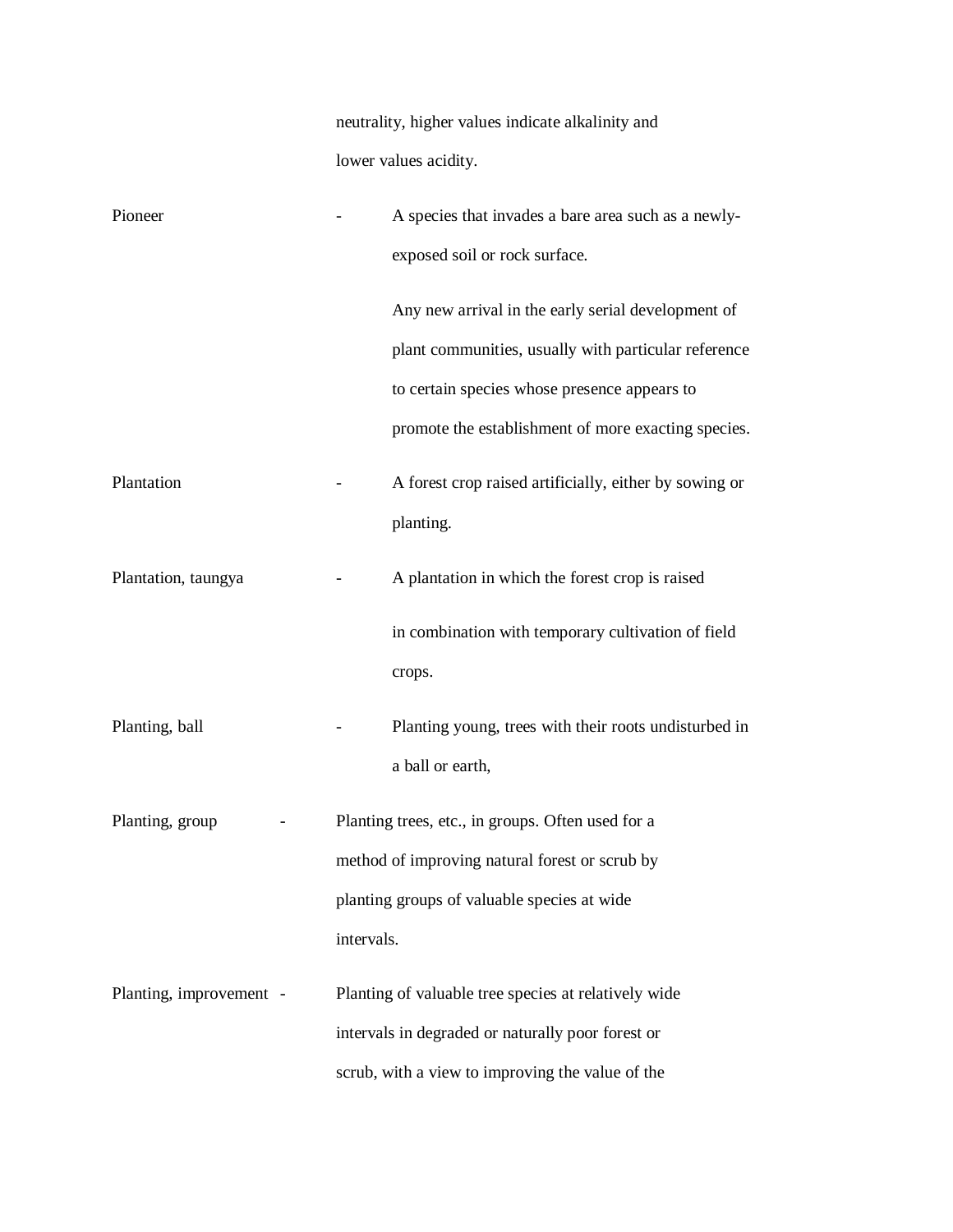neutrality, higher values indicate alkalinity and lower values acidity.

| Pioneer                 |            | A species that invades a bare area such as a newly-    |
|-------------------------|------------|--------------------------------------------------------|
|                         |            | exposed soil or rock surface.                          |
|                         |            | Any new arrival in the early serial development of     |
|                         |            | plant communities, usually with particular reference   |
|                         |            | to certain species whose presence appears to           |
|                         |            | promote the establishment of more exacting species.    |
| Plantation              |            | A forest crop raised artificially, either by sowing or |
|                         |            | planting.                                              |
| Plantation, taungya     |            | A plantation in which the forest crop is raised        |
|                         |            | in combination with temporary cultivation of field     |
|                         |            | crops.                                                 |
| Planting, ball          |            | Planting young, trees with their roots undisturbed in  |
|                         |            | a ball or earth,                                       |
| Planting, group         |            | Planting trees, etc., in groups. Often used for a      |
|                         |            | method of improving natural forest or scrub by         |
|                         |            | planting groups of valuable species at wide            |
|                         | intervals. |                                                        |
| Planting, improvement - |            | Planting of valuable tree species at relatively wide   |
|                         |            | intervals in degraded or naturally poor forest or      |
|                         |            | scrub, with a view to improving the value of the       |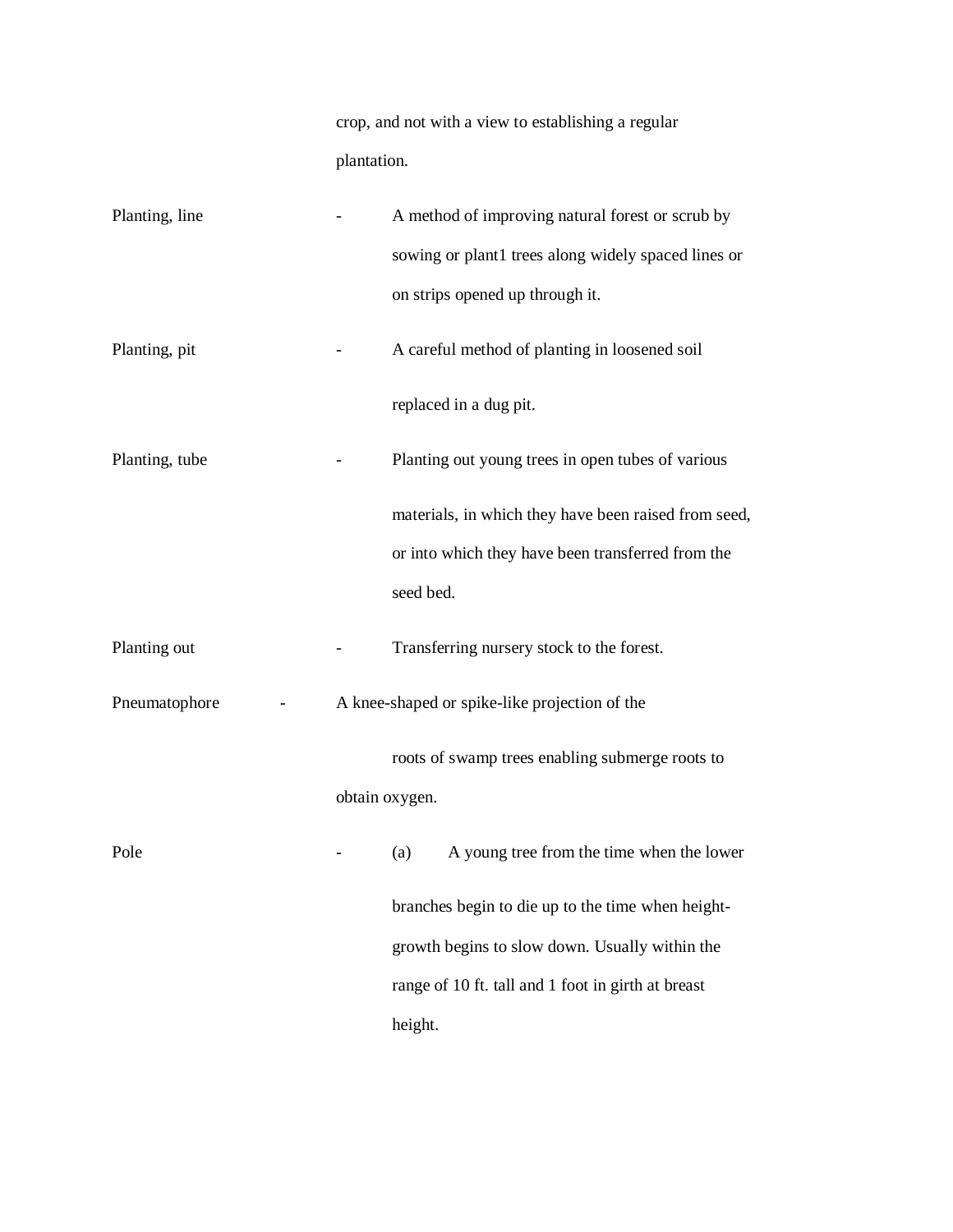crop, and not with a view to establishing a regular plantation.

| Planting, line |                | A method of improving natural forest or scrub by     |
|----------------|----------------|------------------------------------------------------|
|                |                | sowing or plant1 trees along widely spaced lines or  |
|                |                | on strips opened up through it.                      |
| Planting, pit  |                | A careful method of planting in loosened soil        |
|                |                | replaced in a dug pit.                               |
| Planting, tube |                | Planting out young trees in open tubes of various    |
|                |                | materials, in which they have been raised from seed, |
|                |                | or into which they have been transferred from the    |
|                |                | seed bed.                                            |
| Planting out   |                | Transferring nursery stock to the forest.            |
| Pneumatophore  |                | A knee-shaped or spike-like projection of the        |
|                |                | roots of swamp trees enabling submerge roots to      |
|                | obtain oxygen. |                                                      |
| Pole           |                | A young tree from the time when the lower<br>(a)     |
|                |                | branches begin to die up to the time when height-    |
|                |                | growth begins to slow down. Usually within the       |
|                |                | range of 10 ft. tall and 1 foot in girth at breast   |
|                |                | height.                                              |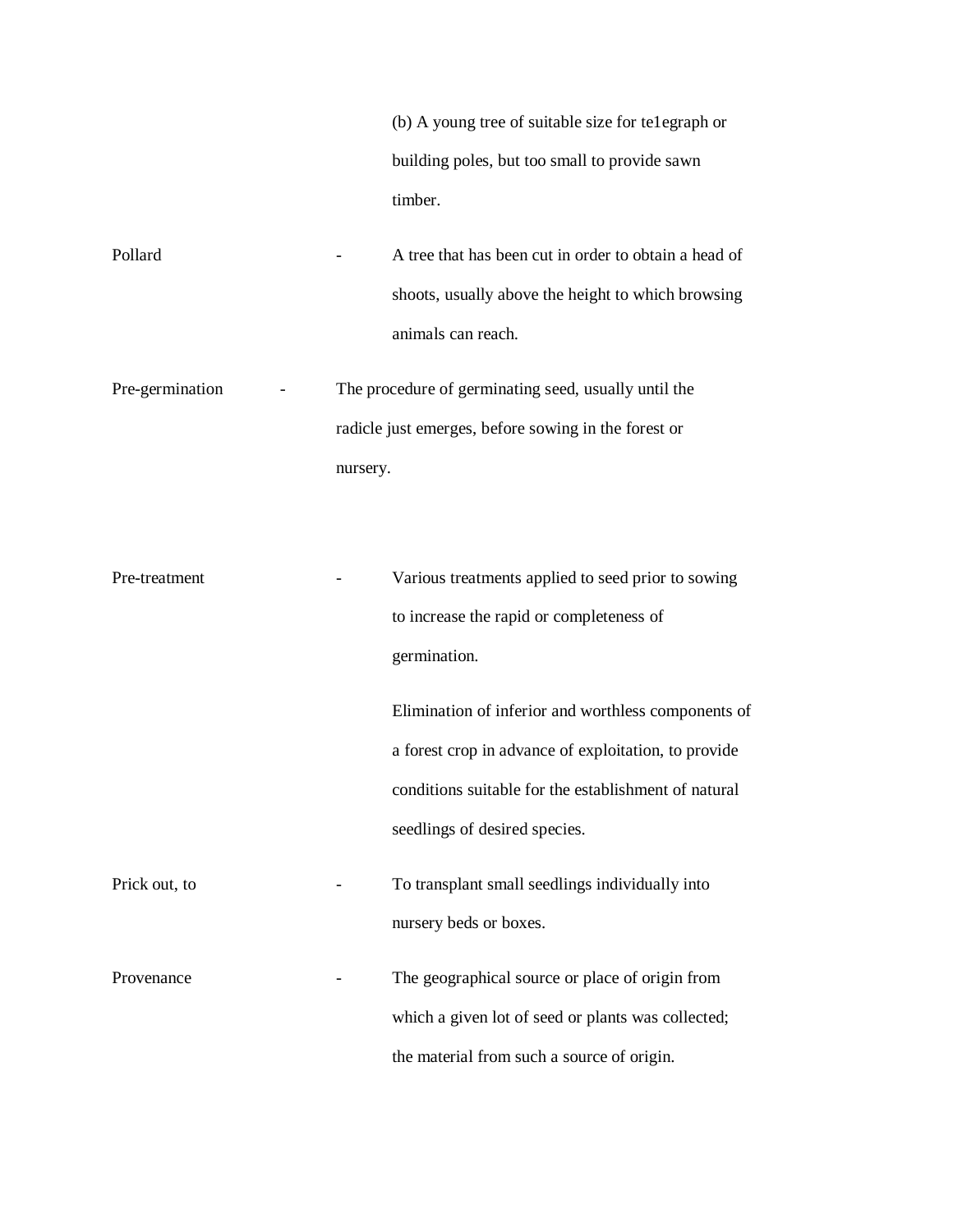(b) A young tree of suitable size for te1egraph or building poles, but too small to provide sawn timber.

Pollard **-** A tree that has been cut in order to obtain a head of shoots, usually above the height to which browsing animals can reach.

Pre-germination - The procedure of germinating seed, usually until the radicle just emerges, before sowing in the forest or nursery.

Pre-treatment - Various treatments applied to seed prior to sowing to increase the rapid or completeness of germination. Elimination of inferior and worthless components of a forest crop in advance of exploitation, to provide conditions suitable for the establishment of natural seedlings of desired species. Prick out, to **Fig. 2.1.** To transplant small seedlings individually into nursery beds or boxes. Provenance The geographical source or place of origin from which a given lot of seed or plants was collected; the material from such a source of origin.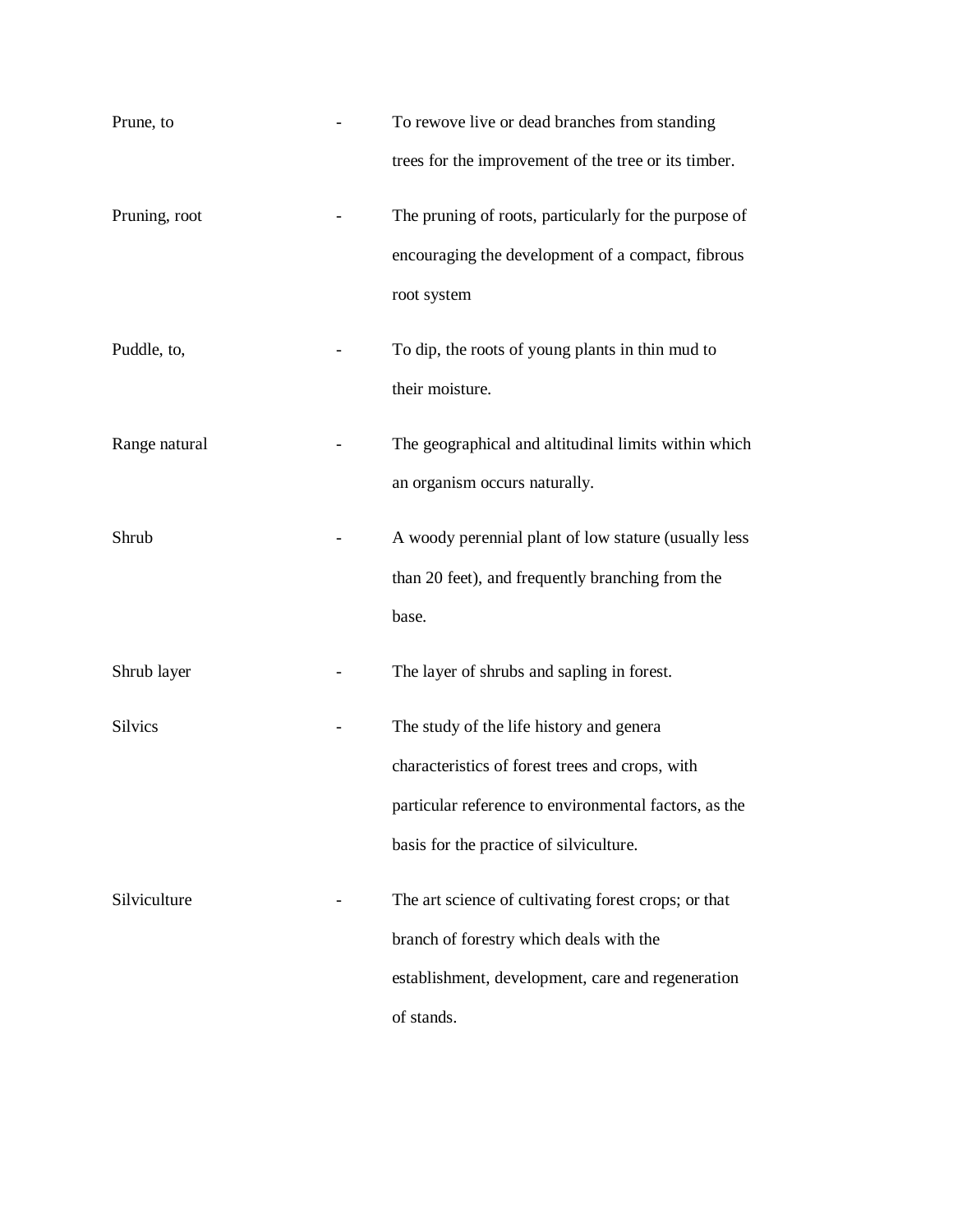| Prune, to      | To rewove live or dead branches from standing<br>trees for the improvement of the tree or its timber.                                                                                           |
|----------------|-------------------------------------------------------------------------------------------------------------------------------------------------------------------------------------------------|
| Pruning, root  | The pruning of roots, particularly for the purpose of<br>encouraging the development of a compact, fibrous<br>root system                                                                       |
| Puddle, to,    | To dip, the roots of young plants in thin mud to<br>their moisture.                                                                                                                             |
| Range natural  | The geographical and altitudinal limits within which<br>an organism occurs naturally.                                                                                                           |
| Shrub          | A woody perennial plant of low stature (usually less<br>than 20 feet), and frequently branching from the<br>base.                                                                               |
| Shrub layer    | The layer of shrubs and sapling in forest.                                                                                                                                                      |
| <b>Silvics</b> | The study of the life history and genera<br>characteristics of forest trees and crops, with<br>particular reference to environmental factors, as the<br>basis for the practice of silviculture. |
| Silviculture   | The art science of cultivating forest crops; or that<br>branch of forestry which deals with the<br>establishment, development, care and regeneration<br>of stands.                              |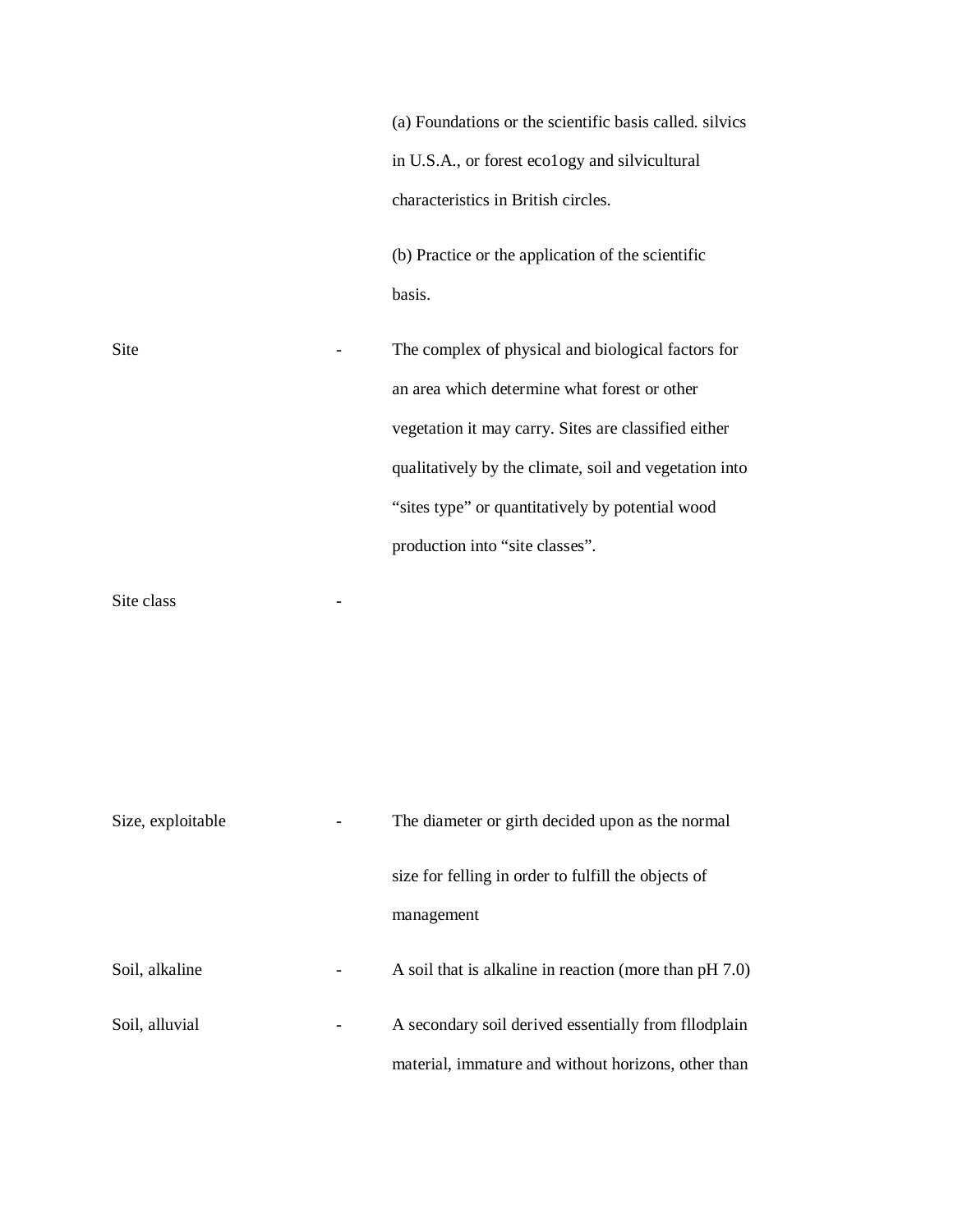|      | (a) Foundations or the scientific basis called. silvics |
|------|---------------------------------------------------------|
|      | in U.S.A., or forest ecology and silvicultural          |
|      | characteristics in British circles.                     |
|      | (b) Practice or the application of the scientific       |
|      | basis.                                                  |
| Site | The complex of physical and biological factors for      |
|      | an area which determine what forest or other            |
|      | vegetation it may carry. Sites are classified either    |
|      | qualitatively by the climate, soil and vegetation into  |
|      | "sites type" or quantitatively by potential wood        |
|      | production into "site classes".                         |

Site class the contract of the class of the contract of the contract of the contract of the contract of the contract of the contract of the contract of the contract of the contract of the contract of the contract of the co

| Size, exploitable |   | The diameter or girth decided upon as the normal          |  |
|-------------------|---|-----------------------------------------------------------|--|
|                   |   | size for felling in order to fulfill the objects of       |  |
|                   |   | management                                                |  |
| Soil, alkaline    | - | A soil that is alkaline in reaction (more than $pH 7.0$ ) |  |
| Soil, alluvial    |   | A secondary soil derived essentially from floodplain      |  |
|                   |   | material, immature and without horizons, other than       |  |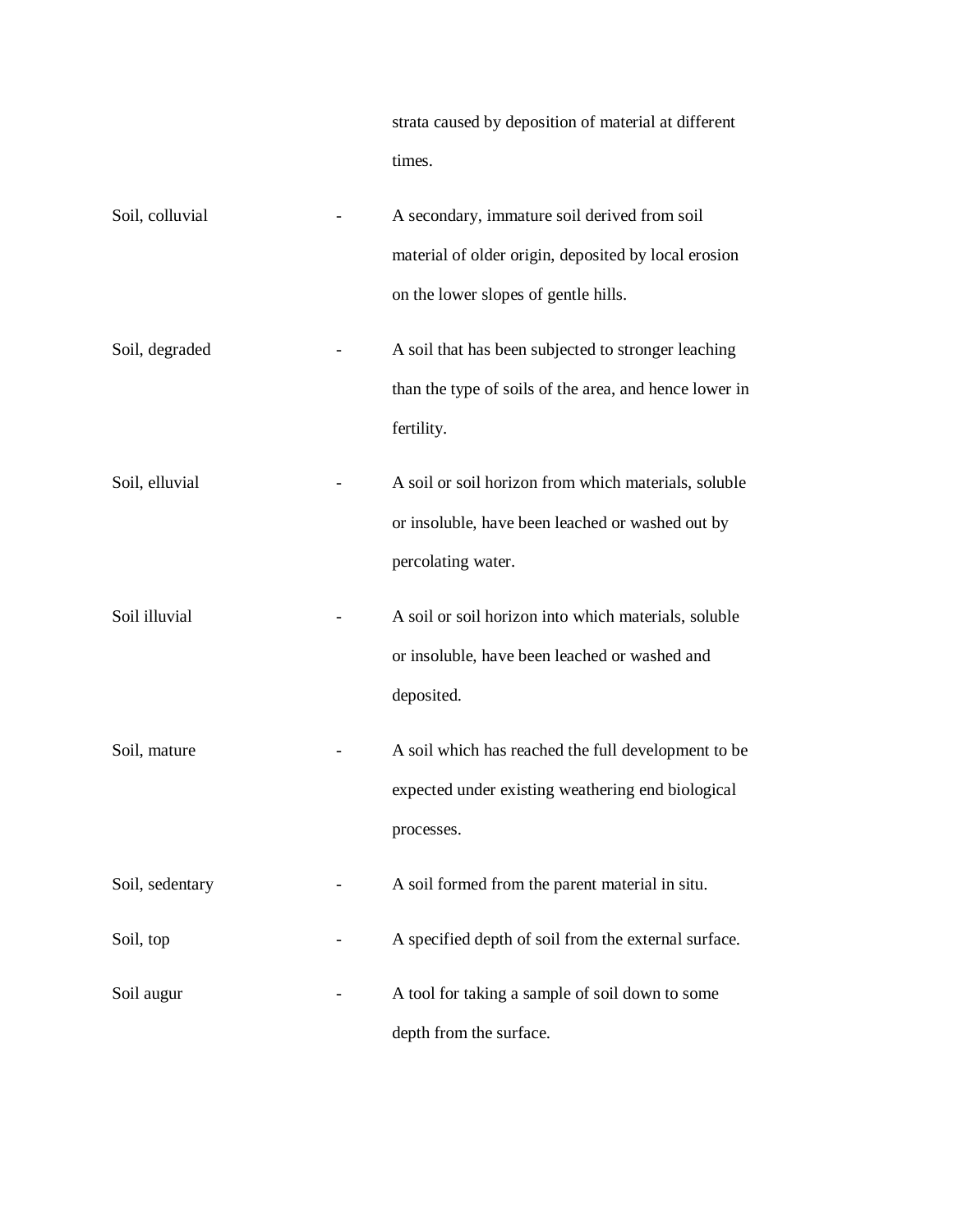|                 | strata caused by deposition of material at different<br>times.                                                                               |
|-----------------|----------------------------------------------------------------------------------------------------------------------------------------------|
| Soil, colluvial | A secondary, immature soil derived from soil<br>material of older origin, deposited by local erosion<br>on the lower slopes of gentle hills. |
| Soil, degraded  | A soil that has been subjected to stronger leaching<br>than the type of soils of the area, and hence lower in<br>fertility.                  |
| Soil, elluvial  | A soil or soil horizon from which materials, soluble<br>or insoluble, have been leached or washed out by<br>percolating water.               |
| Soil illuvial   | A soil or soil horizon into which materials, soluble<br>or insoluble, have been leached or washed and<br>deposited.                          |
| Soil, mature    | A soil which has reached the full development to be<br>expected under existing weathering end biological<br>processes.                       |
| Soil, sedentary | A soil formed from the parent material in situ.                                                                                              |
| Soil, top       | A specified depth of soil from the external surface.                                                                                         |
| Soil augur      | A tool for taking a sample of soil down to some<br>depth from the surface.                                                                   |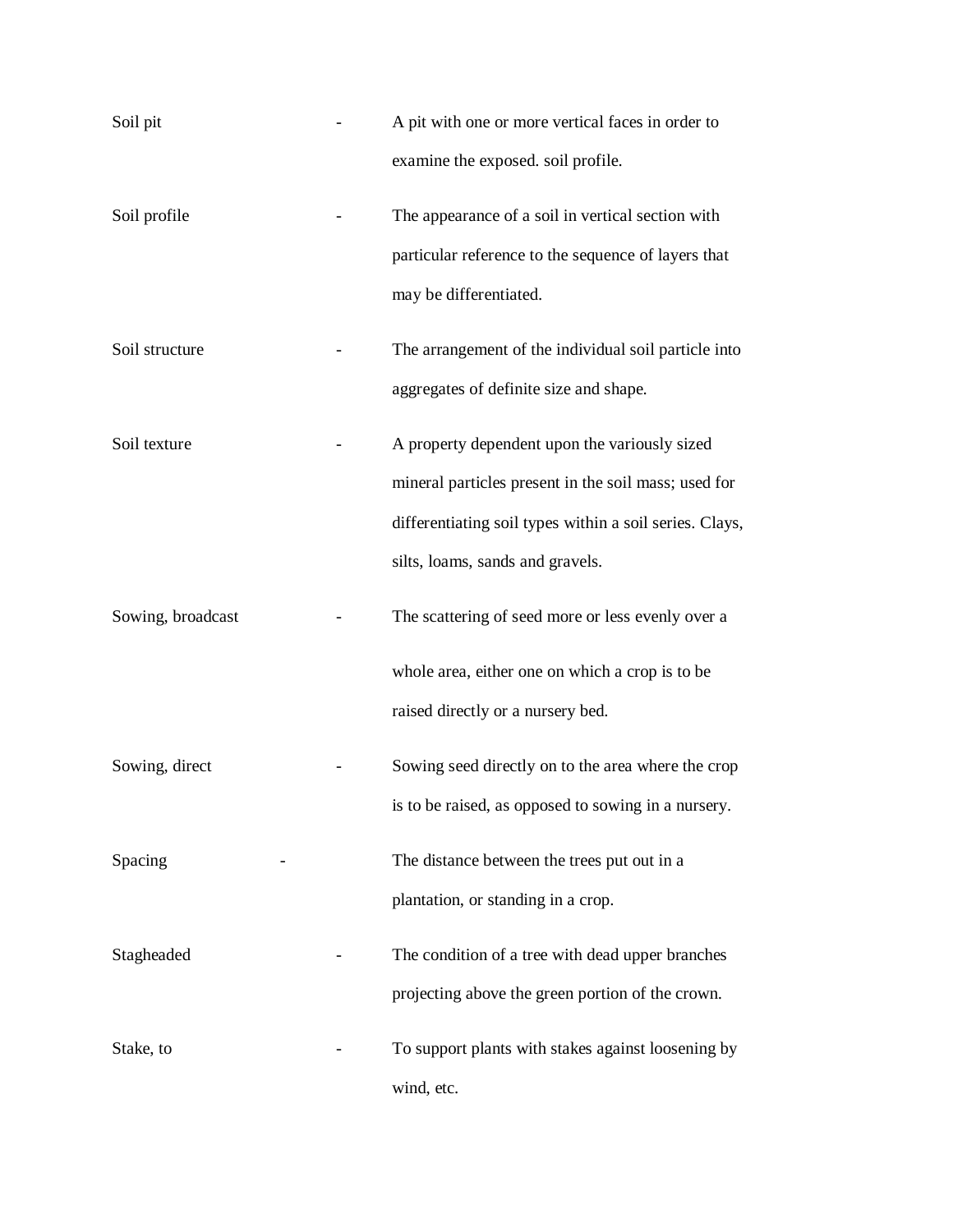| Soil pit          | A pit with one or more vertical faces in order to       |
|-------------------|---------------------------------------------------------|
|                   | examine the exposed. soil profile.                      |
| Soil profile      | The appearance of a soil in vertical section with       |
|                   | particular reference to the sequence of layers that     |
|                   | may be differentiated.                                  |
| Soil structure    | The arrangement of the individual soil particle into    |
|                   | aggregates of definite size and shape.                  |
| Soil texture      | A property dependent upon the variously sized           |
|                   | mineral particles present in the soil mass; used for    |
|                   | differentiating soil types within a soil series. Clays, |
|                   | silts, loams, sands and gravels.                        |
| Sowing, broadcast | The scattering of seed more or less evenly over a       |
|                   | whole area, either one on which a crop is to be         |
|                   | raised directly or a nursery bed.                       |
| Sowing, direct    | Sowing seed directly on to the area where the crop      |
|                   | is to be raised, as opposed to sowing in a nursery.     |
| Spacing           | The distance between the trees put out in a             |
|                   | plantation, or standing in a crop.                      |
| Stagheaded        | The condition of a tree with dead upper branches        |
|                   | projecting above the green portion of the crown.        |
| Stake, to         | To support plants with stakes against loosening by      |
|                   | wind, etc.                                              |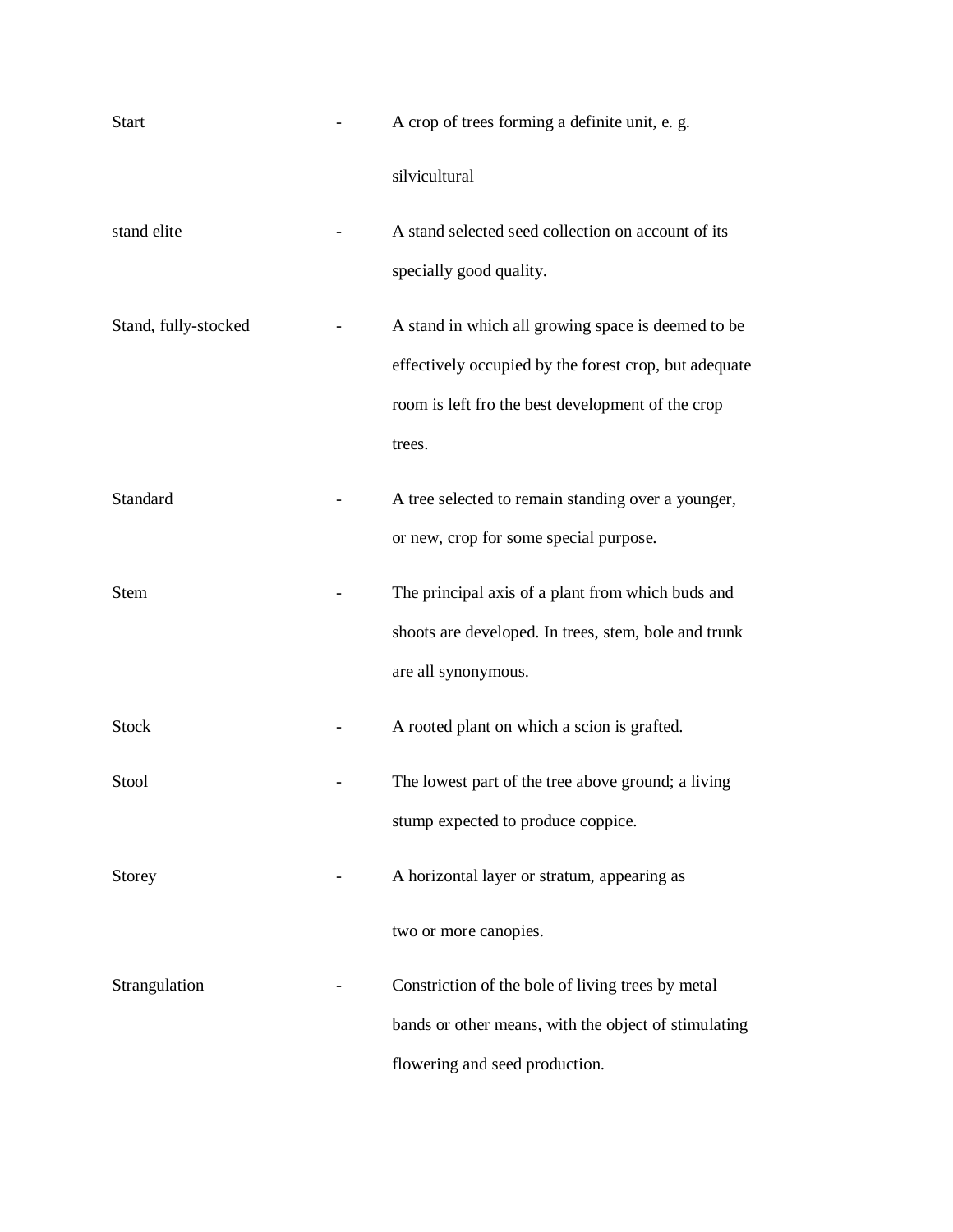| <b>Start</b>         | A crop of trees forming a definite unit, e. g.                                                                                                                             |
|----------------------|----------------------------------------------------------------------------------------------------------------------------------------------------------------------------|
|                      | silvicultural                                                                                                                                                              |
| stand elite          | A stand selected seed collection on account of its<br>specially good quality.                                                                                              |
| Stand, fully-stocked | A stand in which all growing space is deemed to be<br>effectively occupied by the forest crop, but adequate<br>room is left fro the best development of the crop<br>trees. |
| Standard             | A tree selected to remain standing over a younger,<br>or new, crop for some special purpose.                                                                               |
| <b>Stem</b>          | The principal axis of a plant from which buds and<br>shoots are developed. In trees, stem, bole and trunk<br>are all synonymous.                                           |
| <b>Stock</b>         | A rooted plant on which a scion is grafted.                                                                                                                                |
| Stool                | The lowest part of the tree above ground; a living<br>stump expected to produce coppice.                                                                                   |
| <b>Storey</b>        | A horizontal layer or stratum, appearing as                                                                                                                                |
|                      | two or more canopies.                                                                                                                                                      |
| Strangulation        | Constriction of the bole of living trees by metal<br>bands or other means, with the object of stimulating<br>flowering and seed production.                                |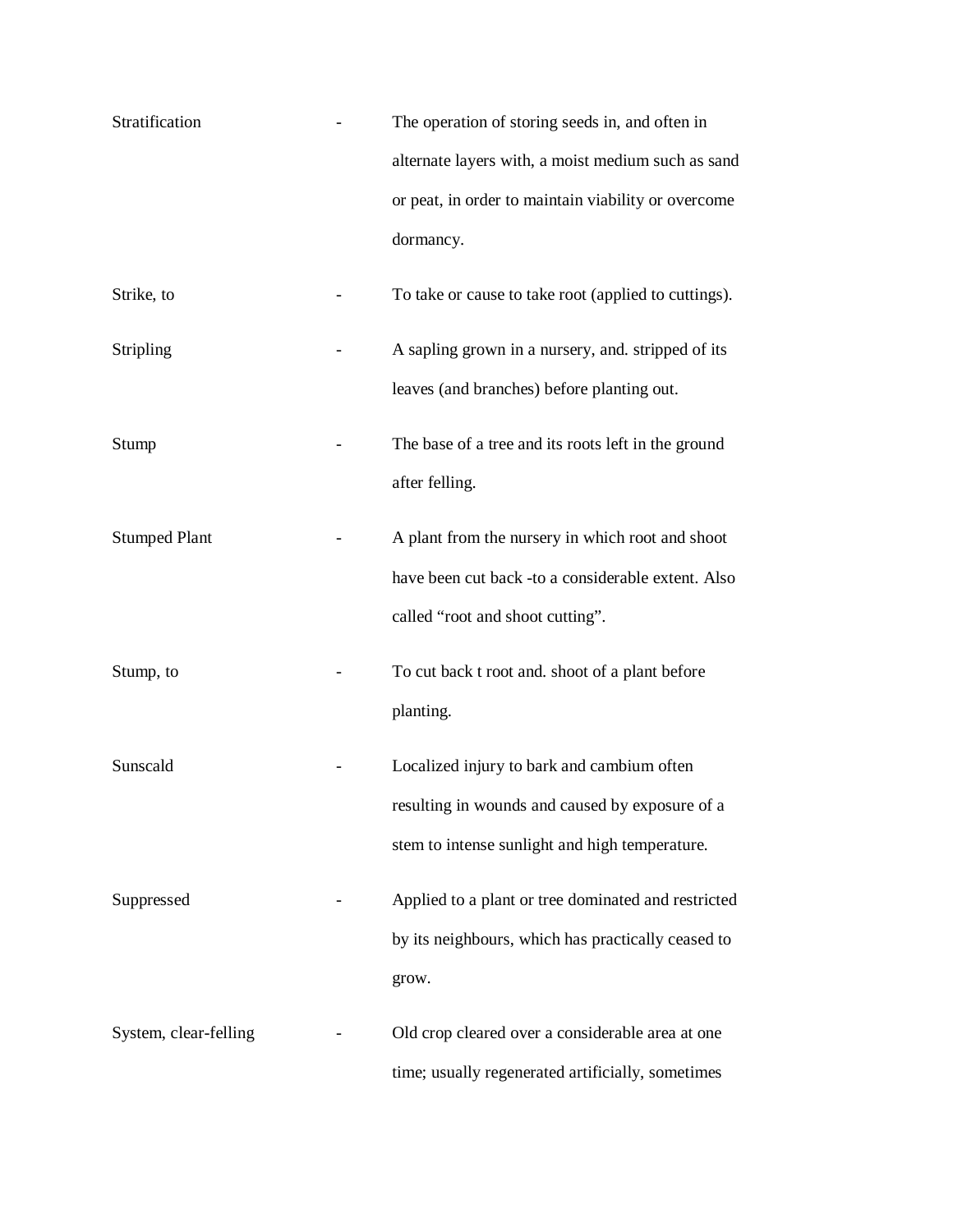| Stratification        | The operation of storing seeds in, and often in      |
|-----------------------|------------------------------------------------------|
|                       | alternate layers with, a moist medium such as sand   |
|                       | or peat, in order to maintain viability or overcome  |
|                       | dormancy.                                            |
| Strike, to            | To take or cause to take root (applied to cuttings). |
| Stripling             | A sapling grown in a nursery, and. stripped of its   |
|                       | leaves (and branches) before planting out.           |
| Stump                 | The base of a tree and its roots left in the ground  |
|                       | after felling.                                       |
| <b>Stumped Plant</b>  | A plant from the nursery in which root and shoot     |
|                       | have been cut back -to a considerable extent. Also   |
|                       | called "root and shoot cutting".                     |
| Stump, to             | To cut back t root and. shoot of a plant before      |
|                       | planting.                                            |
| Sunscald              | Localized injury to bark and cambium often           |
|                       | resulting in wounds and caused by exposure of a      |
|                       | stem to intense sunlight and high temperature.       |
| Suppressed            | Applied to a plant or tree dominated and restricted  |
|                       | by its neighbours, which has practically ceased to   |
|                       | grow.                                                |
| System, clear-felling | Old crop cleared over a considerable area at one     |
|                       | time; usually regenerated artificially, sometimes    |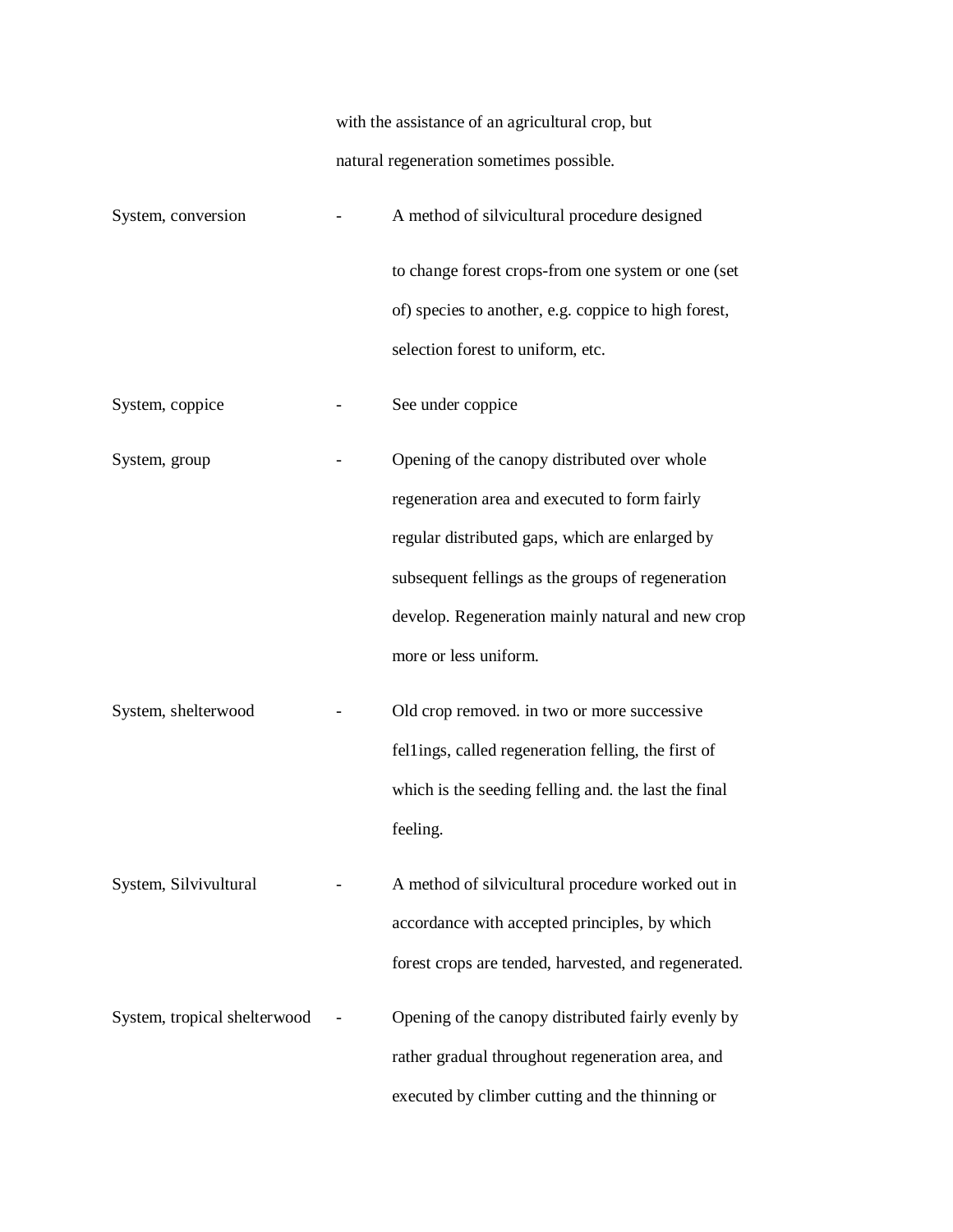with the assistance of an agricultural crop, but natural regeneration sometimes possible.

| System, conversion           | A method of silvicultural procedure designed         |
|------------------------------|------------------------------------------------------|
|                              | to change forest crops-from one system or one (set   |
|                              | of) species to another, e.g. coppice to high forest, |
|                              | selection forest to uniform, etc.                    |
| System, coppice              | See under coppice                                    |
| System, group                | Opening of the canopy distributed over whole         |
|                              | regeneration area and executed to form fairly        |
|                              | regular distributed gaps, which are enlarged by      |
|                              | subsequent fellings as the groups of regeneration    |
|                              | develop. Regeneration mainly natural and new crop    |
|                              | more or less uniform.                                |
| System, shelterwood          | Old crop removed. in two or more successive          |
|                              | fellings, called regeneration felling, the first of  |
|                              | which is the seeding felling and. the last the final |
|                              | feeling.                                             |
| System, Silvivultural        | A method of silvicultural procedure worked out in    |
|                              | accordance with accepted principles, by which        |
|                              | forest crops are tended, harvested, and regenerated. |
| System, tropical shelterwood | Opening of the canopy distributed fairly evenly by   |
|                              | rather gradual throughout regeneration area, and     |
|                              | executed by climber cutting and the thinning or      |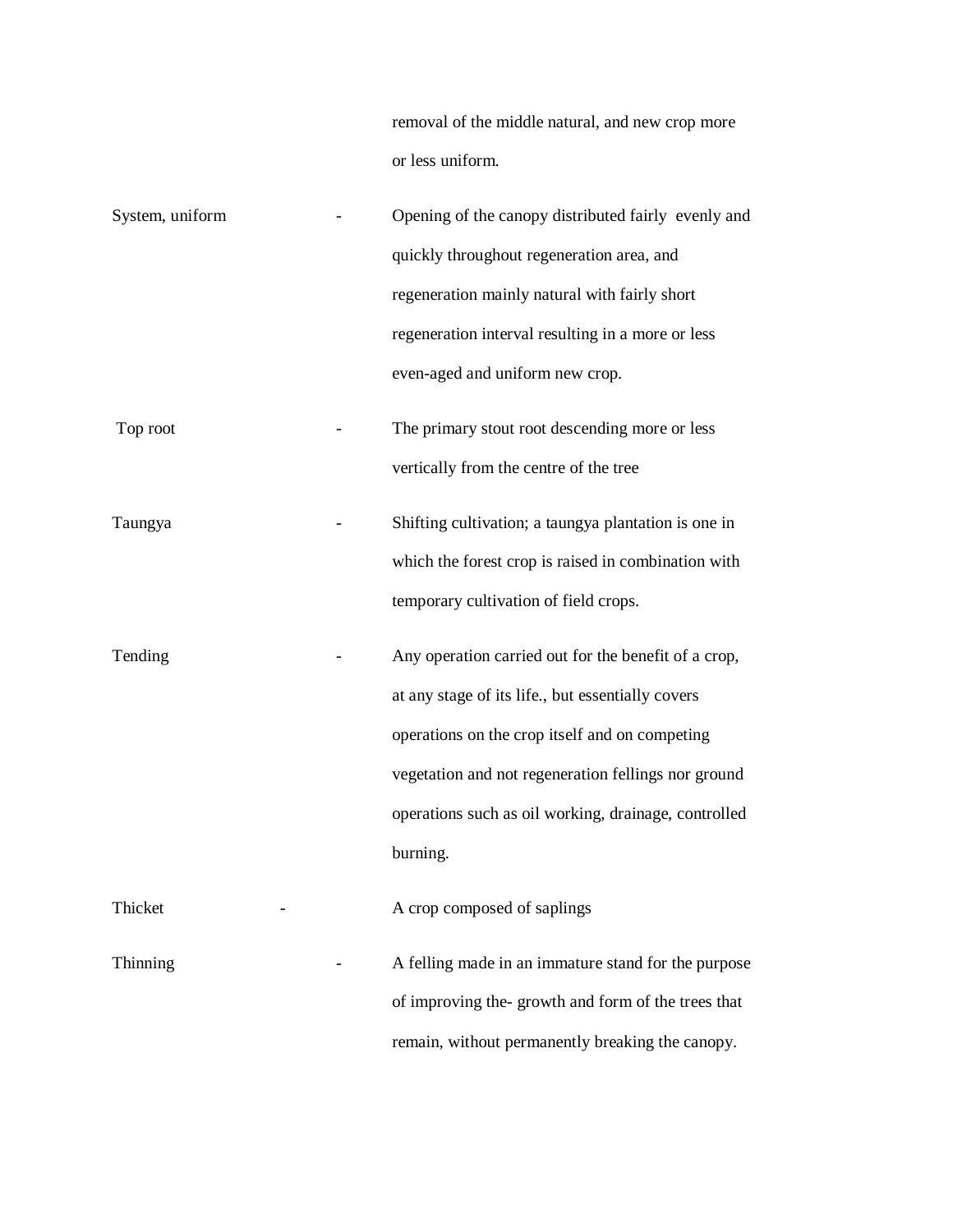removal of the middle natural, and new crop more or less uniform.

| System, uniform | Opening of the canopy distributed fairly evenly and  |
|-----------------|------------------------------------------------------|
|                 | quickly throughout regeneration area, and            |
|                 | regeneration mainly natural with fairly short        |
|                 | regeneration interval resulting in a more or less    |
|                 | even-aged and uniform new crop.                      |
| Top root        | The primary stout root descending more or less       |
|                 | vertically from the centre of the tree               |
| Taungya         | Shifting cultivation; a taungya plantation is one in |
|                 | which the forest crop is raised in combination with  |
|                 | temporary cultivation of field crops.                |
| Tending         | Any operation carried out for the benefit of a crop, |
|                 | at any stage of its life., but essentially covers    |
|                 | operations on the crop itself and on competing       |
|                 | vegetation and not regeneration fellings nor ground  |
|                 | operations such as oil working, drainage, controlled |
|                 | burning.                                             |
| Thicket         | A crop composed of saplings                          |
| Thinning        | A felling made in an immature stand for the purpose  |
|                 | of improving the-growth and form of the trees that   |
|                 | remain, without permanently breaking the canopy.     |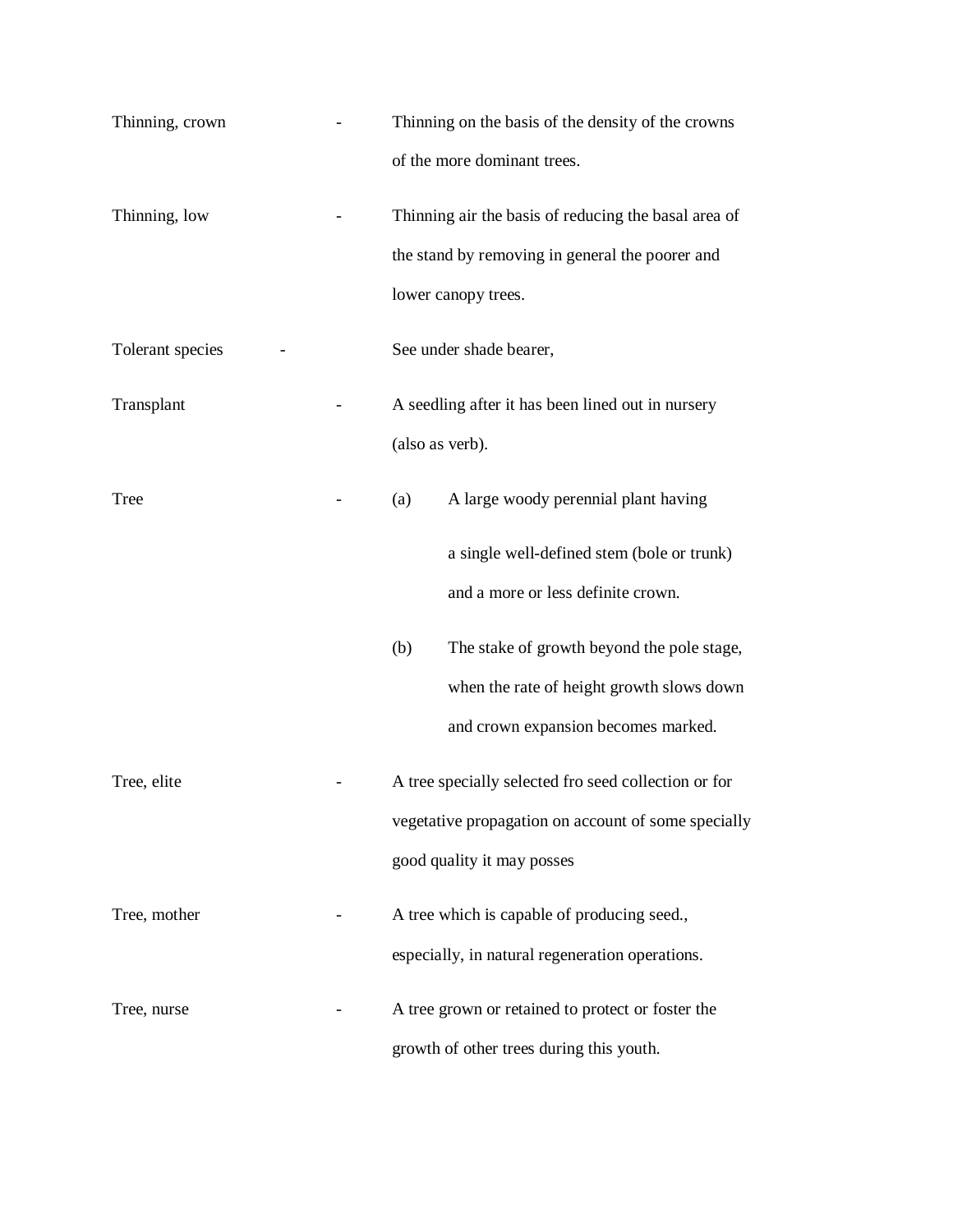| Thinning, crown  | Thinning on the basis of the density of the crowns   |
|------------------|------------------------------------------------------|
|                  | of the more dominant trees.                          |
| Thinning, low    | Thinning air the basis of reducing the basal area of |
|                  | the stand by removing in general the poorer and      |
|                  | lower canopy trees.                                  |
| Tolerant species | See under shade bearer,                              |
| Transplant       | A seedling after it has been lined out in nursery    |
|                  | (also as verb).                                      |
| <b>Tree</b>      | A large woody perennial plant having<br>(a)          |
|                  | a single well-defined stem (bole or trunk)           |
|                  | and a more or less definite crown.                   |
|                  | The stake of growth beyond the pole stage,<br>(b)    |
|                  | when the rate of height growth slows down            |
|                  | and crown expansion becomes marked.                  |
| Tree, elite      | A tree specially selected fro seed collection or for |
|                  | vegetative propagation on account of some specially  |
|                  | good quality it may posses                           |
| Tree, mother     | A tree which is capable of producing seed.,          |
|                  | especially, in natural regeneration operations.      |
| Tree, nurse      | A tree grown or retained to protect or foster the    |
|                  | growth of other trees during this youth.             |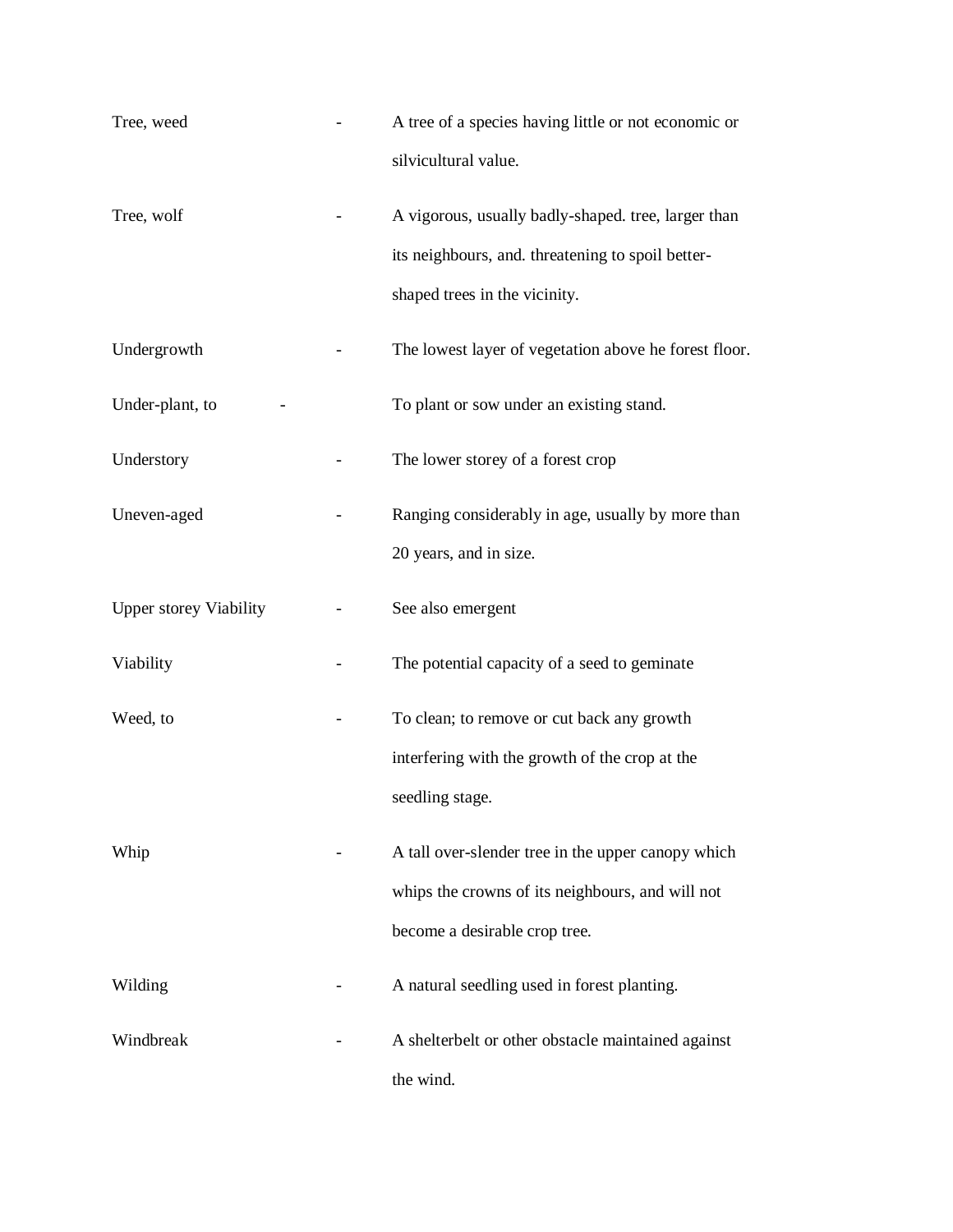| Tree, weed                    | A tree of a species having little or not economic or  |
|-------------------------------|-------------------------------------------------------|
|                               | silvicultural value.                                  |
| Tree, wolf                    | A vigorous, usually badly-shaped. tree, larger than   |
|                               | its neighbours, and. threatening to spoil better-     |
|                               | shaped trees in the vicinity.                         |
| Undergrowth                   | The lowest layer of vegetation above he forest floor. |
| Under-plant, to               | To plant or sow under an existing stand.              |
| Understory                    | The lower storey of a forest crop                     |
| Uneven-aged                   | Ranging considerably in age, usually by more than     |
|                               | 20 years, and in size.                                |
| <b>Upper storey Viability</b> | See also emergent                                     |
| Viability                     | The potential capacity of a seed to geminate          |
| Weed, to                      | To clean; to remove or cut back any growth            |
|                               | interfering with the growth of the crop at the        |
|                               | seedling stage.                                       |
| Whip                          | A tall over-slender tree in the upper canopy which    |
|                               | whips the crowns of its neighbours, and will not      |
|                               | become a desirable crop tree.                         |
| Wilding                       | A natural seedling used in forest planting.           |
| Windbreak                     | A shelterbelt or other obstacle maintained against    |
|                               | the wind.                                             |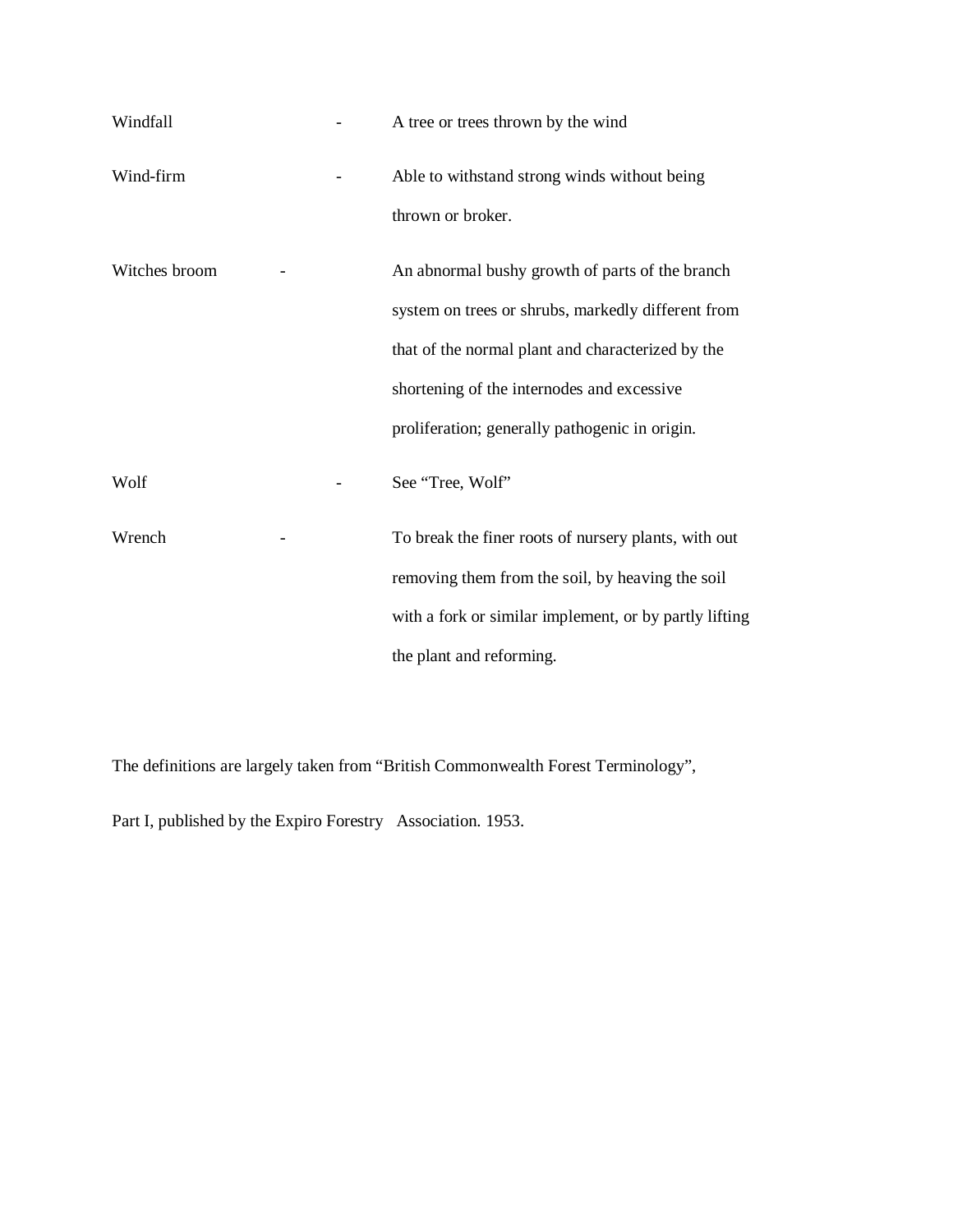| Windfall      | A tree or trees thrown by the wind                     |
|---------------|--------------------------------------------------------|
| Wind-firm     | Able to withstand strong winds without being           |
|               | thrown or broker.                                      |
| Witches broom | An abnormal bushy growth of parts of the branch        |
|               | system on trees or shrubs, markedly different from     |
|               | that of the normal plant and characterized by the      |
|               | shortening of the internodes and excessive             |
|               | proliferation; generally pathogenic in origin.         |
| Wolf          | See "Tree, Wolf"                                       |
| Wrench        | To break the finer roots of nursery plants, with out   |
|               | removing them from the soil, by heaving the soil       |
|               | with a fork or similar implement, or by partly lifting |
|               | the plant and reforming.                               |

The definitions are largely taken from "British Commonwealth Forest Terminology",

Part I, published by the Expiro Forestry Association. 1953.